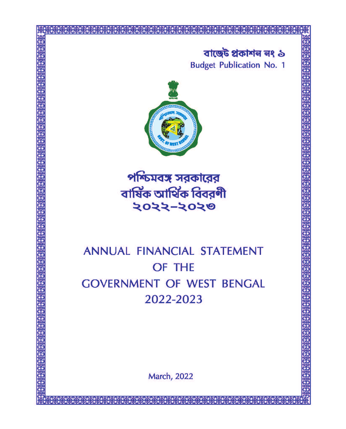# বাজেঁট প্ৰকাশন নং ১ **Budget Publication No. 1**



পশ্চিমবঙ্গ সরকারের বাৰ্ষিক আৰ্থিক বিবরণী २०२२-२०२७

# ANNUAL FINANCIAL STATEMENT OF THE **GOVERNMENT OF WEST BENGAL** 2022-2023

**March, 2022**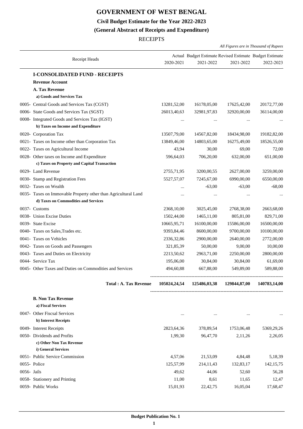# **GOVERNMENT OF WEST BENGAL**

**Civil Budget Estimate for the Year 2022-2023**

# **(General Abstract of Receipts and Expenditure)**

**RECEIPTS** 

|             |                                                                                             |              |                                                                      | All Figures are in Thousand of Rupees |              |
|-------------|---------------------------------------------------------------------------------------------|--------------|----------------------------------------------------------------------|---------------------------------------|--------------|
|             | Receipt Heads                                                                               | 2020-2021    | Actual Budget Estimate Revised Estimate Budget Estimate<br>2021-2022 | 2021-2022                             | 2022-2023    |
|             | <b>I-CONSOLIDATED FUND - RECEIPTS</b>                                                       |              |                                                                      |                                       |              |
|             | <b>Revenue Account</b>                                                                      |              |                                                                      |                                       |              |
|             | A. Tax Revenue                                                                              |              |                                                                      |                                       |              |
|             | a) Goods and Services Tax                                                                   |              |                                                                      |                                       |              |
|             | 0005- Central Goods and Services Tax (CGST)                                                 | 13281,52,00  | 16178,05,00                                                          | 17625,42,00                           | 20172,77,00  |
|             | 0006- State Goods and Services Tax (SGST)                                                   | 26013,40,63  | 32981,97,83                                                          | 32920,00,00                           | 36114,00,00  |
|             | 0008- Integrated Goods and Services Tax (IGST)                                              |              | $\cdots$                                                             |                                       |              |
|             | b) Taxes on Income and Expenditure                                                          |              |                                                                      |                                       |              |
|             | 0020- Corporation Tax                                                                       | 13507,79,00  | 14567,82,00                                                          | 18434,98,00                           | 19182,82,00  |
|             | 0021- Taxes on Income other than Corporation Tax                                            | 13849,46,00  | 14803,65,00                                                          | 16275,49,00                           | 18526,55,00  |
|             | 0022- Taxes on Agricultural Income                                                          | 43,94        | 30,00                                                                | 69,00                                 | 72,00        |
|             | 0028- Other taxes on Income and Expenditure<br>c) Taxes on Property and Capital Transaction | 596,64,03    | 706,20,00                                                            | 632,00,00                             | 651,00,00    |
|             | 0029- Land Revenue                                                                          | 2755,71,95   | 3200,00,55                                                           | 2627,00,00                            | 3259,00,00   |
|             | 0030- Stamp and Registration Fees                                                           | 5527,57,07   | 7245,67,00                                                           | 6990,00,00                            | 6550,00,00   |
|             | 0032- Taxes on Wealth                                                                       |              | $-63,00$                                                             | $-63,00$                              | $-68,00$     |
|             | 0035- Taxes on Immovable Property other than Agricultural Land                              |              | $\ldots$                                                             |                                       |              |
|             | d) Taxes on Commodities and Services                                                        |              |                                                                      |                                       |              |
|             | 0037- Customs                                                                               | 2368,10,00   | 3025,45,00                                                           | 2768,38,00                            | 2663,68,00   |
|             | 0038- Union Excise Duties                                                                   | 1502,44,00   | 1465, 11, 00                                                         | 805,81,00                             | 829,71,00    |
|             | 0039- State Excise                                                                          | 10665,95,71  | 16100,00,00                                                          | 15586,00,00                           | 16500,00,00  |
|             | 0040- Taxes on Sales, Trades etc.                                                           | 9393,84,46   | 8600,00,00                                                           | 9700,00,00                            | 10100,00,00  |
|             | 0041- Taxes on Vehicles                                                                     | 2336, 32, 86 | 2900,00,00                                                           | 2640,00,00                            | 2772,00,00   |
|             | 0042- Taxes on Goods and Passengers                                                         | 321,85,39    | 50,00,00                                                             | 9,00,00                               | 10,00,00     |
|             | 0043- Taxes and Duties on Electricity                                                       | 2213,50,62   | 2963,71,00                                                           | 2250,00,00                            | 2800,00,00   |
|             | 0044- Service Tax                                                                           | 195,06,00    | 30,84,00                                                             | 30,84,00                              | 61,69,00     |
|             | 0045- Other Taxes and Duties on Commodities and Services                                    | 494,60,88    | 667,88,00                                                            | 549,89,00                             | 589,88,00    |
|             | <b>Total: A. Tax Revenue</b>                                                                |              | 105024,24,54 125486,03,38 129844,87,00                               |                                       | 140783,14,00 |
|             | <b>B. Non Tax Revenue</b>                                                                   |              |                                                                      |                                       |              |
|             | a) Fiscal Services                                                                          |              |                                                                      |                                       |              |
|             | 0047- Other Fiscsal Services                                                                | $\cdots$     | $\cdots$                                                             |                                       |              |
|             | b) Interest Receipts                                                                        |              |                                                                      |                                       |              |
|             | 0049- Interest Receipts                                                                     | 2823,64,36   | 378,89,54                                                            | 1753,06,48                            | 5369,29,26   |
|             | 0050- Dividends and Profits<br>c) Other Non Tax Revenue<br>i) General Services              | 1,99,30      | 96,47,70                                                             | 2,11,26                               | 2,26,05      |
|             | 0051- Public Service Commission                                                             | 4,57,06      | 21,53,09                                                             | 4,84,48                               | 5,18,39      |
|             | 0055- Police                                                                                | 125,57,99    | 214, 11, 43                                                          | 132,83,17                             | 142, 15, 75  |
| 0056- Jails |                                                                                             | 49,62        | 44,06                                                                | 52,60                                 | 56,28        |
|             | 0058- Stationery and Printing                                                               | 11,00        | 8,61                                                                 | 11,65                                 | 12,47        |
|             | 0059- Public Works                                                                          | 15,01,93     | 22,42,75                                                             | 16,05,04                              | 17,68,47     |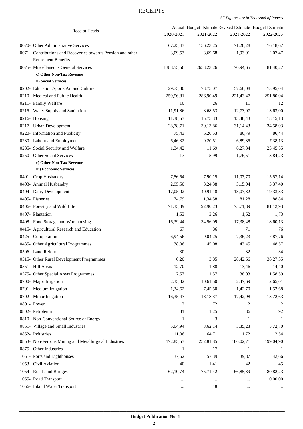*All Figures are in Thousand of Rupees .*

| Receipt Heads                                                                              | 2020-2021    | Actual Budget Estimate Revised Estimate Budget Estimate<br>2021-2022 | 2021-2022 | 2022-2023    |
|--------------------------------------------------------------------------------------------|--------------|----------------------------------------------------------------------|-----------|--------------|
| 0070- Other Administrative Services                                                        | 67,25,43     | 156, 23, 25                                                          | 71,20,28  | 76,18,67     |
| 0071- Contributions and Recoveries towards Pension and other<br><b>Retirement Benefits</b> | 3,09,53      | 3,69,68                                                              | 1,93,91   | 2,07,47      |
| 0075- Miscellaneous General Services<br>c) Other Non-Tax Revenue                           | 1388, 55, 56 | 2653, 23, 26                                                         | 70,94,65  | 81,40,27     |
| ii) Social Services                                                                        |              |                                                                      |           |              |
| 0202- Education, Sports Art and Culture                                                    | 29,75,80     | 73,75,07                                                             | 57,66,08  | 73,95,04     |
| 0210- Medical and Public Health                                                            | 259,56,81    | 286,90,49                                                            | 221,43,47 | 251,80,04    |
| 0211- Family Welfare                                                                       | 10           | 26                                                                   | 11        | 12           |
| 0215- Water Supply and Sanitation                                                          | 11,91,86     | 8,68,53                                                              | 12,73,97  | 13,63,00     |
| 0216- Housing                                                                              | 11,38,53     | 15,75,33                                                             | 13,48,43  | 18,15,13     |
| 0217- Urban Development                                                                    | 28,78,71     | 30,13,86                                                             | 31,14,43  | 34,58,03     |
| 0220- Information and Publicity                                                            | 75,43        | 6,26,53                                                              | 80,79     | 86,44        |
| 0230- Labour and Employment                                                                | 6,46,32      | 9,20,51                                                              | 6,89,35   | 7,38,13      |
| 0235- Social Security and Welfare                                                          | 1,34,42      | 11,69                                                                | 6,27,34   | 23,45,55     |
| 0250- Other Social Services                                                                | $-17$        | 5,99                                                                 | 1,76,51   | 8,84,23      |
| c) Other Non-Tax Revenue                                                                   |              |                                                                      |           |              |
| iii) Economic Services                                                                     |              |                                                                      |           |              |
| 0401- Crop Husbandry                                                                       | 7,56,54      | 7,90,15                                                              | 11,07,70  | 15,57,14     |
| 0403- Animal Husbandry                                                                     | 2,95,50      | 3,24,38                                                              | 3,15,94   | 3,37,40      |
| 0404- Dairy Development                                                                    | 17,05,02     | 40,91,18                                                             | 18,07,32  | 19,33,83     |
| 0405- Fisheries                                                                            | 74,79        | 1,34,58                                                              | 81,28     | 88,84        |
| 0406- Forestry and Wild Life                                                               | 71,33,39     | 92,90,23                                                             | 75,71,89  | 81,12,93     |
| 0407- Plantation                                                                           | 1,53         | 3,26                                                                 | 1,62      | 1,73         |
| 0408- Food, Storage and Warehousing                                                        | 16,39,44     | 34,56,09                                                             | 17,38,48  | 18,60,13     |
| 0415- Agricultural Research and Education                                                  | 67           | 86                                                                   | 71        | 76           |
| 0425- Co-operation                                                                         | 6,94,56      | 9,04,25                                                              | 7,36,23   | 7,87,76      |
| 0435- Other Agricultural Programmes                                                        | 38,06        | 45,08                                                                | 43,45     | 48,57        |
| 0506- Land Reforms                                                                         | 30           | $\cdots$                                                             | 32        | 34           |
| 0515- Other Rural Development Programmes                                                   | 6,20         | 3,85                                                                 | 28,42,66  | 36,27,35     |
| 0551- Hill Areas                                                                           | 12,70        | 1,88                                                                 | 13,46     | 14,40        |
| 0575- Other Special Areas Programmes                                                       | 7,57         | 1,57                                                                 | 38,03     | 1,58,59      |
| 0700- Major Irrigation                                                                     | 2,33,32      | 10,61,50                                                             | 2,47,69   | 2,65,01      |
| 0701- Medium Irrigation                                                                    | 1,34,62      | 7,45,50                                                              | 1,42,70   | 1,52,68      |
| 0702- Minor Irrigation                                                                     | 16,35,47     | 18, 18, 37                                                           | 17,42,98  | 18,72,63     |
| 0801- Power                                                                                | 2            | 72                                                                   | 2         | 2            |
| 0802- Petroleum                                                                            | 81           | 1,25                                                                 | 86        | 92           |
| 0810- Non-Conventional Source of Energy                                                    | 1            | 3                                                                    | 1         | 1            |
| 0851- Village and Small Industries                                                         | 5,04,94      | 3,62,14                                                              | 5,35,23   | 5,72,70      |
| 0852- Industries                                                                           | 11,06        | 64,71                                                                | 11,72     |              |
|                                                                                            |              |                                                                      |           | 12,54        |
| 0853- Non-Ferrous Mining and Metallurgical Industries                                      | 172,83,53    | 252,81,85                                                            | 186,02,71 | 199,04,90    |
| 0875- Other Industries                                                                     | 1            | 17                                                                   | 1         | $\mathbf{1}$ |
| 1051- Ports and Lighthouses                                                                | 37,62        | 57,39                                                                | 39,87     | 42,66        |
| 1053- Civil Aviation                                                                       | 40           | 1,41                                                                 | 42        | 45           |
| 1054- Roads and Bridges                                                                    | 62, 10, 74   | 75,71,42                                                             | 66,85,39  | 80,82,23     |
| 1055- Road Transport                                                                       |              | $\ldots$                                                             | $\cdots$  | 10,00,00     |
| 1056- Inland Water Transport                                                               | $\ddotsc$    | 18                                                                   | $\cdots$  |              |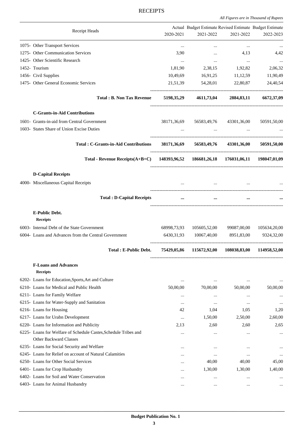*All Figures are in Thousand of Rupees .*

|                                                                                           |              | Actual Budget Estimate Revised Estimate Budget Estimate |           |             |
|-------------------------------------------------------------------------------------------|--------------|---------------------------------------------------------|-----------|-------------|
| Receipt Heads                                                                             | 2020-2021    | 2021-2022                                               | 2021-2022 | 2022-2023   |
| 1075- Other Transport Services                                                            | $\cdots$     | $\cdots$                                                | $\cdots$  | $\cdots$    |
| 1275- Other Communication Services                                                        | 3,90         | $\cdots$                                                | 4,13      | 4,42        |
| 1425- Other Scientific Research                                                           | $\cdots$     | $\cdots$                                                | $\ldots$  |             |
| 1452- Tourism                                                                             | 1,81,90      | 2,38,15                                                 | 1,92,82   | 2,06,32     |
| 1456- Civil Supplies                                                                      | 10,49,69     | 16,91,25                                                | 11,12,59  | 11,90,49    |
| 1475- Other General Economic Services                                                     |              | 21,51,39 54,28,01 22,80,87                              |           | 24,40,54    |
| <b>Total: B. Non Tax Revenue</b>                                                          |              | 5198,35,29 4611,73,04 2884,83,11 6672,37,09             |           |             |
| <b>C-Grants-in-Aid Contributions</b>                                                      |              |                                                         |           |             |
| 1601- Grants-in-aid from Central Government                                               |              | 38171,36,69 56583,49,76 43301,36,00                     |           | 50591,50,00 |
| 1603- States Share of Union Excise Duties                                                 |              | $\cdots$                                                |           |             |
| Total: C-Grants-in-Aid Contributions 38171,36,69 56583,49,76 43301,36,00 50591,50,00      |              |                                                         |           |             |
| Total - Revenue Receipts(A+B+C) 148393,96,52 186681,26,18 176031,06,11 198047,01,09       |              |                                                         |           |             |
| <b>D-Capital Receipts</b>                                                                 |              |                                                         |           |             |
| 4000- Miscellaneous Capital Receipts                                                      |              | the contract of the contract of the contract of         |           |             |
| <b>Total: D-Capital Receipts</b>                                                          | $\cdots$     | $\cdots$                                                | $\ddotsc$ |             |
| E-Public Debt.<br><b>Receipts</b>                                                         |              |                                                         |           |             |
| 6003- Internal Debt of the State Government                                               |              | 68998,73,93 105605,52,00 99087,00,00 105634,20,00       |           |             |
| 6004- Loans and Advances from the Central Government                                      | 6430, 31, 93 | 10067,40,00 8951,83,00                                  |           | 9324,32,00  |
| <b>Total: E-Public Debt.</b>                                                              |              | 75429,05,86 115672,92,00 108038,83,00 114958,52,00      |           |             |
| <b>F-Loans and Advances</b><br><b>Receipts</b>                                            |              |                                                         |           |             |
| 6202- Loans for Education, Sports, Art and Culture                                        | $\cdots$     | $\ldots$                                                | $\cdots$  |             |
| 6210- Loans for Medical and Public Health                                                 | 50,00,00     | 70,00,00                                                | 50,00,00  | 50,00,00    |
| 6211- Loans for Family Welfare                                                            |              | $\cdots$                                                | $\cdots$  |             |
| 6215- Loans for Water-Supply and Sanitation                                               | $\cdots$     | $\cdots$                                                | $\cdots$  | $\cdots$    |
| 6216- Loans for Housing                                                                   | 42           | 1,04                                                    | 1,05      | 1,20        |
| 6217- Loans for Urabn Development                                                         |              | 1,50,00                                                 | 2,50,00   | 2,60,00     |
| 6220- Loans for Information and Publicity                                                 | 2,13         | 2,60                                                    | 2,60      | 2,65        |
| 6225- Loans for Welfare of Schedule Castes, Schedule Tribes and<br>Other Backward Classes | $\cdots$     | $\cdots$                                                |           | $\cdots$    |
| 6235- Loans for Social Security and Welfare                                               | $\cdots$     |                                                         | $\cdots$  | $\cdots$    |
| 6245- Loans for Relief on account of Natural Calamities                                   | $\ddotsc$    | $\ldots$                                                |           | $\cdots$    |
| 6250- Loans for Other Social Services                                                     |              | 40,00                                                   | 40,00     | 45,00       |
| 6401- Loans for Crop Husbandry                                                            |              | 1,30,00                                                 | 1,30,00   | 1,40,00     |
| 6402- Loans for Soil and Water Conservation                                               | $\cdots$     | $\cdots$                                                | $\cdots$  |             |
| 6403- Loans for Animal Husbandry                                                          | $\cdots$     | $\cdots$                                                | $\cdots$  | $\cdots$    |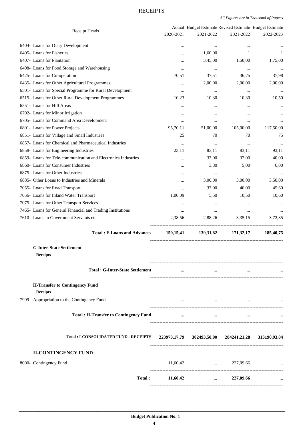|                                                               |             | Actual Budget Estimate Revised Estimate Budget Estimate |                                                   |              |
|---------------------------------------------------------------|-------------|---------------------------------------------------------|---------------------------------------------------|--------------|
| Receipt Heads                                                 | 2020-2021   | 2021-2022                                               | 2021-2022                                         | 2022-2023    |
| 6404- Loans for Diary Development                             |             | $\cdots$                                                | $\cdots$                                          |              |
| 6405- Loans for Fisheries                                     |             | 1,60,00                                                 | 1                                                 | 1            |
| 6407- Loans for Plantation                                    | $\ddotsc$   | 3,45,00                                                 | 1,50,00                                           | 1,75,00      |
| 6408- Loans for Food, Storage and Warehousing                 |             | $\ldots$                                                | $\ldots$                                          |              |
| 6425- Loans for Co-operation                                  | 70,51       | 37,51                                                   | 36,75                                             | 37,98        |
| 6435- Loans for Other Agricultural Programmes                 |             | 2,00,00                                                 | 2,00,00                                           | 2,00,00      |
| 6501- Loans for Special Programme for Rural Development       | $\cdots$    | $\ldots$                                                | $\cdots$                                          | $\ddotsc$    |
| 6515- Loans for Other Rural Development Programmes            | 10,23       | 10,30                                                   | 10,30                                             | 10,50        |
| 6551- Loans for Hill Areas                                    |             |                                                         |                                                   |              |
| 6702- Loans for Minor Irrigation                              |             |                                                         |                                                   |              |
| 6705- Loans for Command Area Development                      |             |                                                         |                                                   |              |
| 6801- Loans for Power Projects                                |             | $\ldots$                                                | $\cdots$                                          |              |
|                                                               | 95,70,11    | 51,00,00                                                | 105,00,00                                         | 117,50,00    |
| 6851- Loans for Village and Small Industries                  | 25          | 70                                                      | 70                                                | 75           |
| 6857- Loans for Chemical and Pharmaceutical Industries        |             | $\ldots$                                                |                                                   |              |
| 6858- Loans for Engineering Industries                        | 23,11       | 83,11                                                   | 83,11                                             | 93,11        |
| 6859- Loans for Tele-communication and Electronics Industries |             | 37,00                                                   | 37,00                                             | 40,00        |
| 6860- Loans for Consumer Industries                           |             | 3,80                                                    | 5,00                                              | 6,00         |
| 6875- Loans for Other Industries                              | $\ddotsc$   | $\cdots$                                                | $\cdots$                                          |              |
| 6885- Other Loans to Industries and Minerals                  |             | 3,00,00                                                 | 3,00,00                                           | 3,50,00      |
| 7055- Loans for Road Transport                                | $\ddotsc$   | 37,00                                                   | 40,00                                             | 45,60        |
| 7056- Loans for Inland Water Transport                        | 1,00,09     | 5,50                                                    | 10,50                                             | 10,60        |
| 7075- Loans for Other Transport Services                      |             | $\cdots$                                                |                                                   |              |
| 7465- Loans for General Financial and Trading Institutions    | $\cdots$    | $\cdots$                                                | $\cdots$                                          |              |
| 7610- Loans to Government Servants etc.                       | 2,38,56     | 2,88,26                                                 | 3,35,15                                           | 3,72,35      |
| <b>Total: F-Loans and Advances</b>                            | 150, 15, 41 | 139,31,82                                               | 171,32,17                                         | 185,40,75    |
| <b>G-Inter-State Settlement</b><br><b>Receipts</b>            |             |                                                         |                                                   |              |
| <b>Total: G-Inter-State Settlement</b>                        | $\ddotsc$   | $\cdots$                                                |                                                   |              |
| <b>H-Transfer to Contingency Fund</b><br><b>Receipts</b>      |             |                                                         |                                                   |              |
| 7999- Appropriation to the Contingency Fund                   | $\cdots$    | $\cdots$                                                |                                                   |              |
| <b>Total: H-Transfer to Contingency Fund</b>                  | $\cdots$    | $\cdots$                                                | $\cdots$                                          |              |
| <b>Total : I-CONSOLIDATED FUND - RECEIPTS</b>                 |             | 223973,17,79 302493,50,00 284241,21,28                  |                                                   | 313190,93,84 |
| <b>II-CONTINGENCY FUND</b>                                    |             |                                                         |                                                   |              |
| 8000- Contingency Fund                                        | 11,60,42    | and the control of the control of                       | 227,09,66                                         |              |
|                                                               |             |                                                         |                                                   |              |
| Total:                                                        | 11,60,42    |                                                         | 227,09,66<br>$\cdots$ . The set of $\mathbb{R}^n$ |              |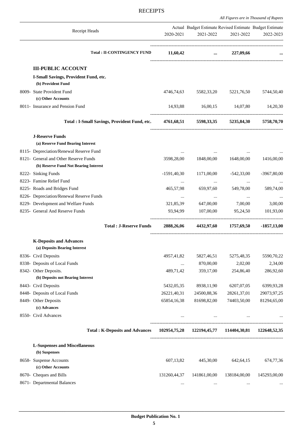*All Figures are in Thousand of Rupees*

| Receipt Heads                                                            | 2020-2021                 | Actual Budget Estimate Revised Estimate Budget Estimate<br>2021-2022 | 2021-2022                 | 2022-2023                 |
|--------------------------------------------------------------------------|---------------------------|----------------------------------------------------------------------|---------------------------|---------------------------|
| <b>Total: II-CONTINGENCY FUND</b>                                        | 11,60,42                  |                                                                      | $\ldots$ 227,09,66        |                           |
|                                                                          |                           |                                                                      |                           |                           |
| <b>III-PUBLIC ACCOUNT</b><br>I-Small Savings, Provident Fund, etc.       |                           |                                                                      |                           |                           |
| (b) Provident Fund                                                       |                           |                                                                      |                           |                           |
| 8009- State Provident Fund                                               | 4746,74,63                | 5582,33,20                                                           | 5221,76,50                | 5744,50,40                |
| (c) Other Accounts                                                       |                           |                                                                      |                           |                           |
| 8011- Insurance and Pension Fund                                         |                           | 14,93,88 16,00,15 14,07,80                                           |                           | 14,20,30                  |
| <b>Total : I-Small Savings, Provident Fund, etc.</b>                     |                           | 4761,68,51 5598,33,35 5235,84,30 5758,70,70                          |                           |                           |
| <b>J-Reserve Funds</b>                                                   |                           |                                                                      |                           |                           |
| (a) Reserve Fund Bearing Interest                                        |                           |                                                                      |                           |                           |
| 8115- Depreciation/Renewal Reserve Fund                                  |                           |                                                                      |                           |                           |
| 8121- General and Other Reserve Funds                                    | 3598,28,00                | 1848,00,00                                                           | 1648,00,00                | 1416,00,00                |
| (b) Reserve Fund Not Bearing Interest                                    |                           |                                                                      |                           |                           |
| 8222- Sinking Funds                                                      | $-1591,40,30$             | 1171,00,00                                                           | $-542,33,00$              | $-3967,80,00$             |
| 8223- Famine Relief Fund                                                 |                           | $\cdots$                                                             | $\cdots$                  |                           |
| 8225- Roads and Bridges Fund<br>8226- Depreciation/Renewal Reserve Funds | 465,57,98                 | 659,97,60                                                            | 549,78,00                 | 589,74,00                 |
| 8229- Development and Welfare Funds                                      | $\cdots$<br>321,85,39     | $\cdots$<br>647,00,00                                                | $\cdots$<br>7,00,00       | $\cdots$<br>3,00,00       |
| 8235- General And Reserve Funds                                          | 93,94,99                  | 107,00,00                                                            | 95,24,50                  | 101,93,00                 |
| <b>Total: J-Reserve Funds</b>                                            | 2888,26,06                |                                                                      | 4432,97,60 1757,69,50     | -1857,13,00               |
| <b>K-Deposits and Advances</b>                                           |                           |                                                                      |                           |                           |
| (a) Deposits Bearing Interest                                            |                           |                                                                      |                           |                           |
| 8336- Civil Deposits                                                     | 4957,41,82                | 5827,46,51                                                           | 5275,48,35                | 5590,70,22                |
| 8338- Deposits of Local Funds                                            | $\cdots$                  | 870,00,00                                                            | 2,02,00                   | 2,34,00                   |
| 8342- Other Deposits.                                                    | 489,71,42                 | 359,17,00                                                            | 254,86,40                 | 286,92,60                 |
| (b) Deposits not Bearing Interest                                        |                           |                                                                      |                           |                           |
| 8443- Civil Deposits<br>8448- Deposits of Local Funds                    | 5432,05,35<br>26221,40,31 | 8938,11,90<br>24500,88,36                                            | 6207,07,05<br>28261,37,01 | 6399,93,28<br>29073,97,25 |
| 8449- Other Deposits                                                     | 65854,16,38               | 81698,82,00                                                          | 74403,50,00               | 81294,65,00               |
| (c) Advances                                                             |                           |                                                                      |                           |                           |
| 8550- Civil Advances                                                     | $\cdots$                  | $\cdots$                                                             |                           |                           |
| <b>Total: K-Deposits and Advances</b>                                    |                           | 102954,75,28 122194,45,77 114404,30,81 122648,52,35                  |                           |                           |
| <b>L-Suspenses and Miscellaneous</b>                                     |                           |                                                                      |                           |                           |
| (b) Suspenses                                                            |                           |                                                                      |                           |                           |
| 8658- Suspense Accounts<br>(c) Other Accounts                            | 607,13,82                 | 445,30,00                                                            | 642, 64, 15               | 674,77,36                 |
| 8670- Cheques and Bills                                                  | 131260,44,37              | 141861,00,00                                                         | 138184,00,00              | 145293,00,00              |
| 8671- Departmental Balances                                              | $\cdots$                  | $\cdots$                                                             | $\cdots$                  |                           |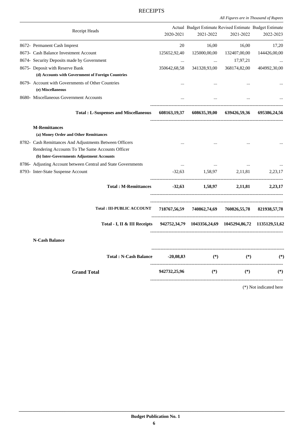*All Figures are in Thousand of Rupees .*

| Receipt Heads                                                                                                                                           | 2020-2021    | Actual Budget Estimate Revised Estimate Budget Estimate<br>2021-2022 | 2021-2022    | 2022-2023                |
|---------------------------------------------------------------------------------------------------------------------------------------------------------|--------------|----------------------------------------------------------------------|--------------|--------------------------|
| 8672- Permanent Cash Imprest                                                                                                                            | 20           | 16,00                                                                | 16,00        | 17,20                    |
| 8673- Cash Balance Investment Account                                                                                                                   | 125652,92,40 | 125000,00,00                                                         | 132407,00,00 | 144426,00,00             |
| 8674- Security Deposits made by Government                                                                                                              |              | $\ddots$                                                             | 17,97,21     |                          |
| 8675- Deposit with Reserve Bank                                                                                                                         | 350642,68,58 | 341328,93,00                                                         | 368174,82,00 | 404992,30,00             |
| (d) Accounts with Government of Foreign Countries                                                                                                       |              |                                                                      |              |                          |
| 8679- Account with Governments of Other Countries<br>(e) Miscellaneous                                                                                  | $\ddotsc$    | $\ddotsc$                                                            | $\dddotsc$   |                          |
| 8680- Miscellaneous Government Accounts                                                                                                                 |              | $\dddotsc$                                                           |              |                          |
| <b>Total: L-Suspenses and Miscellaneous</b>                                                                                                             |              | 608163,19,37 608635,39,00 639426,59,36 695386,24,56                  |              |                          |
| <b>M-Remittances</b><br>(a) Money Order and Other Remittances                                                                                           |              |                                                                      |              |                          |
| 8782- Cash Remittances And Adjustments Between Officers<br>Rendering Accounts To The Same Accounts Officer<br>(b) Inter-Governments Adjustment Accounts | $\ddots$     | $\overline{a}$                                                       |              |                          |
| 8786- Adjusting Account between Central and State Governments                                                                                           | $\ddotsc$    |                                                                      |              |                          |
| 8793- Inter-State Suspense Account                                                                                                                      | $-32,63$     | 1,58,97 2,11,81                                                      |              | 2,23,17                  |
| <b>Total: M-Remittances</b>                                                                                                                             |              | $-32,63$ $1,58,97$ $2,11,81$ $2,23,17$                               |              |                          |
| <b>Total : III-PUBLIC ACCOUNT</b>                                                                                                                       |              | 718767,56,59 740862,74,69 760826,55,78 821938,57,78                  |              |                          |
| Total - I, II & III Receipts 942752,34,79 1043356,24,69 1045294,86,72 1135129,51,62                                                                     |              |                                                                      |              |                          |
| <b>N-Cash Balance</b>                                                                                                                                   |              |                                                                      |              |                          |
| Total: N-Cash Balance -20,08,83                                                                                                                         |              | $(*)$                                                                | $(*)$        | $(*)$                    |
| <b>Grand Total</b>                                                                                                                                      | 942732,25,96 | $(*)$                                                                | $(*)$        | $(*)$                    |
|                                                                                                                                                         |              |                                                                      |              | $(*)$ Not indicated have |

(\*) Not indicated here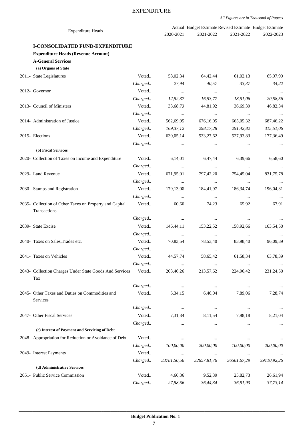|  |  |  |  | All Figures are in Thousand of Rupees |  |  |
|--|--|--|--|---------------------------------------|--|--|
|--|--|--|--|---------------------------------------|--|--|

| <b>Expenditure Heads</b>                                                |         | 2020-2021   | Actual Budget Estimate Revised Estimate Budget Estimate<br>2021-2022 | 2021-2022   | 2022-2023   |
|-------------------------------------------------------------------------|---------|-------------|----------------------------------------------------------------------|-------------|-------------|
| <b>I-CONSOLIDATED FUND-EXPENDITURE</b>                                  |         |             |                                                                      |             |             |
| <b>Expenditure Heads (Revenue Account)</b>                              |         |             |                                                                      |             |             |
| <b>A-General Services</b><br>(a) Organs of State                        |         |             |                                                                      |             |             |
| 2011- State Legislatures                                                | Voted   | 58,02,34    | 64,42,44                                                             | 61,02,13    | 65,97,99    |
|                                                                         | Charged | 27,94       | 40,57                                                                | 33,37       | 34,22       |
| 2012- Governor                                                          | Voted   | $\cdots$    | $\ldots$                                                             | $\ldots$    |             |
|                                                                         | Charged | 12,52,37    | 16,53,77                                                             | 18,51,06    | 20,58,56    |
| 2013- Council of Ministers                                              | Voted   | 33,68,73    | 44,81,92                                                             | 36,69,39    | 46,82,34    |
|                                                                         | Charged | $\cdots$    | $\ldots$                                                             | $\cdots$    | $\cdots$    |
| 2014- Administration of Justice                                         | Voted   | 562,69,95   | 676,16,05                                                            | 665,05,32   | 687,46,22   |
|                                                                         | Charged | 169,37,12   | 298,17,28                                                            | 291,42,82   | 315,51,06   |
| 2015- Elections                                                         | Voted   | 630,05,14   | 533,27,62                                                            | 527,93,83   | 177,36,49   |
|                                                                         | Charged | $\ddotsc$   | $\cdots$                                                             | $\cdots$    |             |
| (b) Fiscal Services                                                     |         |             |                                                                      |             |             |
| 2020- Collection of Taxes on Income and Expenditure                     | Voted   | 6,14,01     | 6,47,44                                                              | 6,39,66     | 6,58,60     |
|                                                                         | Charged | $\cdots$    | $\ldots$                                                             | $\ldots$    |             |
| 2029- Land Revenue                                                      | Voted   | 671,95,01   | 797,42,20                                                            | 754,45,04   | 831,75,78   |
|                                                                         | Charged | $\cdots$    | $\cdots$                                                             | $\ldots$    |             |
| 2030- Stamps and Registration                                           | Voted   | 179,13,08   | 184,41,97                                                            | 186, 34, 74 | 196,04,31   |
|                                                                         | Charged | $\cdots$    | $\ldots$                                                             | $\ldots$    |             |
| 2035- Collection of Other Taxes on Property and Capital<br>Transactions | Voted   | 60,60       | 74,23                                                                | 65,92       | 67,91       |
|                                                                         | Charged | $\cdots$    | $\cdots$                                                             | $\cdots$    |             |
| 2039- State Excise                                                      | Voted   | 146,44,11   | 153,22,52                                                            | 158,92,66   | 163,54,50   |
|                                                                         | Charged | $\cdots$    | $\ldots$                                                             | $\cdots$    |             |
| 2040- Taxes on Sales, Trades etc.                                       | Voted   | 70,83,54    | 78,53,40                                                             | 83,98,40    | 96,09,89    |
|                                                                         | Charged |             | $\cdots$                                                             |             | $\cdots$    |
| 2041- Taxes on Vehicles                                                 | Voted   | 44,57,74    | 58,65,42                                                             | 61,58,34    | 63,78,39    |
|                                                                         | Charged | $\cdots$    | $\ldots$                                                             | $\ldots$    | $\cdots$    |
| 2043- Collection Charges Under State Goods And Services<br>Tax          | Voted   | 203,46,26   | 213,57,62                                                            | 224,96,42   | 231,24,50   |
|                                                                         | Charged | $\cdots$    | $\ldots$                                                             | $\cdots$    |             |
| 2045- Other Taxes and Duties on Commodities and<br>Services             | Voted   | 5,34,15     | 6,46,04                                                              | 7,89,06     | 7,28,74     |
|                                                                         | Charged | $\ldots$    | $\cdots$                                                             | $\ldots$    | $\cdots$    |
| 2047- Other Fiscal Services                                             | Voted   | 7,31,34     | 8,11,54                                                              | 7,98,18     | 8,21,04     |
|                                                                         | Charged |             | $\cdots$                                                             | $\cdots$    |             |
| (c) Interest of Payment and Servicing of Debt                           |         |             |                                                                      |             |             |
| 2048- Appropriation for Reduction or Avoidance of Debt                  | Voted   | $\cdots$    | $\cdots$                                                             | $\cdots$    |             |
|                                                                         | Charged | 100,00,00   | 200,00,00                                                            | 100,00,00   | 200,00,00   |
| 2049- Interest Payments                                                 | Voted   | $\cdots$    | $\ldots$                                                             | $\cdots$    | $\cdots$    |
|                                                                         | Charged | 33781,50,56 | 32657,81,76                                                          | 36561,67,29 | 39110,92,26 |
| (d) Administrative Services                                             |         |             |                                                                      |             |             |
| 2051- Public Service Commission                                         | Voted   | 4,66,36     | 9,52,39                                                              | 25,82,73    | 26,61,94    |
|                                                                         | Charged | 27,58,56    | 36,44,34                                                             | 36,91,93    | 37,73,14    |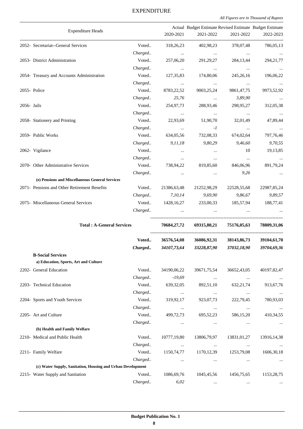|             |                                                             |         | Actual Budget Estimate Revised Estimate Budget Estimate   |                                            |                          |               |
|-------------|-------------------------------------------------------------|---------|-----------------------------------------------------------|--------------------------------------------|--------------------------|---------------|
|             | <b>Expenditure Heads</b>                                    |         | 2020-2021                                                 | 2021-2022                                  | 2021-2022                | 2022-2023     |
|             | 2052- Secretariat--General Services                         | Voted   | 318,26,23                                                 | 402,98,23                                  | 378,07,48                | 786,05,13     |
|             |                                                             | Charged | $\sim 100$ and $\sim 100$                                 | <b>Contract Contract</b>                   | $\cdots$                 | $\cdots$      |
|             | 2053- District Administration                               | Voted   | 257,06,20                                                 | 291,29,27                                  | 284, 13, 44              | 294, 21, 77   |
|             |                                                             | Charged | <b>Contract Contract</b>                                  | <b>Contract Contract</b>                   | <b>Contract Contract</b> | $\cdots$      |
|             | 2054- Treasury and Accounts Administration                  | Voted   | 127, 35, 83                                               | 174,80,06                                  | 245, 26, 16              | 196,06,22     |
|             |                                                             | Charged | <b>Contract Contract</b>                                  | $\ddots$                                   | $\cdots$                 | $\cdots$      |
|             | 2055- Police                                                | Voted   | 8783,22,52                                                | 9003,25,24                                 | 9861,47,75               | 9973,52,92    |
|             |                                                             | Charged | 25,76                                                     | $\sim 100$ and $\sim 100$                  | 3,89,90                  | $\cdots$      |
| 2056- Jails |                                                             | Voted   | 254,97,73                                                 | 288,93,46                                  | 298,95,27                | 312,05,38     |
|             |                                                             | Charged | $\mathcal{L}_{\text{max}}$ and $\mathcal{L}_{\text{max}}$ | $\sim$ $\sim$ $\sim$                       | $\sim$ $\sim$            | $\sim$ $\sim$ |
|             | 2058- Stationery and Printing                               | Voted   | 22,93,69                                                  | 51,90,70                                   | 32,01,49                 | 47,89,44      |
|             |                                                             | Charged | <b>Contract Contract</b>                                  | $-I$                                       | $\ldots$                 | $\cdots$      |
|             | 2059- Public Works                                          | Voted   | 634,05,56                                                 | 732,08,33                                  | 674,02,64                | 797,76,46     |
|             |                                                             | Charged | 9, 11, 18                                                 | 9,80,29                                    | 9,46,60                  | 9,70,55       |
|             | 2062- Vigilance                                             | Voted   | $\ldots$                                                  | $\ldots$                                   | 10                       | 19,13,85      |
|             |                                                             | Charged | $\ldots$                                                  | $\ldots$                                   | $\cdots$                 | $\cdots$      |
|             | 2070- Other Administrative Services                         | Voted   | 738,94,22                                                 | 819,85,60                                  | 846,06,96                | 891,79,24     |
|             |                                                             | Charged | $\ldots$                                                  | $\ldots$                                   | 9,26                     | $\cdots$      |
|             | (e) Pensions and Miscellaneous General Services             |         |                                                           |                                            |                          |               |
|             | 2071- Pensions and Other Retirement Benefits                | Voted   | 21386,63,48                                               | 21252,98,29                                | 22528,55,68              | 22987,85,24   |
|             |                                                             |         |                                                           | Charged 7,10,14 9,69,90                    | 9,86,67                  | 9,89,57       |
|             | 2075- Miscellaneous General Services                        |         |                                                           | Voted 1428, 16, 27 233, 00, 33 185, 57, 94 |                          | 188,77,41     |
|             |                                                             | Charged |                                                           | $\ldots$                                   |                          |               |
|             |                                                             |         |                                                           |                                            |                          |               |
|             | <b>Total: A-General Services</b>                            |         | 70684,27,72                                               | 69315,80,21                                | 75176,05,63              | 78809,31,06   |
|             |                                                             | Voted   | 36576,54,08                                               | 36086,92,31                                | 38143,86,73              | 39104,61,70   |
|             |                                                             |         | Charged 34107,73,64                                       | 33228,87,90                                | 37032,18,90              | 39704,69,36   |
|             | <b>B-Social Services</b>                                    |         |                                                           |                                            |                          |               |
|             | a) Education, Sports, Art and Culture                       |         |                                                           |                                            |                          |               |
|             | 2202- General Education                                     | Voted   | 34190,06,22                                               | 39671,75,54                                | 36652,43,05              | 40197,82,47   |
|             |                                                             | Charged | $-19,69$                                                  | $\ldots$                                   | $\cdots$                 |               |
|             | 2203- Technical Education                                   | Voted   | 639,32,05                                                 | 892,51,10                                  | 632, 21, 74              | 913,67,76     |
|             |                                                             | Charged | $\ldots$                                                  | $\ldots$                                   | $\ldots$                 |               |
|             | 2204- Sports and Youth Services                             | Voted   | 319,92,17                                                 | 923,07,73                                  | 222,79,45                | 780,93,03     |
|             |                                                             | Charged | $\cdots$                                                  | $\ldots$                                   | $\cdots$                 | $\cdots$      |
|             | 2205- Art and Culture                                       | Voted   | 499,72,73                                                 | 695,52,23                                  | 586,15,20                | 410,34,55     |
|             |                                                             | Charged | $\cdots$                                                  | $\ldots$                                   | $\cdots$                 |               |
|             | (b) Health and Family Welfare                               |         |                                                           |                                            |                          |               |
|             | 2210- Medical and Public Health                             | Voted   | 10777,19,80                                               | 13806,79,97                                | 13831,01,27              | 13916, 14, 38 |
|             |                                                             | Charged | $\cdots$                                                  | $\cdots$                                   | $\cdots$                 |               |
|             | 2211- Family Welfare                                        | Voted   | 1150,74,77                                                | 1170, 12, 39                               | 1253,79,08               | 1606, 30, 18  |
|             |                                                             | Charged | $\cdots$                                                  | $\ldots$                                   | $\cdots$                 |               |
|             | (c) Water Supply, Sanitation, Housing and Urban Development |         |                                                           |                                            |                          |               |
|             | 2215- Water Supply and Sanitation                           | Voted   | 1086,69,76                                                | 1045,45,56                                 | 1456,75,65               | 1153,28,75    |
|             |                                                             | Charged | 6,02                                                      | $\cdots$                                   |                          |               |
|             |                                                             |         |                                                           |                                            |                          |               |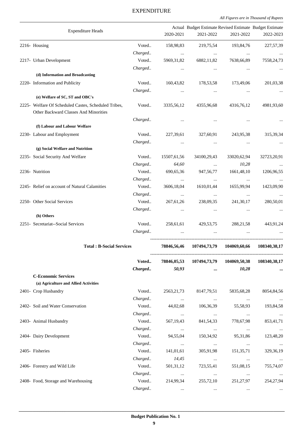*All Figures are in Thousand of Rupees .*

|                                                                                               |         |                                                           | Actual Budget Estimate Revised Estimate Budget Estimate |                          |                |
|-----------------------------------------------------------------------------------------------|---------|-----------------------------------------------------------|---------------------------------------------------------|--------------------------|----------------|
| <b>Expenditure Heads</b>                                                                      |         | 2020-2021                                                 | 2021-2022                                               | 2021-2022                | 2022-2023      |
| 2216- Housing                                                                                 | Voted   | 158,98,83                                                 | 219,75,54                                               | 193,84,76                | 227,57,39      |
|                                                                                               | Charged | $\cdots$                                                  | $\cdots$                                                | $\cdots$                 |                |
| 2217- Urban Development                                                                       | Voted   | 5969,31,82                                                | 6882,11,82                                              | 7638,66,89               | 7558,24,73     |
|                                                                                               | Charged | $\cdots$                                                  | $\cdots$                                                | $\cdots$                 |                |
| (d) Information and Broadcasting                                                              |         |                                                           |                                                         |                          |                |
| 2220- Information and Publicity                                                               | Voted   | 160,43,82                                                 | 178,53,58                                               | 173,49,06                | 201,03,38      |
|                                                                                               | Charged |                                                           |                                                         | $\cdots$                 |                |
| (e) Welfare of SC, ST and OBC's                                                               |         |                                                           |                                                         |                          |                |
| 2225- Welfare Of Scheduled Castes, Scheduled Tribes,<br>Other Backward Classes And Minorities | Voted   | 3335,56,12                                                | 4355,96,68                                              | 4316,76,12               | 4981,93,60     |
|                                                                                               | Charged | $\cdots$                                                  | $\cdots$                                                |                          |                |
| (f) Labour and Labour Welfare                                                                 |         |                                                           |                                                         |                          |                |
| 2230- Labour and Employment                                                                   | Voted   | 227,39,61                                                 | 327,60,91                                               | 243,95,38                | 315, 39, 34    |
|                                                                                               | Charged | $\cdots$                                                  | $\ldots$                                                | $\cdots$                 |                |
| (g) Social Welfare and Nutrition                                                              |         |                                                           |                                                         |                          |                |
| 2235- Social Security And Welfare                                                             | Voted   | 15507,61,56                                               | 34100,29,43                                             | 33020,62,94              | 32723,20,91    |
|                                                                                               | Charged | 64,60                                                     | $\ldots$                                                | 10,28                    |                |
| 2236- Nutrition                                                                               | Voted   | 690,65,36                                                 | 947,56,77                                               | 1661,48,10               | 1206,96,55     |
|                                                                                               | Charged | $\cdots$                                                  | $\ldots$                                                | $\ddots$                 |                |
| 2245- Relief on account of Natural Calamities                                                 | Voted   | 3606,18,04                                                | 1610,01,44                                              | 1655,99,94               | 1423,09,90     |
|                                                                                               | Charged | $\cdots$                                                  | $\ldots$                                                | $\cdots$                 | $\cdots$       |
| 2250- Other Social Services                                                                   | Voted   | 267, 61, 26                                               | 238,09,35                                               | 241, 30, 17              | 280,50,01      |
|                                                                                               | Charged | $\cdots$                                                  | $\cdots$                                                | $\cdots$                 | $\ldots$       |
| (h) Others                                                                                    |         |                                                           |                                                         |                          |                |
| 2251- Secretariat--Social Services                                                            | Voted   | 258,61,61                                                 | 429,53,75                                               | 288, 21, 58              | 443,91,24      |
|                                                                                               | Charged | $\ddotsc$                                                 | $\cdots$                                                | $\cdots$                 |                |
| <b>Total: B-Social Services</b>                                                               |         | 78846,56,46                                               | 107494,73,79                                            | 104069,60,66             | 108340,38,17   |
|                                                                                               | Voted   | 78846,05,53                                               | 107494,73,79                                            | 104069,50,38             | 108340, 38, 17 |
|                                                                                               | Charged | 50,93                                                     | $\cdots$                                                | 10,28                    |                |
| <b>C-Economic Services</b>                                                                    |         |                                                           |                                                         |                          |                |
| (a) Agriculture and Allied Activities                                                         |         |                                                           |                                                         |                          |                |
| 2401- Crop Husbandry                                                                          | Voted   | 2563, 21, 73                                              | 8147,79,51                                              | 5835,68,28               | 8054,84,56     |
|                                                                                               | Charged | $\mathcal{L}_{\text{max}}$ and $\mathcal{L}_{\text{max}}$ | $\sim 100$ and $\sim 100$                               | $\ldots$                 | $\sim$ $\sim$  |
| 2402- Soil and Water Conservation                                                             | Voted   | 44,02,68                                                  | 106,36,39                                               | 55,58,93                 | 193,84,58      |
|                                                                                               | Charged | $\sim 100$ and $\sim 100$                                 | $\cdots$                                                | $\cdots$                 | $\cdots$       |
| 2403- Animal Husbandry                                                                        | Voted   | 567,19,43                                                 | 841,54,33                                               | 778,67,98                | 853,41,71      |
|                                                                                               | Charged | <b>Contract State</b>                                     | $\sim$ $\sim$                                           | <b>Contract Contract</b> | $\sim$ $\sim$  |
| 2404- Dairy Development                                                                       | Voted   | 94,55,04                                                  | 150,34,92                                               | 95, 31, 86               | 123,48,20      |
|                                                                                               | Charged | $\ldots$                                                  | $\ldots$                                                | $\ldots$                 | $\cdots$       |
| 2405- Fisheries                                                                               | Voted   | 141,01,61                                                 | 305,91,98                                               | 151,35,71                | 329, 36, 19    |
|                                                                                               | Charged | 14,45                                                     | $\cdots$                                                | $\cdots$                 | $\cdots$       |
| 2406- Forestry and Wild Life                                                                  | Voted   | 501,31,12                                                 | 723,55,41                                               | 551,08,15                | 755,74,07      |
|                                                                                               | Charged | $\cdots$                                                  | $\cdots$                                                | $\ldots$                 | $\ldots$       |
| 2408- Food, Storage and Warehousing                                                           | Voted   | 214,99,34                                                 | 255,72,10                                               | 251, 27, 97              | 254, 27, 94    |
|                                                                                               | Charged |                                                           |                                                         |                          |                |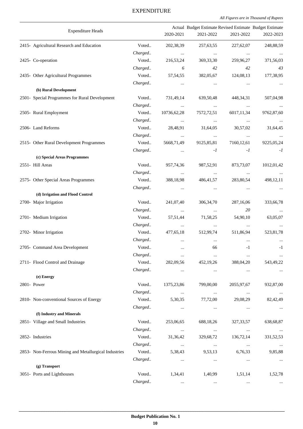*All Figures are in Thousand of Rupees .*

|                                                       |         |               | Actual Budget Estimate Revised Estimate Budget Estimate |              |             |
|-------------------------------------------------------|---------|---------------|---------------------------------------------------------|--------------|-------------|
| <b>Expenditure Heads</b>                              |         | 2020-2021     | 2021-2022                                               | 2021-2022    | 2022-2023   |
| 2415- Agricultural Research and Education             | Voted   | 202,38,39     | 257,63,55                                               | 227,62,07    | 248,88,59   |
|                                                       | Charged | $\cdots$      | $\ldots$                                                | $\ldots$     |             |
| 2425- Co-operation                                    | Voted   | 216,53,24     | 369, 33, 30                                             | 259,96,27    | 371,56,03   |
|                                                       | Charged | 6             | 42                                                      | 42           | 43          |
| 2435- Other Agricultural Programmes                   | Voted   | 57, 54, 55    | 382,05,67                                               | 124,08,13    | 177,38,95   |
|                                                       | Charged | $\ldots$      | $\cdots$                                                | $\cdots$     |             |
| (b) Rural Development                                 |         |               |                                                         |              |             |
| 2501- Special Programmes for Rural Development        | Voted   | 731,49,14     | 639,50,48                                               | 448,34,31    | 507,04,98   |
|                                                       | Charged | $\ldots$      | $\ldots$                                                | $\ldots$     |             |
| 2505- Rural Employment                                | Voted   | 10736, 62, 28 | 7572,72,51                                              | 6017,11,34   | 9762,87,60  |
|                                                       | Charged | $\cdots$      | $\ldots$                                                | $\cdots$     | $\sim$      |
| 2506- Land Reforms                                    | Voted   | 28,48,91      | 31,64,05                                                | 30,57,02     | 31,64,45    |
|                                                       | Charged | $\cdots$      | $\cdots$                                                | $\cdots$     |             |
| 2515- Other Rural Development Programmes              | Voted   | 5668,71,49    | 9125,85,81                                              | 7160, 12, 61 | 9225,05,24  |
|                                                       | Charged | $\cdots$      | $-I$                                                    | $-I$         | $-I$        |
| (c) Special Areas Programmes                          |         |               |                                                         |              |             |
| 2551- Hill Areas                                      | Voted   | 957,74,36     | 987,52,91                                               | 873,73,07    | 1012,01,42  |
|                                                       | Charged | $\ldots$      | $\cdots$                                                | $\cdots$     |             |
| 2575- Other Special Areas Programmes                  | Voted   | 388,18,98     | 486, 41, 57                                             | 283,80,54    | 498,12,11   |
|                                                       | Charged | $\cdots$      | $\ldots$                                                | $\ldots$     | $\cdots$    |
| (d) Irrigation and Flood Control                      |         |               |                                                         |              |             |
| 2700- Major Irrigation                                | Voted   | 241,07,40     | 306, 34, 70                                             | 287,16,06    | 333,66,78   |
|                                                       | Charged | $\ldots$      | $\ldots$                                                | 20           | $\cdots$    |
| 2701- Medium Irrigation                               | Voted   | 57,51,44      | 71,58,25                                                | 54,90,10     | 63,05,07    |
|                                                       | Charged | $\cdots$      | $\ldots$                                                | $\cdots$     | $\ldots$    |
| 2702- Minor Irrigation                                | Voted   | 477,65,18     | 512,99,74                                               | 511,86,94    | 523,81,78   |
|                                                       | Charged | $\cdots$      | $\ldots$                                                | $\cdots$     |             |
| 2705- Command Area Development                        | Voted   | $\cdots$      | 66                                                      | $-1$         | $-1$        |
|                                                       | Charged | $\cdots$      | $\ldots$                                                | $\ldots$     | $\ldots$    |
| 2711- Flood Control and Drainage                      | Voted   | 282,09,56     | 452,19,26                                               | 388,04,20    | 543,49,22   |
|                                                       | Charged | $\cdots$      | $\ldots$                                                | $\cdots$     | $\ldots$    |
| (e) Energy                                            |         |               |                                                         |              |             |
| 2801- Power                                           | Voted   | 1375,23,86    | 799,00,00                                               | 2055, 97, 67 | 932,87,00   |
|                                                       | Charged | $\cdots$      | $\ldots$                                                | $\ldots$     |             |
| 2810- Non-conventional Sources of Energy              | Voted   | 5,30,35       | 77,72,00                                                | 29,08,29     | 82,42,49    |
|                                                       | Charged | $\cdots$      | $\ldots$                                                | $\ldots$     | $\cdots$    |
| (f) Industry and Minerals                             |         |               |                                                         |              |             |
| 2851- Village and Small Industries                    | Voted   | 253,06,65     | 688,18,26                                               | 327, 33, 57  | 638,68,87   |
|                                                       | Charged | $\cdots$      | $\ldots$                                                | $\ldots$     | $\ldots$    |
| 2852- Industries                                      | Voted   | 31,36,42      | 329,68,72                                               | 136,72,14    | 331, 52, 53 |
|                                                       | Charged | $\ldots$      | $\ldots$                                                | $\ldots$     | $\ldots$    |
| 2853- Non-Ferrous Mining and Metallurgical Industries | Voted   | 5,38,43       | 9,53,13                                                 | 6,76,33      | 9,85,88     |
|                                                       | Charged | $\cdots$      | $\ldots$                                                | $\cdots$     | $\ldots$    |
| (g) Transport                                         |         |               |                                                         |              |             |
| 3051- Ports and Lighthouses                           | Voted   | 1,34,41       | 1,40,99                                                 | 1,51,14      | 1,52,78     |
|                                                       | Charged | $\cdots$      | $\ldots$                                                | $\ldots$     | $\cdots$    |
|                                                       |         |               |                                                         |              |             |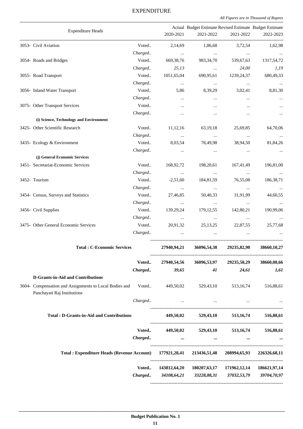#### Expenditure Heads Actual Budget Estimate Revised Estimate Budget Estimate 2020-2021 2021-2022 2021-2022 2022-2023 . 3053- Civil Aviation Voted.. 2,14,69 1,86,68 3,72,54 1,62,98 *Charged.. ... ... ... ...* 3054- Roads and Bridges Voted.. 669,38,76 983,34,70 539,67,63 1317,54,72 *Charged.. 25,13 ... 24,00 1,19* 3055- Road Transport Voted.. 1051,65,04 690,95,61 1239,24,37 680,49,33 *Charged.. ... ... ... ...* 3056- Inland Water Transport Voted.. 5,86 8,39,29 3,02,41 8,81,30 *Charged.. ... ... ... ...* 3075- Other Transport Services and Services and Voted.. The contract of the contract of the contract of the voted.. The contract of the contract of the contract of the contract of the contract of the contract of the contra *Charged.. ... ... ... ...*  **(i) Science, Technology and Environment** 3425- Other Scientific Research Voted.. 11,12,16 63,19,18 25,69,85 64,70,06 *Charged.. ... ... ... ...* 3435- Ecology & Environment Voted.. 8,03,54 78,49,98 38,94,50 81,84,26 *Charged.. ... ... ... ...*  **(j) General Economic Services** 3451- Secretariat-Economic Services Voted.. 168,92,72 198,20,61 167,41,49 196,81,00 *Charged.. ... ... ... ...* 3452- Tourism Voted.. -2,51,60 184,81,59 76,55,08 186,38,71 *Charged.. ... ... ... ...* 3454- Census, Surveys and Statistics Voted.. 27,46,85 50,40,33 31,91,99 44,60,55 *Charged.. ... ... ... ...* 3456- Civil Supplies Voted.. 139,29,24 179,12,55 142,80,21 190,99,06 *Charged.. ... ... ... ...* 3475- Other General Economic Services Voted.. 20,91,32 25,13,25 22,87,55 25,77,68 *Charged.. ... ... ... ...* --------------------------------------------------------------------------------------- **Total : C-Economic Services 27940,94,21 36096,54,38 29235,82,90 38660,10,27** --------------------------------------------------------------------------------------- **Voted.. 27940,54,56 36096,53,97 29235,58,29 38660,08,66** *Charged.. 39,65 41 24,61 1,61* **D-Grants-in-Aid and Contributions** 3604- Compensation and Assignments to Local Bodies and Panchayati Raj Institutions Voted.. 449,50,02 529,43,10 513,16,74 516,88,61 *Charged.. ... ... ... ...* --------------------------------------------------------------------------------------- **Total : D-Grants-in-Aid and Contributions 449,50,02 529,43,10 513,16,74 516,88,61** --------------------------------------------------------------------------------------- **Voted.. 449,50,02 529,43,10 513,16,74 516,88,61** *Charged..* **... ... ... ...** --------------------------------------------------------------------------------------- **Total : Expenditure Heads (Revenue Account) 177921,28,41 213436,51,48 208994,65,93 226326,68,11** --------------------------------------------------------------------------------------- **Voted.. 143812,64,20 180207,63,17 171962,12,14 186621,97,14** *Charged.. 34108,64,21 33228,88,31 37032,53,79 39704,70,97*

#### EXPENDITURE

*All Figures are in Thousand of Rupees*

---------------------------------------------------------------------------------------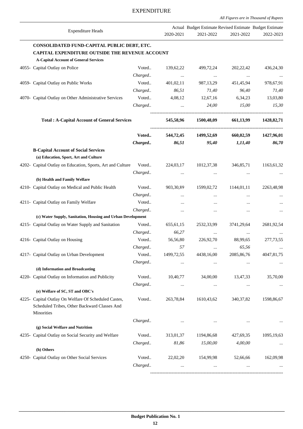*All Figures are in Thousand of Rupees*

| <b>Expenditure Heads</b>                                                             |         | 2020-2021   | Actual Budget Estimate Revised Estimate Budget Estimate<br>2021-2022 | 2021-2022    | 2022-2023    |
|--------------------------------------------------------------------------------------|---------|-------------|----------------------------------------------------------------------|--------------|--------------|
| CONSOLIDATED FUND-CAPITAL PUBLIC DEBT, ETC.                                          |         |             |                                                                      |              |              |
| CAPITAL EXPENDITURE OUTSIDE THE REVENUE ACCOUNT                                      |         |             |                                                                      |              |              |
| <b>A-Capital Account of General Services</b>                                         |         |             |                                                                      |              |              |
| 4055- Capital Outlay on Police                                                       | Voted   | 139,62,22   | 499,72,24                                                            | 202, 22, 42  | 436,24,30    |
|                                                                                      | Charged | $\cdots$    | $\cdots$                                                             | $\ldots$     |              |
| 4059- Capital Outlay on Public Works                                                 | Voted   | 401,02,11   | 987, 13, 29                                                          | 451,45,94    | 978,67,91    |
|                                                                                      | Charged | 86,51       | 71,40                                                                | 96,40        | 71,40        |
| 4070- Capital Outlay on Other Administrative Services                                | Voted   | 4,08,12     | 12,67,16                                                             | 6,34,23      | 13,03,80     |
|                                                                                      | Charged | $\ddots$    | 24,00                                                                | 15,00        | 15,30        |
| <b>Total: A-Capital Account of General Services</b>                                  |         | 545,58,96   | 1500,48,09                                                           | 661,13,99    | 1428, 82, 71 |
|                                                                                      | Voted   | 544,72,45   | 1499,52,69                                                           | 660,02,59    | 1427,96,01   |
|                                                                                      | Charged | 86,51       | 95,40                                                                | 1,11,40      | 86,70        |
| <b>B-Capital Account of Social Services</b><br>(a) Education, Sport, Art and Culture |         |             |                                                                      |              |              |
| 4202- Capital Outlay on Education, Sports, Art and Culture Voted                     |         | 224,03,17   | 1012,37,38                                                           | 346,85,71    | 1163,61,32   |
|                                                                                      | Charged |             | $\cdots$                                                             | $\cdots$     |              |
| (b) Health and Family Welfare                                                        |         |             |                                                                      |              |              |
| 4210- Capital Outlay on Medical and Public Health                                    | Voted   | 903, 30, 89 | 1599,02,72                                                           | 1144,01,11   | 2263,48,98   |
|                                                                                      | Charged | $\cdots$    | $\ldots$                                                             | $\ldots$     |              |
| 4211- Capital Outlay on Family Welfare                                               | Voted   | $\cdots$    | $\cdots$                                                             |              |              |
|                                                                                      | Charged | $\cdots$    | $\cdots$                                                             |              |              |
| (c) Water Supply, Sanitation, Housing and Urban Development                          |         |             |                                                                      |              |              |
| 4215- Capital Outlay on Water Supply and Sanitation                                  | Voted   | 655, 61, 15 | 2532,33,99                                                           | 3741,29,64   | 2681,92,54   |
|                                                                                      | Charged | 66,27       | $\ldots$                                                             | $\ldots$     |              |
| 4216- Capital Outlay on Housing                                                      | Voted   | 56,56,80    | 226,92,70                                                            | 88,99,65     | 277, 73, 55  |
|                                                                                      | Charged | 57          |                                                                      | 65,56        |              |
| 4217- Capital Outlay on Urban Development                                            | Voted   | 1499,72,55  | 4438,16,00                                                           | 2085, 86, 76 | 4047,81,75   |
|                                                                                      | Charged |             |                                                                      | $\cdots$     |              |
| (d) Information and Broadcasting                                                     |         |             |                                                                      |              |              |
| 4220- Capital Outlay on Information and Publicity                                    | Voted   | 10,40,77    | 34,00,00                                                             | 13,47,33     | 35,70,00     |
| (e) Welfare of SC, ST and OBC's                                                      | Charged | $\cdots$    | $\ldots$                                                             | $\cdots$     |              |
| 4225- Capital Outlay On Welfare Of Scheduled Castes,                                 | Voted   | 263,78,84   | 1610,43,62                                                           | 340, 37, 82  | 1598,86,67   |
| Scheduled Tribes, Other Backward Classes And<br>Minorities                           |         |             |                                                                      |              |              |
|                                                                                      | Charged |             | $\cdots$                                                             | $\cdots$     | $\ldots$     |
| (g) Social Welfare and Nutrition                                                     |         |             |                                                                      |              |              |
| 4235- Capital Outlay on Social Security and Welfare                                  | Voted   | 313,01,37   | 1194,86,68                                                           | 427,69,35    | 1095,19,63   |
|                                                                                      | Charged | 81,86       | 15,00,00                                                             | 4,00,00      |              |
| (h) Others                                                                           |         |             |                                                                      |              |              |
| 4250- Capital Outlay on Other Social Services                                        | Voted   | 22,02,20    | 154,99,98                                                            | 52,66,66     | 162,09,98    |
|                                                                                      | Charged |             |                                                                      |              |              |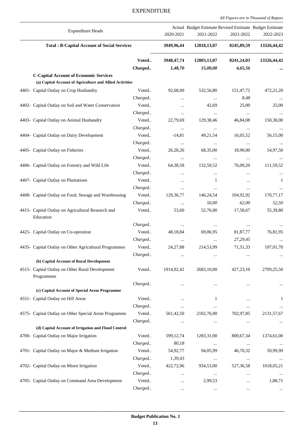#### Expenditure Heads Actual Budget Estimate Revised Estimate Budget Estimate 2020-2021 2021-2022 2021-2022 2022-2023 . **Total : B-Capital Account of Social Services 3949,96,44 12818,13,07 8245,89,59 13326,44,42** --------------------------------------------------------------------------------------- **Voted.. 3948,47,74 12803,13,07 8241,24,03 13326,44,42** *Charged.. 1,48,70 15,00,00 4,65,56* **... C-Capital Account of Economic Services (a) Capital Account of Agriculture and Allied Activities** 4401- Capital Outlay on Crop Husbandry Voted.. 92,68,00 532,56,80 151,47,72 472,21,20 *Charged.. ... ... 8,48 ...* 4402- Capital Outlay on Soil and Water Conservation Voted.. . ... 42,69 25,00 25,00 25,00 *Charged.. ... ... ... ...* 4403- Capital Outlay on Animal Husbandry Voted.. 22,79,69 129,38,46 46,84,08 150,38,00 *Charged.. ... ... ... ...* 4404- Capital Outlay on Dairy Development Voted.. -14,81 49,21,54 16,05,52 56,15,00 *Charged.. ... ... ... ...* 4405- Capital Outlay on Fisheries Voted.. 26,28,26 68,35,00 18,90,00 54,97,50 *Charged.. ... ... ... ...* 4406- Capital Outlay on Forestry and Wild Life Voted.. 64,38,58 132,59,52 76,09,20 111,59,52 *Charged.. ... ... ... ...* 4407- Capital Outlay on Plantations **1** 1 ... 1 ... 1 ... 1 ... 1 ... 1 ... 1 ... 1 ... 1 ... 1 ... 1 ... 1 ... 1 ... 1 ... 1 ... 1 ... 1 ... 1 ... 1 ... 1 ... 1 ... 1 ... 1 ... 1 ... 1 ... 1 ... 1 ... 1 ... 1 ... 1 ... 1 *Charged.. ... ... ... ...* 4408- Capital Outlay on Food, Storage and Warehousing Voted.. 129,36,77 146,24,54 104,92,92 170,77,17 *Charged.. ... 50,00 62,00 52,50* 4415- Capital Outlay on Agricultural Research and Education Voted.. 53,60 52,76,00 17,58,67 55,39,80 *Charged.. ... ... ... ...* 4425- Capital Outlay on Co-operation Voted.. 48,18,84 69,06,95 81,87,77 76,81,95 *Charged.. ... ... 27,29,45 ...* 4435- Capital Outlay on Other Agricultural Programmes Voted.. 24,27,88 214,53,99 71,51,33 197,01,70 *Charged.. ... ... ... ...*  **(b) Capital Account of Rural Development** 4515- Capital Outlay on Other Rural Development Programmes Voted.. 1914,92,42 2683,10,00 427,23,10 2709,25,50 *Charged.. ... ... ... ...*  **(c) Capital Account of Special Areas Programme** 4551- Capital Outlay on Hill Areas **1** 1 ... 1 ... 1 ... 1 ... 1 ... 1 ... 1 ... 1 ... 1 ... 1 ... 1 ... 1 ... 1 ... 1 ... 1 ... 1 ... 1 ... 1 ... 1 ... 1 ... 1 ... 1 ... 1 ... 1 ... 1 ... 1 ... 1 ... 1 ... 1 ... 1 ... 1 . *Charged.. ... ... ... ...* 4575- Capital Outlay on Other Special Areas Programme Voted.. 561,42,50 2102,76,00 702,97,85 2131,57,67 *Charged.. ... ... ... ...*  **(d) Capital Account of Irrigation and Flood Control** 4700- Capital Outlay on Major Irrigation Voted.. 599,12,74 1283,31,00 800,67,34 1374,61,00 *Charged.. 80,18 ... ... ...* 4701- Capital Outlay on Major & Medium Irrigation Voted.. 54,92,77 94,05,99 46,70,32 59,99,99 *Charged.. 1,39,43 ... ... ...* 4702- Capital Outlay on Minor Irrigation Voted.. 422,72,96 934,53,00 527,36,58 1018,05,21 *Charged.. ... ... ... ...* 4705- Capital Outlay on Command Area Development Voted.. . ... 2,99,53 ... 1,88,71 *Charged.. ... ... ... ...*

# EXPENDITURE

*All Figures are in Thousand of Rupees*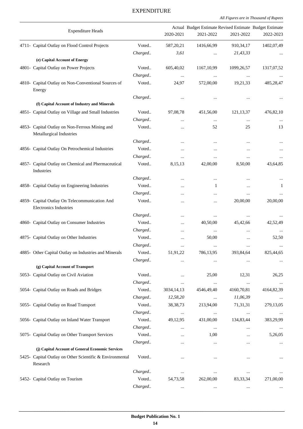*All Figures are in Thousand of Rupees .*

| <b>Expenditure Heads</b>                                                       |         | 2020-2021            | Actual Budget Estimate Revised Estimate Budget Estimate<br>2021-2022 | 2021-2022              | 2022-2023    |
|--------------------------------------------------------------------------------|---------|----------------------|----------------------------------------------------------------------|------------------------|--------------|
| 4711- Capital Outlay on Flood Control Projects                                 | Voted   | 587, 20, 21          | 1416,66,99                                                           | 910, 34, 17            | 1402,07,49   |
|                                                                                | Charged | 3,61                 |                                                                      | 21,43,33               |              |
| (e) Capital Account of Energy                                                  |         |                      |                                                                      |                        |              |
| 4801- Capital Outlay on Power Projects                                         | Voted   | 605,40,02            | 1167, 10, 99                                                         | 1099,26,57             | 1317,07,52   |
|                                                                                | Charged |                      | $\ldots$                                                             | $\ldots$               |              |
| 4810- Capital Outlay on Non-Conventional Sources of<br>Energy                  | Voted   | 24,97                | 572,00,00                                                            | 19,21,33               | 485,28,47    |
|                                                                                | Charged | $\cdots$             |                                                                      | $\cdots$               |              |
| (f) Capital Account of Industry and Minerals                                   |         |                      |                                                                      |                        |              |
| 4851- Capital Outlay on Village and Small Industries                           | Voted   | 97,08,78             | 451,56,00                                                            | 121, 13, 37            | 476,82,10    |
|                                                                                | Charged |                      | $\cdots$                                                             | $\cdots$               |              |
| 4853- Capital Outlay on Non-Ferrous Mining and<br>Metallurgical Industries     | Voted   |                      | 52                                                                   | 25                     | 13           |
|                                                                                | Charged | $\cdots$             | $\cdots$                                                             | $\ddotsc$              |              |
| 4856- Capital Outlay On Petrochemical Industries                               | Voted   |                      | $\cdots$                                                             | $\ddotsc$              | $\cdots$     |
|                                                                                | Charged | $\cdots$             | $\cdots$                                                             |                        |              |
| 4857- Capital Outlay on Chemical and Phermaceutical<br>Industries              | Voted   | 8,15,13              | 42,00,00                                                             | 8,50,00                | 43,64,85     |
|                                                                                | Charged |                      | $\cdots$                                                             |                        |              |
| 4858- Capital Outlay on Engineering Industries                                 | Voted   |                      | 1                                                                    | $\cdots$               | $\mathbf{1}$ |
|                                                                                | Charged | $\cdots$             | $\cdots$                                                             | $\cdots$               |              |
| 4859- Capital Outlay On Telecommunication And<br><b>Electronics Industries</b> | Voted   |                      |                                                                      | 20,00,00               | 20,00,00     |
|                                                                                | Charged |                      | $\cdots$                                                             | $\cdots$               |              |
| 4860- Capital Outlay on Consumer Industries                                    | Voted   | $\cdots$             | 40,50,00                                                             | 45,42,66               | 42,52,49     |
|                                                                                | Charged | $\cdots$             | $\ldots$                                                             | $\cdots$               |              |
| 4875- Capital Outlay on Other Industries                                       | Voted   |                      | 50,00                                                                | $\cdots$               | 52,50        |
|                                                                                | Charged | $\ddotsc$            | $\ldots$                                                             | $\ddotsc$              |              |
| 4885- Other Capital Outlay on Industries and Minerals                          | Voted   | 51,91,22             | 786,13,95                                                            | 393,84,64              | 825,44,65    |
|                                                                                | Charged |                      |                                                                      |                        |              |
| (g) Capital Account of Transport                                               |         |                      |                                                                      |                        |              |
| 5053- Capital Outlay on Civil Aviation                                         | Voted   |                      | 25,00                                                                | 12,31                  | 26,25        |
|                                                                                | Charged | $\cdots$             | $\ldots$                                                             | $\cdots$               | $\ldots$     |
| 5054- Capital Outlay on Roads and Bridges                                      | Voted   | 3034,14,13           | 4546,49,40                                                           | 4160,70,81             | 4164,82,39   |
|                                                                                | Charged | 12,58,20             | $\ldots$                                                             | 11,06,39               |              |
| 5055- Capital Outlay on Road Transport                                         | Voted   | 38, 38, 73           | 213,94,00                                                            | 71,31,31               | 279,13,05    |
|                                                                                | Charged | $\cdots$             | $\ldots$                                                             | $\ldots$               | $\cdots$     |
| 5056- Capital Outlay on Inland Water Transport                                 | Voted   | 49,12,95             | 431,00,00                                                            | 134,83,44              | 383,29,99    |
|                                                                                | Charged |                      | $\ldots$                                                             |                        |              |
| 5075- Capital Outlay on Other Transport Services                               | Voted   |                      | 1,00                                                                 | $\cdots$               | 5,26,05      |
| (j) Capital Account of General Economic Services                               | Charged | $\cdots$             | $\ldots$                                                             | $\cdots$               |              |
| 5425- Capital Outlay on Other Scientific & Environmental<br>Research           | Voted   |                      |                                                                      |                        | $\cdots$     |
|                                                                                | Charged |                      |                                                                      |                        |              |
| 5452- Capital Outlay on Tourism                                                | Voted   | $\cdots$<br>54,73,58 | $\ldots$<br>262,00,00                                                | $\cdots$<br>83, 33, 34 | 271,00,00    |
|                                                                                | Charged |                      | $\cdots$                                                             | $\cdots$               |              |
|                                                                                |         |                      |                                                                      |                        |              |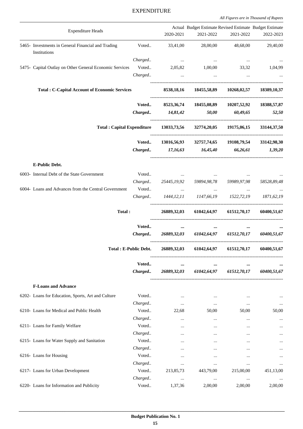|                                                                    |                        |                                  | Actual Budget Estimate Revised Estimate Budget Estimate                     |                           |                                     |
|--------------------------------------------------------------------|------------------------|----------------------------------|-----------------------------------------------------------------------------|---------------------------|-------------------------------------|
| <b>Expenditure Heads</b>                                           |                        | 2020-2021                        | 2021-2022                                                                   | 2021-2022                 | 2022-2023                           |
| 5465- Investments in General Financial and Trading<br>Institutions | Voted                  | 33,41,00                         | 28,00,00                                                                    | 48,68,00                  | 29,40,00                            |
|                                                                    | Charged                | <b>Contract Contract</b>         | $\sim$ 100 $\sim$ 100 $\sim$                                                | $\sim 100$ and $\sim 100$ | $\cdots$                            |
| 5475- Capital Outlay on Other General Economic Services            |                        |                                  | Voted 2,05,82 1,00,00 33,32 1,04,99                                         |                           |                                     |
|                                                                    |                        | Charged<br>$\ddots$              | $\ddots$                                                                    |                           |                                     |
| <b>Total: C-Capital Account of Economic Services</b>               |                        | 8538,18,16                       |                                                                             |                           | 18455,58,89 10268,02,57 18389,10,37 |
|                                                                    |                        |                                  | Voted 8523,36,74 18455,08,89 10207,52,92 18388,57,87                        |                           |                                     |
|                                                                    |                        | Charged 14,81,42                 |                                                                             | $50,00$ $60,49,65$        | 52,50                               |
|                                                                    |                        |                                  | Total : Capital Expenditure 13033,73,56 32774,20,05 19175,06,15 33144,37,50 |                           |                                     |
|                                                                    | Voted                  |                                  | 13016,56,93 32757,74,65 19108,79,54 33142,98,30                             |                           |                                     |
|                                                                    |                        |                                  | Charged 17,16,63 16,45,40 66,26,61 1,39,20                                  |                           |                                     |
| <b>E-Public Debt.</b>                                              |                        |                                  |                                                                             |                           |                                     |
| 6003- Internal Debt of the State Government                        | Voted                  | <b>Contract Contract Service</b> |                                                                             |                           |                                     |
|                                                                    |                        |                                  | Charged 25445,19,92 59894,98,78 59989,97,98                                 |                           | 58528,89,48                         |
| 6004- Loans and Advances from the Central Government               |                        |                                  | and the company of                                                          | <b>Contract Contract</b>  |                                     |
|                                                                    |                        |                                  | Charged 1444, 12, 11 1147, 66, 19 1522, 72, 19 1871, 62, 19                 |                           |                                     |
| Total:                                                             |                        |                                  | 26889,32,03 61042,64,97 61512,70,17 60400,51,67                             |                           |                                     |
|                                                                    | Voted                  | $\cdots$                         |                                                                             | $\cdots$                  |                                     |
|                                                                    |                        |                                  | Charged 26889,32,03 61042,64,97 61512,70,17 60400,51,67                     |                           |                                     |
|                                                                    | Total : E-Public Debt. |                                  | 26889,32,03 61042,64,97 61512,70,17 60400,51,67                             |                           |                                     |
|                                                                    | Voted                  | $\cdots$                         | $\cdots$                                                                    | $\cdots$                  |                                     |
|                                                                    | Charged                | 26889,32,03                      |                                                                             | 61042,64,97 61512,70,17   | 60400,51,67                         |
| <b>F-Loans and Advance</b>                                         |                        |                                  |                                                                             |                           |                                     |
| 6202- Loans for Education, Sports, Art and Culture                 | Voted                  | $\ddotsc$                        | $\cdots$                                                                    |                           | $\cdots$                            |
|                                                                    | Charged                | $\cdots$                         | $\ldots$                                                                    | $\cdots$                  | $\cdots$                            |
| 6210- Loans for Medical and Public Health                          | Voted                  | 22,68                            | 50,00                                                                       | 50,00                     | 50,00                               |
|                                                                    | Charged                | $\cdots$                         | $\cdots$                                                                    | $\cdots$                  | $\ddotsc$                           |
| 6211- Loans for Family Welfare                                     | Voted                  |                                  |                                                                             |                           | $\cdots$                            |
|                                                                    | Charged                |                                  |                                                                             |                           | $\cdots$                            |
| 6215- Loans for Water Supply and Sanitation                        | Voted                  |                                  |                                                                             |                           |                                     |
|                                                                    | Charged                |                                  |                                                                             |                           |                                     |
| 6216- Loans for Housing                                            | Voted                  |                                  |                                                                             |                           | $\cdots$                            |
|                                                                    | Charged                | $\cdots$                         | $\cdots$                                                                    | $\cdots$                  | $\cdots$                            |
| 6217- Loans for Urban Development                                  | Voted                  | 213,85,73                        | 443,79,00                                                                   | 215,00,00                 | 451,13,00                           |
|                                                                    | Charged                | $\cdots$                         | $\ldots$                                                                    | $\ldots$                  |                                     |
| 6220- Loans for Information and Publicity                          | Voted                  | 1,37,36                          | 2,00,00                                                                     | 2,00,00                   | 2,00,00                             |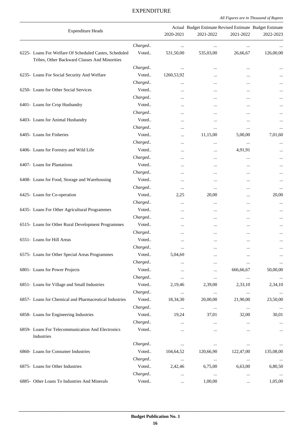#### Expenditure Heads Actual Budget Estimate Revised Estimate Budget Estimate 2020-2021 2021-2022 2021-2022 2022-2023 . *Charged.. ... ... ... ...* 6225- Loans For Welfare Of Scheduled Castes, Scheduled Tribes, Other Backward Classes And Minorities Voted.. 531,50,00 535,03,00 26,66,67 126,00,00 *Charged.. ... ... ... ...* 6235- Loans For Social Security And Welfare Voted.. 1260,53,92 ... ... ... *Charged.. ... ... ... ...* 6250- Loans for Other Social Services Voted.. ... ... ... ... *Charged.. ... ... ... ...* 6401- Loans for Crop Husbandry Voted.. ... ... ... ... *Charged.. ... ... ... ...* 6403- Loans for Animal Husbandry **State Contract Contract Contract Contract Contract Contract Contract Contract Contract Contract Contract Contract Contract Contract Contract Contract Contract Contract Contract Contract Co** *Charged.. ... ... ... ...* 6405- Loans for Fisheries **11,15,00 5,00,00 7,01,60** 5 and 5,000 6405- Expansion of the United States of Text and Text and Text and Text and Text and Text and Text and Text and Text and Text and Text and Text and Text and *Charged.. ... ... ... ...* 6406- Loans for Forestry and Wild Life **Voted..** Words and Wild Life in the Voted.. The contract of the voted.. The contract of the voted of the voted of the voted of the voted of the voted of the voted of the voted of the *Charged.. ... ... ... ...* 6407- Loans for Plantations and the voted. The voted.. The contraction of the contractions of the contraction of the contractions of the contractions of the contractions of the contractions of the contractions of the contr *Charged.. ... ... ... ...* 6408- Loans for Food, Storage and Warehousing Voted.. The matrix of the matrix of the matrix of the matrix of the matrix of the matrix of the matrix of the matrix of the matrix of the matrix of the matrix of the matrix of *Charged.. ... ... ... ...* 6425- Loans for Co-operation Voted.. 2,25 20,00 ... 20,00 *Charged.. ... ... ... ...* 6435- Loans For Other Agricultural Programmes Voted.. ... ... ... ... *Charged.. ... ... ... ...* 6515- Loans for Other Rural Development Programmes Voted.. ... ... ... ... *Charged.. ... ... ... ...* 6551- Loans for Hill Areas and the second voted... The contract was contracted with the second voted... The contracted with the contracted with the contracted with the contracted with the contracted with the contracted wit *Charged.. ... ... ... ...* 6575- Loans for Other Special Areas Programmes Voted.. 5,04,60 ... ... ... *Charged.. ... ... ... ...* 6801- Loans for Power Projects Voted.. ... ... 666,66,67 50,00,00 *Charged.. ... ... ... ...* 6851- Loans for Village and Small Industries Voted.. 2,19,46 2,39,00 2,33,10 2,34,10 *Charged.. ... ... ... ...* 6857- Loans for Chemical and Pharmaceutical Industries Voted.. 18,34,30 20,00,00 21,90,00 23,50,00 *Charged.. ... ... ... ...* 6858- Loans for Engineering Industries Voted.. 19,24 37,01 32,00 30,01 *Charged.. ... ... ... ...* 6859- Loans For Telecommunication And Electronics Industries Voted.. ... ... ... ... *Charged.. ... ... ... ...* 6860- Loans for Consumer Industries Voted.. 104,64,52 120,66,90 122,47,00 135,08,00 *Charged.. ... ... ... ...* 6875- Loans for Other Industries Voted.. 2,42,46 6,75,00 6,63,00 6,80,50 *Charged.. ... ... ... ...* 6885- Other Loans To Industries And Minerals Voted.. . ... ... 1,00,00 ... ... 1,05,00

#### EXPENDITURE

*All Figures are in Thousand of Rupees*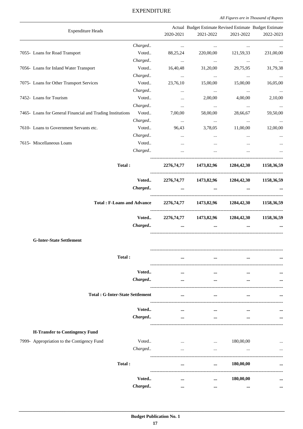| <b>Expenditure Heads</b>                                   |                  |                      | Actual Budget Estimate Revised Estimate Budget Estimate |                     |                      |
|------------------------------------------------------------|------------------|----------------------|---------------------------------------------------------|---------------------|----------------------|
|                                                            |                  | 2020-2021            | 2021-2022                                               | 2021-2022           | 2022-2023            |
|                                                            | Charged          | $\ldots$             | $\cdots$                                                | $\cdots$            | $\cdots$             |
| 7055- Loans for Road Transport                             | Voted            | 88,25,24             | 220,00,00                                               | 121,59,33           | 231,00,00            |
|                                                            | Charged          | $\cdots$             | $\ldots$                                                | $\cdots$            | $\ldots$             |
| 7056- Loans for Inland Water Transport                     | Voted            | 16,40,48             | 31,20,00                                                | 29,75,95            | 31,79,38             |
| 7075- Loans for Other Transport Services                   | Charged<br>Voted | $\ldots$             | $\ldots$                                                | $\cdots$            | $\ldots$<br>16,05,00 |
|                                                            | Charged          | 23,76,10             | 15,00,00                                                | 15,00,00            |                      |
| 7452- Loans for Tourism                                    | Voted            | $\ldots$<br>$\ddots$ | $\ldots$<br>2,00,00                                     | $\ldots$<br>4,00,00 | $\cdots$<br>2,10,00  |
|                                                            | Charged          | $\ldots$             | $\cdots$                                                | $\ldots$            | $\ldots$             |
| 7465- Loans for General Financial and Trading Institutions | Voted            | 7,00,00              | 58,00,00                                                | 28,66,67            | 59,50,00             |
|                                                            | Charged          | $\ldots$             | $\cdots$                                                | $\ldots$            | $\ldots$             |
| 7610- Loans to Government Servants etc.                    | Voted            | 96,43                | 3,78,05                                                 | 11,00,00            | 12,00,00             |
|                                                            | Charged          | $\cdots$             | $\ddots$                                                | $\cdots$            | $\cdots$             |
| 7615- Miscellaneous Loans                                  | Voted            | $\cdots$             | $\ldots$                                                |                     |                      |
|                                                            | Charged          | $\cdots$             | $\ddotsc$                                               | $\cdots$            | $\cdots$             |
| Total:                                                     |                  |                      | 2276,74,77 1473,82,96 1284,42,30 1158,36,59             |                     |                      |
|                                                            | Voted<br>Charged | $\cdots$             | 2276,74,77 1473,82,96 1284,42,30<br>$\cdots$            |                     | 1158,36,59           |
| <b>Total: F-Loans and Advance</b>                          |                  |                      | 2276,74,77 1473,82,96                                   | 1284,42,30          | 1158,36,59           |
|                                                            |                  |                      | Voted 2276,74,77 1473,82,96 1284,42,30 1158,36,59       |                     |                      |
|                                                            | Charged          |                      | $\cdots$                                                |                     |                      |
| <b>G-Inter-State Settlement</b>                            |                  |                      |                                                         |                     |                      |
| Total:                                                     |                  | $\cdots$             | $\cdots$                                                | $\cdots$            |                      |
|                                                            |                  |                      |                                                         |                     |                      |
|                                                            | Voted            |                      |                                                         |                     |                      |
|                                                            | Charged          |                      |                                                         |                     |                      |
| <b>Total: G-Inter-State Settlement</b>                     |                  |                      |                                                         |                     |                      |
|                                                            | Voted            |                      | $\cdots$                                                |                     |                      |
|                                                            | Charged          |                      |                                                         |                     |                      |
| <b>H-Transfer to Contingency Fund</b>                      |                  |                      |                                                         |                     |                      |
| 7999- Appropriation to the Contigency Fund                 | Voted            | $\cdots$             | $\cdots$                                                | 180,00,00           |                      |
|                                                            | Charged          | $\cdots$             | $\cdots$                                                |                     |                      |
| Total:                                                     |                  | $\cdots$             | $\cdots$                                                | 180,00,00           |                      |
|                                                            |                  |                      |                                                         |                     |                      |
|                                                            | Voted<br>Charged | $\cdots$             | $\cdots$                                                | 180,00,00           |                      |
|                                                            |                  | $\cdots$             |                                                         |                     |                      |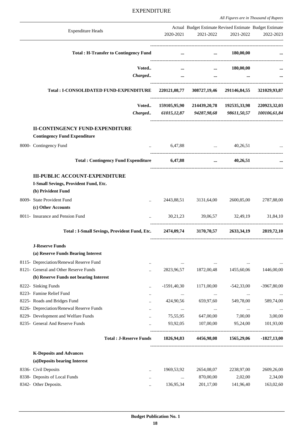|                                                                                           |               |                                                                      |                   | Au Figures are in Thousand of Kapees |
|-------------------------------------------------------------------------------------------|---------------|----------------------------------------------------------------------|-------------------|--------------------------------------|
| <b>Expenditure Heads</b>                                                                  | 2020-2021     | Actual Budget Estimate Revised Estimate Budget Estimate<br>2021-2022 | 2021-2022         | 2022-2023                            |
|                                                                                           |               |                                                                      |                   |                                      |
| <b>Total: H-Transfer to Contingency Fund</b>                                              | $\cdots$      |                                                                      | $\dots$ 180,00,00 |                                      |
| Voted                                                                                     | $\cdots$      | $\cdots$                                                             | 180,00,00         |                                      |
| Charged                                                                                   | $\cdots$      | $\cdots$                                                             |                   |                                      |
| Total : I-CONSOLIDATED FUND-EXPENDITURE                                                   |               | 220121,08,77 308727,19,46 291146,84,55 321029,93,87                  |                   |                                      |
| Voted                                                                                     |               | 159105,95,90 214439,20,78 192535,33,98                               |                   | 220923,32,03                         |
|                                                                                           |               | Charged 61015,12,87 94287,98,68 98611,50,57 100106,61,84             |                   |                                      |
| <b>II-CONTINGENCY FUND-EXPENDITURE</b><br><b>Contingency Fund Expenditure</b>             |               |                                                                      |                   |                                      |
| 8000- Contingency Fund                                                                    |               | $6,47,88$ $40,26,51$                                                 |                   |                                      |
| Total: Contingency Fund Expenditure 6,47,88                                               |               |                                                                      | 40,26,51          |                                      |
| <b>III-PUBLIC ACCOUNT-EXPENDITURE</b>                                                     |               |                                                                      |                   |                                      |
| I-Small Sevings, Provident Fund, Etc.                                                     |               |                                                                      |                   |                                      |
| (b) Privident Fund                                                                        |               |                                                                      |                   |                                      |
| 8009- State Provident Fund                                                                | 2443,88,51    | 3131,64,00                                                           | 2600,85,00        | 2787,88,00                           |
| (c) Other Accounts                                                                        |               |                                                                      |                   |                                      |
| 8011- Insurance and Pension Fund                                                          |               | 30.21.23 39.06.57 32.49.19                                           |                   | 31,84,10                             |
| Total : I-Small Sevings, Provident Fund, Etc. 2474,09,74 3170,70,57 2633,34,19 2819,72,10 |               |                                                                      |                   |                                      |
| <b>J-Reserve Funds</b>                                                                    |               |                                                                      |                   |                                      |
| (a) Reserve Funds Bearing Interest                                                        |               |                                                                      |                   |                                      |
| 8115- Depreciation/Renewal Reserve Fund<br>$\ddotsc$                                      | $\cdots$      | $\cdots$                                                             | $\cdots$          |                                      |
| 8121- General and Other Reserve Funds<br>                                                 | 2823,96,57    | 1872,00,48                                                           | 1455,60,06        | 1446,00,00                           |
| (b) Reserve Funds not bearing Interest                                                    |               |                                                                      |                   |                                      |
| 8222- Sinking Funds<br>$\ddot{\phantom{a}}$                                               | $-1591,40,30$ | 1171,00,00                                                           | $-542,33,00$      | $-3967,80,00$                        |
| 8223- Famine Relief Fund<br>                                                              | $\ldots$      | $\ldots$                                                             | $\cdots$          |                                      |
| 8225- Roads and Bridges Fund                                                              | 424,90,56     | 659,97,60                                                            | 549,78,00         | 589,74,00                            |
| 8226- Depreciation/Renewal Reserve Funds                                                  | $\cdots$      | $\cdots$                                                             | $\cdots$          |                                      |
| 8229- Development and Welfare Funds<br>                                                   | 75,55,95      | 647,00,00                                                            | 7,00,00           | 3,00,00                              |
| 8235- General And Reserve Funds<br>$\ddot{\phantom{a}}$                                   | 93,92,05      | 107,00,00                                                            | 95,24,00          | 101,93,00                            |
| <b>Total: J-Reserve Funds</b>                                                             | 1826,94,83    | 4456,98,08                                                           | 1565,29,06        | $-1827,13,00$                        |
| <b>K-Deposits and Advances</b>                                                            |               |                                                                      |                   |                                      |
| (a)Deposits bearing Interest                                                              |               |                                                                      |                   |                                      |
| 8336- Civil Deposits<br>$\ddotsc$                                                         | 1969,53,92    | 2654,08,07                                                           | 2238,97,00        | 2609,26,00                           |
| 8338- Deposits of Local Funds<br>                                                         | $\ldots$      | 870,00,00                                                            | 2,02,00           | 2,34,00                              |
| 8342- Other Deposits.<br>$\ddotsc$                                                        | 136,95,34     | 201,17,00                                                            | 141,96,40         | 163,02,60                            |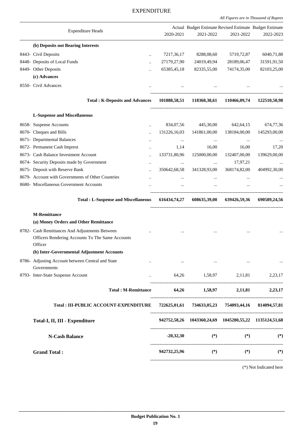*All Figures are in Thousand of Rupees*

| <b>Expenditure Heads</b>                                                                                      | 2020-2021                 | Actual Budget Estimate Revised Estimate Budget Estimate<br>2021-2022                  | 2021-2022                     | 2022-2023                 |
|---------------------------------------------------------------------------------------------------------------|---------------------------|---------------------------------------------------------------------------------------|-------------------------------|---------------------------|
| (b) Deposits not Bearing Interests                                                                            |                           |                                                                                       |                               |                           |
| 8443- Civil Deposits                                                                                          |                           | 8288,08,60                                                                            |                               |                           |
| $\ddotsc$<br>8448- Deposits of Local Funds                                                                    | 7217,36,17<br>27179,27,90 | 24019,49,94                                                                           | 5719,72,87<br>28189,06,47     | 6040,71,88<br>31591,91,50 |
| $\ddot{\phantom{a}}$<br>8449- Other Deposits                                                                  | 65385,45,18               | 82335,55,00                                                                           | 74174,35,00                   | 82103,25,00               |
| (c) Advances                                                                                                  |                           |                                                                                       |                               |                           |
| 8550- Civil Advances                                                                                          |                           |                                                                                       |                               |                           |
|                                                                                                               |                           |                                                                                       |                               |                           |
| <b>Total: K-Deposits and Advances</b>                                                                         | 101888,58,51              |                                                                                       | 118368, 38, 61 110466, 09, 74 | 122510,50,98              |
| <b>L-Suspense and Miscellaneous</b>                                                                           |                           |                                                                                       |                               |                           |
| 8658- Suspense Accounts<br>                                                                                   | 834,07,56                 | 445,30,00                                                                             | 642,64,15                     | 674,77,36                 |
| 8670- Cheques and Bills<br>$\ddot{\phantom{a}}$                                                               | 131226,16,03              | 141861,00,00                                                                          | 138184,00,00                  | 145293,00,00              |
| 8671- Departmental Balances<br>                                                                               | $\cdots$                  | $\cdots$                                                                              | $\cdots$                      |                           |
| 8672- Permanent Cash Imprest<br>$\ddotsc$                                                                     | 1,14                      | 16,00                                                                                 | 16,00                         | 17,20                     |
| 8673- Cash Balance Investment Account<br>                                                                     | 133731,80,96              | 125000,00,00                                                                          | 132407,00,00                  | 139629,00,00              |
| 8674- Security Deposits made by Government<br>                                                                | $\ldots$                  | $\ldots$                                                                              | 17,97,21                      |                           |
| 8675- Deposit with Reserve Bank<br>$\ddot{\phantom{a}}$                                                       | 350642,68,58              | 341328,93,00                                                                          | 368174,82,00                  | 404992,30,00              |
| 8679- Account with Governments of Other Countries                                                             |                           |                                                                                       |                               |                           |
| 8680- Miscellaneous Government Accounts<br>                                                                   | $\cdots$                  | $\cdots$                                                                              |                               |                           |
| <b>Total: L-Suspense and Miscellaneous</b>                                                                    |                           | 616434,74,27 608635,39,00 639426,59,36 690589,24,56                                   |                               |                           |
| <b>M-Remittance</b><br>(a) Money Orders and Other Remittance                                                  |                           |                                                                                       |                               |                           |
| 8782- Cash Remittances And Adjustments Between<br>Officers Rendering Accounts To The Same Accounts<br>Officer | $\cdots$                  |                                                                                       |                               |                           |
| (b) Inter-Governmental Adjustment Accounts                                                                    |                           |                                                                                       |                               |                           |
| 8786- Adjusting Account between Central and State<br>Governments                                              |                           | وممارك والمستحدث والممتعان والمستحدث والممتعد والمستحدث والمتعارف والمستحدث والمستحدث |                               |                           |
| 8793- Inter-State Suspense Account                                                                            |                           | $64,26$ $1,58,97$ $2,11,81$ $2,23,17$                                                 |                               |                           |
| Total : M-Remittance 64,26 1,58,97 2,11,81 2,23,17                                                            |                           |                                                                                       |                               |                           |
| Total: III-PUBLIC ACCOUNT-EXPENDITURE                                                                         |                           | 722625,01,61 734633,05,23 754093,44,16 814094,57,81                                   |                               |                           |
| Total-I, II, III - Expenditure                                                                                |                           | 942752,58,26 1043360,24,69 1045280,55,22 1135124,51,68                                |                               |                           |
| <b>N-Cash Balance</b>                                                                                         |                           | $-20,32,30$ (*)                                                                       |                               | $(*)$ (*)                 |
| <b>Grand Total:</b>                                                                                           |                           | $942732,25,96$ (*) (*) (*)                                                            |                               |                           |
|                                                                                                               |                           |                                                                                       |                               | (*) Not Indicated here    |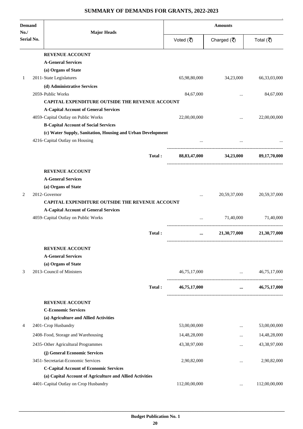# **SUMMARY OF DEMANDS FOR GRANTS, 2022-2023**

| <b>Demand</b><br>No. |                   | <b>Major Heads</b>                                          | <b>Amounts</b> |                                   |                           |  |
|----------------------|-------------------|-------------------------------------------------------------|----------------|-----------------------------------|---------------------------|--|
| Serial No.           |                   |                                                             | Voted (₹)      | Charged $(\overline{\mathbf{z}})$ | Total (₹)                 |  |
|                      |                   | <b>REVENUE ACCOUNT</b>                                      |                |                                   |                           |  |
|                      |                   | <b>A-General Services</b>                                   |                |                                   |                           |  |
| 1                    |                   | (a) Organs of State<br>2011-State Legislatures              | 65,98,80,000   | 34,23,000                         | 66,33,03,000              |  |
|                      |                   | (d) Administrative Services                                 |                |                                   |                           |  |
|                      | 2059-Public Works |                                                             | 84,67,000      |                                   | 84,67,000                 |  |
|                      |                   | CAPITAL EXPENDITURE OUTSIDE THE REVENUE ACCOUNT             |                |                                   |                           |  |
|                      |                   | <b>A-Capital Account of General Services</b>                |                |                                   |                           |  |
|                      |                   | 4059-Capital Outlay on Public Works                         | 22,00,00,000   | $\ddotsc$                         | 22,00,00,000              |  |
|                      |                   | <b>B-Capital Account of Social Services</b>                 |                |                                   |                           |  |
|                      |                   | (c) Water Supply, Sanitation, Housing and Urban Development |                |                                   |                           |  |
|                      |                   | 4216-Capital Outlay on Housing                              |                |                                   |                           |  |
|                      |                   | Total:                                                      |                | 88,83,47,000 34,23,000            | 89,17,70,000              |  |
|                      |                   | <b>REVENUE ACCOUNT</b>                                      |                |                                   |                           |  |
|                      |                   | <b>A-General Services</b>                                   |                |                                   |                           |  |
|                      |                   | (a) Organs of State                                         |                |                                   |                           |  |
| 2                    | 2012-Governor     |                                                             | $\ddotsc$      | 20,59,37,000                      | 20,59,37,000              |  |
|                      |                   | <b>CAPITAL EXPENDITURE OUTSIDE THE REVENUE ACCOUNT</b>      |                |                                   |                           |  |
|                      |                   | <b>A-Capital Account of General Services</b>                |                |                                   |                           |  |
|                      |                   | 4059-Capital Outlay on Public Works                         | $\cdots$       | 71,40,000                         | 71,40,000                 |  |
|                      |                   | Total:                                                      | $\cdots$       |                                   | 21,30,77,000 21,30,77,000 |  |
|                      |                   | <b>REVENUE ACCOUNT</b>                                      |                |                                   |                           |  |
|                      |                   | <b>A-General Services</b>                                   |                |                                   |                           |  |
|                      |                   | (a) Organs of State                                         |                |                                   |                           |  |
| 3                    |                   | 2013-Council of Ministers                                   | 46,75,17,000   | $\ddots$                          | 46,75,17,000              |  |
|                      |                   | Total:                                                      | 46,75,17,000   | $\cdots$                          | 46,75,17,000              |  |
|                      |                   | <b>REVENUE ACCOUNT</b>                                      |                |                                   |                           |  |
|                      |                   | <b>C-Economic Services</b>                                  |                |                                   |                           |  |
|                      |                   | (a) Agriculture and Allied Activities                       |                |                                   |                           |  |
| 4                    |                   | 2401-Crop Husbandry                                         | 53,00,00,000   | $\cdots$                          | 53,00,00,000              |  |
|                      |                   | 2408-Food, Storage and Warehousing                          | 14,48,28,000   |                                   | 14,48,28,000              |  |
|                      |                   | 2435-Other Agricultural Programmes                          | 43,38,97,000   | $\cdots$                          | 43,38,97,000              |  |
|                      |                   | (j) General Economic Services                               |                |                                   |                           |  |
|                      |                   | 3451-Secretariat-Economic Services                          | 2,90,82,000    |                                   | 2,90,82,000               |  |
|                      |                   | <b>C-Capital Account of Economic Services</b>               |                |                                   |                           |  |
|                      |                   | (a) Capital Account of Agriculture and Allied Activities    |                |                                   |                           |  |
|                      |                   | 4401-Capital Outlay on Crop Husbandry                       | 112,00,00,000  | $\cdots$                          | 112,00,00,000             |  |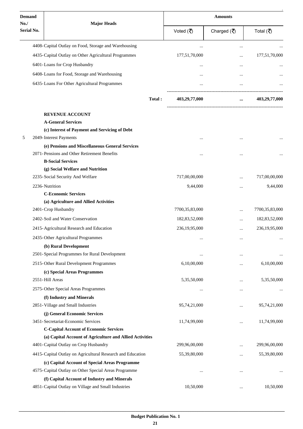| <b>Demand</b>            |                                                            | <b>Amounts</b>   |                                     |                  |  |
|--------------------------|------------------------------------------------------------|------------------|-------------------------------------|------------------|--|
| No.<br><b>Serial No.</b> | <b>Major Heads</b>                                         | Voted (₹)        | Charged $(\overline{\mathfrak{F}})$ | Total (₹)        |  |
|                          | 4408-Capital Outlay on Food, Storage and Warehousing       |                  | $\ddotsc$                           |                  |  |
|                          | 4435-Capital Outlay on Other Agricultural Programmes       | 177,51,70,000    |                                     | 177,51,70,000    |  |
|                          | 6401-Loans for Crop Husbandry                              |                  |                                     |                  |  |
|                          | 6408-Loans for Food, Storage and Warehousing               |                  |                                     |                  |  |
|                          | 6435-Loans For Other Agricultural Programmes               |                  |                                     |                  |  |
|                          |                                                            |                  |                                     |                  |  |
|                          | Total:                                                     | 403,29,77,000    |                                     | 403,29,77,000    |  |
|                          | <b>REVENUE ACCOUNT</b>                                     |                  |                                     |                  |  |
|                          | <b>A-General Services</b>                                  |                  |                                     |                  |  |
|                          | (c) Interest of Payment and Servicing of Debt              |                  |                                     |                  |  |
| 5                        | 2049-Interest Payments                                     |                  |                                     |                  |  |
|                          | (e) Pensions and Miscellaneous General Services            |                  |                                     |                  |  |
|                          | 2071-Pensions and Other Retirement Benefits                |                  |                                     |                  |  |
|                          | <b>B-Social Services</b>                                   |                  |                                     |                  |  |
|                          | (g) Social Welfare and Nutrition                           |                  |                                     |                  |  |
|                          | 2235-Social Security And Welfare                           | 717,00,00,000    | $\cdots$                            | 717,00,00,000    |  |
|                          | 2236-Nutrition                                             | 9,44,000         | $\cdots$                            | 9,44,000         |  |
|                          | <b>C-Economic Services</b>                                 |                  |                                     |                  |  |
|                          | (a) Agriculture and Allied Activities                      |                  |                                     |                  |  |
|                          | 2401-Crop Husbandry                                        | 7700,35,83,000   |                                     | 7700,35,83,000   |  |
|                          | 2402-Soil and Water Conservation                           | 182,83,52,000    | $\cdots$                            | 182,83,52,000    |  |
|                          | 2415-Agricultural Research and Education                   | 236, 19, 95, 000 |                                     | 236, 19, 95, 000 |  |
|                          | 2435-Other Agricultural Programmes                         |                  |                                     |                  |  |
|                          | (b) Rural Development                                      |                  |                                     |                  |  |
|                          | 2501-Special Programmes for Rural Development              |                  | $\cdots$                            |                  |  |
|                          | 2515-Other Rural Development Programmes                    | 6,10,00,000      | $\cdots$                            | 6,10,00,000      |  |
|                          | (c) Special Areas Programmes                               |                  |                                     |                  |  |
|                          | 2551-Hill Areas                                            | 5,35,50,000      |                                     | 5,35,50,000      |  |
|                          | 2575-Other Special Areas Programmes                        | $\cdots$         | $\ddotsc$                           |                  |  |
|                          | (f) Industry and Minerals                                  |                  |                                     |                  |  |
|                          | 2851-Village and Small Industries                          | 95,74,21,000     | $\ddotsc$                           | 95,74,21,000     |  |
|                          | (j) General Economic Services                              |                  |                                     |                  |  |
|                          | 3451-Secretariat-Economic Services                         | 11,74,99,000     |                                     | 11,74,99,000     |  |
|                          | <b>C-Capital Account of Economic Services</b>              |                  |                                     |                  |  |
|                          | (a) Capital Account of Agriculture and Allied Activities   |                  |                                     |                  |  |
|                          | 4401-Capital Outlay on Crop Husbandry                      | 299,96,00,000    |                                     | 299,96,00,000    |  |
|                          | 4415-Capital Outlay on Agricultural Research and Education | 55,39,80,000     | $\ddotsc$                           | 55,39,80,000     |  |
|                          | (c) Capital Account of Special Areas Programme             |                  |                                     |                  |  |
|                          | 4575-Capital Outlay on Other Special Areas Programme       |                  | $\cdots$                            |                  |  |
|                          | (f) Capital Account of Industry and Minerals               |                  |                                     |                  |  |
|                          | 4851-Capital Outlay on Village and Small Industries        | 10,50,000        |                                     | 10,50,000        |  |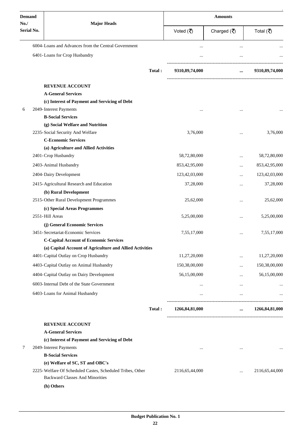| <b>Demand</b>      |                                                           |                | <b>Amounts</b>                    |                |  |  |
|--------------------|-----------------------------------------------------------|----------------|-----------------------------------|----------------|--|--|
| No./<br>Serial No. | <b>Major Heads</b>                                        | Voted (₹)      | Charged $(\overline{\mathbf{z}})$ | Total (₹)      |  |  |
|                    | 6004-Loans and Advances from the Central Government       | $\ddotsc$      |                                   |                |  |  |
|                    | 6401-Loans for Crop Husbandry                             |                |                                   |                |  |  |
|                    | Total:                                                    | 9310,89,74,000 | $\cdots$                          | 9310,89,74,000 |  |  |
|                    |                                                           |                |                                   |                |  |  |
|                    | <b>REVENUE ACCOUNT</b>                                    |                |                                   |                |  |  |
|                    | <b>A-General Services</b>                                 |                |                                   |                |  |  |
|                    | (c) Interest of Payment and Servicing of Debt             |                |                                   |                |  |  |
| 6                  | 2049-Interest Payments<br><b>B-Social Services</b>        |                |                                   |                |  |  |
|                    | (g) Social Welfare and Nutrition                          |                |                                   |                |  |  |
|                    | 2235-Social Security And Welfare                          | 3,76,000       |                                   | 3,76,000       |  |  |
|                    | <b>C-Economic Services</b>                                |                |                                   |                |  |  |
|                    | (a) Agriculture and Allied Activities                     |                |                                   |                |  |  |
|                    | 2401-Crop Husbandry                                       | 58,72,80,000   |                                   | 58,72,80,000   |  |  |
|                    | 2403-Animal Husbandry                                     | 853,42,95,000  |                                   | 853,42,95,000  |  |  |
|                    | 2404-Dairy Development                                    | 123,42,03,000  |                                   | 123,42,03,000  |  |  |
|                    | 2415-Agricultural Research and Education                  | 37,28,000      | $\cdots$                          | 37,28,000      |  |  |
|                    | (b) Rural Development                                     |                |                                   |                |  |  |
|                    | 2515-Other Rural Development Programmes                   | 25,62,000      |                                   | 25,62,000      |  |  |
|                    | (c) Special Areas Programmes                              |                |                                   |                |  |  |
|                    | 2551-Hill Areas                                           | 5,25,00,000    |                                   | 5,25,00,000    |  |  |
|                    | (j) General Economic Services                             |                |                                   |                |  |  |
|                    | 3451-Secretariat-Economic Services                        | 7,55,17,000    |                                   | 7,55,17,000    |  |  |
|                    | <b>C-Capital Account of Economic Services</b>             |                |                                   |                |  |  |
|                    | (a) Capital Account of Agriculture and Allied Activities  |                |                                   |                |  |  |
|                    | 4401-Capital Outlay on Crop Husbandry                     | 11,27,20,000   |                                   | 11,27,20,000   |  |  |
|                    | 4403-Capital Outlay on Animal Husbandry                   | 150,38,00,000  |                                   | 150,38,00,000  |  |  |
|                    | 4404-Capital Outlay on Dairy Development                  | 56,15,00,000   |                                   | 56,15,00,000   |  |  |
|                    | 6003-Internal Debt of the State Government                | $\cdots$       |                                   |                |  |  |
|                    | 6403-Loans for Animal Husbandry                           | $\cdots$       | $\cdots$                          |                |  |  |
|                    | Total:                                                    | 1266,84,81,000 | $\cdots$                          | 1266,84,81,000 |  |  |
|                    |                                                           |                |                                   |                |  |  |
|                    | <b>REVENUE ACCOUNT</b>                                    |                |                                   |                |  |  |
|                    | <b>A-General Services</b>                                 |                |                                   |                |  |  |
|                    | (c) Interest of Payment and Servicing of Debt             |                |                                   |                |  |  |
| 7                  | 2049-Interest Payments<br><b>B-Social Services</b>        | $\cdots$       | $\cdots$                          |                |  |  |
|                    | (e) Welfare of SC, ST and OBC's                           |                |                                   |                |  |  |
|                    | 2225-Welfare Of Scheduled Castes, Scheduled Tribes, Other | 2116,65,44,000 | $\cdots$                          | 2116,65,44,000 |  |  |
|                    | <b>Backward Classes And Minorities</b>                    |                |                                   |                |  |  |
|                    | (h) Others                                                |                |                                   |                |  |  |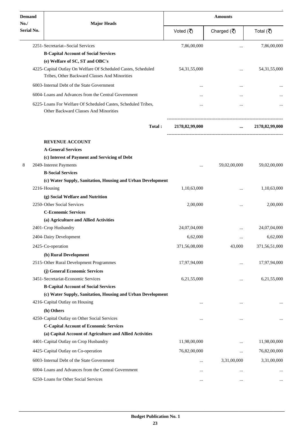| <b>Demand</b>     |                                                                                                                | <b>Amounts</b>  |                                     |                 |  |
|-------------------|----------------------------------------------------------------------------------------------------------------|-----------------|-------------------------------------|-----------------|--|
| No.<br>Serial No. | <b>Major Heads</b>                                                                                             | Voted (₹)       | Charged $(\overline{\overline{C}})$ | Total (₹)       |  |
|                   | 2251-Secretariat--Social Services                                                                              | 7,86,00,000     |                                     | 7,86,00,000     |  |
|                   | <b>B-Capital Account of Social Services</b>                                                                    |                 |                                     |                 |  |
|                   | (e) Welfare of SC, ST and OBC's                                                                                |                 |                                     |                 |  |
|                   | 4225-Capital Outlay On Welfare Of Scheduled Castes, Scheduled<br>Tribes, Other Backward Classes And Minorities | 54, 31, 55, 000 | .                                   | 54, 31, 55, 000 |  |
|                   | 6003-Internal Debt of the State Government                                                                     | $\cdots$        |                                     |                 |  |
|                   | 6004-Loans and Advances from the Central Government                                                            |                 |                                     |                 |  |
|                   | 6225-Loans For Welfare Of Scheduled Castes, Scheduled Tribes,<br><b>Other Backward Classes And Minorities</b>  |                 |                                     |                 |  |
|                   | Total:                                                                                                         | 2178,82,99,000  | $\cdots$                            | 2178,82,99,000  |  |
|                   | <b>REVENUE ACCOUNT</b>                                                                                         |                 |                                     |                 |  |
|                   | <b>A-General Services</b>                                                                                      |                 |                                     |                 |  |
|                   | (c) Interest of Payment and Servicing of Debt                                                                  |                 |                                     |                 |  |
| 8                 | 2049-Interest Payments                                                                                         |                 | 59,02,00,000                        | 59,02,00,000    |  |
|                   | <b>B-Social Services</b>                                                                                       |                 |                                     |                 |  |
|                   | (c) Water Supply, Sanitation, Housing and Urban Development                                                    |                 |                                     |                 |  |
|                   | 2216-Housing                                                                                                   | 1,10,63,000     |                                     | 1,10,63,000     |  |
|                   | (g) Social Welfare and Nutrition                                                                               |                 |                                     |                 |  |
|                   | 2250-Other Social Services                                                                                     | 2,00,000        |                                     | 2,00,000        |  |
|                   | <b>C-Economic Services</b>                                                                                     |                 |                                     |                 |  |
|                   | (a) Agriculture and Allied Activities<br>2401-Crop Husbandry                                                   | 24,07,04,000    |                                     | 24,07,04,000    |  |
|                   |                                                                                                                |                 | $\ddotsc$                           |                 |  |
|                   | 2404-Dairy Development                                                                                         | 6,62,000        | $\cdots$                            | 6,62,000        |  |
|                   | 2425-Co-operation                                                                                              | 371,56,08,000   | 43,000                              | 371,56,51,000   |  |
|                   | (b) Rural Development                                                                                          |                 |                                     |                 |  |
|                   | 2515-Other Rural Development Programmes                                                                        | 17,97,94,000    |                                     | 17,97,94,000    |  |
|                   | (j) General Economic Services                                                                                  |                 |                                     |                 |  |
|                   | 3451-Secretariat-Economic Services                                                                             | 6,21,55,000     |                                     | 6,21,55,000     |  |
|                   | <b>B-Capital Account of Social Services</b>                                                                    |                 |                                     |                 |  |
|                   | (c) Water Supply, Sanitation, Housing and Urban Development                                                    |                 |                                     |                 |  |
|                   | 4216-Capital Outlay on Housing                                                                                 | $\cdots$        |                                     |                 |  |
|                   | (h) Others                                                                                                     |                 |                                     |                 |  |
|                   | 4250-Capital Outlay on Other Social Services<br><b>C-Capital Account of Economic Services</b>                  | $\cdots$        | $\ddotsc$                           | $\ddotsc$       |  |
|                   | (a) Capital Account of Agriculture and Allied Activities                                                       |                 |                                     |                 |  |
|                   | 4401-Capital Outlay on Crop Husbandry                                                                          | 11,98,00,000    |                                     | 11,98,00,000    |  |
|                   | 4425-Capital Outlay on Co-operation                                                                            | 76,82,00,000    |                                     | 76,82,00,000    |  |
|                   |                                                                                                                |                 | $\ddotsc$                           |                 |  |
|                   | 6003-Internal Debt of the State Government                                                                     | $\cdots$        | 3,31,00,000                         | 3,31,00,000     |  |
|                   | 6004-Loans and Advances from the Central Government                                                            |                 |                                     |                 |  |
|                   | 6250-Loans for Other Social Services                                                                           | $\cdots$        | $\cdots$                            | $\cdots$        |  |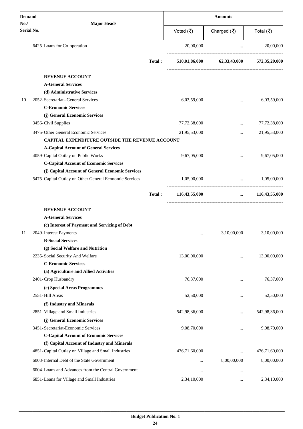| <b>Demand</b>     | <b>Major Heads</b>                                                                  |        | <b>Amounts</b> |                                              |               |  |
|-------------------|-------------------------------------------------------------------------------------|--------|----------------|----------------------------------------------|---------------|--|
| No.<br>Serial No. |                                                                                     |        | Voted (そ)      | Charged $(\overline{\mathbf{\overline{z}}})$ | Total (₹)     |  |
|                   | 6425-Loans for Co-operation                                                         |        | 20,00,000      | $\cdots$                                     | 20,00,000     |  |
|                   |                                                                                     | Total: |                | 510,01,86,000 62,33,43,000                   | 572,35,29,000 |  |
|                   | <b>REVENUE ACCOUNT</b>                                                              |        |                |                                              |               |  |
|                   | <b>A-General Services</b>                                                           |        |                |                                              |               |  |
|                   | (d) Administrative Services                                                         |        |                |                                              |               |  |
| 10                | 2052-Secretariat--General Services                                                  |        | 6,03,59,000    | $\cdots$                                     | 6,03,59,000   |  |
|                   | <b>C-Economic Services</b><br>(j) General Economic Services                         |        |                |                                              |               |  |
|                   | 3456-Civil Supplies                                                                 |        | 77,72,38,000   |                                              | 77,72,38,000  |  |
|                   | 3475-Other General Economic Services                                                |        |                |                                              |               |  |
|                   | <b>CAPITAL EXPENDITURE OUTSIDE THE REVENUE ACCOUNT</b>                              |        | 21,95,53,000   |                                              | 21,95,53,000  |  |
|                   | <b>A-Capital Account of General Services</b>                                        |        |                |                                              |               |  |
|                   | 4059-Capital Outlay on Public Works                                                 |        | 9,67,05,000    | $\cdots$                                     | 9,67,05,000   |  |
|                   | <b>C-Capital Account of Economic Services</b>                                       |        |                |                                              |               |  |
|                   | (j) Capital Account of General Economic Services                                    |        |                |                                              |               |  |
|                   | 5475-Capital Outlay on Other General Economic Services                              |        | 1,05,00,000    | $\ddots$                                     | 1,05,00,000   |  |
|                   |                                                                                     | Total: | 116,43,55,000  | $\cdots$                                     | 116,43,55,000 |  |
|                   | <b>REVENUE ACCOUNT</b>                                                              |        |                |                                              |               |  |
|                   | <b>A-General Services</b>                                                           |        |                |                                              |               |  |
|                   | (c) Interest of Payment and Servicing of Debt                                       |        |                |                                              |               |  |
| 11                | 2049-Interest Payments                                                              |        | $\cdots$       | 3,10,00,000                                  | 3,10,00,000   |  |
|                   | <b>B-Social Services</b>                                                            |        |                |                                              |               |  |
|                   | (g) Social Welfare and Nutrition                                                    |        |                |                                              |               |  |
|                   | 2235-Social Security And Welfare                                                    |        | 13,00,00,000   |                                              | 13,00,00,000  |  |
|                   | <b>C-Economic Services</b>                                                          |        |                |                                              |               |  |
|                   | (a) Agriculture and Allied Activities                                               |        |                |                                              |               |  |
|                   | 2401-Crop Husbandry                                                                 |        | 76,37,000      |                                              | 76,37,000     |  |
|                   | (c) Special Areas Programmes                                                        |        |                |                                              |               |  |
|                   | 2551-Hill Areas                                                                     |        | 52,50,000      | $\cdots$                                     | 52,50,000     |  |
|                   | (f) Industry and Minerals                                                           |        |                |                                              |               |  |
|                   | 2851-Village and Small Industries                                                   |        | 542,98,36,000  |                                              | 542,98,36,000 |  |
|                   | (j) General Economic Services                                                       |        |                |                                              |               |  |
|                   | 3451-Secretariat-Economic Services<br><b>C-Capital Account of Economic Services</b> |        | 9,08,70,000    |                                              | 9,08,70,000   |  |
|                   | (f) Capital Account of Industry and Minerals                                        |        |                |                                              |               |  |
|                   | 4851-Capital Outlay on Village and Small Industries                                 |        | 476,71,60,000  |                                              | 476,71,60,000 |  |
|                   | 6003-Internal Debt of the State Government                                          |        |                | 8,00,00,000                                  | 8,00,00,000   |  |
|                   |                                                                                     |        |                |                                              |               |  |
|                   | 6004-Loans and Advances from the Central Government                                 |        |                | $\cdots$                                     |               |  |
|                   | 6851-Loans for Village and Small Industries                                         |        | 2,34,10,000    |                                              | 2,34,10,000   |  |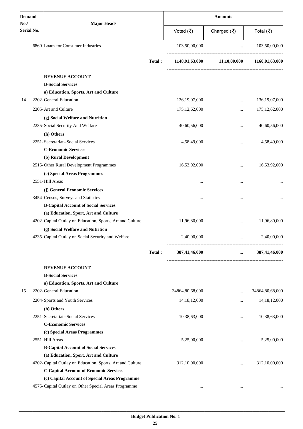| <b>Demand</b>            |                                                           |        | <b>Amounts</b>   |                                                 |                  |  |
|--------------------------|-----------------------------------------------------------|--------|------------------|-------------------------------------------------|------------------|--|
| No.<br><b>Serial No.</b> | <b>Major Heads</b>                                        |        | Voted (₹)        | Charged $(\overline{\mathbf{z}})$               | Total (₹)        |  |
|                          | 6860-Loans for Consumer Industries                        |        | 103,50,00,000    | $\ddotsc$                                       | 103,50,00,000    |  |
|                          |                                                           | Total: | 1148,91,63,000   | 11,10,00,000                                    | 1160,01,63,000   |  |
|                          | <b>REVENUE ACCOUNT</b>                                    |        |                  |                                                 |                  |  |
|                          | <b>B-Social Services</b>                                  |        |                  |                                                 |                  |  |
|                          | a) Education, Sports, Art and Culture                     |        |                  |                                                 |                  |  |
| 14                       | 2202-General Education                                    |        | 136, 19, 07, 000 | $\cdots$                                        | 136, 19, 07, 000 |  |
|                          | 2205-Art and Culture                                      |        | 175, 12, 62, 000 | $\cdots$                                        | 175, 12, 62, 000 |  |
|                          | (g) Social Welfare and Nutrition                          |        |                  |                                                 |                  |  |
|                          | 2235-Social Security And Welfare                          |        | 40,60,56,000     |                                                 | 40,60,56,000     |  |
|                          | (h) Others                                                |        |                  |                                                 |                  |  |
|                          | 2251-Secretariat--Social Services                         |        | 4,58,49,000      | $\cdots$                                        | 4,58,49,000      |  |
|                          | <b>C-Economic Services</b>                                |        |                  |                                                 |                  |  |
|                          | (b) Rural Development                                     |        |                  |                                                 |                  |  |
|                          | 2515-Other Rural Development Programmes                   |        | 16,53,92,000     |                                                 | 16,53,92,000     |  |
|                          | (c) Special Areas Programmes                              |        |                  |                                                 |                  |  |
|                          | 2551-Hill Areas                                           |        |                  | $\cdots$                                        |                  |  |
|                          | (j) General Economic Services                             |        |                  |                                                 |                  |  |
|                          | 3454-Census, Surveys and Statistics                       |        | $\cdots$         | $\cdots$                                        |                  |  |
|                          | <b>B-Capital Account of Social Services</b>               |        |                  |                                                 |                  |  |
|                          | (a) Education, Sport, Art and Culture                     |        |                  |                                                 |                  |  |
|                          | 4202-Capital Outlay on Education, Sports, Art and Culture |        | 11,96,80,000     | $\cdots$                                        | 11,96,80,000     |  |
|                          | (g) Social Welfare and Nutrition                          |        |                  |                                                 |                  |  |
|                          | 4235-Capital Outlay on Social Security and Welfare        |        | 2,40,00,000      | $\cdots$<br>----------------------------------- | 2,40,00,000      |  |
|                          |                                                           | Total: | 387,41,46,000    | $\cdots$                                        | 387,41,46,000    |  |
|                          | <b>REVENUE ACCOUNT</b>                                    |        |                  |                                                 |                  |  |
|                          | <b>B-Social Services</b>                                  |        |                  |                                                 |                  |  |
|                          | a) Education, Sports, Art and Culture                     |        |                  |                                                 |                  |  |
| 15                       | 2202-General Education                                    |        | 34864,80,68,000  | $\cdots$                                        | 34864,80,68,000  |  |
|                          | 2204-Sports and Youth Services                            |        | 14, 18, 12, 000  |                                                 | 14, 18, 12, 000  |  |
|                          | (h) Others                                                |        |                  |                                                 |                  |  |
|                          | 2251-Secretariat--Social Services                         |        | 10,38,63,000     | $\cdots$                                        | 10,38,63,000     |  |
|                          | <b>C-Economic Services</b>                                |        |                  |                                                 |                  |  |
|                          | (c) Special Areas Programmes                              |        |                  |                                                 |                  |  |
|                          | 2551-Hill Areas                                           |        | 5,25,00,000      | $\cdots$                                        | 5,25,00,000      |  |
|                          | <b>B-Capital Account of Social Services</b>               |        |                  |                                                 |                  |  |
|                          | (a) Education, Sport, Art and Culture                     |        |                  |                                                 |                  |  |
|                          | 4202-Capital Outlay on Education, Sports, Art and Culture |        | 312,10,00,000    |                                                 | 312,10,00,000    |  |
|                          | <b>C-Capital Account of Economic Services</b>             |        |                  |                                                 |                  |  |
|                          | (c) Capital Account of Special Areas Programme            |        |                  |                                                 |                  |  |
|                          | 4575-Capital Outlay on Other Special Areas Programme      |        | $\cdots$         | $\cdots$                                        |                  |  |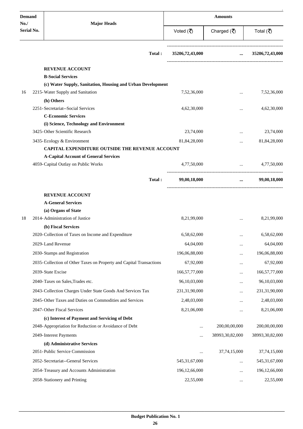| <b>Demand</b>     | <b>Major Heads</b>                                                  |        | <b>Amounts</b>   |                                    |                                                      |  |
|-------------------|---------------------------------------------------------------------|--------|------------------|------------------------------------|------------------------------------------------------|--|
| No.<br>Serial No. |                                                                     |        | Voted (₹)        | Charged $(\overline{\mathcal{R}})$ | Total (₹)                                            |  |
|                   |                                                                     | Total: | 35206,72,43,000  |                                    | $\ldots$ 35206,72,43,000                             |  |
|                   | <b>REVENUE ACCOUNT</b>                                              |        |                  |                                    |                                                      |  |
|                   | <b>B-Social Services</b>                                            |        |                  |                                    |                                                      |  |
|                   | (c) Water Supply, Sanitation, Housing and Urban Development         |        |                  |                                    |                                                      |  |
| 16                | 2215-Water Supply and Sanitation                                    |        | 7,52,36,000      | $\ddotsc$                          | 7,52,36,000                                          |  |
|                   | (h) Others                                                          |        |                  |                                    |                                                      |  |
|                   | 2251-Secretariat--Social Services<br><b>C-Economic Services</b>     |        | 4,62,30,000      | $\cdots$                           | 4,62,30,000                                          |  |
|                   | (i) Science, Technology and Environment                             |        |                  |                                    |                                                      |  |
|                   | 3425-Other Scientific Research                                      |        | 23,74,000        | $\cdots$                           | 23,74,000                                            |  |
|                   | 3435-Ecology & Environment                                          |        | 81,84,28,000     | $\ddotsc$                          | 81,84,28,000                                         |  |
|                   | CAPITAL EXPENDITURE OUTSIDE THE REVENUE ACCOUNT                     |        |                  |                                    |                                                      |  |
|                   | <b>A-Capital Account of General Services</b>                        |        |                  |                                    |                                                      |  |
|                   | 4059-Capital Outlay on Public Works                                 |        | 4,77,50,000      |                                    | 4,77,50,000<br>$\cdots$ . The same of $\cdots$       |  |
|                   |                                                                     | Total: | 99,00,18,000     |                                    | 99,00,18,000<br>$\cdots$ . The set of $\mathbb{R}^n$ |  |
|                   | <b>REVENUE ACCOUNT</b>                                              |        |                  |                                    |                                                      |  |
|                   | <b>A-General Services</b>                                           |        |                  |                                    |                                                      |  |
|                   | (a) Organs of State                                                 |        |                  |                                    |                                                      |  |
| 18                | 2014-Administration of Justice                                      |        | 8,21,99,000      |                                    | 8,21,99,000                                          |  |
|                   | (b) Fiscal Services                                                 |        |                  |                                    |                                                      |  |
|                   | 2020-Collection of Taxes on Income and Expenditure                  |        | 6,58,62,000      |                                    | 6,58,62,000                                          |  |
|                   | 2029-Land Revenue                                                   |        | 64,04,000        |                                    | 64,04,000                                            |  |
|                   | 2030-Stamps and Registration                                        |        | 196,06,88,000    | $\cdots$                           | 196,06,88,000                                        |  |
|                   | 2035-Collection of Other Taxes on Property and Capital Transactions |        | 67,92,000        | $\ddotsc$                          | 67,92,000                                            |  |
|                   | 2039-State Excise                                                   |        | 166,57,77,000    |                                    | 166,57,77,000                                        |  |
|                   | 2040-Taxes on Sales, Trades etc.                                    |        | 96,10,03,000     | $\cdots$                           | 96,10,03,000                                         |  |
|                   | 2043-Collection Charges Under State Goods And Services Tax          |        | 231,31,90,000    | $\cdots$                           | 231,31,90,000                                        |  |
|                   | 2045-Other Taxes and Duties on Commodities and Services             |        | 2,48,03,000      |                                    | 2,48,03,000                                          |  |
|                   | 2047-Other Fiscal Services                                          |        | 8,21,06,000      | $\cdots$                           | 8,21,06,000                                          |  |
|                   | (c) Interest of Payment and Servicing of Debt                       |        |                  |                                    |                                                      |  |
|                   | 2048-Appropriation for Reduction or Avoidance of Debt               |        |                  | 200,00,00,000                      | 200,00,00,000                                        |  |
|                   | 2049-Interest Payments                                              |        |                  | 38993,30,82,000                    | 38993,30,82,000                                      |  |
|                   | (d) Administrative Services                                         |        |                  |                                    |                                                      |  |
|                   | 2051-Public Service Commission                                      |        |                  | 37,74,15,000                       | 37,74,15,000                                         |  |
|                   | 2052- Secretariat--General Services                                 |        | 545, 31, 67, 000 | $\cdots$                           | 545, 31, 67, 000                                     |  |
|                   | 2054-Treasury and Accounts Administration                           |        | 196,12,66,000    | $\cdots$                           | 196,12,66,000                                        |  |
|                   | 2058-Stationery and Printing                                        |        | 22,55,000        | $\ldots$                           | 22,55,000                                            |  |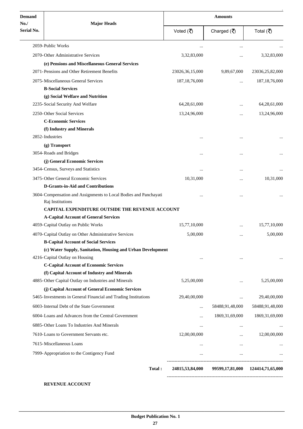| <b>Demand</b><br>No./ | <b>Major Heads</b>                                                                   |                    | <b>Amounts</b>                     |                                  |  |
|-----------------------|--------------------------------------------------------------------------------------|--------------------|------------------------------------|----------------------------------|--|
| <b>Serial No.</b>     |                                                                                      | Voted (そ)          | Charged $(\overline{\mathcal{R}})$ | Total (₹)                        |  |
|                       | 2059-Public Works                                                                    |                    |                                    |                                  |  |
|                       | 2070-Other Administrative Services                                                   | 3,32,83,000        |                                    | 3,32,83,000                      |  |
|                       | (e) Pensions and Miscellaneous General Services                                      |                    |                                    |                                  |  |
|                       | 2071-Pensions and Other Retirement Benefits                                          | 23026, 36, 15, 000 | 9,89,67,000                        | 23036,25,82,000                  |  |
|                       | 2075-Miscellaneous General Services                                                  | 187, 18, 76, 000   |                                    | 187, 18, 76, 000                 |  |
|                       | <b>B-Social Services</b>                                                             |                    |                                    |                                  |  |
|                       | (g) Social Welfare and Nutrition                                                     |                    |                                    |                                  |  |
|                       | 2235-Social Security And Welfare                                                     | 64,28,61,000       |                                    | 64,28,61,000                     |  |
|                       | 2250-Other Social Services                                                           | 13,24,96,000       |                                    | 13,24,96,000                     |  |
|                       | <b>C-Economic Services</b>                                                           |                    |                                    |                                  |  |
|                       | (f) Industry and Minerals                                                            |                    |                                    |                                  |  |
|                       | 2852-Industries                                                                      | $\cdots$           |                                    |                                  |  |
|                       | (g) Transport                                                                        |                    |                                    |                                  |  |
|                       | 3054-Roads and Bridges                                                               |                    |                                    |                                  |  |
|                       | (j) General Economic Services                                                        |                    |                                    |                                  |  |
|                       | 3454-Census, Surveys and Statistics                                                  |                    | $\ddotsc$                          |                                  |  |
|                       | 3475-Other General Economic Services                                                 | 10,31,000          | $\cdots$                           | 10,31,000                        |  |
|                       | D-Grants-in-Aid and Contributions                                                    |                    |                                    |                                  |  |
|                       | 3604-Compensation and Assignments to Local Bodies and Panchayati<br>Raj Institutions | $\cdots$           |                                    |                                  |  |
|                       | <b>CAPITAL EXPENDITURE OUTSIDE THE REVENUE ACCOUNT</b>                               |                    |                                    |                                  |  |
|                       | <b>A-Capital Account of General Services</b>                                         |                    |                                    |                                  |  |
|                       | 4059-Capital Outlay on Public Works                                                  | 15,77,10,000       |                                    | 15,77,10,000                     |  |
|                       | 4070-Capital Outlay on Other Administrative Services                                 | 5,00,000           |                                    | 5,00,000                         |  |
|                       | <b>B-Capital Account of Social Services</b>                                          |                    |                                    |                                  |  |
|                       | (c) Water Supply, Sanitation, Housing and Urban Development                          |                    |                                    |                                  |  |
|                       | 4216-Capital Outlay on Housing                                                       | $\cdots$           | $\cdots$                           | $\cdots$                         |  |
|                       | <b>C-Capital Account of Economic Services</b>                                        |                    |                                    |                                  |  |
|                       | (f) Capital Account of Industry and Minerals                                         |                    |                                    |                                  |  |
|                       | 4885-Other Capital Outlay on Industries and Minerals                                 | 5,25,00,000        |                                    | 5,25,00,000                      |  |
|                       | (j) Capital Account of General Economic Services                                     |                    |                                    |                                  |  |
|                       | 5465-Investments in General Financial and Trading Institutions                       | 29,40,00,000       | $\cdots$                           | 29,40,00,000                     |  |
|                       | 6003-Internal Debt of the State Government                                           | $\cdots$           | 58488,91,48,000                    | 58488,91,48,000                  |  |
|                       | 6004-Loans and Advances from the Central Government                                  |                    | 1869, 31, 69, 000                  | 1869, 31, 69, 000                |  |
|                       | 6885-Other Loans To Industries And Minerals                                          | $\cdots$           | $\cdots$                           |                                  |  |
|                       | 7610-Loans to Government Servants etc.                                               | 12,00,00,000       | $\cdots$                           | 12,00,00,000                     |  |
|                       | 7615-Miscellaneous Loans                                                             | $\cdots$           | $\cdots$                           |                                  |  |
|                       | 7999- Appropriation to the Contigency Fund                                           |                    | $\cdots$                           |                                  |  |
|                       |                                                                                      |                    |                                    |                                  |  |
|                       | Total:                                                                               | 24815,53,84,000    |                                    | 99599,17,81,000 124414,71,65,000 |  |

**REVENUE ACCOUNT**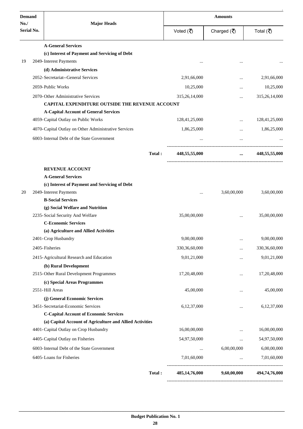| <b>Demand</b>     |                                                          | <b>Amounts</b> |               |                                                   |               |
|-------------------|----------------------------------------------------------|----------------|---------------|---------------------------------------------------|---------------|
| No.<br>Serial No. | <b>Major Heads</b>                                       |                | Voted (そ)     | Charged $(\overline{\mathbf{z}})$                 | Total (₹)     |
|                   | <b>A-General Services</b>                                |                |               |                                                   |               |
|                   | (c) Interest of Payment and Servicing of Debt            |                |               |                                                   |               |
| 19                | 2049-Interest Payments                                   |                |               |                                                   |               |
|                   | (d) Administrative Services                              |                |               |                                                   |               |
|                   | 2052-Secretariat--General Services                       |                | 2,91,66,000   |                                                   | 2,91,66,000   |
|                   | 2059-Public Works                                        |                | 10,25,000     |                                                   | 10,25,000     |
|                   | 2070-Other Administrative Services                       |                | 315,26,14,000 |                                                   | 315,26,14,000 |
|                   | <b>CAPITAL EXPENDITURE OUTSIDE THE REVENUE ACCOUNT</b>   |                |               |                                                   |               |
|                   | <b>A-Capital Account of General Services</b>             |                |               |                                                   |               |
|                   | 4059-Capital Outlay on Public Works                      |                | 128,41,25,000 | $\ddotsc$                                         | 128,41,25,000 |
|                   | 4070-Capital Outlay on Other Administrative Services     |                | 1,86,25,000   | $\cdots$                                          | 1,86,25,000   |
|                   | 6003-Internal Debt of the State Government               |                | $\cdots$      | $\cdots$                                          |               |
|                   |                                                          | Total:         | 448,55,55,000 | ----------------------<br>$\cdots$                | 448,55,55,000 |
|                   | <b>REVENUE ACCOUNT</b>                                   |                |               |                                                   |               |
|                   | <b>A-General Services</b>                                |                |               |                                                   |               |
|                   | (c) Interest of Payment and Servicing of Debt            |                |               |                                                   |               |
| 20                | 2049-Interest Payments                                   |                |               | 3,60,00,000                                       | 3,60,00,000   |
|                   | <b>B-Social Services</b>                                 |                |               |                                                   |               |
|                   | (g) Social Welfare and Nutrition                         |                |               |                                                   |               |
|                   | 2235-Social Security And Welfare                         |                | 35,00,00,000  | $\ddotsc$                                         | 35,00,00,000  |
|                   | <b>C-Economic Services</b>                               |                |               |                                                   |               |
|                   | (a) Agriculture and Allied Activities                    |                |               |                                                   |               |
|                   | 2401-Crop Husbandry                                      |                | 9,00,00,000   | $\cdots$                                          | 9,00,00,000   |
|                   | 2405-Fisheries                                           |                | 330,36,60,000 | .                                                 | 330,36,60,000 |
|                   | 2415-Agricultural Research and Education                 |                | 9,01,21,000   |                                                   | 9,01,21,000   |
|                   | (b) Rural Development                                    |                |               |                                                   |               |
|                   | 2515-Other Rural Development Programmes                  |                | 17,20,48,000  |                                                   | 17,20,48,000  |
|                   | (c) Special Areas Programmes                             |                |               |                                                   |               |
|                   | 2551-Hill Areas                                          |                | 45,00,000     |                                                   | 45,00,000     |
|                   | (j) General Economic Services                            |                |               |                                                   |               |
|                   | 3451-Secretariat-Economic Services                       |                | 6,12,37,000   |                                                   | 6,12,37,000   |
|                   | <b>C-Capital Account of Economic Services</b>            |                |               |                                                   |               |
|                   | (a) Capital Account of Agriculture and Allied Activities |                |               |                                                   |               |
|                   | 4401-Capital Outlay on Crop Husbandry                    |                | 16,00,00,000  |                                                   | 16,00,00,000  |
|                   | 4405-Capital Outlay on Fisheries                         |                | 54,97,50,000  | $\cdots$                                          | 54,97,50,000  |
|                   | 6003-Internal Debt of the State Government               |                | $\cdots$      | 6,00,00,000                                       | 6,00,00,000   |
|                   | 6405-Loans for Fisheries                                 |                | 7,01,60,000   | $\ldots$                                          | 7,01,60,000   |
|                   |                                                          | Total:         | 485,14,76,000 | ----------------------------------<br>9,60,00,000 | 494,74,76,000 |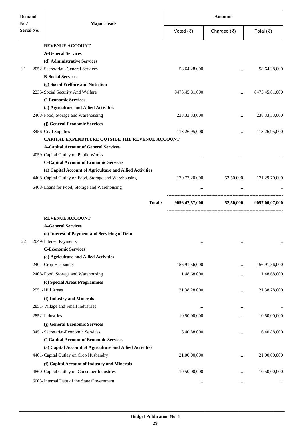| <b>Demand</b>     |                                                                             |                  | <b>Amounts</b>                    |                   |  |
|-------------------|-----------------------------------------------------------------------------|------------------|-----------------------------------|-------------------|--|
| No.<br>Serial No. | <b>Major Heads</b>                                                          | Voted (そ)        | Charged $(\overline{\mathbf{z}})$ | Total (₹)         |  |
|                   | <b>REVENUE ACCOUNT</b>                                                      |                  |                                   |                   |  |
|                   | <b>A-General Services</b>                                                   |                  |                                   |                   |  |
|                   | (d) Administrative Services                                                 |                  |                                   |                   |  |
| 21                | 2052-Secretariat--General Services                                          | 58,64,28,000     |                                   | 58,64,28,000      |  |
|                   | <b>B-Social Services</b>                                                    |                  |                                   |                   |  |
|                   | (g) Social Welfare and Nutrition                                            |                  |                                   |                   |  |
|                   | 2235-Social Security And Welfare                                            | 8475,45,81,000   | $\ddotsc$                         | 8475, 45, 81, 000 |  |
|                   | <b>C-Economic Services</b>                                                  |                  |                                   |                   |  |
|                   | (a) Agriculture and Allied Activities<br>2408-Food, Storage and Warehousing | 238, 33, 33, 000 |                                   | 238, 33, 33, 000  |  |
|                   |                                                                             |                  | $\ddotsc$                         |                   |  |
|                   | (j) General Economic Services<br>3456-Civil Supplies                        | 113,26,95,000    |                                   | 113,26,95,000     |  |
|                   | CAPITAL EXPENDITURE OUTSIDE THE REVENUE ACCOUNT                             |                  |                                   |                   |  |
|                   | <b>A-Capital Account of General Services</b>                                |                  |                                   |                   |  |
|                   | 4059-Capital Outlay on Public Works                                         | $\ddotsc$        |                                   |                   |  |
|                   | <b>C-Capital Account of Economic Services</b>                               |                  |                                   |                   |  |
|                   | (a) Capital Account of Agriculture and Allied Activities                    |                  |                                   |                   |  |
|                   | 4408-Capital Outlay on Food, Storage and Warehousing                        | 170,77,20,000    | 52,50,000                         | 171,29,70,000     |  |
|                   | 6408-Loans for Food, Storage and Warehousing                                |                  |                                   |                   |  |
|                   | Total:                                                                      | 9056,47,57,000   | 52,50,000                         | 9057,00,07,000    |  |
|                   | <b>REVENUE ACCOUNT</b>                                                      |                  |                                   |                   |  |
|                   | <b>A-General Services</b>                                                   |                  |                                   |                   |  |
|                   | (c) Interest of Payment and Servicing of Debt                               |                  |                                   |                   |  |
| 22                | 2049-Interest Payments                                                      |                  |                                   |                   |  |
|                   | <b>C-Economic Services</b>                                                  |                  |                                   |                   |  |
|                   | (a) Agriculture and Allied Activities                                       |                  |                                   |                   |  |
|                   | 2401-Crop Husbandry                                                         | 156,91,56,000    | $\ddotsc$                         | 156,91,56,000     |  |
|                   | 2408-Food, Storage and Warehousing                                          | 1,48,68,000      |                                   | 1,48,68,000       |  |
|                   | (c) Special Areas Programmes                                                |                  |                                   |                   |  |
|                   | 2551-Hill Areas                                                             | 21,38,28,000     |                                   | 21,38,28,000      |  |
|                   | (f) Industry and Minerals                                                   |                  |                                   |                   |  |
|                   | 2851-Village and Small Industries                                           | $\cdots$         | $\ddotsc$                         |                   |  |
|                   | 2852-Industries                                                             | 10,50,00,000     | $\ddotsc$                         | 10,50,00,000      |  |
|                   | (j) General Economic Services                                               |                  |                                   |                   |  |
|                   | 3451-Secretariat-Economic Services                                          | 6,40,88,000      |                                   | 6,40,88,000       |  |
|                   | <b>C-Capital Account of Economic Services</b>                               |                  |                                   |                   |  |
|                   | (a) Capital Account of Agriculture and Allied Activities                    |                  |                                   |                   |  |
|                   | 4401-Capital Outlay on Crop Husbandry                                       | 21,00,00,000     | $\ddotsc$                         | 21,00,00,000      |  |
|                   | (f) Capital Account of Industry and Minerals                                |                  |                                   |                   |  |
|                   | 4860-Capital Outlay on Consumer Industries                                  | 10,50,00,000     | $\ddotsc$                         | 10,50,00,000      |  |
|                   | 6003-Internal Debt of the State Government                                  | $\cdots$         | $\cdots$                          |                   |  |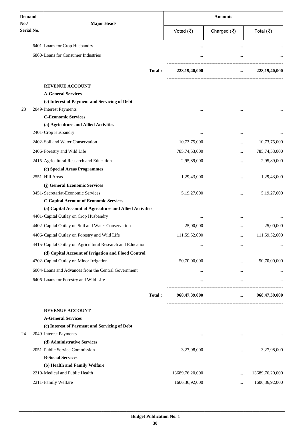| <b>Demand</b>            |                                                                            |                    | <b>Amounts</b>    |                                   |                  |
|--------------------------|----------------------------------------------------------------------------|--------------------|-------------------|-----------------------------------|------------------|
| No.<br><b>Serial No.</b> |                                                                            | <b>Major Heads</b> |                   | Charged $(\overline{\mathbf{z}})$ | Total (₹)        |
|                          | 6401-Loans for Crop Husbandry                                              |                    |                   | $\ddotsc$                         |                  |
|                          | 6860-Loans for Consumer Industries                                         |                    |                   |                                   |                  |
|                          |                                                                            | Total:             | 228,19,40,000     | $\cdots$                          | 228, 19, 40, 000 |
|                          |                                                                            |                    |                   |                                   |                  |
|                          | <b>REVENUE ACCOUNT</b>                                                     |                    |                   |                                   |                  |
|                          | <b>A-General Services</b><br>(c) Interest of Payment and Servicing of Debt |                    |                   |                                   |                  |
| 23                       | 2049-Interest Payments                                                     |                    |                   |                                   |                  |
|                          | <b>C-Economic Services</b>                                                 |                    |                   |                                   |                  |
|                          | (a) Agriculture and Allied Activities                                      |                    |                   |                                   |                  |
|                          | 2401-Crop Husbandry                                                        |                    |                   |                                   |                  |
|                          | 2402-Soil and Water Conservation                                           |                    | 10,73,75,000      | $\cdot \cdot$                     | 10,73,75,000     |
|                          | 2406-Forestry and Wild Life                                                |                    | 785,74,53,000     |                                   | 785,74,53,000    |
|                          | 2415-Agricultural Research and Education                                   |                    | 2,95,89,000       | $\ddotsc$                         | 2,95,89,000      |
|                          | (c) Special Areas Programmes                                               |                    |                   |                                   |                  |
|                          | 2551-Hill Areas                                                            |                    | 1,29,43,000       |                                   | 1,29,43,000      |
|                          | (j) General Economic Services                                              |                    |                   |                                   |                  |
|                          | 3451-Secretariat-Economic Services                                         |                    | 5,19,27,000       | $\ddotsc$                         | 5, 19, 27, 000   |
|                          | <b>C-Capital Account of Economic Services</b>                              |                    |                   |                                   |                  |
|                          | (a) Capital Account of Agriculture and Allied Activities                   |                    |                   |                                   |                  |
|                          | 4401-Capital Outlay on Crop Husbandry                                      |                    |                   | $\cdots$                          |                  |
|                          | 4402-Capital Outlay on Soil and Water Conservation                         |                    | 25,00,000         |                                   | 25,00,000        |
|                          | 4406-Capital Outlay on Forestry and Wild Life                              |                    | 111,59,52,000     |                                   | 111,59,52,000    |
|                          | 4415-Capital Outlay on Agricultural Research and Education                 |                    |                   |                                   |                  |
|                          | (d) Capital Account of Irrigation and Flood Control                        |                    |                   |                                   |                  |
|                          | 4702-Capital Outlay on Minor Irrigation                                    |                    | 50,70,00,000      | $\cdots$                          | 50,70,00,000     |
|                          | 6004-Loans and Advances from the Central Government                        |                    | $\cdots$          | $\cdots$                          |                  |
|                          | 6406-Loans for Forestry and Wild Life                                      |                    |                   | $\cdots$                          | $\cdots$         |
|                          |                                                                            | Total:             | 968,47,39,000     | $\cdots$                          | 968,47,39,000    |
|                          |                                                                            |                    |                   |                                   |                  |
|                          | <b>REVENUE ACCOUNT</b>                                                     |                    |                   |                                   |                  |
|                          | <b>A-General Services</b><br>(c) Interest of Payment and Servicing of Debt |                    |                   |                                   |                  |
| 24                       | 2049-Interest Payments                                                     |                    | $\cdots$          |                                   |                  |
|                          | (d) Administrative Services                                                |                    |                   |                                   |                  |
|                          | 2051-Public Service Commission                                             |                    | 3,27,98,000       |                                   | 3,27,98,000      |
|                          | <b>B-Social Services</b>                                                   |                    |                   |                                   |                  |
|                          | (b) Health and Family Welfare                                              |                    |                   |                                   |                  |
|                          | 2210-Medical and Public Health                                             |                    | 13689,76,20,000   | $\ddotsc$                         | 13689,76,20,000  |
|                          | 2211-Family Welfare                                                        |                    | 1606, 36, 92, 000 | $\cdots$                          | 1606,36,92,000   |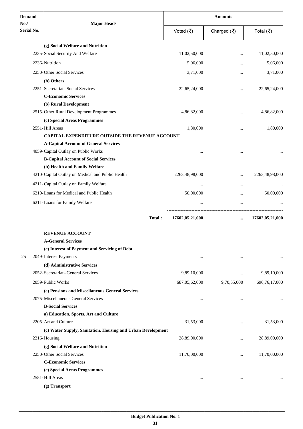| <b>Demand</b>      | <b>Major Heads</b>                                          | <b>Amounts</b>  |                                   |                 |
|--------------------|-------------------------------------------------------------|-----------------|-----------------------------------|-----------------|
| No./<br>Serial No. |                                                             | Voted (₹)       | Charged $(\overline{\mathbf{z}})$ | Total (₹)       |
|                    | (g) Social Welfare and Nutrition                            |                 |                                   |                 |
|                    | 2235-Social Security And Welfare                            | 11,02,50,000    |                                   | 11,02,50,000    |
|                    | 2236-Nutrition                                              | 5,06,000        | $\cdots$                          | 5,06,000        |
|                    | 2250-Other Social Services                                  | 3,71,000        |                                   | 3,71,000        |
|                    |                                                             |                 | $\ddotsc$                         |                 |
|                    | (h) Others<br>2251-Secretariat--Social Services             | 22,65,24,000    |                                   | 22,65,24,000    |
|                    | <b>C-Economic Services</b>                                  |                 |                                   |                 |
|                    | (b) Rural Development                                       |                 |                                   |                 |
|                    | 2515-Other Rural Development Programmes                     | 4,86,82,000     |                                   | 4,86,82,000     |
|                    | (c) Special Areas Programmes                                |                 |                                   |                 |
|                    | 2551-Hill Areas                                             | 1,80,000        | $\ddotsc$                         | 1,80,000        |
|                    | CAPITAL EXPENDITURE OUTSIDE THE REVENUE ACCOUNT             |                 |                                   |                 |
|                    | <b>A-Capital Account of General Services</b>                |                 |                                   |                 |
|                    | 4059-Capital Outlay on Public Works                         |                 |                                   |                 |
|                    | <b>B-Capital Account of Social Services</b>                 |                 |                                   |                 |
|                    | (b) Health and Family Welfare                               |                 |                                   |                 |
|                    | 4210-Capital Outlay on Medical and Public Health            | 2263,48,98,000  |                                   | 2263,48,98,000  |
|                    | 4211-Capital Outlay on Family Welfare                       | $\cdots$        | $\ddotsc$                         |                 |
|                    | 6210-Loans for Medical and Public Health                    | 50,00,000       | $\cdots$                          | 50,00,000       |
|                    | 6211-Loans for Family Welfare                               |                 | $\cdots$                          |                 |
|                    |                                                             |                 |                                   |                 |
|                    | Total:                                                      | 17602,05,21,000 | $\cdots$                          | 17602,05,21,000 |
|                    | <b>REVENUE ACCOUNT</b>                                      |                 |                                   |                 |
|                    | <b>A-General Services</b>                                   |                 |                                   |                 |
|                    | (c) Interest of Payment and Servicing of Debt               |                 |                                   |                 |
| 25                 | 2049-Interest Payments                                      | $\cdots$        | $\cdots$                          | $\cdots$        |
|                    | (d) Administrative Services                                 |                 |                                   |                 |
|                    | 2052-Secretariat--General Services                          | 9,89,10,000     | $\cdots$                          | 9,89,10,000     |
|                    | 2059-Public Works                                           | 687,05,62,000   | 9,70,55,000                       | 696,76,17,000   |
|                    | (e) Pensions and Miscellaneous General Services             |                 |                                   |                 |
|                    | 2075-Miscellaneous General Services                         | $\cdots$        | $\cdots$                          |                 |
|                    | <b>B-Social Services</b>                                    |                 |                                   |                 |
|                    | a) Education, Sports, Art and Culture                       |                 |                                   |                 |
|                    | 2205-Art and Culture                                        | 31,53,000       | $\ddotsc$                         | 31,53,000       |
|                    | (c) Water Supply, Sanitation, Housing and Urban Development |                 |                                   |                 |
|                    | 2216-Housing                                                | 28,89,00,000    | $\cdots$                          | 28,89,00,000    |
|                    | (g) Social Welfare and Nutrition                            |                 |                                   |                 |
|                    | 2250-Other Social Services                                  | 11,70,00,000    | $\cdots$                          | 11,70,00,000    |
|                    | <b>C-Economic Services</b>                                  |                 |                                   |                 |
|                    | (c) Special Areas Programmes                                |                 |                                   |                 |
|                    | 2551-Hill Areas                                             | $\cdots$        | $\ddotsc$                         |                 |
|                    | (g) Transport                                               |                 |                                   |                 |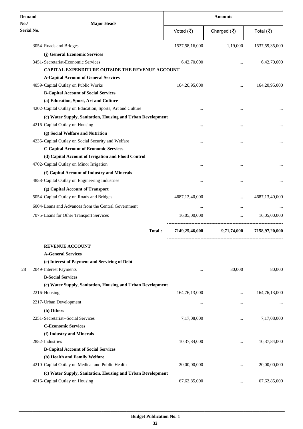| <b>Demand</b><br>No./ | <b>Major Heads</b>                                          |                   | <b>Amounts</b>                    |                  |
|-----------------------|-------------------------------------------------------------|-------------------|-----------------------------------|------------------|
| Serial No.            |                                                             | Voted (₹)         | Charged $(\overline{\mathbf{z}})$ | Total (₹)        |
|                       | 3054-Roads and Bridges                                      | 1537,58,16,000    | 1,19,000                          | 1537,59,35,000   |
|                       | (j) General Economic Services                               |                   |                                   |                  |
|                       | 3451-Secretariat-Economic Services                          | 6,42,70,000       |                                   | 6,42,70,000      |
|                       | CAPITAL EXPENDITURE OUTSIDE THE REVENUE ACCOUNT             |                   |                                   |                  |
|                       | <b>A-Capital Account of General Services</b>                |                   |                                   |                  |
|                       | 4059-Capital Outlay on Public Works                         | 164, 20, 95, 000  | $\cdots$                          | 164, 20, 95, 000 |
|                       | <b>B-Capital Account of Social Services</b>                 |                   |                                   |                  |
|                       | (a) Education, Sport, Art and Culture                       |                   |                                   |                  |
|                       | 4202-Capital Outlay on Education, Sports, Art and Culture   |                   |                                   |                  |
|                       | (c) Water Supply, Sanitation, Housing and Urban Development |                   |                                   |                  |
|                       | 4216-Capital Outlay on Housing                              |                   |                                   |                  |
|                       | (g) Social Welfare and Nutrition                            |                   |                                   |                  |
|                       | 4235-Capital Outlay on Social Security and Welfare          |                   |                                   |                  |
|                       | <b>C-Capital Account of Economic Services</b>               |                   |                                   |                  |
|                       | (d) Capital Account of Irrigation and Flood Control         |                   |                                   |                  |
|                       | 4702-Capital Outlay on Minor Irrigation                     |                   |                                   |                  |
|                       | (f) Capital Account of Industry and Minerals                |                   |                                   |                  |
|                       | 4858-Capital Outlay on Engineering Industries               |                   |                                   |                  |
|                       | (g) Capital Account of Transport                            |                   |                                   |                  |
|                       | 5054-Capital Outlay on Roads and Bridges                    | 4687, 13, 40, 000 |                                   | 4687,13,40,000   |
|                       | 6004-Loans and Advances from the Central Government         | $\ddotsc$         | $\cdots$                          |                  |
|                       | 7075-Loans for Other Transport Services                     | 16,05,00,000      | $\cdots$                          | 16,05,00,000     |
|                       | Total:                                                      | 7149,25,46,000    | 9,71,74,000                       | 7158,97,20,000   |
|                       | <b>REVENUE ACCOUNT</b>                                      |                   |                                   |                  |
|                       | <b>A-General Services</b>                                   |                   |                                   |                  |
|                       | (c) Interest of Payment and Servicing of Debt               |                   |                                   |                  |
| 28                    | 2049-Interest Payments                                      | $\cdots$          | 80,000                            | 80,000           |
|                       | <b>B-Social Services</b>                                    |                   |                                   |                  |
|                       | (c) Water Supply, Sanitation, Housing and Urban Development |                   |                                   |                  |
|                       | 2216-Housing                                                | 164, 76, 13, 000  |                                   | 164,76,13,000    |
|                       | 2217-Urban Development                                      | $\cdots$          |                                   |                  |
|                       | (h) Others                                                  |                   |                                   |                  |
|                       | 2251-Secretariat--Social Services                           | 7,17,08,000       |                                   | 7,17,08,000      |
|                       | <b>C-Economic Services</b>                                  |                   |                                   |                  |
|                       | (f) Industry and Minerals                                   |                   |                                   |                  |
|                       | 2852-Industries                                             | 10,37,84,000      |                                   | 10,37,84,000     |
|                       | <b>B-Capital Account of Social Services</b>                 |                   |                                   |                  |
|                       | (b) Health and Family Welfare                               |                   |                                   |                  |
|                       | 4210-Capital Outlay on Medical and Public Health            | 20,00,00,000      |                                   | 20,00,00,000     |
|                       | (c) Water Supply, Sanitation, Housing and Urban Development |                   |                                   |                  |
|                       | 4216-Capital Outlay on Housing                              | 67, 62, 85, 000   | $\cdots$                          | 67, 62, 85, 000  |
|                       |                                                             |                   |                                   |                  |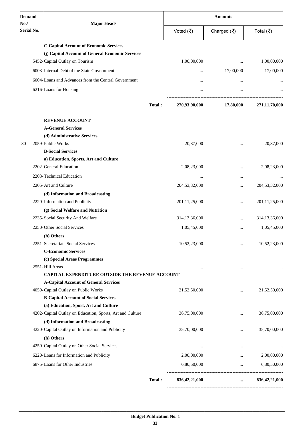| <b>Demand</b>     |                                                                                      |        | <b>Amounts</b>   |                                   |                  |
|-------------------|--------------------------------------------------------------------------------------|--------|------------------|-----------------------------------|------------------|
| No.<br>Serial No. | <b>Major Heads</b>                                                                   |        | Voted (₹)        | Charged $(\overline{\mathbf{z}})$ | Total (₹)        |
|                   | <b>C-Capital Account of Economic Services</b>                                        |        |                  |                                   |                  |
|                   | (j) Capital Account of General Economic Services                                     |        |                  |                                   |                  |
|                   | 5452-Capital Outlay on Tourism                                                       |        | 1,00,00,000      |                                   | 1,00,00,000      |
|                   | 6003-Internal Debt of the State Government                                           |        | $\cdots$         | 17,00,000                         | 17,00,000        |
|                   | 6004-Loans and Advances from the Central Government                                  |        |                  |                                   |                  |
|                   | 6216-Loans for Housing                                                               |        |                  |                                   |                  |
|                   |                                                                                      | Total: | 270,93,90,000    | 17,80,000                         | 271,11,70,000    |
|                   |                                                                                      |        |                  |                                   |                  |
|                   | <b>REVENUE ACCOUNT</b><br><b>A-General Services</b>                                  |        |                  |                                   |                  |
|                   | (d) Administrative Services                                                          |        |                  |                                   |                  |
| 30                | 2059-Public Works                                                                    |        | 20,37,000        |                                   | 20,37,000        |
|                   | <b>B-Social Services</b>                                                             |        |                  |                                   |                  |
|                   | a) Education, Sports, Art and Culture                                                |        |                  |                                   |                  |
|                   | 2202-General Education                                                               |        | 2,08,23,000      |                                   | 2,08,23,000      |
|                   | 2203-Technical Education                                                             |        | $\ddotsc$        |                                   |                  |
|                   | 2205-Art and Culture                                                                 |        | 204, 53, 32, 000 |                                   | 204,53,32,000    |
|                   | (d) Information and Broadcasting                                                     |        |                  |                                   |                  |
|                   | 2220-Information and Publicity                                                       |        | 201, 11, 25, 000 |                                   | 201, 11, 25, 000 |
|                   | (g) Social Welfare and Nutrition                                                     |        |                  |                                   |                  |
|                   | 2235-Social Security And Welfare                                                     |        | 314, 13, 36, 000 |                                   | 314, 13, 36, 000 |
|                   | 2250-Other Social Services                                                           |        | 1,05,45,000      |                                   | 1,05,45,000      |
|                   | (h) Others                                                                           |        |                  |                                   |                  |
|                   | 2251-Secretariat--Social Services                                                    |        | 10,52,23,000     |                                   | 10,52,23,000     |
|                   | <b>C-Economic Services</b>                                                           |        |                  |                                   |                  |
|                   | (c) Special Areas Programmes                                                         |        |                  |                                   |                  |
|                   | 2551-Hill Areas                                                                      |        | $\cdots$         |                                   |                  |
|                   | CAPITAL EXPENDITURE OUTSIDE THE REVENUE ACCOUNT                                      |        |                  |                                   |                  |
|                   | <b>A-Capital Account of General Services</b>                                         |        |                  |                                   |                  |
|                   | 4059-Capital Outlay on Public Works                                                  |        | 21,52,50,000     |                                   | 21,52,50,000     |
|                   | <b>B-Capital Account of Social Services</b><br>(a) Education, Sport, Art and Culture |        |                  |                                   |                  |
|                   | 4202-Capital Outlay on Education, Sports, Art and Culture                            |        | 36,75,00,000     | $\cdots$                          | 36,75,00,000     |
|                   | (d) Information and Broadcasting                                                     |        |                  |                                   |                  |
|                   | 4220-Capital Outlay on Information and Publicity                                     |        | 35,70,00,000     |                                   | 35,70,00,000     |
|                   | (h) Others                                                                           |        |                  |                                   |                  |
|                   | 4250-Capital Outlay on Other Social Services                                         |        | $\cdots$         |                                   |                  |
|                   | 6220-Loans for Information and Publicity                                             |        | 2,00,00,000      | $\cdots$                          | 2,00,00,000      |
|                   | 6875-Loans for Other Industries                                                      |        | 6,80,50,000      | $\ldots$                          | 6,80,50,000      |
|                   |                                                                                      |        |                  |                                   |                  |
|                   |                                                                                      | Total: | 836,42,21,000    | $\cdots$                          | 836, 42, 21, 000 |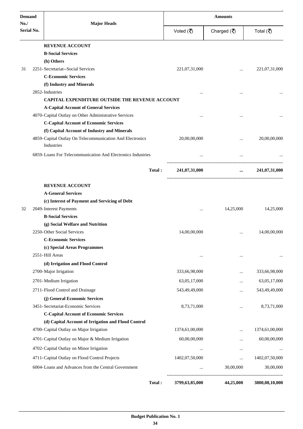| <b>Demand</b>     |                                                                                                                        | <b>Amounts</b> |                                   |                |
|-------------------|------------------------------------------------------------------------------------------------------------------------|----------------|-----------------------------------|----------------|
| No.<br>Serial No. | <b>Major Heads</b>                                                                                                     | Voted (₹)      | Charged $(\overline{\mathbf{z}})$ | Total (₹)      |
|                   | <b>REVENUE ACCOUNT</b>                                                                                                 |                |                                   |                |
|                   | <b>B-Social Services</b>                                                                                               |                |                                   |                |
|                   | (h) Others                                                                                                             |                |                                   |                |
| 31                | 2251-Secretariat--Social Services                                                                                      | 221,07,31,000  |                                   | 221,07,31,000  |
|                   | <b>C-Economic Services</b>                                                                                             |                |                                   |                |
|                   | (f) Industry and Minerals                                                                                              |                |                                   |                |
|                   | 2852-Industries                                                                                                        | $\cdots$       |                                   |                |
|                   | <b>CAPITAL EXPENDITURE OUTSIDE THE REVENUE ACCOUNT</b>                                                                 |                |                                   |                |
|                   | <b>A-Capital Account of General Services</b>                                                                           |                |                                   |                |
|                   | 4070-Capital Outlay on Other Administrative Services                                                                   |                |                                   |                |
|                   | <b>C-Capital Account of Economic Services</b>                                                                          |                |                                   |                |
|                   | (f) Capital Account of Industry and Minerals<br>4859-Capital Outlay On Telecommunication And Electronics<br>Industries | 20,00,00,000   |                                   | 20,00,00,000   |
|                   | 6859-Loans For Telecommunication And Electronics Industries                                                            | $\cdots$       |                                   |                |
|                   | Total:                                                                                                                 | 241,07,31,000  | $\cdots$                          | 241,07,31,000  |
|                   | <b>REVENUE ACCOUNT</b>                                                                                                 |                |                                   |                |
|                   | <b>A-General Services</b>                                                                                              |                |                                   |                |
|                   | (c) Interest of Payment and Servicing of Debt                                                                          |                |                                   |                |
| 32                | 2049-Interest Payments                                                                                                 | $\cdots$       | 14,25,000                         | 14,25,000      |
|                   | <b>B-Social Services</b>                                                                                               |                |                                   |                |
|                   | (g) Social Welfare and Nutrition                                                                                       |                |                                   |                |
|                   | 2250-Other Social Services                                                                                             | 14,00,00,000   | $\cdots$                          | 14,00,00,000   |
|                   | <b>C-Economic Services</b>                                                                                             |                |                                   |                |
|                   | (c) Special Areas Programmes                                                                                           |                |                                   |                |
|                   | 2551-Hill Areas                                                                                                        | $\cdots$       |                                   |                |
|                   | (d) Irrigation and Flood Control                                                                                       |                |                                   |                |
|                   | 2700-Major Irrigation                                                                                                  | 333,66,98,000  |                                   | 333,66,98,000  |
|                   | 2701-Medium Irrigation                                                                                                 | 63,05,17,000   |                                   | 63,05,17,000   |
|                   | 2711-Flood Control and Drainage                                                                                        | 543,49,49,000  |                                   | 543,49,49,000  |
|                   | (j) General Economic Services                                                                                          |                |                                   |                |
|                   | 3451-Secretariat-Economic Services                                                                                     | 8,73,71,000    |                                   | 8,73,71,000    |
|                   | <b>C-Capital Account of Economic Services</b>                                                                          |                |                                   |                |
|                   | (d) Capital Account of Irrigation and Flood Control                                                                    |                |                                   |                |
|                   | 4700-Capital Outlay on Major Irrigation                                                                                | 1374,61,00,000 | $\cdots$                          | 1374,61,00,000 |
|                   | 4701-Capital Outlay on Major & Medium Irrigation                                                                       | 60,00,00,000   |                                   | 60,00,00,000   |
|                   | 4702-Capital Outlay on Minor Irrigation                                                                                |                |                                   |                |
|                   | 4711-Capital Outlay on Flood Control Projects                                                                          | 1402,07,50,000 |                                   | 1402,07,50,000 |
|                   | 6004-Loans and Advances from the Central Government                                                                    | $\cdots$       | 30,00,000                         | 30,00,000      |
|                   | Total:                                                                                                                 | 3799,63,85,000 | 44,25,000                         | 3800,08,10,000 |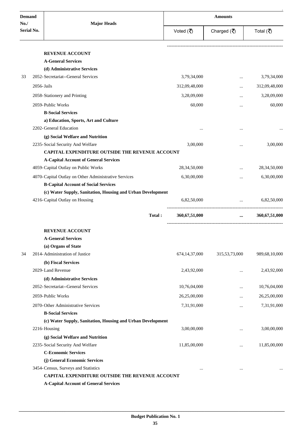| <b>Demand</b>     |                                                             | <b>Amounts</b>   |                                   |                 |
|-------------------|-------------------------------------------------------------|------------------|-----------------------------------|-----------------|
| No.<br>Serial No. | <b>Major Heads</b>                                          | Voted (そ)        | Charged $(\overline{\mathbf{z}})$ | Total (₹)       |
|                   | <b>REVENUE ACCOUNT</b>                                      |                  |                                   |                 |
|                   | <b>A-General Services</b>                                   |                  |                                   |                 |
|                   | (d) Administrative Services                                 |                  |                                   |                 |
| 33                | 2052-Secretariat--General Services                          | 3,79,34,000      |                                   | 3,79,34,000     |
|                   | 2056-Jails                                                  | 312,09,48,000    | $\cdots$                          | 312,09,48,000   |
|                   | 2058-Stationery and Printing                                | 3,28,09,000      |                                   | 3,28,09,000     |
|                   | 2059-Public Works                                           | 60,000           |                                   | 60,000          |
|                   | <b>B-Social Services</b>                                    |                  | $\ddotsc$                         |                 |
|                   | a) Education, Sports, Art and Culture                       |                  |                                   |                 |
|                   | 2202-General Education                                      |                  |                                   |                 |
|                   | (g) Social Welfare and Nutrition                            |                  |                                   |                 |
|                   | 2235-Social Security And Welfare                            | 3,00,000         |                                   | 3,00,000        |
|                   | CAPITAL EXPENDITURE OUTSIDE THE REVENUE ACCOUNT             |                  |                                   |                 |
|                   | <b>A-Capital Account of General Services</b>                |                  |                                   |                 |
|                   | 4059-Capital Outlay on Public Works                         | 28, 34, 50, 000  |                                   | 28, 34, 50, 000 |
|                   | 4070-Capital Outlay on Other Administrative Services        | 6,30,00,000      | $\cdots$                          | 6,30,00,000     |
|                   | <b>B-Capital Account of Social Services</b>                 |                  |                                   |                 |
|                   | (c) Water Supply, Sanitation, Housing and Urban Development |                  |                                   |                 |
|                   | 4216-Capital Outlay on Housing                              | 6,82,50,000      | $\cdots$                          | 6,82,50,000     |
|                   | Total:                                                      | 360, 67, 51, 000 | $\cdots$                          | 360,67,51,000   |
|                   | <b>REVENUE ACCOUNT</b>                                      |                  |                                   |                 |
|                   | <b>A-General Services</b>                                   |                  |                                   |                 |
|                   | (a) Organs of State                                         |                  |                                   |                 |
| 34                | 2014-Administration of Justice                              | 674,14,37,000    | 315,53,73,000                     | 989,68,10,000   |
|                   | (b) Fiscal Services                                         |                  |                                   |                 |
|                   | 2029-Land Revenue                                           | 2,43,92,000      |                                   | 2,43,92,000     |
|                   | (d) Administrative Services                                 |                  |                                   |                 |
|                   | 2052-Secretariat--General Services                          | 10,76,04,000     |                                   | 10,76,04,000    |
|                   | 2059-Public Works                                           | 26,25,00,000     |                                   | 26,25,00,000    |
|                   | 2070-Other Administrative Services                          | 7,31,91,000      |                                   | 7,31,91,000     |
|                   | <b>B-Social Services</b>                                    |                  |                                   |                 |
|                   | (c) Water Supply, Sanitation, Housing and Urban Development |                  |                                   |                 |
|                   | 2216-Housing                                                | 3,00,00,000      |                                   | 3,00,00,000     |
|                   | (g) Social Welfare and Nutrition                            |                  |                                   |                 |
|                   | 2235-Social Security And Welfare                            | 11,85,00,000     |                                   | 11,85,00,000    |
|                   | <b>C-Economic Services</b>                                  |                  |                                   |                 |
|                   | (j) General Economic Services                               |                  |                                   |                 |
|                   | 3454-Census, Surveys and Statistics                         |                  |                                   |                 |
|                   | CAPITAL EXPENDITURE OUTSIDE THE REVENUE ACCOUNT             |                  |                                   |                 |
|                   | <b>A-Capital Account of General Services</b>                |                  |                                   |                 |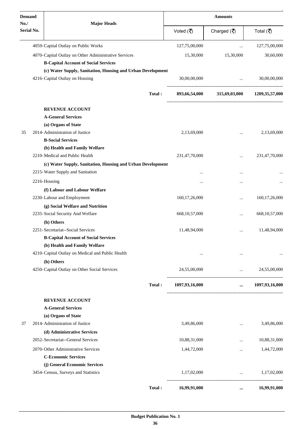| <b>Demand</b>            |                                                                                                            | <b>Major Heads</b> | <b>Amounts</b>   |                                   |                              |  |
|--------------------------|------------------------------------------------------------------------------------------------------------|--------------------|------------------|-----------------------------------|------------------------------|--|
| No.<br><b>Serial No.</b> |                                                                                                            |                    | Voted (₹)        | Charged $(\overline{\mathbf{z}})$ | Total (₹)                    |  |
|                          | 4059-Capital Outlay on Public Works                                                                        |                    | 127,75,00,000    | $\cdots$                          | 127,75,00,000                |  |
|                          | 4070-Capital Outlay on Other Administrative Services                                                       |                    | 15,30,000        | 15,30,000                         | 30,60,000                    |  |
|                          | <b>B-Capital Account of Social Services</b><br>(c) Water Supply, Sanitation, Housing and Urban Development |                    |                  |                                   |                              |  |
|                          | 4216-Capital Outlay on Housing                                                                             |                    | 30,00,00,000     | $\ddotsc$                         | 30,00,00,000                 |  |
|                          |                                                                                                            | Total:             | 893,66,54,000    |                                   | 315,69,03,000 1209,35,57,000 |  |
|                          | <b>REVENUE ACCOUNT</b>                                                                                     |                    |                  |                                   |                              |  |
|                          | <b>A-General Services</b>                                                                                  |                    |                  |                                   |                              |  |
|                          | (a) Organs of State                                                                                        |                    |                  |                                   |                              |  |
| 35                       | 2014-Administration of Justice                                                                             |                    | 2,13,69,000      |                                   | 2,13,69,000                  |  |
|                          | <b>B-Social Services</b>                                                                                   |                    |                  |                                   |                              |  |
|                          | (b) Health and Family Welfare                                                                              |                    |                  |                                   |                              |  |
|                          | 2210-Medical and Public Health                                                                             |                    | 231,47,70,000    |                                   | 231,47,70,000                |  |
|                          | (c) Water Supply, Sanitation, Housing and Urban Development                                                |                    |                  |                                   |                              |  |
|                          | 2215-Water Supply and Sanitation                                                                           |                    |                  |                                   |                              |  |
|                          | 2216-Housing                                                                                               |                    |                  |                                   |                              |  |
|                          |                                                                                                            |                    |                  |                                   |                              |  |
|                          | (f) Labour and Labour Welfare                                                                              |                    |                  |                                   |                              |  |
|                          | 2230-Labour and Employment                                                                                 |                    | 160, 17, 26, 000 | $\cdots$                          | 160, 17, 26, 000             |  |
|                          | (g) Social Welfare and Nutrition                                                                           |                    |                  |                                   |                              |  |
|                          | 2235-Social Security And Welfare                                                                           |                    | 668, 10, 57, 000 | $\cdots$                          | 668, 10, 57, 000             |  |
|                          | (h) Others                                                                                                 |                    |                  |                                   |                              |  |
|                          | 2251-Secretariat--Social Services                                                                          |                    | 11,48,94,000     | $\cdots$                          | 11,48,94,000                 |  |
|                          | <b>B-Capital Account of Social Services</b>                                                                |                    |                  |                                   |                              |  |
|                          | (b) Health and Family Welfare                                                                              |                    |                  |                                   |                              |  |
|                          | 4210-Capital Outlay on Medical and Public Health                                                           |                    | $\cdots$         | $\cdots$                          | $\cdots$                     |  |
|                          | (h) Others                                                                                                 |                    |                  |                                   |                              |  |
|                          | 4250-Capital Outlay on Other Social Services                                                               |                    | 24,55,00,000     | $\mathbf{r}$ and $\mathbf{r}$     | 24,55,00,000                 |  |
|                          |                                                                                                            | Total:             | 1097,93,16,000   | $\cdots$                          | 1097,93,16,000               |  |
|                          | <b>REVENUE ACCOUNT</b>                                                                                     |                    |                  |                                   |                              |  |
|                          | <b>A-General Services</b>                                                                                  |                    |                  |                                   |                              |  |
|                          | (a) Organs of State                                                                                        |                    |                  |                                   |                              |  |
| 37                       | 2014-Administration of Justice                                                                             |                    | 3,49,86,000      | $\cdots$                          | 3,49,86,000                  |  |
|                          | (d) Administrative Services                                                                                |                    |                  |                                   |                              |  |
|                          | 2052-Secretariat--General Services                                                                         |                    | 10,88,31,000     | $\cdots$                          | 10,88,31,000                 |  |
|                          | 2070-Other Administrative Services                                                                         |                    | 1,44,72,000      | $\cdots$                          | 1,44,72,000                  |  |
|                          | <b>C-Economic Services</b>                                                                                 |                    |                  |                                   |                              |  |
|                          | (j) General Economic Services                                                                              |                    |                  |                                   |                              |  |
|                          | 3454-Census, Surveys and Statistics                                                                        |                    | 1,17,02,000      | and the control of the control of | 1,17,02,000                  |  |
|                          |                                                                                                            | Total:             | 16,99,91,000     | $\cdots$                          | 16,99,91,000                 |  |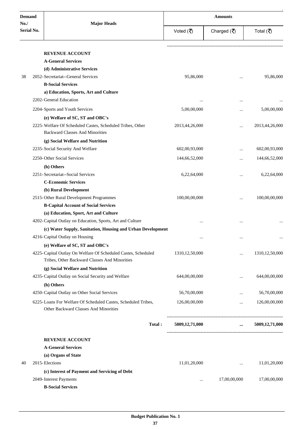| <b>Demand</b>            |                                                                                                        | <b>Amounts</b>    |              |                   |  |
|--------------------------|--------------------------------------------------------------------------------------------------------|-------------------|--------------|-------------------|--|
| No.<br><b>Serial No.</b> | <b>Major Heads</b>                                                                                     | Voted (₹)         | Charged (そ)  | Total (₹)         |  |
|                          | <b>REVENUE ACCOUNT</b>                                                                                 |                   |              |                   |  |
|                          | <b>A-General Services</b>                                                                              |                   |              |                   |  |
|                          | (d) Administrative Services                                                                            |                   |              |                   |  |
| 38                       | 2052-Secretariat--General Services                                                                     | 95,86,000         | $\cdots$     | 95,86,000         |  |
|                          | <b>B-Social Services</b>                                                                               |                   |              |                   |  |
|                          | a) Education, Sports, Art and Culture                                                                  |                   |              |                   |  |
|                          | 2202-General Education                                                                                 |                   |              |                   |  |
|                          | 2204-Sports and Youth Services                                                                         | 5,00,00,000       | $\ddotsc$    | 5,00,00,000       |  |
|                          | (e) Welfare of SC, ST and OBC's                                                                        |                   |              |                   |  |
|                          | 2225-Welfare Of Scheduled Castes, Scheduled Tribes, Other                                              | 2013,44,26,000    |              | 2013,44,26,000    |  |
|                          | <b>Backward Classes And Minorities</b>                                                                 |                   |              |                   |  |
|                          | (g) Social Welfare and Nutrition                                                                       |                   |              |                   |  |
|                          | 2235-Social Security And Welfare                                                                       | 602,00,93,000     | $\ddotsc$    | 602,00,93,000     |  |
|                          | 2250-Other Social Services                                                                             | 144,66,52,000     |              | 144,66,52,000     |  |
|                          |                                                                                                        |                   | $\ddotsc$    |                   |  |
|                          | (h) Others<br>2251-Secretariat--Social Services                                                        |                   |              |                   |  |
|                          | <b>C-Economic Services</b>                                                                             | 6,22,64,000       | $\ddotsc$    | 6,22,64,000       |  |
|                          | (b) Rural Development                                                                                  |                   |              |                   |  |
|                          | 2515-Other Rural Development Programmes                                                                | 100,00,00,000     |              | 100,00,00,000     |  |
|                          | <b>B-Capital Account of Social Services</b>                                                            |                   | $\ddotsc$    |                   |  |
|                          | (a) Education, Sport, Art and Culture                                                                  |                   |              |                   |  |
|                          | 4202-Capital Outlay on Education, Sports, Art and Culture                                              |                   |              |                   |  |
|                          | (c) Water Supply, Sanitation, Housing and Urban Development                                            |                   |              |                   |  |
|                          | 4216-Capital Outlay on Housing                                                                         |                   |              |                   |  |
|                          | (e) Welfare of SC, ST and OBC's                                                                        | $\cdots$          | $\cdots$     | $\cdots$          |  |
|                          | 4225-Capital Outlay On Welfare Of Scheduled Castes, Scheduled                                          | 1310, 12, 50, 000 | $\ddotsc$    | 1310, 12, 50, 000 |  |
|                          | Tribes, Other Backward Classes And Minorities                                                          |                   |              |                   |  |
|                          | (g) Social Welfare and Nutrition                                                                       |                   |              |                   |  |
|                          | 4235-Capital Outlay on Social Security and Welfare                                                     | 644,00,00,000     | $\ddotsc$    | 644,00,00,000     |  |
|                          | (h) Others                                                                                             |                   |              |                   |  |
|                          | 4250-Capital Outlay on Other Social Services                                                           | 56,70,00,000      | $\cdots$     | 56,70,00,000      |  |
|                          | 6225-Loans For Welfare Of Scheduled Castes, Scheduled Tribes,<br>Other Backward Classes And Minorities | 126,00,00,000     | $\cdots$     | 126,00,00,000     |  |
|                          | Total:                                                                                                 | 5009,12,71,000    | $\cdots$     | 5009,12,71,000    |  |
|                          | <b>REVENUE ACCOUNT</b>                                                                                 |                   |              |                   |  |
|                          | <b>A-General Services</b>                                                                              |                   |              |                   |  |
|                          | (a) Organs of State                                                                                    |                   |              |                   |  |
| 2015-Elections<br>40     |                                                                                                        | 11,01,20,000      | $\ddotsc$    | 11,01,20,000      |  |
|                          | (c) Interest of Payment and Servicing of Debt                                                          |                   |              |                   |  |
|                          | 2049-Interest Payments                                                                                 | $\ddotsc$         | 17,00,00,000 | 17,00,00,000      |  |
|                          | <b>B-Social Services</b>                                                                               |                   |              |                   |  |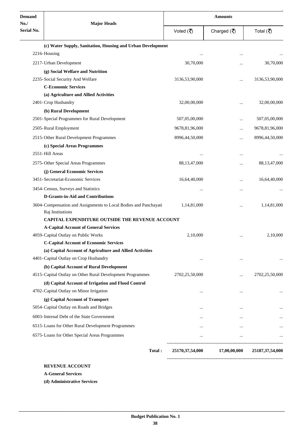| <b>Demand</b><br>No./ | <b>Major Heads</b>                                                                   | <b>Amounts</b> |                                              |                 |  |
|-----------------------|--------------------------------------------------------------------------------------|----------------|----------------------------------------------|-----------------|--|
| Serial No.            |                                                                                      | Voted (そ)      | Charged $(\overline{\mathbf{z}})$            | Total (₹)       |  |
|                       | (c) Water Supply, Sanitation, Housing and Urban Development                          |                |                                              |                 |  |
|                       | 2216-Housing                                                                         |                |                                              |                 |  |
|                       | 2217-Urban Development                                                               | 30,70,000      |                                              | 30,70,000       |  |
|                       | (g) Social Welfare and Nutrition                                                     |                |                                              |                 |  |
|                       | 2235-Social Security And Welfare                                                     | 3136,53,90,000 | $\ddotsc$                                    | 3136,53,90,000  |  |
|                       | <b>C-Economic Services</b>                                                           |                |                                              |                 |  |
|                       | (a) Agriculture and Allied Activities                                                |                |                                              |                 |  |
|                       | 2401-Crop Husbandry                                                                  | 32,00,00,000   |                                              | 32,00,00,000    |  |
|                       | (b) Rural Development                                                                |                |                                              |                 |  |
|                       | 2501-Special Programmes for Rural Development                                        | 507,05,00,000  |                                              | 507,05,00,000   |  |
|                       | 2505-Rural Employment                                                                | 9678,81,96,000 |                                              | 9678,81,96,000  |  |
|                       | 2515-Other Rural Development Programmes                                              | 8996,44,50,000 |                                              | 8996,44,50,000  |  |
|                       | (c) Special Areas Programmes                                                         |                |                                              |                 |  |
|                       | 2551-Hill Areas                                                                      |                |                                              |                 |  |
|                       | 2575-Other Special Areas Programmes                                                  | 88,13,47,000   | $\ddotsc$                                    | 88, 13, 47, 000 |  |
|                       | (j) General Economic Services                                                        |                |                                              |                 |  |
|                       | 3451-Secretariat-Economic Services                                                   | 16,64,40,000   |                                              | 16,64,40,000    |  |
|                       | 3454-Census, Surveys and Statistics                                                  |                | $\ddotsc$                                    |                 |  |
|                       | D-Grants-in-Aid and Contributions                                                    |                |                                              |                 |  |
|                       | 3604-Compensation and Assignments to Local Bodies and Panchayati<br>Raj Institutions | 1,14,81,000    | $\ddotsc$                                    | 1,14,81,000     |  |
|                       | <b>CAPITAL EXPENDITURE OUTSIDE THE REVENUE ACCOUNT</b>                               |                |                                              |                 |  |
|                       | <b>A-Capital Account of General Services</b>                                         |                |                                              |                 |  |
|                       | 4059-Capital Outlay on Public Works                                                  | 2,10,000       |                                              | 2,10,000        |  |
|                       | <b>C-Capital Account of Economic Services</b>                                        |                |                                              |                 |  |
|                       | (a) Capital Account of Agriculture and Allied Activities                             |                |                                              |                 |  |
|                       | 4401-Capital Outlay on Crop Husbandry                                                | $\cdots$       | $\cdots$                                     | $\ddotsc$       |  |
|                       | (b) Capital Account of Rural Development                                             |                |                                              |                 |  |
|                       | 4515-Capital Outlay on Other Rural Development Programmes                            | 2702,25,50,000 | $\cdots$                                     | 2702,25,50,000  |  |
|                       | (d) Capital Account of Irrigation and Flood Control                                  |                |                                              |                 |  |
|                       | 4702-Capital Outlay on Minor Irrigation                                              |                | $\ddotsc$                                    |                 |  |
|                       | (g) Capital Account of Transport                                                     |                |                                              |                 |  |
|                       | 5054-Capital Outlay on Roads and Bridges                                             | $\cdots$       | $\cdots$                                     | $\cdots$        |  |
|                       | 6003-Internal Debt of the State Government                                           |                | $\cdots$                                     |                 |  |
|                       | 6515-Loans for Other Rural Development Programmes                                    | $\cdots$       | $\cdots$                                     | $\ldots$        |  |
|                       | 6575-Loans for Other Special Areas Programmes                                        |                |                                              |                 |  |
|                       |                                                                                      | $\cdots$       | $\ldots$                                     |                 |  |
|                       | Total:                                                                               |                | 25170,37,54,000 17,00,00,000 25187,37,54,000 |                 |  |

**A-General Services**

**(d) Administrative Services**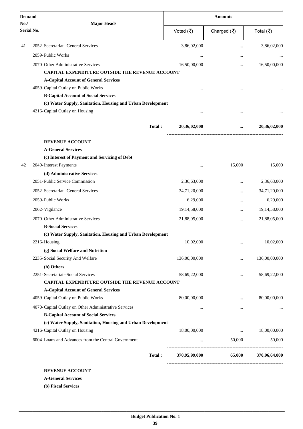| <b>Demand</b><br>No./ |                | <b>Major Heads</b>                                          | <b>Amounts</b> |                                       |               |  |
|-----------------------|----------------|-------------------------------------------------------------|----------------|---------------------------------------|---------------|--|
| Serial No.            |                |                                                             | Voted (そ)      | Charged $(\overline{\mathbf{z}})$     | Total (₹)     |  |
| 41                    |                | 2052-Secretariat--General Services                          | 3,86,02,000    |                                       | 3,86,02,000   |  |
|                       |                | 2059-Public Works                                           |                |                                       |               |  |
|                       |                | 2070-Other Administrative Services                          | 16,50,00,000   | $\cdots$                              | 16,50,00,000  |  |
|                       |                | <b>CAPITAL EXPENDITURE OUTSIDE THE REVENUE ACCOUNT</b>      |                |                                       |               |  |
|                       |                | <b>A-Capital Account of General Services</b>                |                |                                       |               |  |
|                       |                | 4059-Capital Outlay on Public Works                         |                |                                       |               |  |
|                       |                | <b>B-Capital Account of Social Services</b>                 |                |                                       |               |  |
|                       |                | (c) Water Supply, Sanitation, Housing and Urban Development |                |                                       |               |  |
|                       |                | 4216-Capital Outlay on Housing                              |                |                                       |               |  |
|                       |                | Total:                                                      | 20,36,02,000   | ---------------------------------<br> | 20,36,02,000  |  |
|                       |                | <b>REVENUE ACCOUNT</b>                                      |                |                                       |               |  |
|                       |                | <b>A-General Services</b>                                   |                |                                       |               |  |
|                       |                | (c) Interest of Payment and Servicing of Debt               |                |                                       |               |  |
| 42                    |                | 2049-Interest Payments                                      |                | 15,000                                | 15,000        |  |
|                       |                | (d) Administrative Services                                 |                |                                       |               |  |
|                       |                | 2051-Public Service Commission                              | 2,36,63,000    |                                       | 2,36,63,000   |  |
|                       |                | 2052-Secretariat--General Services                          | 34,71,20,000   | $\ddotsc$                             | 34,71,20,000  |  |
|                       |                | 2059-Public Works                                           | 6,29,000       |                                       | 6,29,000      |  |
|                       | 2062-Vigilance |                                                             | 19,14,58,000   |                                       | 19,14,58,000  |  |
|                       |                | 2070-Other Administrative Services                          | 21,88,05,000   |                                       | 21,88,05,000  |  |
|                       |                | <b>B-Social Services</b>                                    |                |                                       |               |  |
|                       |                | (c) Water Supply, Sanitation, Housing and Urban Development |                |                                       |               |  |
|                       | 2216-Housing   |                                                             | 10,02,000      | $\cdots$                              | 10,02,000     |  |
|                       |                | (g) Social Welfare and Nutrition                            |                |                                       |               |  |
|                       |                | 2235-Social Security And Welfare                            | 136,00,00,000  |                                       | 136,00,00,000 |  |
|                       |                | (h) Others                                                  |                |                                       |               |  |
|                       |                | 2251-Secretariat--Social Services                           | 58,69,22,000   | $\cdots$                              | 58,69,22,000  |  |
|                       |                | CAPITAL EXPENDITURE OUTSIDE THE REVENUE ACCOUNT             |                |                                       |               |  |
|                       |                | <b>A-Capital Account of General Services</b>                |                |                                       |               |  |
|                       |                | 4059-Capital Outlay on Public Works                         | 80,00,00,000   | $\cdots$                              | 80,00,00,000  |  |
|                       |                | 4070-Capital Outlay on Other Administrative Services        | $\cdots$       |                                       |               |  |
|                       |                | <b>B-Capital Account of Social Services</b>                 |                |                                       |               |  |
|                       |                | (c) Water Supply, Sanitation, Housing and Urban Development | 18,00,00,000   |                                       | 18,00,00,000  |  |
|                       |                | 4216-Capital Outlay on Housing                              |                | $\cdots$                              |               |  |
|                       |                | 6004-Loans and Advances from the Central Government         | $\cdots$       | 50,000                                | 50,000        |  |
|                       |                | Total:                                                      | 370,95,99,000  | 65,000                                | 370,96,64,000 |  |

**A-General Services**

**(b) Fiscal Services**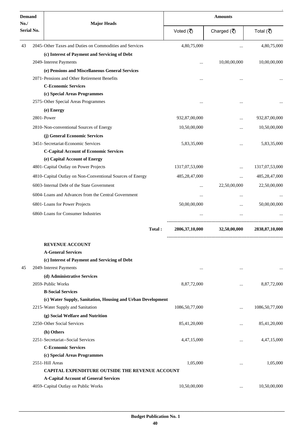| <b>Demand</b><br>No. /<br><b>Serial No.</b> |  | <b>Major Heads</b>                                          | <b>Amounts</b>    |              |                   |  |
|---------------------------------------------|--|-------------------------------------------------------------|-------------------|--------------|-------------------|--|
|                                             |  |                                                             | Voted (₹)         | Charged (₹)  | Total (₹)         |  |
| 43                                          |  | 2045-Other Taxes and Duties on Commodities and Services     | 4,80,75,000       |              | 4,80,75,000       |  |
|                                             |  | (c) Interest of Payment and Servicing of Debt               |                   |              |                   |  |
|                                             |  | 2049-Interest Payments                                      |                   | 10,00,00,000 | 10,00,00,000      |  |
|                                             |  | (e) Pensions and Miscellaneous General Services             |                   |              |                   |  |
|                                             |  | 2071-Pensions and Other Retirement Benefits                 |                   |              |                   |  |
|                                             |  | <b>C-Economic Services</b>                                  |                   |              |                   |  |
|                                             |  | (c) Special Areas Programmes                                |                   |              |                   |  |
|                                             |  | 2575-Other Special Areas Programmes                         |                   | $\ddotsc$    |                   |  |
|                                             |  | (e) Energy                                                  |                   |              |                   |  |
|                                             |  | 2801-Power                                                  | 932,87,00,000     |              | 932,87,00,000     |  |
|                                             |  | 2810-Non-conventional Sources of Energy                     | 10,50,00,000      |              | 10,50,00,000      |  |
|                                             |  | (j) General Economic Services                               |                   |              |                   |  |
|                                             |  | 3451-Secretariat-Economic Services                          | 5,83,35,000       |              | 5,83,35,000       |  |
|                                             |  | <b>C-Capital Account of Economic Services</b>               |                   |              |                   |  |
|                                             |  | (e) Capital Account of Energy                               |                   |              |                   |  |
|                                             |  | 4801-Capital Outlay on Power Projects                       | 1317,07,53,000    |              | 1317,07,53,000    |  |
|                                             |  | 4810-Capital Outlay on Non-Conventional Sources of Energy   | 485,28,47,000     | $\ddotsc$    | 485,28,47,000     |  |
|                                             |  | 6003-Internal Debt of the State Government                  | $\cdots$          | 22,50,00,000 | 22,50,00,000      |  |
|                                             |  | 6004-Loans and Advances from the Central Government         | $\cdots$          | $\cdots$     |                   |  |
|                                             |  | 6801-Loans for Power Projects                               | 50,00,00,000      |              | 50,00,00,000      |  |
|                                             |  | 6860-Loans for Consumer Industries                          | $\ddotsc$         |              |                   |  |
|                                             |  | Total:                                                      | 2806, 37, 10, 000 | 32,50,00,000 | 2838, 87, 10, 000 |  |
|                                             |  | <b>REVENUE ACCOUNT</b>                                      |                   |              |                   |  |
|                                             |  | <b>A-General Services</b>                                   |                   |              |                   |  |
|                                             |  | (c) Interest of Payment and Servicing of Debt               |                   |              |                   |  |
| 45                                          |  | 2049-Interest Payments                                      | $\cdots$          | $\cdots$     |                   |  |
|                                             |  | (d) Administrative Services                                 |                   |              |                   |  |
|                                             |  | 2059-Public Works                                           | 8,87,72,000       |              | 8,87,72,000       |  |
|                                             |  | <b>B-Social Services</b>                                    |                   |              |                   |  |
|                                             |  | (c) Water Supply, Sanitation, Housing and Urban Development |                   |              |                   |  |
|                                             |  | 2215-Water Supply and Sanitation                            | 1086,50,77,000    | $\ddotsc$    | 1086,50,77,000    |  |
|                                             |  | (g) Social Welfare and Nutrition                            |                   |              |                   |  |
|                                             |  | 2250-Other Social Services                                  | 85,41,20,000      |              | 85,41,20,000      |  |
|                                             |  | (h) Others                                                  |                   |              |                   |  |
|                                             |  | 2251-Secretariat--Social Services                           | 4,47,15,000       | $\cdots$     | 4,47,15,000       |  |
|                                             |  | <b>C-Economic Services</b>                                  |                   |              |                   |  |
|                                             |  | (c) Special Areas Programmes                                |                   |              |                   |  |
|                                             |  | 2551-Hill Areas                                             | 1,05,000          |              | 1,05,000          |  |
|                                             |  | CAPITAL EXPENDITURE OUTSIDE THE REVENUE ACCOUNT             |                   |              |                   |  |
|                                             |  | <b>A-Capital Account of General Services</b>                |                   |              |                   |  |
|                                             |  | 4059-Capital Outlay on Public Works                         | 10,50,00,000      | $\cdots$     | 10,50,00,000      |  |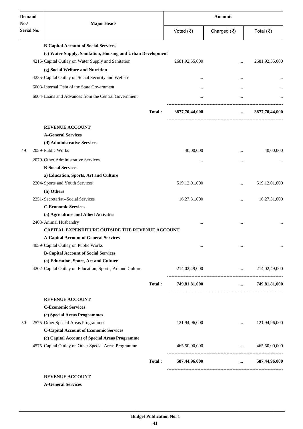| <b>Demand</b>            | <b>Major Heads</b>                                          |        | <b>Amounts</b>   |                                                                                       |                        |  |
|--------------------------|-------------------------------------------------------------|--------|------------------|---------------------------------------------------------------------------------------|------------------------|--|
| No.<br><b>Serial No.</b> |                                                             |        | Voted (₹)        | Charged $(\overline{\mathbf{z}})$                                                     | Total (₹)              |  |
|                          | <b>B-Capital Account of Social Services</b>                 |        |                  |                                                                                       |                        |  |
|                          | (c) Water Supply, Sanitation, Housing and Urban Development |        |                  |                                                                                       |                        |  |
|                          | 4215-Capital Outlay on Water Supply and Sanitation          |        | 2681,92,55,000   |                                                                                       | 2681,92,55,000         |  |
|                          | (g) Social Welfare and Nutrition                            |        |                  |                                                                                       |                        |  |
|                          | 4235-Capital Outlay on Social Security and Welfare          |        | $\ddotsc$        |                                                                                       |                        |  |
|                          | 6003-Internal Debt of the State Government                  |        | $\cdots$         |                                                                                       |                        |  |
|                          | 6004-Loans and Advances from the Central Government         |        |                  |                                                                                       |                        |  |
|                          |                                                             | Total: | 3877,70,44,000   | $\cdots$                                                                              | 3877,70,44,000         |  |
|                          | <b>REVENUE ACCOUNT</b>                                      |        |                  |                                                                                       |                        |  |
|                          | <b>A-General Services</b>                                   |        |                  |                                                                                       |                        |  |
|                          | (d) Administrative Services                                 |        |                  |                                                                                       |                        |  |
| 49                       | 2059-Public Works                                           |        | 40,00,000        | $\cdots$                                                                              | 40,00,000              |  |
|                          | 2070-Other Administrative Services                          |        |                  |                                                                                       |                        |  |
|                          | <b>B-Social Services</b>                                    |        |                  |                                                                                       |                        |  |
|                          | a) Education, Sports, Art and Culture                       |        |                  |                                                                                       |                        |  |
|                          | 2204-Sports and Youth Services                              |        | 519, 12, 01, 000 | $\cdot \cdot$                                                                         | 519,12,01,000          |  |
|                          | (h) Others                                                  |        |                  |                                                                                       |                        |  |
|                          | 2251-Secretariat--Social Services                           |        | 16,27,31,000     | $\cdots$                                                                              | 16,27,31,000           |  |
|                          | <b>C-Economic Services</b>                                  |        |                  |                                                                                       |                        |  |
|                          | (a) Agriculture and Allied Activities                       |        |                  |                                                                                       |                        |  |
|                          | 2403-Animal Husbandry                                       |        |                  |                                                                                       |                        |  |
|                          | <b>CAPITAL EXPENDITURE OUTSIDE THE REVENUE ACCOUNT</b>      |        |                  |                                                                                       |                        |  |
|                          | <b>A-Capital Account of General Services</b>                |        |                  |                                                                                       |                        |  |
|                          | 4059-Capital Outlay on Public Works                         |        | $\cdots$         | $\cdots$                                                                              |                        |  |
|                          | <b>B-Capital Account of Social Services</b>                 |        |                  |                                                                                       |                        |  |
|                          | (a) Education, Sport, Art and Culture                       |        |                  |                                                                                       |                        |  |
|                          | 4202-Capital Outlay on Education, Sports, Art and Culture   |        | 214,02,49,000    | and the control of the control of                                                     | 214,02,49,000          |  |
|                          |                                                             | Total: | 749,81,81,000    | $\cdots$                                                                              | 749,81,81,000          |  |
|                          | <b>REVENUE ACCOUNT</b>                                      |        |                  |                                                                                       |                        |  |
|                          | <b>C-Economic Services</b>                                  |        |                  |                                                                                       |                        |  |
|                          | (c) Special Areas Programmes                                |        |                  |                                                                                       |                        |  |
| 50                       | 2575-Other Special Areas Programmes                         |        | 121,94,96,000    | $\cdots$                                                                              | 121,94,96,000          |  |
|                          | <b>C-Capital Account of Economic Services</b>               |        |                  |                                                                                       |                        |  |
|                          | (c) Capital Account of Special Areas Programme              |        |                  |                                                                                       |                        |  |
|                          | 4575-Capital Outlay on Other Special Areas Programme        |        | 465,50,00,000    | $\mathbf{1}_{\mathbf{1}}$ and $\mathbf{1}_{\mathbf{1}}$ and $\mathbf{1}_{\mathbf{1}}$ | 465,50,00,000          |  |
|                          |                                                             | Total: | 587,44,96,000    |                                                                                       | $\ldots$ 587,44,96,000 |  |
|                          | <b>REVENUE ACCOUNT</b>                                      |        |                  |                                                                                       |                        |  |

**A-General Services**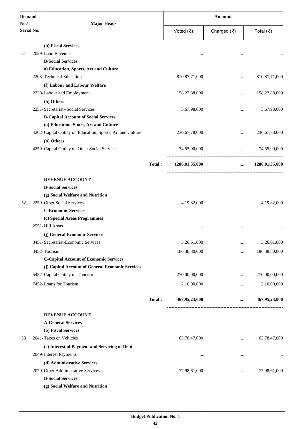| <b>Demand</b>     |                                                           |        | <b>Amounts</b>   |                                                              |                  |  |
|-------------------|-----------------------------------------------------------|--------|------------------|--------------------------------------------------------------|------------------|--|
| No.<br>Serial No. | <b>Major Heads</b>                                        |        | Voted (そ)        | Charged $(\overline{\mathfrak{F}})$                          | Total (₹)        |  |
|                   | (b) Fiscal Services                                       |        |                  |                                                              |                  |  |
| 51                | 2029-Land Revenue                                         |        |                  |                                                              |                  |  |
|                   | <b>B-Social Services</b>                                  |        |                  |                                                              |                  |  |
|                   | a) Education, Sports, Art and Culture                     |        |                  |                                                              |                  |  |
|                   | 2203-Technical Education                                  |        | 810, 87, 71, 000 | $\cdots$                                                     | 810, 87, 71, 000 |  |
|                   | (f) Labour and Labour Welfare                             |        |                  |                                                              |                  |  |
|                   | 2230-Labour and Employment                                |        | 158,22,88,000    | $\cdots$                                                     | 158,22,88,000    |  |
|                   | (h) Others                                                |        |                  |                                                              |                  |  |
|                   | 2251-Secretariat--Social Services                         |        | 5,67,98,000      | $\cdots$                                                     | 5,67,98,000      |  |
|                   | <b>B-Capital Account of Social Services</b>               |        |                  |                                                              |                  |  |
|                   | (a) Education, Sport, Art and Culture                     |        |                  |                                                              |                  |  |
|                   | 4202-Capital Outlay on Education, Sports, Art and Culture |        | 236, 67, 78, 000 |                                                              | 236, 67, 78, 000 |  |
|                   | (h) Others                                                |        |                  |                                                              |                  |  |
|                   | 4250-Capital Outlay on Other Social Services              |        | 74,55,00,000     | <b>Section</b> 1999<br>------------------------------------- | 74,55,00,000     |  |
|                   |                                                           | Total: | 1286,01,35,000   | $\cdots$                                                     | 1286,01,35,000   |  |
|                   | <b>REVENUE ACCOUNT</b>                                    |        |                  |                                                              |                  |  |
|                   | <b>B-Social Services</b>                                  |        |                  |                                                              |                  |  |
|                   | (g) Social Welfare and Nutrition                          |        |                  |                                                              |                  |  |
| 52                | 2250-Other Social Services                                |        | 4,19,82,000      |                                                              | 4,19,82,000      |  |
|                   | <b>C-Economic Services</b>                                |        |                  |                                                              |                  |  |
|                   | (c) Special Areas Programmes                              |        |                  |                                                              |                  |  |
|                   | 2551-Hill Areas                                           |        |                  |                                                              |                  |  |
|                   | (j) General Economic Services                             |        |                  |                                                              |                  |  |
|                   | 3451-Secretariat-Economic Services                        |        | 5,26,61,000      | $\cdots$                                                     | 5,26,61,000      |  |
|                   | 3452-Tourism                                              |        | 186,38,80,000    |                                                              | 186,38,80,000    |  |
|                   | <b>C-Capital Account of Economic Services</b>             |        |                  |                                                              |                  |  |
|                   | (j) Capital Account of General Economic Services          |        |                  |                                                              |                  |  |
|                   | 5452-Capital Outlay on Tourism                            |        | 270,00,00,000    |                                                              | 270,00,00,000    |  |
|                   | 7452-Loans for Tourism                                    |        | 2,10,00,000      | $\cdots$                                                     | 2,10,00,000      |  |
|                   |                                                           | Total: | 467,95,23,000    | $\cdots$                                                     | 467,95,23,000    |  |
|                   | <b>REVENUE ACCOUNT</b>                                    |        |                  |                                                              |                  |  |
|                   | <b>A-General Services</b>                                 |        |                  |                                                              |                  |  |
|                   | (b) Fiscal Services                                       |        |                  |                                                              |                  |  |
| 53                | 2041-Taxes on Vehicles                                    |        | 63,78,47,000     | $\cdots$                                                     | 63,78,47,000     |  |
|                   | (c) Interest of Payment and Servicing of Debt             |        |                  |                                                              |                  |  |
|                   | 2049-Interest Payments                                    |        | $\cdots$         | $\cdots$                                                     |                  |  |
|                   | (d) Administrative Services                               |        |                  |                                                              |                  |  |
|                   | 2070-Other Administrative Services                        |        | 77,98,61,000     |                                                              | 77,98,61,000     |  |
|                   | <b>B-Social Services</b>                                  |        |                  |                                                              |                  |  |
|                   | (g) Social Welfare and Nutrition                          |        |                  |                                                              |                  |  |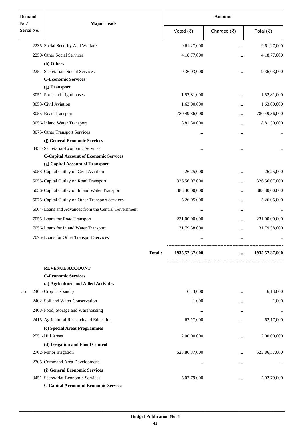| <b>Demand</b>     | <b>Major Heads</b>                                                  |        | <b>Amounts</b> |                                   |                            |  |
|-------------------|---------------------------------------------------------------------|--------|----------------|-----------------------------------|----------------------------|--|
| No.<br>Serial No. |                                                                     |        | Voted (そ)      | Charged $(\overline{\mathbf{z}})$ | Total (₹)                  |  |
|                   | 2235-Social Security And Welfare                                    |        | 9,61,27,000    |                                   | 9,61,27,000                |  |
|                   | 2250-Other Social Services                                          |        | 4,18,77,000    |                                   | 4,18,77,000                |  |
|                   | (h) Others                                                          |        |                |                                   |                            |  |
|                   | 2251-Secretariat--Social Services                                   |        | 9,36,03,000    | $\ddotsc$                         | 9,36,03,000                |  |
|                   | <b>C-Economic Services</b>                                          |        |                |                                   |                            |  |
|                   | (g) Transport                                                       |        |                |                                   |                            |  |
|                   | 3051-Ports and Lighthouses                                          |        | 1,52,81,000    |                                   | 1,52,81,000                |  |
|                   | 3053-Civil Aviation                                                 |        | 1,63,00,000    |                                   | 1,63,00,000                |  |
|                   | 3055-Road Transport                                                 |        | 780,49,36,000  | $\ddotsc$                         | 780,49,36,000              |  |
|                   | 3056-Inland Water Transport                                         |        | 8,81,30,000    |                                   | 8,81,30,000                |  |
|                   | 3075-Other Transport Services                                       |        |                |                                   |                            |  |
|                   | (j) General Economic Services                                       |        |                |                                   |                            |  |
|                   | 3451-Secretariat-Economic Services                                  |        |                |                                   |                            |  |
|                   | <b>C-Capital Account of Economic Services</b>                       |        |                |                                   |                            |  |
|                   | (g) Capital Account of Transport                                    |        |                |                                   |                            |  |
|                   | 5053-Capital Outlay on Civil Aviation                               |        | 26,25,000      |                                   | 26,25,000                  |  |
|                   | 5055-Capital Outlay on Road Transport                               |        | 326,56,07,000  |                                   | 326,56,07,000              |  |
|                   | 5056-Capital Outlay on Inland Water Transport                       |        | 383,30,00,000  |                                   | 383,30,00,000              |  |
|                   | 5075-Capital Outlay on Other Transport Services                     |        | 5,26,05,000    |                                   | 5,26,05,000                |  |
|                   | 6004-Loans and Advances from the Central Government                 |        |                |                                   |                            |  |
|                   | 7055-Loans for Road Transport                                       |        | 231,00,00,000  |                                   | 231,00,00,000              |  |
|                   | 7056-Loans for Inland Water Transport                               |        | 31,79,38,000   |                                   | 31,79,38,000               |  |
|                   | 7075-Loans for Other Transport Services                             |        |                | $\cdots$                          |                            |  |
|                   |                                                                     | Total: | 1935,57,37,000 |                                   | 1935,57,37,000<br>$\cdots$ |  |
|                   | <b>REVENUE ACCOUNT</b>                                              |        |                |                                   |                            |  |
|                   | <b>C-Economic Services</b>                                          |        |                |                                   |                            |  |
|                   | (a) Agriculture and Allied Activities                               |        |                |                                   |                            |  |
| 55                | 2401-Crop Husbandry                                                 |        | 6,13,000       | $\cdots$                          | 6,13,000                   |  |
|                   | 2402-Soil and Water Conservation                                    |        | 1,000          |                                   | 1,000                      |  |
|                   | 2408-Food, Storage and Warehousing                                  |        |                | $\cdots$                          |                            |  |
|                   | 2415-Agricultural Research and Education                            |        | 62,17,000      | $\cdots$                          | 62,17,000                  |  |
|                   | (c) Special Areas Programmes                                        |        |                |                                   |                            |  |
|                   | 2551-Hill Areas                                                     |        | 2,00,00,000    |                                   | 2,00,00,000                |  |
|                   | (d) Irrigation and Flood Control<br>2702-Minor Irrigation           |        | 523,86,37,000  |                                   | 523,86,37,000              |  |
|                   |                                                                     |        |                | $\cdots$                          |                            |  |
|                   | 2705-Command Area Development                                       |        | $\cdots$       |                                   |                            |  |
|                   | (j) General Economic Services<br>3451-Secretariat-Economic Services |        | 5,02,79,000    |                                   | 5,02,79,000                |  |
|                   | <b>C-Capital Account of Economic Services</b>                       |        |                |                                   |                            |  |
|                   |                                                                     |        |                |                                   |                            |  |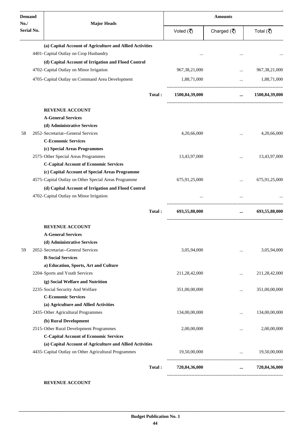| <b>Demand</b><br>No. | <b>Major Heads</b>                                                                   |        | <b>Amounts</b>                  |                                   |                                                                                                                                                   |  |
|----------------------|--------------------------------------------------------------------------------------|--------|---------------------------------|-----------------------------------|---------------------------------------------------------------------------------------------------------------------------------------------------|--|
| <b>Serial No.</b>    |                                                                                      |        | Voted $(\overline{\mathbf{z}})$ | Charged $(\overline{\mathbf{z}})$ | Total (₹)                                                                                                                                         |  |
|                      | (a) Capital Account of Agriculture and Allied Activities                             |        |                                 |                                   |                                                                                                                                                   |  |
|                      | 4401-Capital Outlay on Crop Husbandry                                                |        |                                 |                                   |                                                                                                                                                   |  |
|                      | (d) Capital Account of Irrigation and Flood Control                                  |        |                                 |                                   |                                                                                                                                                   |  |
|                      | 4702-Capital Outlay on Minor Irrigation                                              |        | 967, 38, 21, 000                | $\ddotsc$                         | 967, 38, 21, 000                                                                                                                                  |  |
|                      | 4705-Capital Outlay on Command Area Development                                      |        | 1,88,71,000                     | $\cdots$                          | 1,88,71,000                                                                                                                                       |  |
|                      |                                                                                      | Total: | 1500,84,39,000                  | $\cdots$                          | 1500,84,39,000                                                                                                                                    |  |
|                      | <b>REVENUE ACCOUNT</b>                                                               |        |                                 |                                   |                                                                                                                                                   |  |
|                      | <b>A-General Services</b>                                                            |        |                                 |                                   |                                                                                                                                                   |  |
|                      | (d) Administrative Services                                                          |        |                                 |                                   |                                                                                                                                                   |  |
| 58                   | 2052- Secretariat--General Services<br><b>C-Economic Services</b>                    |        | 4,20,66,000                     |                                   | 4,20,66,000                                                                                                                                       |  |
|                      | (c) Special Areas Programmes                                                         |        |                                 |                                   |                                                                                                                                                   |  |
|                      | 2575-Other Special Areas Programmes<br><b>C-Capital Account of Economic Services</b> |        | 13,43,97,000                    |                                   | 13,43,97,000                                                                                                                                      |  |
|                      | (c) Capital Account of Special Areas Programme                                       |        |                                 |                                   |                                                                                                                                                   |  |
|                      | 4575-Capital Outlay on Other Special Areas Programme                                 |        | 675,91,25,000                   |                                   | 675,91,25,000                                                                                                                                     |  |
|                      | (d) Capital Account of Irrigation and Flood Control                                  |        |                                 |                                   |                                                                                                                                                   |  |
|                      | 4702-Capital Outlay on Minor Irrigation                                              |        |                                 |                                   |                                                                                                                                                   |  |
|                      |                                                                                      | Total: | 693,55,88,000                   | $\cdots$                          | 693,55,88,000                                                                                                                                     |  |
|                      | <b>REVENUE ACCOUNT</b>                                                               |        |                                 |                                   |                                                                                                                                                   |  |
|                      | <b>A-General Services</b>                                                            |        |                                 |                                   |                                                                                                                                                   |  |
|                      | (d) Administrative Services                                                          |        |                                 |                                   |                                                                                                                                                   |  |
| 59                   | 2052-Secretariat--General Services                                                   |        | 3,05,94,000                     |                                   | 3,05,94,000                                                                                                                                       |  |
|                      | <b>B-Social Services</b>                                                             |        |                                 |                                   |                                                                                                                                                   |  |
|                      | a) Education, Sports, Art and Culture                                                |        |                                 |                                   |                                                                                                                                                   |  |
|                      | 2204-Sports and Youth Services                                                       |        | 211,28,42,000                   |                                   | 211,28,42,000                                                                                                                                     |  |
|                      | (g) Social Welfare and Nutrition                                                     |        |                                 |                                   |                                                                                                                                                   |  |
|                      | 2235-Social Security And Welfare<br><b>C-Economic Services</b>                       |        | 351,00,00,000                   |                                   | 351,00,00,000                                                                                                                                     |  |
|                      | (a) Agriculture and Allied Activities                                                |        |                                 |                                   |                                                                                                                                                   |  |
|                      | 2435-Other Agricultural Programmes                                                   |        | 134,00,00,000                   |                                   | 134,00,00,000                                                                                                                                     |  |
|                      | (b) Rural Development                                                                |        |                                 |                                   |                                                                                                                                                   |  |
|                      | 2515-Other Rural Development Programmes                                              |        | 2,00,00,000                     |                                   | 2,00,00,000                                                                                                                                       |  |
|                      | <b>C-Capital Account of Economic Services</b>                                        |        |                                 |                                   |                                                                                                                                                   |  |
|                      | (a) Capital Account of Agriculture and Allied Activities                             |        |                                 |                                   |                                                                                                                                                   |  |
|                      | 4435-Capital Outlay on Other Agricultural Programmes                                 |        | 19,50,00,000                    |                                   | 19,50,00,000<br>$\mathbf{1}_{\mathbf{1}_{\mathbf{2}}\mathbf{1}_{\mathbf{3}}\mathbf{2}_{\mathbf{4}}\mathbf{3}_{\mathbf{5}}\mathbf{4}_{\mathbf{6}}$ |  |
|                      |                                                                                      | Total: | 720,84,36,000                   |                                   | $\ldots$ 720,84,36,000                                                                                                                            |  |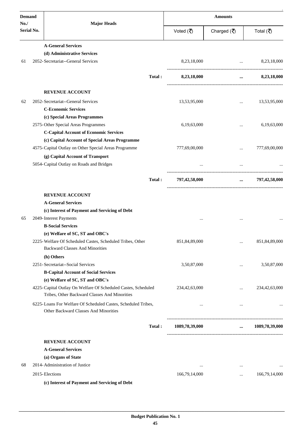| <b>Demand</b>     |                                          |                                                                                                                |           | <b>Amounts</b> |                                     |                           |  |
|-------------------|------------------------------------------|----------------------------------------------------------------------------------------------------------------|-----------|----------------|-------------------------------------|---------------------------|--|
| No.<br>Serial No. |                                          | <b>Major Heads</b>                                                                                             | Voted (₹) |                | Charged $(\overline{\mathfrak{F}})$ | Total (₹)                 |  |
|                   | <b>A-General Services</b>                |                                                                                                                |           |                |                                     |                           |  |
|                   | (d) Administrative Services              |                                                                                                                |           |                |                                     |                           |  |
| 61                | 2052-Secretariat--General Services       |                                                                                                                |           | 8,23,18,000    | $\ddots$                            | 8,23,18,000               |  |
|                   |                                          |                                                                                                                | Total:    | 8,23,18,000    | $\cdots$                            | 8,23,18,000               |  |
|                   | <b>REVENUE ACCOUNT</b>                   |                                                                                                                |           |                |                                     |                           |  |
| 62                | 2052-Secretariat--General Services       |                                                                                                                |           | 13,53,95,000   | $\cdots$                            | 13,53,95,000              |  |
|                   | <b>C-Economic Services</b>               |                                                                                                                |           |                |                                     |                           |  |
|                   | (c) Special Areas Programmes             |                                                                                                                |           |                |                                     |                           |  |
|                   | 2575-Other Special Areas Programmes      |                                                                                                                |           | 6,19,63,000    |                                     | 6,19,63,000               |  |
|                   |                                          | <b>C-Capital Account of Economic Services</b>                                                                  |           |                |                                     |                           |  |
|                   |                                          | (c) Capital Account of Special Areas Programme                                                                 |           |                |                                     |                           |  |
|                   |                                          | 4575-Capital Outlay on Other Special Areas Programme                                                           |           | 777,69,00,000  | $\ddotsc$                           | 777,69,00,000             |  |
|                   |                                          | (g) Capital Account of Transport                                                                               |           |                |                                     |                           |  |
|                   | 5054-Capital Outlay on Roads and Bridges |                                                                                                                |           |                | $\cdots$                            |                           |  |
|                   |                                          | Total:                                                                                                         |           | 797,42,58,000  |                                     | 797,42,58,000<br>$\cdots$ |  |
|                   | <b>REVENUE ACCOUNT</b>                   |                                                                                                                |           |                |                                     |                           |  |
|                   | <b>A-General Services</b>                |                                                                                                                |           |                |                                     |                           |  |
|                   |                                          | (c) Interest of Payment and Servicing of Debt                                                                  |           |                |                                     |                           |  |
| 65                | 2049-Interest Payments                   |                                                                                                                |           |                |                                     |                           |  |
|                   | <b>B-Social Services</b>                 |                                                                                                                |           |                |                                     |                           |  |
|                   |                                          | (e) Welfare of SC, ST and OBC's                                                                                |           |                |                                     |                           |  |
|                   | <b>Backward Classes And Minorities</b>   | 2225-Welfare Of Scheduled Castes, Scheduled Tribes, Other                                                      |           | 851,84,89,000  |                                     | 851,84,89,000             |  |
|                   | (h) Others                               |                                                                                                                |           |                |                                     |                           |  |
|                   | 2251-Secretariat--Social Services        |                                                                                                                |           | 3,50,87,000    |                                     | 3,50,87,000               |  |
|                   |                                          | <b>B-Capital Account of Social Services</b>                                                                    |           |                |                                     |                           |  |
|                   |                                          | (e) Welfare of SC, ST and OBC's                                                                                |           |                |                                     |                           |  |
|                   |                                          | 4225-Capital Outlay On Welfare Of Scheduled Castes, Scheduled<br>Tribes, Other Backward Classes And Minorities |           | 234,42,63,000  | $\ddotsc$                           | 234,42,63,000             |  |
|                   |                                          | 6225-Loans For Welfare Of Scheduled Castes, Scheduled Tribes,<br>Other Backward Classes And Minorities         |           | $\cdots$       | $\cdots$                            |                           |  |
|                   |                                          |                                                                                                                | Total:    | 1089,78,39,000 |                                     | $\dots$ 1089,78,39,000    |  |
|                   | <b>REVENUE ACCOUNT</b>                   |                                                                                                                |           |                |                                     |                           |  |
|                   | <b>A-General Services</b>                |                                                                                                                |           |                |                                     |                           |  |
|                   | (a) Organs of State                      |                                                                                                                |           |                |                                     |                           |  |
| 68                | 2014-Administration of Justice           |                                                                                                                |           | $\cdots$       | $\cdots$                            |                           |  |
|                   | 2015-Elections                           |                                                                                                                |           | 166,79,14,000  | $\ddotsc$                           | 166,79,14,000             |  |
|                   |                                          | (c) Interest of Payment and Servicing of Debt                                                                  |           |                |                                     |                           |  |
|                   |                                          |                                                                                                                |           |                |                                     |                           |  |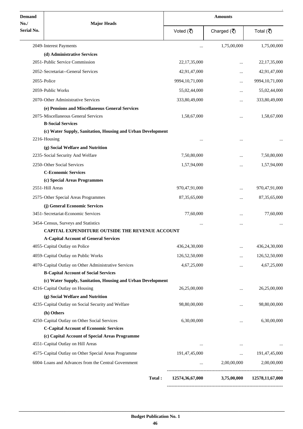| <b>Demand</b>     | <b>Major Heads</b>                                          | <b>Amounts</b> |                   |             |                    |
|-------------------|-------------------------------------------------------------|----------------|-------------------|-------------|--------------------|
| No.<br>Serial No. |                                                             |                | Voted (そ)         | Charged (そ) | Total (₹)          |
|                   | 2049-Interest Payments                                      |                |                   | 1,75,00,000 | 1,75,00,000        |
|                   | (d) Administrative Services                                 |                |                   |             |                    |
|                   | 2051-Public Service Commission                              |                | 22, 17, 35, 000   |             | 22, 17, 35, 000    |
|                   | 2052-Secretariat--General Services                          |                | 42,91,47,000      |             | 42,91,47,000       |
|                   | 2055-Police                                                 |                | 9994, 10, 71, 000 |             | 9994, 10, 71, 000  |
|                   | 2059-Public Works                                           |                | 55,02,44,000      |             | 55,02,44,000       |
|                   | 2070-Other Administrative Services                          |                | 333,80,49,000     |             | 333,80,49,000      |
|                   | (e) Pensions and Miscellaneous General Services             |                |                   |             |                    |
|                   | 2075-Miscellaneous General Services                         |                | 1,58,67,000       |             | 1,58,67,000        |
|                   | <b>B-Social Services</b>                                    |                |                   |             |                    |
|                   | (c) Water Supply, Sanitation, Housing and Urban Development |                |                   |             |                    |
|                   | 2216-Housing                                                |                |                   |             |                    |
|                   | (g) Social Welfare and Nutrition                            |                |                   |             |                    |
|                   | 2235-Social Security And Welfare                            |                | 7,50,80,000       |             | 7,50,80,000        |
|                   | 2250-Other Social Services                                  |                | 1,57,94,000       |             | 1,57,94,000        |
|                   | <b>C-Economic Services</b>                                  |                |                   |             |                    |
|                   | (c) Special Areas Programmes                                |                |                   |             |                    |
|                   | 2551-Hill Areas                                             |                | 970,47,91,000     |             | 970,47,91,000      |
|                   | 2575-Other Special Areas Programmes                         |                | 87, 35, 65, 000   |             | 87, 35, 65, 000    |
|                   | (j) General Economic Services                               |                |                   |             |                    |
|                   | 3451-Secretariat-Economic Services                          |                | 77,60,000         |             | 77,60,000          |
|                   | 3454-Census, Surveys and Statistics                         |                |                   |             |                    |
|                   | CAPITAL EXPENDITURE OUTSIDE THE REVENUE ACCOUNT             |                |                   |             |                    |
|                   | <b>A-Capital Account of General Services</b>                |                |                   |             |                    |
|                   | 4055-Capital Outlay on Police                               |                | 436,24,30,000     |             | 436,24,30,000      |
|                   | 4059-Capital Outlay on Public Works                         |                | 126,52,50,000     |             | 126,52,50,000      |
|                   | 4070-Capital Outlay on Other Administrative Services        |                | 4,67,25,000       |             | 4,67,25,000        |
|                   | <b>B-Capital Account of Social Services</b>                 |                |                   |             |                    |
|                   | (c) Water Supply, Sanitation, Housing and Urban Development |                |                   |             |                    |
|                   | 4216-Capital Outlay on Housing                              |                | 26,25,00,000      |             | 26,25,00,000       |
|                   | (g) Social Welfare and Nutrition                            |                |                   |             |                    |
|                   | 4235-Capital Outlay on Social Security and Welfare          |                | 98,80,00,000      |             | 98,80,00,000       |
|                   | (h) Others                                                  |                |                   |             |                    |
|                   | 4250-Capital Outlay on Other Social Services                |                | 6,30,00,000       |             | 6,30,00,000        |
|                   | <b>C-Capital Account of Economic Services</b>               |                |                   |             |                    |
|                   | (c) Capital Account of Special Areas Programme              |                |                   |             |                    |
|                   | 4551-Capital Outlay on Hill Areas                           |                | $\cdots$          | $\cdots$    |                    |
|                   | 4575-Capital Outlay on Other Special Areas Programme        |                | 191,47,45,000     | $\cdots$    | 191,47,45,000      |
|                   | 6004-Loans and Advances from the Central Government         |                |                   | 2,00,00,000 | 2,00,00,000        |
|                   |                                                             | Total:         | 12574,36,67,000   | 3,75,00,000 | 12578, 11, 67, 000 |
|                   |                                                             |                |                   |             |                    |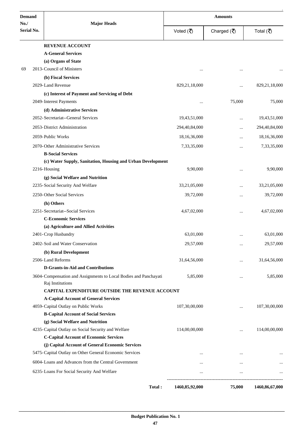| <b>Demand</b>            |                                                                  | <b>Amounts</b>   |             |                |  |
|--------------------------|------------------------------------------------------------------|------------------|-------------|----------------|--|
| No.<br><b>Serial No.</b> | <b>Major Heads</b>                                               | Voted (₹)        | Charged (そ) | Total (₹)      |  |
|                          | <b>REVENUE ACCOUNT</b>                                           |                  |             |                |  |
|                          | <b>A-General Services</b>                                        |                  |             |                |  |
|                          | (a) Organs of State                                              |                  |             |                |  |
| 69                       | 2013-Council of Ministers                                        |                  | $\ddotsc$   |                |  |
|                          | (b) Fiscal Services                                              |                  |             |                |  |
|                          | 2029-Land Revenue                                                | 829, 21, 18, 000 | $\cdots$    | 829,21,18,000  |  |
|                          | (c) Interest of Payment and Servicing of Debt                    |                  |             |                |  |
|                          | 2049-Interest Payments                                           |                  | 75,000      | 75,000         |  |
|                          | (d) Administrative Services                                      |                  |             |                |  |
|                          | 2052-Secretariat--General Services                               | 19,43,51,000     | $\cdots$    | 19,43,51,000   |  |
|                          | 2053-District Administration                                     | 294,40,84,000    | $\cdots$    | 294,40,84,000  |  |
|                          | 2059-Public Works                                                | 18,16,36,000     |             | 18,16,36,000   |  |
|                          | 2070-Other Administrative Services                               | 7,33,35,000      |             | 7,33,35,000    |  |
|                          | <b>B-Social Services</b>                                         |                  |             |                |  |
|                          | (c) Water Supply, Sanitation, Housing and Urban Development      |                  |             |                |  |
|                          | 2216-Housing                                                     | 9,90,000         | $\ddotsc$   | 9,90,000       |  |
|                          | (g) Social Welfare and Nutrition                                 |                  |             |                |  |
|                          | 2235-Social Security And Welfare                                 | 33,21,05,000     |             | 33,21,05,000   |  |
|                          | 2250-Other Social Services                                       | 39,72,000        |             | 39,72,000      |  |
|                          | (h) Others                                                       |                  |             |                |  |
|                          | 2251-Secretariat--Social Services                                | 4,67,02,000      |             | 4,67,02,000    |  |
|                          | <b>C-Economic Services</b>                                       |                  |             |                |  |
|                          | (a) Agriculture and Allied Activities                            |                  |             |                |  |
|                          | 2401-Crop Husbandry                                              | 63.01.000        | $\cdots$    | 63,01,000      |  |
|                          | 2402-Soil and Water Conservation                                 | 29,57,000        |             | 29,57,000      |  |
|                          | (b) Rural Development                                            |                  |             |                |  |
|                          | 2506-Land Reforms                                                | 31,64,56,000     |             | 31,64,56,000   |  |
|                          | <b>D-Grants-in-Aid and Contributions</b>                         |                  |             |                |  |
|                          | 3604-Compensation and Assignments to Local Bodies and Panchayati | 5,85,000         |             | 5,85,000       |  |
|                          | Raj Institutions                                                 |                  |             |                |  |
|                          | CAPITAL EXPENDITURE OUTSIDE THE REVENUE ACCOUNT                  |                  |             |                |  |
|                          | <b>A-Capital Account of General Services</b>                     |                  |             |                |  |
|                          | 4059-Capital Outlay on Public Works                              | 107,30,00,000    | $\cdots$    | 107,30,00,000  |  |
|                          | <b>B-Capital Account of Social Services</b>                      |                  |             |                |  |
|                          | (g) Social Welfare and Nutrition                                 |                  |             |                |  |
|                          | 4235-Capital Outlay on Social Security and Welfare               | 114,00,00,000    | $\cdots$    | 114,00,00,000  |  |
|                          | <b>C-Capital Account of Economic Services</b>                    |                  |             |                |  |
|                          | (j) Capital Account of General Economic Services                 |                  |             |                |  |
|                          | 5475-Capital Outlay on Other General Economic Services           |                  | $\cdots$    |                |  |
|                          | 6004-Loans and Advances from the Central Government              |                  |             |                |  |
|                          | 6235-Loans For Social Security And Welfare                       |                  | $\cdots$    |                |  |
|                          | Total:                                                           | 1460,85,92,000   | 75,000      | 1460,86,67,000 |  |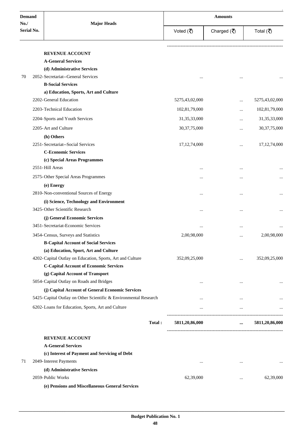| <b>Demand</b>            | <b>Major Heads</b>                                               | <b>Amounts</b>  |                                   |                 |
|--------------------------|------------------------------------------------------------------|-----------------|-----------------------------------|-----------------|
| No.<br><b>Serial No.</b> |                                                                  | Voted (₹)       | Charged $(\overline{\mathbf{z}})$ | Total (₹)       |
|                          |                                                                  |                 |                                   |                 |
|                          | <b>REVENUE ACCOUNT</b>                                           |                 |                                   |                 |
|                          | <b>A-General Services</b>                                        |                 |                                   |                 |
|                          | (d) Administrative Services                                      |                 |                                   |                 |
| 70                       | 2052-Secretariat--General Services<br><b>B-Social Services</b>   | $\cdots$        | $\cdots$                          |                 |
|                          |                                                                  |                 |                                   |                 |
|                          | a) Education, Sports, Art and Culture<br>2202-General Education  | 5275,43,02,000  |                                   | 5275,43,02,000  |
|                          |                                                                  |                 | $\ddotsc$                         |                 |
|                          | 2203-Technical Education                                         | 102,81,79,000   | $\ddotsc$                         | 102,81,79,000   |
|                          | 2204-Sports and Youth Services                                   | 31, 35, 33, 000 | $\ddotsc$                         | 31, 35, 33, 000 |
|                          | 2205-Art and Culture                                             | 30, 37, 75, 000 | $\cdots$                          | 30, 37, 75, 000 |
|                          | (h) Others                                                       |                 |                                   |                 |
|                          | 2251-Secretariat--Social Services                                | 17, 12, 74, 000 | $\ddotsc$                         | 17, 12, 74, 000 |
|                          | <b>C-Economic Services</b>                                       |                 |                                   |                 |
|                          | (c) Special Areas Programmes                                     |                 |                                   |                 |
|                          | 2551-Hill Areas                                                  | $\cdots$        | $\cdots$                          |                 |
|                          | 2575-Other Special Areas Programmes                              |                 | $\cdots$                          |                 |
|                          | (e) Energy                                                       |                 |                                   |                 |
|                          | 2810-Non-conventional Sources of Energy                          | $\cdots$        |                                   |                 |
|                          | (i) Science, Technology and Environment                          |                 |                                   |                 |
|                          | 3425-Other Scientific Research                                   | $\cdots$        |                                   |                 |
|                          | (j) General Economic Services                                    |                 |                                   |                 |
|                          | 3451-Secretariat-Economic Services                               |                 |                                   |                 |
|                          |                                                                  | $\ddotsc$       |                                   |                 |
|                          | 3454-Census, Surveys and Statistics                              | 2,00,98,000     |                                   | 2,00,98,000     |
|                          | <b>B-Capital Account of Social Services</b>                      |                 |                                   |                 |
|                          | (a) Education, Sport, Art and Culture                            |                 |                                   |                 |
|                          | 4202-Capital Outlay on Education, Sports, Art and Culture        | 352,09,25,000   | $\cdots$                          | 352,09,25,000   |
|                          | <b>C-Capital Account of Economic Services</b>                    |                 |                                   |                 |
|                          | (g) Capital Account of Transport                                 |                 |                                   |                 |
|                          | 5054-Capital Outlay on Roads and Bridges                         | $\cdots$        | $\cdots$                          | $\cdots$        |
|                          | (j) Capital Account of General Economic Services                 |                 |                                   |                 |
|                          | 5425-Capital Outlay on Other Scientific & Environmental Research | $\cdots$        | $\cdots$                          |                 |
|                          | 6202-Loans for Education, Sports, Art and Culture                | $\cdots$        | $\cdots$                          | $\cdots$        |
|                          | Total:                                                           | 5811,20,86,000  | $\cdots$                          | 5811,20,86,000  |
|                          | <b>REVENUE ACCOUNT</b>                                           |                 |                                   |                 |
|                          | <b>A-General Services</b>                                        |                 |                                   |                 |
|                          | (c) Interest of Payment and Servicing of Debt                    |                 |                                   |                 |
| 71                       | 2049-Interest Payments                                           | $\cdots$        | $\cdots$                          | $\cdots$        |
|                          | (d) Administrative Services                                      |                 |                                   |                 |
|                          | 2059-Public Works                                                | 62,39,000       | $\ddotsc$                         | 62,39,000       |
|                          | (e) Pensions and Miscellaneous General Services                  |                 |                                   |                 |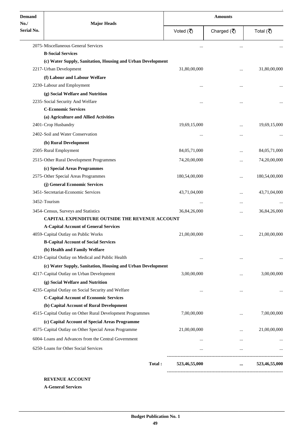| <b>Demand</b>            |                                                             |               | <b>Amounts</b> |               |
|--------------------------|-------------------------------------------------------------|---------------|----------------|---------------|
| No.<br><b>Serial No.</b> | <b>Major Heads</b>                                          | Voted (₹)     | Charged (そ)    | Total (₹)     |
|                          | 2075-Miscellaneous General Services                         |               |                |               |
|                          | <b>B-Social Services</b>                                    |               |                |               |
|                          | (c) Water Supply, Sanitation, Housing and Urban Development |               |                |               |
|                          | 2217-Urban Development                                      | 31,80,00,000  |                | 31,80,00,000  |
|                          | (f) Labour and Labour Welfare                               |               |                |               |
|                          | 2230-Labour and Employment                                  |               |                |               |
|                          | (g) Social Welfare and Nutrition                            |               |                |               |
|                          | 2235-Social Security And Welfare                            |               |                |               |
|                          | <b>C-Economic Services</b>                                  |               |                |               |
|                          | (a) Agriculture and Allied Activities                       |               |                |               |
|                          | 2401-Crop Husbandry                                         | 19,69,15,000  |                | 19,69,15,000  |
|                          | 2402-Soil and Water Conservation                            |               |                |               |
|                          | (b) Rural Development                                       |               |                |               |
|                          | 2505-Rural Employment                                       | 84,05,71,000  | $\cdots$       | 84,05,71,000  |
|                          | 2515-Other Rural Development Programmes                     | 74,20,00,000  |                | 74,20,00,000  |
|                          | (c) Special Areas Programmes                                |               |                |               |
|                          | 2575-Other Special Areas Programmes                         | 180,54,00,000 | $\ddotsc$      | 180,54,00,000 |
|                          | (j) General Economic Services                               |               |                |               |
|                          | 3451-Secretariat-Economic Services                          | 43,71,04,000  |                | 43,71,04,000  |
|                          | 3452-Tourism                                                |               |                |               |
|                          | 3454-Census, Surveys and Statistics                         | 36,84,26,000  | $\cdots$       | 36,84,26,000  |
|                          | <b>CAPITAL EXPENDITURE OUTSIDE THE REVENUE ACCOUNT</b>      |               |                |               |
|                          | <b>A-Capital Account of General Services</b>                |               |                |               |
|                          | 4059-Capital Outlay on Public Works                         | 21,00,00,000  | $\cdots$       | 21,00,00,000  |
|                          | <b>B-Capital Account of Social Services</b>                 |               |                |               |
|                          | (b) Health and Family Welfare                               |               |                |               |
|                          | 4210-Capital Outlay on Medical and Public Health            | $\cdots$      | $\cdots$       |               |
|                          | (c) Water Supply, Sanitation, Housing and Urban Development |               |                |               |
|                          | 4217-Capital Outlay on Urban Development                    | 3,00,00,000   |                | 3,00,00,000   |
|                          | (g) Social Welfare and Nutrition                            |               |                |               |
|                          | 4235-Capital Outlay on Social Security and Welfare          |               |                |               |
|                          | <b>C-Capital Account of Economic Services</b>               |               |                |               |
|                          | (b) Capital Account of Rural Development                    |               |                |               |
|                          | 4515-Capital Outlay on Other Rural Development Programmes   | 7,00,00,000   |                | 7,00,00,000   |
|                          | (c) Capital Account of Special Areas Programme              |               |                |               |
|                          | 4575-Capital Outlay on Other Special Areas Programme        | 21,00,00,000  |                | 21,00,00,000  |
|                          | 6004-Loans and Advances from the Central Government         |               | $\cdots$       |               |
|                          | 6250-Loans for Other Social Services                        | $\cdots$      | $\cdots$       |               |
|                          | Total:                                                      | 523,46,55,000 |                | 523,46,55,000 |

**A-General Services**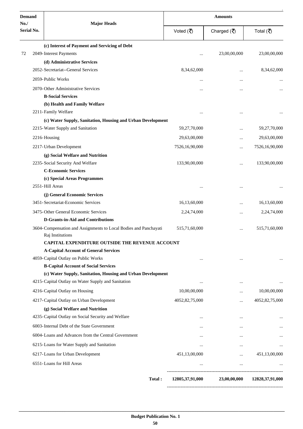| <b>Demand</b>      |                                                                                      |                 | <b>Amounts</b>                    |                 |  |
|--------------------|--------------------------------------------------------------------------------------|-----------------|-----------------------------------|-----------------|--|
| No./<br>Serial No. | <b>Major Heads</b>                                                                   | Voted (₹)       | Charged $(\overline{\mathbf{z}})$ | Total (₹)       |  |
|                    | (c) Interest of Payment and Servicing of Debt                                        |                 |                                   |                 |  |
| 72                 | 2049-Interest Payments                                                               |                 | 23,00,00,000                      | 23,00,00,000    |  |
|                    | (d) Administrative Services                                                          |                 |                                   |                 |  |
|                    | 2052-Secretariat--General Services                                                   | 8,34,62,000     |                                   | 8,34,62,000     |  |
|                    | 2059-Public Works                                                                    |                 |                                   |                 |  |
|                    | 2070-Other Administrative Services                                                   |                 | $\ddotsc$                         |                 |  |
|                    | <b>B-Social Services</b>                                                             |                 |                                   |                 |  |
|                    | (b) Health and Family Welfare                                                        |                 |                                   |                 |  |
|                    | 2211-Family Welfare                                                                  |                 | $\ddotsc$                         |                 |  |
|                    | (c) Water Supply, Sanitation, Housing and Urban Development                          |                 |                                   |                 |  |
|                    | 2215-Water Supply and Sanitation                                                     | 59,27,70,000    | $\ddotsc$                         | 59,27,70,000    |  |
|                    | 2216-Housing                                                                         | 29,63,00,000    |                                   | 29,63,00,000    |  |
|                    | 2217-Urban Development                                                               | 7526,16,90,000  |                                   | 7526,16,90,000  |  |
|                    | (g) Social Welfare and Nutrition                                                     |                 |                                   |                 |  |
|                    | 2235-Social Security And Welfare                                                     | 133,90,00,000   | $\ddotsc$                         | 133,90,00,000   |  |
|                    | <b>C-Economic Services</b>                                                           |                 |                                   |                 |  |
|                    | (c) Special Areas Programmes                                                         |                 |                                   |                 |  |
|                    | 2551-Hill Areas                                                                      |                 |                                   |                 |  |
|                    | (j) General Economic Services                                                        |                 |                                   |                 |  |
|                    | 3451-Secretariat-Economic Services                                                   | 16,13,60,000    |                                   | 16,13,60,000    |  |
|                    | 3475-Other General Economic Services                                                 | 2,24,74,000     | $\ddotsc$                         | 2,24,74,000     |  |
|                    | <b>D-Grants-in-Aid and Contributions</b>                                             |                 |                                   |                 |  |
|                    | 3604-Compensation and Assignments to Local Bodies and Panchayati<br>Rai Institutions | 515,71,60,000   |                                   | 515,71,60,000   |  |
|                    | CAPITAL EXPENDITURE OUTSIDE THE REVENUE ACCOUNT                                      |                 |                                   |                 |  |
|                    | <b>A-Capital Account of General Services</b>                                         |                 |                                   |                 |  |
|                    | 4059-Capital Outlay on Public Works                                                  | $\cdots$        | $\cdots$                          | $\cdots$        |  |
|                    | <b>B-Capital Account of Social Services</b>                                          |                 |                                   |                 |  |
|                    | (c) Water Supply, Sanitation, Housing and Urban Development                          |                 |                                   |                 |  |
|                    | 4215-Capital Outlay on Water Supply and Sanitation                                   | $\cdots$        | $\cdots$                          |                 |  |
|                    | 4216-Capital Outlay on Housing                                                       | 10,00,00,000    |                                   | 10,00,00,000    |  |
|                    | 4217-Capital Outlay on Urban Development                                             | 4052,82,75,000  | $\cdots$                          | 4052,82,75,000  |  |
|                    | (g) Social Welfare and Nutrition                                                     |                 |                                   |                 |  |
|                    | 4235-Capital Outlay on Social Security and Welfare                                   | $\cdots$        | $\cdots$                          |                 |  |
|                    | 6003-Internal Debt of the State Government                                           | $\cdots$        | $\cdots$                          | $\cdots$        |  |
|                    | 6004-Loans and Advances from the Central Government                                  |                 | $\ddotsc$                         | $\cdots$        |  |
|                    | 6215-Loans for Water Supply and Sanitation                                           | $\cdots$        | $\ddotsc$                         |                 |  |
|                    | 6217-Loans for Urban Development                                                     | 451,13,00,000   | $\cdots$                          | 451,13,00,000   |  |
|                    | 6551-Loans for Hill Areas                                                            | $\cdots$        | $\ldots$                          |                 |  |
|                    |                                                                                      |                 |                                   |                 |  |
|                    | Total:                                                                               | 12805,37,91,000 | 23,00,00,000                      | 12828,37,91,000 |  |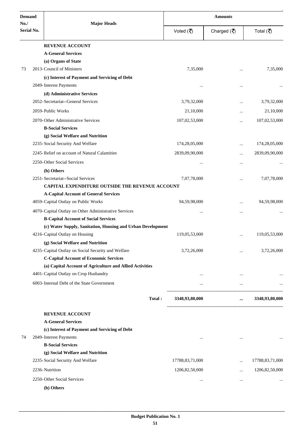| <b>Demand</b>     |  |                                                             | <b>Amounts</b>  |                                   |                   |
|-------------------|--|-------------------------------------------------------------|-----------------|-----------------------------------|-------------------|
| No.<br>Serial No. |  | <b>Major Heads</b>                                          | Voted (そ)       | Charged $(\overline{\mathbf{z}})$ | Total (₹)         |
|                   |  | <b>REVENUE ACCOUNT</b>                                      |                 |                                   |                   |
|                   |  | <b>A-General Services</b>                                   |                 |                                   |                   |
|                   |  | (a) Organs of State                                         |                 |                                   |                   |
| 73                |  | 2013-Council of Ministers                                   | 7,35,000        |                                   | 7,35,000          |
|                   |  | (c) Interest of Payment and Servicing of Debt               |                 |                                   |                   |
|                   |  | 2049-Interest Payments                                      |                 | $\ddotsc$                         |                   |
|                   |  | (d) Administrative Services                                 |                 |                                   |                   |
|                   |  | 2052-Secretariat--General Services                          | 3,79,32,000     |                                   | 3,79,32,000       |
|                   |  | 2059-Public Works                                           | 21,10,000       |                                   | 21,10,000         |
|                   |  | 2070-Other Administrative Services                          | 107,02,53,000   | $\ddotsc$                         | 107,02,53,000     |
|                   |  | <b>B-Social Services</b>                                    |                 |                                   |                   |
|                   |  | (g) Social Welfare and Nutrition                            |                 |                                   |                   |
|                   |  | 2235-Social Security And Welfare                            | 174,28,05,000   |                                   | 174,28,05,000     |
|                   |  | 2245-Relief on account of Natural Calamities                | 2839,09,90,000  |                                   | 2839,09,90,000    |
|                   |  | 2250-Other Social Services                                  |                 |                                   |                   |
|                   |  | (h) Others                                                  |                 |                                   |                   |
|                   |  | 2251-Secretariat--Social Services                           | 7,07,78,000     |                                   | 7,07,78,000       |
|                   |  | CAPITAL EXPENDITURE OUTSIDE THE REVENUE ACCOUNT             |                 |                                   |                   |
|                   |  | <b>A-Capital Account of General Services</b>                |                 |                                   |                   |
|                   |  | 4059-Capital Outlay on Public Works                         | 94,59,98,000    | .                                 | 94,59,98,000      |
|                   |  | 4070-Capital Outlay on Other Administrative Services        | $\cdots$        |                                   |                   |
|                   |  | <b>B-Capital Account of Social Services</b>                 |                 |                                   |                   |
|                   |  | (c) Water Supply, Sanitation, Housing and Urban Development |                 |                                   |                   |
|                   |  | 4216-Capital Outlay on Housing                              | 119,05,53,000   | $\cdots$                          | 119,05,53,000     |
|                   |  | (g) Social Welfare and Nutrition                            |                 |                                   |                   |
|                   |  | 4235-Capital Outlay on Social Security and Welfare          | 3,72,26,000     |                                   | 3,72,26,000       |
|                   |  | <b>C-Capital Account of Economic Services</b>               |                 |                                   |                   |
|                   |  | (a) Capital Account of Agriculture and Allied Activities    |                 |                                   |                   |
|                   |  | 4401-Capital Outlay on Crop Husbandry                       | $\cdots$        | $\cdots$                          |                   |
|                   |  | 6003-Internal Debt of the State Government                  | $\cdots$        | $\cdots$                          |                   |
|                   |  | Total:                                                      | 3348,93,80,000  | $\cdots$                          | 3348,93,80,000    |
|                   |  | <b>REVENUE ACCOUNT</b>                                      |                 |                                   |                   |
|                   |  | <b>A-General Services</b>                                   |                 |                                   |                   |
|                   |  | (c) Interest of Payment and Servicing of Debt               |                 |                                   |                   |
| 74                |  | 2049-Interest Payments                                      | $\cdots$        | $\cdots$                          |                   |
|                   |  | <b>B-Social Services</b>                                    |                 |                                   |                   |
|                   |  | (g) Social Welfare and Nutrition                            |                 |                                   |                   |
|                   |  | 2235-Social Security And Welfare                            | 17788,83,71,000 | $\cdots$                          | 17788,83,71,000   |
|                   |  | 2236-Nutrition                                              | 1206,82,50,000  |                                   | 1206, 82, 50, 000 |
|                   |  | 2250-Other Social Services                                  | $\cdots$        | $\cdots$                          |                   |
|                   |  | (h) Others                                                  |                 |                                   |                   |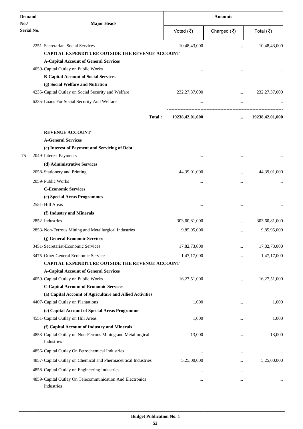| <b>Demand</b>            |                                                                                                |        | <b>Amounts</b>   |                                       |                  |
|--------------------------|------------------------------------------------------------------------------------------------|--------|------------------|---------------------------------------|------------------|
| No.<br><b>Serial No.</b> | <b>Major Heads</b>                                                                             |        | Voted (そ)        | Charged $(\overline{\mathbf{z}})$     | Total (₹)        |
|                          | 2251-Secretariat--Social Services                                                              |        | 10,48,43,000     | $\ddotsc$                             | 10,48,43,000     |
|                          | <b>CAPITAL EXPENDITURE OUTSIDE THE REVENUE ACCOUNT</b>                                         |        |                  |                                       |                  |
|                          | <b>A-Capital Account of General Services</b>                                                   |        |                  |                                       |                  |
|                          | 4059-Capital Outlay on Public Works                                                            |        |                  |                                       |                  |
|                          | <b>B-Capital Account of Social Services</b>                                                    |        |                  |                                       |                  |
|                          | (g) Social Welfare and Nutrition                                                               |        |                  |                                       |                  |
|                          | 4235-Capital Outlay on Social Security and Welfare                                             |        | 232, 27, 37, 000 | $\cdots$                              | 232, 27, 37, 000 |
|                          | 6235-Loans For Social Security And Welfare                                                     |        |                  | $\cdots$<br>------------------------- |                  |
|                          |                                                                                                | Total: | 19238,42,01,000  | $\cdots$                              | 19238,42,01,000  |
|                          | <b>REVENUE ACCOUNT</b>                                                                         |        |                  |                                       |                  |
|                          | <b>A-General Services</b>                                                                      |        |                  |                                       |                  |
|                          | (c) Interest of Payment and Servicing of Debt                                                  |        |                  |                                       |                  |
| 75                       | 2049-Interest Payments                                                                         |        | $\cdots$         |                                       |                  |
|                          | (d) Administrative Services                                                                    |        |                  |                                       |                  |
|                          | 2058-Stationery and Printing                                                                   |        | 44,39,01,000     |                                       | 44,39,01,000     |
|                          | 2059-Public Works                                                                              |        | $\ddotsc$        |                                       |                  |
|                          | <b>C-Economic Services</b>                                                                     |        |                  |                                       |                  |
|                          | (c) Special Areas Programmes                                                                   |        |                  |                                       |                  |
|                          | 2551-Hill Areas                                                                                |        | $\ddotsc$        | $\cdots$                              |                  |
|                          | (f) Industry and Minerals<br>2852-Industries                                                   |        | 303,60,81,000    |                                       |                  |
|                          |                                                                                                |        |                  |                                       | 303,60,81,000    |
|                          | 2853-Non-Ferrous Mining and Metallurgical Industries                                           |        | 9,85,95,000      |                                       | 9,85,95,000      |
|                          | (j) General Economic Services<br>3451-Secretariat-Economic Services                            |        | 17,82,73,000     |                                       | 17,82,73,000     |
|                          |                                                                                                |        |                  |                                       |                  |
|                          | 3475-Other General Economic Services<br><b>CAPITAL EXPENDITURE OUTSIDE THE REVENUE ACCOUNT</b> |        | 1,47,17,000      |                                       | 1,47,17,000      |
|                          | <b>A-Capital Account of General Services</b>                                                   |        |                  |                                       |                  |
|                          | 4059-Capital Outlay on Public Works                                                            |        | 16,27,51,000     |                                       | 16,27,51,000     |
|                          | <b>C-Capital Account of Economic Services</b>                                                  |        |                  |                                       |                  |
|                          | (a) Capital Account of Agriculture and Allied Activities                                       |        |                  |                                       |                  |
|                          | 4407-Capital Outlay on Plantations                                                             |        | 1,000            | $\cdots$                              | 1,000            |
|                          | (c) Capital Account of Special Areas Programme                                                 |        |                  |                                       |                  |
|                          | 4551-Capital Outlay on Hill Areas                                                              |        | 1,000            |                                       | 1,000            |
|                          | (f) Capital Account of Industry and Minerals                                                   |        |                  |                                       |                  |
|                          | 4853-Capital Outlay on Non-Ferrous Mining and Metallurgical<br>Industries                      |        | 13,000           |                                       | 13,000           |
|                          | 4856-Capital Outlay On Petrochemical Industries                                                |        | $\cdots$         |                                       |                  |
|                          | 4857-Capital Outlay on Chemical and Phermaceutical Industries                                  |        | 5,25,00,000      |                                       | 5,25,00,000      |
|                          | 4858-Capital Outlay on Engineering Industries                                                  |        |                  |                                       |                  |
|                          | 4859-Capital Outlay On Telecommunication And Electronics<br>Industries                         |        |                  | $\cdots$                              | $\cdots$         |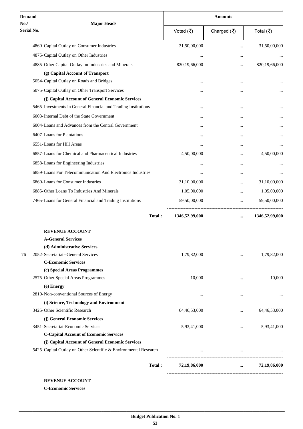| No.<br><b>Major Heads</b><br>Serial No.<br>Voted (そ)<br>Charged $(\overline{\mathfrak{C}})$<br>4860-Capital Outlay on Consumer Industries<br>31,50,00,000<br><br>4875-Capital Outlay on Other Industries<br><br><br>4885-Other Capital Outlay on Industries and Minerals<br>820,19,66,000<br>$\cdots$<br>(g) Capital Account of Transport<br>5054-Capital Outlay on Roads and Bridges<br><br>5075-Capital Outlay on Other Transport Services<br><br><br>(j) Capital Account of General Economic Services<br>5465-Investments in General Financial and Trading Institutions<br><br>6003-Internal Debt of the State Government<br><br><br>6004-Loans and Advances from the Central Government<br>$\cdots$<br> | Total (₹)      |
|-------------------------------------------------------------------------------------------------------------------------------------------------------------------------------------------------------------------------------------------------------------------------------------------------------------------------------------------------------------------------------------------------------------------------------------------------------------------------------------------------------------------------------------------------------------------------------------------------------------------------------------------------------------------------------------------------------------|----------------|
|                                                                                                                                                                                                                                                                                                                                                                                                                                                                                                                                                                                                                                                                                                             | 31,50,00,000   |
|                                                                                                                                                                                                                                                                                                                                                                                                                                                                                                                                                                                                                                                                                                             |                |
|                                                                                                                                                                                                                                                                                                                                                                                                                                                                                                                                                                                                                                                                                                             | 820,19,66,000  |
|                                                                                                                                                                                                                                                                                                                                                                                                                                                                                                                                                                                                                                                                                                             |                |
|                                                                                                                                                                                                                                                                                                                                                                                                                                                                                                                                                                                                                                                                                                             |                |
|                                                                                                                                                                                                                                                                                                                                                                                                                                                                                                                                                                                                                                                                                                             |                |
|                                                                                                                                                                                                                                                                                                                                                                                                                                                                                                                                                                                                                                                                                                             |                |
|                                                                                                                                                                                                                                                                                                                                                                                                                                                                                                                                                                                                                                                                                                             |                |
|                                                                                                                                                                                                                                                                                                                                                                                                                                                                                                                                                                                                                                                                                                             |                |
|                                                                                                                                                                                                                                                                                                                                                                                                                                                                                                                                                                                                                                                                                                             |                |
|                                                                                                                                                                                                                                                                                                                                                                                                                                                                                                                                                                                                                                                                                                             |                |
| 6407-Loans for Plantations<br><br>$\cdots$                                                                                                                                                                                                                                                                                                                                                                                                                                                                                                                                                                                                                                                                  |                |
| 6551-Loans for Hill Areas<br>$\cdots$<br>                                                                                                                                                                                                                                                                                                                                                                                                                                                                                                                                                                                                                                                                   |                |
| 6857-Loans for Chemical and Pharmaceutical Industries<br>4,50,00,000<br>                                                                                                                                                                                                                                                                                                                                                                                                                                                                                                                                                                                                                                    | 4,50,00,000    |
| 6858-Loans for Engineering Industries                                                                                                                                                                                                                                                                                                                                                                                                                                                                                                                                                                                                                                                                       |                |
| <br><br>6859-Loans For Telecommunication And Electronics Industries                                                                                                                                                                                                                                                                                                                                                                                                                                                                                                                                                                                                                                         |                |
| <br>                                                                                                                                                                                                                                                                                                                                                                                                                                                                                                                                                                                                                                                                                                        |                |
| 6860-Loans for Consumer Industries<br>31,10,00,000<br>                                                                                                                                                                                                                                                                                                                                                                                                                                                                                                                                                                                                                                                      | 31,10,00,000   |
| 6885-Other Loans To Industries And Minerals<br>1,05,00,000                                                                                                                                                                                                                                                                                                                                                                                                                                                                                                                                                                                                                                                  | 1,05,00,000    |
| 7465-Loans for General Financial and Trading Institutions<br>59,50,00,000<br>------------------------------------                                                                                                                                                                                                                                                                                                                                                                                                                                                                                                                                                                                           | 59,50,00,000   |
| Total:<br>1346,52,99,000<br>$\cdots$                                                                                                                                                                                                                                                                                                                                                                                                                                                                                                                                                                                                                                                                        | 1346,52,99,000 |
| <b>REVENUE ACCOUNT</b>                                                                                                                                                                                                                                                                                                                                                                                                                                                                                                                                                                                                                                                                                      |                |
| <b>A-General Services</b>                                                                                                                                                                                                                                                                                                                                                                                                                                                                                                                                                                                                                                                                                   |                |
| (d) Administrative Services                                                                                                                                                                                                                                                                                                                                                                                                                                                                                                                                                                                                                                                                                 |                |
| 2052-Secretariat--General Services<br>1,79,82,000<br>76<br>                                                                                                                                                                                                                                                                                                                                                                                                                                                                                                                                                                                                                                                 | 1,79,82,000    |
| <b>C-Economic Services</b>                                                                                                                                                                                                                                                                                                                                                                                                                                                                                                                                                                                                                                                                                  |                |
| (c) Special Areas Programmes                                                                                                                                                                                                                                                                                                                                                                                                                                                                                                                                                                                                                                                                                |                |
| 2575-Other Special Areas Programmes<br>10,000<br>                                                                                                                                                                                                                                                                                                                                                                                                                                                                                                                                                                                                                                                           | 10,000         |
| (e) Energy                                                                                                                                                                                                                                                                                                                                                                                                                                                                                                                                                                                                                                                                                                  |                |
| 2810-Non-conventional Sources of Energy<br>$\cdots$<br>$\ddotsc$                                                                                                                                                                                                                                                                                                                                                                                                                                                                                                                                                                                                                                            |                |
| (i) Science, Technology and Environment                                                                                                                                                                                                                                                                                                                                                                                                                                                                                                                                                                                                                                                                     |                |
| 3425-Other Scientific Research<br>64,46,53,000                                                                                                                                                                                                                                                                                                                                                                                                                                                                                                                                                                                                                                                              | 64,46,53,000   |
| (j) General Economic Services                                                                                                                                                                                                                                                                                                                                                                                                                                                                                                                                                                                                                                                                               |                |
| 3451-Secretariat-Economic Services<br>5,93,41,000<br>$\cdots$                                                                                                                                                                                                                                                                                                                                                                                                                                                                                                                                                                                                                                               | 5,93,41,000    |
| <b>C-Capital Account of Economic Services</b>                                                                                                                                                                                                                                                                                                                                                                                                                                                                                                                                                                                                                                                               |                |
| (j) Capital Account of General Economic Services<br>5425-Capital Outlay on Other Scientific & Environmental Research<br>$\cdots$                                                                                                                                                                                                                                                                                                                                                                                                                                                                                                                                                                            |                |
| $\cdots$                                                                                                                                                                                                                                                                                                                                                                                                                                                                                                                                                                                                                                                                                                    |                |
| Total:<br>72,19,86,000<br>$\cdots$                                                                                                                                                                                                                                                                                                                                                                                                                                                                                                                                                                                                                                                                          | 72,19,86,000   |

**C-Economic Services**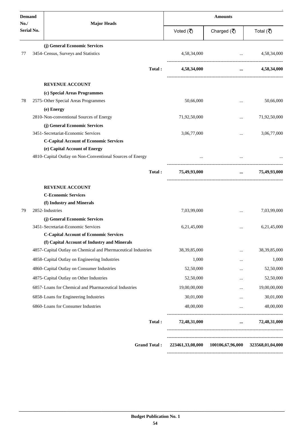| <b>Demand</b><br>No. | <b>Major Heads</b>                                            | <b>Amounts</b>                  |                                        |                                   |
|----------------------|---------------------------------------------------------------|---------------------------------|----------------------------------------|-----------------------------------|
| <b>Serial No.</b>    |                                                               | Voted $(\overline{\mathbf{z}})$ | Charged $(\overline{\mathbf{z}})$      | Total (₹)                         |
|                      | (j) General Economic Services                                 |                                 |                                        |                                   |
| 77                   | 3454-Census, Surveys and Statistics                           | 4,58,34,000                     | $\cdots$                               | 4,58,34,000                       |
|                      | Total:                                                        | 4,58,34,000                     | $\cdots$                               | 4,58,34,000                       |
|                      | <b>REVENUE ACCOUNT</b>                                        |                                 |                                        |                                   |
|                      | (c) Special Areas Programmes                                  |                                 |                                        |                                   |
| 78                   | 2575-Other Special Areas Programmes                           | 50,66,000                       |                                        | 50,66,000                         |
|                      | (e) Energy                                                    |                                 |                                        |                                   |
|                      | 2810-Non-conventional Sources of Energy                       | 71,92,50,000                    | $\ddotsc$                              | 71,92,50,000                      |
|                      | (j) General Economic Services                                 |                                 |                                        |                                   |
|                      | 3451-Secretariat-Economic Services                            | 3,06,77,000                     |                                        | 3,06,77,000                       |
|                      | <b>C-Capital Account of Economic Services</b>                 |                                 |                                        |                                   |
|                      | (e) Capital Account of Energy                                 |                                 |                                        |                                   |
|                      | 4810-Capital Outlay on Non-Conventional Sources of Energy     |                                 | $\cdots$<br>-------------------------- |                                   |
|                      | Total:                                                        | 75,49,93,000                    | $\cdots$                               | 75,49,93,000                      |
|                      | <b>REVENUE ACCOUNT</b>                                        |                                 |                                        |                                   |
|                      | <b>C-Economic Services</b>                                    |                                 |                                        |                                   |
|                      | (f) Industry and Minerals                                     |                                 |                                        |                                   |
| 79                   | 2852-Industries                                               | 7,03,99,000                     |                                        | 7,03,99,000                       |
|                      | (j) General Economic Services                                 |                                 |                                        |                                   |
|                      | 3451-Secretariat-Economic Services                            | 6,21,45,000                     |                                        | 6,21,45,000                       |
|                      | <b>C-Capital Account of Economic Services</b>                 |                                 |                                        |                                   |
|                      | (f) Capital Account of Industry and Minerals                  |                                 |                                        |                                   |
|                      | 4857-Capital Outlay on Chemical and Phermaceutical Industries | 38, 39, 85, 000                 |                                        | 38, 39, 85, 000                   |
|                      | 4858-Capital Outlay on Engineering Industries                 | 1,000                           |                                        | 1,000                             |
|                      | 4860-Capital Outlay on Consumer Industries                    | 52,50,000                       |                                        | 52,50,000                         |
|                      | 4875-Capital Outlay on Other Industries                       | 52,50,000                       |                                        | 52,50,000                         |
|                      | 6857-Loans for Chemical and Pharmaceutical Industries         | 19,00,00,000                    |                                        | 19,00,00,000                      |
|                      | 6858-Loans for Engineering Industries                         | 30,01,000                       | $\cdots$                               | 30,01,000                         |
|                      | 6860-Loans for Consumer Industries                            | 48,00,000                       | $\cdots$                               | 48,00,000                         |
|                      | Total:                                                        | 72,48,31,000                    | $\cdots$                               | 72,48,31,000                      |
|                      | <b>Grand Total:</b>                                           | 223461,33,08,000                |                                        | 100106,67,96,000 323568,01,04,000 |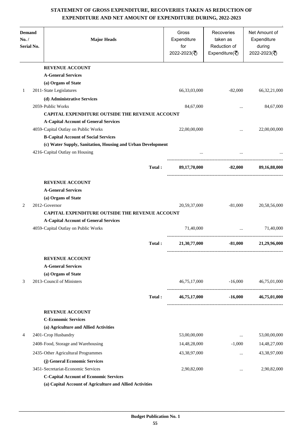## **STATEMENT OF GROSS EXPENDITURE, RECOVERIES TAKEN AS REDUCTION OF EXPENDITURE AND NET AMOUNT OF EXPENDITURE DURING, 2022-2023**

| <b>Demand</b><br>No. /<br>Serial No. | <b>Major Heads</b>                                                                 |        | Gross<br>Expenditure<br>for<br>2022-2023(₹) | Recoveries<br>taken as<br>Reduction of<br>Expenditure( $\overline{\overline{\zeta}}$ ) | Net Amount of<br>Expenditure<br>during<br>2022-2023(₹) |
|--------------------------------------|------------------------------------------------------------------------------------|--------|---------------------------------------------|----------------------------------------------------------------------------------------|--------------------------------------------------------|
|                                      | <b>REVENUE ACCOUNT</b>                                                             |        |                                             |                                                                                        |                                                        |
|                                      | <b>A-General Services</b>                                                          |        |                                             |                                                                                        |                                                        |
|                                      | (a) Organs of State                                                                |        |                                             |                                                                                        |                                                        |
| 1                                    | 2011-State Legislatures                                                            |        | 66,33,03,000                                | $-82,000$                                                                              | 66, 32, 21, 000                                        |
|                                      | (d) Administrative Services                                                        |        |                                             |                                                                                        |                                                        |
|                                      | 2059-Public Works                                                                  |        | 84,67,000                                   | $\ddotsc$                                                                              | 84,67,000                                              |
|                                      | <b>CAPITAL EXPENDITURE OUTSIDE THE REVENUE ACCOUNT</b>                             |        |                                             |                                                                                        |                                                        |
|                                      | <b>A-Capital Account of General Services</b>                                       |        | 22,00,00,000                                |                                                                                        | 22,00,00,000                                           |
|                                      | 4059-Capital Outlay on Public Works<br><b>B-Capital Account of Social Services</b> |        |                                             |                                                                                        |                                                        |
|                                      | (c) Water Supply, Sanitation, Housing and Urban Development                        |        |                                             |                                                                                        |                                                        |
|                                      | 4216-Capital Outlay on Housing                                                     |        |                                             |                                                                                        |                                                        |
|                                      |                                                                                    | Total: | 89,17,70,000                                | $-82,000$                                                                              | 89,16,88,000                                           |
|                                      |                                                                                    |        |                                             |                                                                                        |                                                        |
|                                      | <b>REVENUE ACCOUNT</b>                                                             |        |                                             |                                                                                        |                                                        |
|                                      | <b>A-General Services</b>                                                          |        |                                             |                                                                                        |                                                        |
|                                      | (a) Organs of State                                                                |        |                                             |                                                                                        |                                                        |
| 2                                    | 2012-Governor                                                                      |        | 20,59,37,000                                | $-81,000$                                                                              | 20,58,56,000                                           |
|                                      | CAPITAL EXPENDITURE OUTSIDE THE REVENUE ACCOUNT                                    |        |                                             |                                                                                        |                                                        |
|                                      | <b>A-Capital Account of General Services</b>                                       |        |                                             |                                                                                        |                                                        |
|                                      | 4059-Capital Outlay on Public Works                                                |        | 71,40,000                                   | $\mathbf{r}$                                                                           | 71,40,000                                              |
|                                      |                                                                                    | Total: | 21,30,77,000                                | $-81,000$                                                                              | 21,29,96,000                                           |
|                                      | <b>REVENUE ACCOUNT</b>                                                             |        |                                             |                                                                                        |                                                        |
|                                      | <b>A-General Services</b>                                                          |        |                                             |                                                                                        |                                                        |
|                                      | (a) Organs of State                                                                |        |                                             |                                                                                        |                                                        |
| 3                                    | 2013-Council of Ministers                                                          |        |                                             | 46,75,17,000 -16,000                                                                   | 46,75,01,000                                           |
|                                      |                                                                                    | Total: | 46,75,17,000                                | $-16,000$                                                                              | 46,75,01,000                                           |
|                                      | <b>REVENUE ACCOUNT</b>                                                             |        |                                             |                                                                                        |                                                        |
|                                      | <b>C-Economic Services</b>                                                         |        |                                             |                                                                                        |                                                        |
|                                      | (a) Agriculture and Allied Activities                                              |        |                                             |                                                                                        |                                                        |
| 4                                    | 2401-Crop Husbandry                                                                |        | 53,00,00,000                                | $\cdots$                                                                               | 53,00,00,000                                           |
|                                      | 2408-Food, Storage and Warehousing                                                 |        | 14,48,28,000                                | $-1,000$                                                                               | 14,48,27,000                                           |
|                                      | 2435-Other Agricultural Programmes                                                 |        | 43,38,97,000                                | $\cdots$                                                                               | 43,38,97,000                                           |
|                                      | (j) General Economic Services                                                      |        |                                             |                                                                                        |                                                        |
|                                      | 3451-Secretariat-Economic Services                                                 |        | 2,90,82,000                                 | $\cdots$                                                                               | 2,90,82,000                                            |
|                                      | <b>C-Capital Account of Economic Services</b>                                      |        |                                             |                                                                                        |                                                        |
|                                      | (a) Capital Account of Agriculture and Allied Activities                           |        |                                             |                                                                                        |                                                        |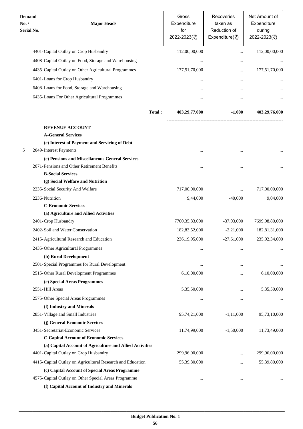| <b>Demand</b><br>No. /<br>Serial No. | <b>Major Heads</b>                                                                                     | Gross<br>Expenditure<br>for<br>2022-2023(₹) | Recoveries<br>taken as<br>Reduction of<br>Expenditure( $\overline{\overline{\zeta}}$ ) | Net Amount of<br>Expenditure<br>during<br>2022-2023(₹) |
|--------------------------------------|--------------------------------------------------------------------------------------------------------|---------------------------------------------|----------------------------------------------------------------------------------------|--------------------------------------------------------|
|                                      | 4401-Capital Outlay on Crop Husbandry                                                                  | 112,00,00,000                               | $\ddotsc$                                                                              | 112,00,00,000                                          |
|                                      | 4408-Capital Outlay on Food, Storage and Warehousing                                                   | $\ddotsc$                                   |                                                                                        |                                                        |
|                                      | 4435-Capital Outlay on Other Agricultural Programmes                                                   | 177,51,70,000                               | $\cdots$                                                                               | 177,51,70,000                                          |
|                                      | 6401-Loans for Crop Husbandry                                                                          | $\cdots$                                    | $\cdots$                                                                               |                                                        |
|                                      | 6408-Loans for Food, Storage and Warehousing                                                           |                                             |                                                                                        |                                                        |
|                                      | 6435-Loans For Other Agricultural Programmes                                                           |                                             |                                                                                        |                                                        |
|                                      |                                                                                                        |                                             |                                                                                        |                                                        |
|                                      | Total:                                                                                                 | 403,29,77,000                               | $-1,000$                                                                               | 403,29,76,000                                          |
|                                      | <b>REVENUE ACCOUNT</b>                                                                                 |                                             |                                                                                        |                                                        |
|                                      | <b>A-General Services</b>                                                                              |                                             |                                                                                        |                                                        |
|                                      | (c) Interest of Payment and Servicing of Debt                                                          |                                             |                                                                                        |                                                        |
| 5                                    | 2049-Interest Payments                                                                                 | $\cdots$                                    |                                                                                        |                                                        |
|                                      | (e) Pensions and Miscellaneous General Services                                                        |                                             |                                                                                        |                                                        |
|                                      | 2071-Pensions and Other Retirement Benefits<br><b>B-Social Services</b>                                | $\cdot \cdot$                               |                                                                                        |                                                        |
|                                      | (g) Social Welfare and Nutrition                                                                       |                                             |                                                                                        |                                                        |
|                                      | 2235-Social Security And Welfare                                                                       | 717,00,00,000                               | $\ddotsc$                                                                              | 717,00,00,000                                          |
|                                      | 2236-Nutrition                                                                                         | 9,44,000                                    | $-40,000$                                                                              | 9,04,000                                               |
|                                      | <b>C-Economic Services</b>                                                                             |                                             |                                                                                        |                                                        |
|                                      | (a) Agriculture and Allied Activities                                                                  |                                             |                                                                                        |                                                        |
|                                      | 2401-Crop Husbandry                                                                                    | 7700,35,83,000                              | $-37,03,000$                                                                           | 7699,98,80,000                                         |
|                                      | 2402-Soil and Water Conservation                                                                       | 182,83,52,000                               | $-2,21,000$                                                                            | 182,81,31,000                                          |
|                                      | 2415-Agricultural Research and Education                                                               | 236,19,95,000                               | $-27,61,000$                                                                           | 235,92,34,000                                          |
|                                      | 2435-Other Agricultural Programmes                                                                     | $\ddotsc$                                   | $\cdots$                                                                               |                                                        |
|                                      | (b) Rural Development                                                                                  |                                             |                                                                                        |                                                        |
|                                      | 2501-Special Programmes for Rural Development                                                          | $\ddotsc$                                   | $\ddotsc$                                                                              |                                                        |
|                                      | 2515-Other Rural Development Programmes                                                                | 6,10,00,000                                 |                                                                                        | 6,10,00,000                                            |
|                                      | (c) Special Areas Programmes                                                                           |                                             |                                                                                        |                                                        |
|                                      | 2551-Hill Areas                                                                                        | 5,35,50,000                                 |                                                                                        | 5,35,50,000                                            |
|                                      | 2575-Other Special Areas Programmes                                                                    |                                             | $\cdots$                                                                               |                                                        |
|                                      | (f) Industry and Minerals                                                                              |                                             |                                                                                        |                                                        |
|                                      | 2851-Village and Small Industries                                                                      | 95,74,21,000                                | $-1, 11, 000$                                                                          | 95,73,10,000                                           |
|                                      | (j) General Economic Services                                                                          |                                             |                                                                                        |                                                        |
|                                      | 3451-Secretariat-Economic Services                                                                     | 11,74,99,000                                | $-1,50,000$                                                                            | 11,73,49,000                                           |
|                                      | <b>C-Capital Account of Economic Services</b>                                                          |                                             |                                                                                        |                                                        |
|                                      | (a) Capital Account of Agriculture and Allied Activities                                               |                                             |                                                                                        |                                                        |
|                                      | 4401-Capital Outlay on Crop Husbandry                                                                  | 299,96,00,000                               |                                                                                        | 299,96,00,000                                          |
|                                      | 4415-Capital Outlay on Agricultural Research and Education                                             | 55,39,80,000                                |                                                                                        | 55,39,80,000                                           |
|                                      | (c) Capital Account of Special Areas Programme<br>4575-Capital Outlay on Other Special Areas Programme |                                             |                                                                                        |                                                        |
|                                      | (f) Capital Account of Industry and Minerals                                                           | $\ddotsc$                                   | $\ddotsc$                                                                              |                                                        |
|                                      |                                                                                                        |                                             |                                                                                        |                                                        |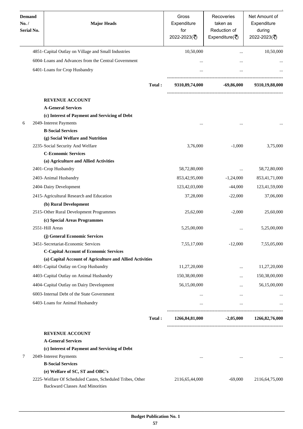| <b>Demand</b><br>No. /<br>Serial No. | <b>Major Heads</b>                                                                           |        | Gross<br>Expenditure<br>for<br>2022-2023(₹) | Recoveries<br>taken as<br>Reduction of<br>Expenditure( $\overline{\xi}$ ) | Net Amount of<br>Expenditure<br>during<br>2022-2023(₹) |
|--------------------------------------|----------------------------------------------------------------------------------------------|--------|---------------------------------------------|---------------------------------------------------------------------------|--------------------------------------------------------|
|                                      | 4851-Capital Outlay on Village and Small Industries                                          |        | 10,50,000                                   |                                                                           | 10,50,000                                              |
|                                      | 6004-Loans and Advances from the Central Government                                          |        | $\cdots$                                    | $\cdots$                                                                  |                                                        |
|                                      | 6401-Loans for Crop Husbandry                                                                |        | $\ddotsc$                                   |                                                                           |                                                        |
|                                      |                                                                                              | Total: | 9310,89,74,000                              | -69,86,000                                                                | 9310,19,88,000                                         |
|                                      | <b>REVENUE ACCOUNT</b>                                                                       |        |                                             |                                                                           |                                                        |
|                                      | <b>A-General Services</b>                                                                    |        |                                             |                                                                           |                                                        |
|                                      | (c) Interest of Payment and Servicing of Debt                                                |        |                                             |                                                                           |                                                        |
| 6                                    | 2049-Interest Payments                                                                       |        |                                             |                                                                           |                                                        |
|                                      | <b>B-Social Services</b>                                                                     |        |                                             |                                                                           |                                                        |
|                                      | (g) Social Welfare and Nutrition                                                             |        |                                             |                                                                           |                                                        |
|                                      | 2235-Social Security And Welfare                                                             |        | 3,76,000                                    | $-1,000$                                                                  | 3,75,000                                               |
|                                      | <b>C-Economic Services</b>                                                                   |        |                                             |                                                                           |                                                        |
|                                      | (a) Agriculture and Allied Activities                                                        |        |                                             |                                                                           |                                                        |
|                                      | 2401-Crop Husbandry                                                                          |        | 58,72,80,000                                | $\cdots$                                                                  | 58,72,80,000                                           |
|                                      | 2403-Animal Husbandry                                                                        |        | 853,42,95,000                               | $-1,24,000$                                                               | 853,41,71,000                                          |
|                                      | 2404-Dairy Development                                                                       |        | 123,42,03,000                               | $-44,000$                                                                 | 123,41,59,000                                          |
|                                      | 2415-Agricultural Research and Education                                                     |        | 37,28,000                                   | $-22,000$                                                                 | 37,06,000                                              |
|                                      | (b) Rural Development                                                                        |        |                                             |                                                                           |                                                        |
|                                      | 2515-Other Rural Development Programmes                                                      |        | 25,62,000                                   | $-2,000$                                                                  | 25,60,000                                              |
|                                      | (c) Special Areas Programmes                                                                 |        |                                             |                                                                           |                                                        |
|                                      | 2551-Hill Areas                                                                              |        | 5,25,00,000                                 |                                                                           | 5,25,00,000                                            |
|                                      | (j) General Economic Services                                                                |        |                                             |                                                                           |                                                        |
|                                      | 3451-Secretariat-Economic Services                                                           |        | 7,55,17,000                                 | $-12,000$                                                                 | 7,55,05,000                                            |
|                                      | <b>C-Capital Account of Economic Services</b>                                                |        |                                             |                                                                           |                                                        |
|                                      | (a) Capital Account of Agriculture and Allied Activities                                     |        |                                             |                                                                           |                                                        |
|                                      | 4401-Capital Outlay on Crop Husbandry                                                        |        | 11,27,20,000                                | $\cdots$                                                                  | 11,27,20,000                                           |
|                                      | 4403-Capital Outlay on Animal Husbandry                                                      |        | 150,38,00,000                               |                                                                           | 150,38,00,000                                          |
|                                      | 4404-Capital Outlay on Dairy Development                                                     |        | 56,15,00,000                                | $\cdots$                                                                  | 56,15,00,000                                           |
|                                      | 6003-Internal Debt of the State Government                                                   |        | $\cdots$                                    | $\cdots$                                                                  |                                                        |
|                                      | 6403-Loans for Animal Husbandry                                                              |        | $\cdots$                                    | $\cdots$                                                                  |                                                        |
|                                      |                                                                                              | Total: | 1266,84,81,000                              | $-2,05,000$                                                               | 1266,82,76,000                                         |
|                                      |                                                                                              |        |                                             |                                                                           |                                                        |
|                                      | <b>REVENUE ACCOUNT</b>                                                                       |        |                                             |                                                                           |                                                        |
|                                      | <b>A-General Services</b>                                                                    |        |                                             |                                                                           |                                                        |
|                                      | (c) Interest of Payment and Servicing of Debt                                                |        |                                             |                                                                           |                                                        |
| 7                                    | 2049-Interest Payments                                                                       |        | $\cdots$                                    | $\cdots$                                                                  |                                                        |
|                                      | <b>B-Social Services</b>                                                                     |        |                                             |                                                                           |                                                        |
|                                      | (e) Welfare of SC, ST and OBC's<br>2225-Welfare Of Scheduled Castes, Scheduled Tribes, Other |        |                                             |                                                                           |                                                        |
|                                      | <b>Backward Classes And Minorities</b>                                                       |        | 2116,65,44,000                              | $-69,000$                                                                 | 2116,64,75,000                                         |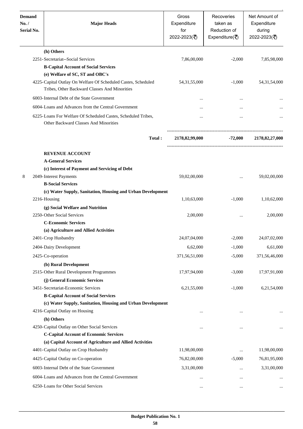| <b>Demand</b><br>No. /<br>Serial No. | <b>Major Heads</b>                                                                                            | Gross<br>Expenditure<br>for<br>2022-2023(₹) | Recoveries<br>taken as<br>Reduction of<br>Expenditure( $\overline{\overline{\zeta}}$ ) | Net Amount of<br>Expenditure<br>during<br>2022-2023(₹) |
|--------------------------------------|---------------------------------------------------------------------------------------------------------------|---------------------------------------------|----------------------------------------------------------------------------------------|--------------------------------------------------------|
|                                      | (h) Others                                                                                                    |                                             |                                                                                        |                                                        |
|                                      | 2251-Secretariat--Social Services                                                                             | 7,86,00,000                                 | $-2,000$                                                                               | 7,85,98,000                                            |
|                                      | <b>B-Capital Account of Social Services</b>                                                                   |                                             |                                                                                        |                                                        |
|                                      | (e) Welfare of SC, ST and OBC's<br>4225-Capital Outlay On Welfare Of Scheduled Castes, Scheduled              | 54, 31, 55, 000                             | $-1,000$                                                                               | 54, 31, 54, 000                                        |
|                                      | Tribes, Other Backward Classes And Minorities                                                                 |                                             |                                                                                        |                                                        |
|                                      | 6003-Internal Debt of the State Government                                                                    | $\cdots$                                    |                                                                                        |                                                        |
|                                      | 6004-Loans and Advances from the Central Government                                                           | $\cdots$                                    |                                                                                        |                                                        |
|                                      | 6225-Loans For Welfare Of Scheduled Castes, Scheduled Tribes,<br><b>Other Backward Classes And Minorities</b> | $\ddotsc$                                   |                                                                                        |                                                        |
|                                      | Total:                                                                                                        | 2178,82,99,000                              | -72,000                                                                                | 2178,82,27,000                                         |
|                                      | <b>REVENUE ACCOUNT</b>                                                                                        |                                             |                                                                                        |                                                        |
|                                      | <b>A-General Services</b>                                                                                     |                                             |                                                                                        |                                                        |
|                                      | (c) Interest of Payment and Servicing of Debt                                                                 |                                             |                                                                                        |                                                        |
| 8                                    | 2049-Interest Payments                                                                                        | 59,02,00,000                                | $\cdots$                                                                               | 59,02,00,000                                           |
|                                      | <b>B-Social Services</b>                                                                                      |                                             |                                                                                        |                                                        |
|                                      | (c) Water Supply, Sanitation, Housing and Urban Development                                                   |                                             |                                                                                        |                                                        |
|                                      | 2216-Housing<br>(g) Social Welfare and Nutrition                                                              | 1,10,63,000                                 | $-1,000$                                                                               | 1,10,62,000                                            |
|                                      | 2250-Other Social Services                                                                                    | 2,00,000                                    | $\cdots$                                                                               | 2,00,000                                               |
|                                      | <b>C-Economic Services</b>                                                                                    |                                             |                                                                                        |                                                        |
|                                      | (a) Agriculture and Allied Activities                                                                         |                                             |                                                                                        |                                                        |
|                                      | 2401-Crop Husbandry                                                                                           | 24,07,04,000                                | $-2,000$                                                                               | 24,07,02,000                                           |
|                                      | 2404-Dairy Development                                                                                        | 6,62,000                                    | $-1,000$                                                                               | 6,61,000                                               |
|                                      | 2425-Co-operation                                                                                             | 371,56,51,000                               | $-5,000$                                                                               | 371,56,46,000                                          |
|                                      | (b) Rural Development                                                                                         |                                             |                                                                                        |                                                        |
|                                      | 2515-Other Rural Development Programmes                                                                       | 17,97,94,000                                | $-3,000$                                                                               | 17,97,91,000                                           |
|                                      | (j) General Economic Services                                                                                 |                                             |                                                                                        |                                                        |
|                                      | 3451-Secretariat-Economic Services                                                                            | 6,21,55,000                                 | $-1,000$                                                                               | 6,21,54,000                                            |
|                                      | <b>B-Capital Account of Social Services</b>                                                                   |                                             |                                                                                        |                                                        |
|                                      | (c) Water Supply, Sanitation, Housing and Urban Development                                                   |                                             |                                                                                        |                                                        |
|                                      | 4216-Capital Outlay on Housing                                                                                |                                             |                                                                                        |                                                        |
|                                      | (h) Others<br>4250-Capital Outlay on Other Social Services                                                    |                                             |                                                                                        |                                                        |
|                                      | <b>C-Capital Account of Economic Services</b>                                                                 | $\ddotsc$                                   |                                                                                        |                                                        |
|                                      | (a) Capital Account of Agriculture and Allied Activities                                                      |                                             |                                                                                        |                                                        |
|                                      | 4401-Capital Outlay on Crop Husbandry                                                                         | 11,98,00,000                                | $\cdots$                                                                               | 11,98,00,000                                           |
|                                      | 4425-Capital Outlay on Co-operation                                                                           | 76,82,00,000                                | $-5,000$                                                                               | 76,81,95,000                                           |
|                                      | 6003-Internal Debt of the State Government                                                                    | 3,31,00,000                                 | $\cdots$                                                                               | 3,31,00,000                                            |
|                                      | 6004-Loans and Advances from the Central Government                                                           |                                             | $\cdots$                                                                               |                                                        |
|                                      | 6250-Loans for Other Social Services                                                                          | $\cdots$                                    | $\cdots$                                                                               |                                                        |
|                                      |                                                                                                               |                                             |                                                                                        |                                                        |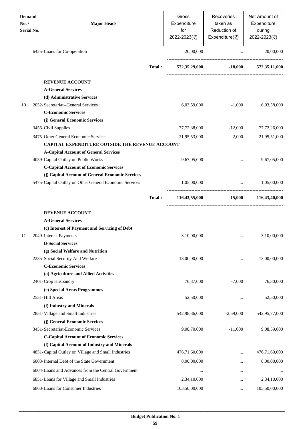| <b>Demand</b><br>No. /<br>Serial No. | <b>Major Heads</b>                                     |        | Gross<br>Expenditure<br>for<br>2022-2023(₹) | Recoveries<br>taken as<br>Reduction of<br>Expenditure( $\overline{\overline{\zeta}}$ ) | Net Amount of<br>Expenditure<br>during<br>2022-2023(₹)        |
|--------------------------------------|--------------------------------------------------------|--------|---------------------------------------------|----------------------------------------------------------------------------------------|---------------------------------------------------------------|
|                                      | 6425-Loans for Co-operation                            |        | 20,00,000                                   | $\ddotsc$                                                                              | 20,00,000                                                     |
|                                      |                                                        | Total: | 572,35,29,000                               |                                                                                        | $-18,000$ $572,35,11,000$                                     |
|                                      | <b>REVENUE ACCOUNT</b>                                 |        |                                             |                                                                                        |                                                               |
|                                      | <b>A-General Services</b>                              |        |                                             |                                                                                        |                                                               |
|                                      | (d) Administrative Services                            |        |                                             |                                                                                        |                                                               |
| 10                                   | 2052-Secretariat--General Services                     |        | 6,03,59,000                                 | $-1,000$                                                                               | 6,03,58,000                                                   |
|                                      | <b>C-Economic Services</b>                             |        |                                             |                                                                                        |                                                               |
|                                      | (j) General Economic Services                          |        |                                             |                                                                                        |                                                               |
|                                      | 3456-Civil Supplies                                    |        | 77,72,38,000                                | $-12,000$                                                                              | 77,72,26,000                                                  |
|                                      | 3475-Other General Economic Services                   |        | 21,95,53,000                                | $-2,000$                                                                               | 21,95,51,000                                                  |
|                                      | <b>CAPITAL EXPENDITURE OUTSIDE THE REVENUE ACCOUNT</b> |        |                                             |                                                                                        |                                                               |
|                                      | <b>A-Capital Account of General Services</b>           |        |                                             |                                                                                        |                                                               |
|                                      | 4059-Capital Outlay on Public Works                    |        | 9,67,05,000                                 |                                                                                        | 9,67,05,000                                                   |
|                                      | <b>C-Capital Account of Economic Services</b>          |        |                                             |                                                                                        |                                                               |
|                                      | (j) Capital Account of General Economic Services       |        |                                             |                                                                                        |                                                               |
|                                      | 5475-Capital Outlay on Other General Economic Services |        | 1,05,00,000                                 |                                                                                        | 1,05,00,000<br>$\mathbf{r}$ and $\mathbf{r}$ and $\mathbf{r}$ |
|                                      |                                                        | Total: | 116,43,55,000                               | $-15,000$                                                                              | 116,43,40,000                                                 |
|                                      | <b>REVENUE ACCOUNT</b>                                 |        |                                             |                                                                                        |                                                               |
|                                      | <b>A-General Services</b>                              |        |                                             |                                                                                        |                                                               |
|                                      | (c) Interest of Payment and Servicing of Debt          |        |                                             |                                                                                        |                                                               |
| 11                                   | 2049-Interest Payments                                 |        | 3,10,00,000                                 |                                                                                        | 3,10,00,000                                                   |
|                                      | <b>B-Social Services</b>                               |        |                                             |                                                                                        |                                                               |
|                                      | (g) Social Welfare and Nutrition                       |        |                                             |                                                                                        |                                                               |
|                                      | 2235-Social Security And Welfare                       |        | 13,00,00,000                                |                                                                                        | 13,00,00,000                                                  |
|                                      | <b>C-Economic Services</b>                             |        |                                             |                                                                                        |                                                               |
|                                      | (a) Agriculture and Allied Activities                  |        |                                             |                                                                                        |                                                               |
|                                      | 2401-Crop Husbandry                                    |        | 76,37,000                                   | $-7,000$                                                                               | 76,30,000                                                     |
|                                      | (c) Special Areas Programmes                           |        |                                             |                                                                                        |                                                               |
|                                      | 2551-Hill Areas                                        |        | 52,50,000                                   |                                                                                        | 52,50,000                                                     |
|                                      | (f) Industry and Minerals                              |        |                                             |                                                                                        |                                                               |
|                                      | 2851-Village and Small Industries                      |        | 542,98,36,000                               | $-2,59,000$                                                                            | 542,95,77,000                                                 |
|                                      | (j) General Economic Services                          |        |                                             |                                                                                        |                                                               |
|                                      | 3451-Secretariat-Economic Services                     |        | 9,08,70,000                                 | $-11,000$                                                                              | 9,08,59,000                                                   |
|                                      | <b>C-Capital Account of Economic Services</b>          |        |                                             |                                                                                        |                                                               |
|                                      | (f) Capital Account of Industry and Minerals           |        |                                             |                                                                                        |                                                               |
|                                      | 4851-Capital Outlay on Village and Small Industries    |        | 476,71,60,000                               |                                                                                        | 476,71,60,000                                                 |
|                                      | 6003-Internal Debt of the State Government             |        | 8,00,00,000                                 | $\cdots$                                                                               | 8,00,00,000                                                   |
|                                      | 6004-Loans and Advances from the Central Government    |        |                                             |                                                                                        |                                                               |
|                                      | 6851-Loans for Village and Small Industries            |        | 2,34,10,000                                 |                                                                                        | 2,34,10,000                                                   |
|                                      | 6860-Loans for Consumer Industries                     |        | 103,50,00,000                               |                                                                                        | 103,50,00,000                                                 |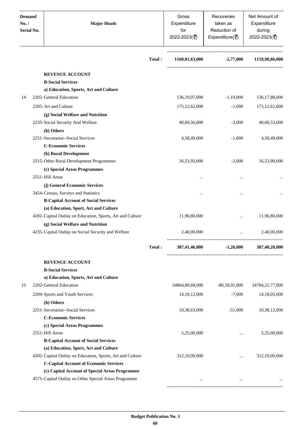| <b>Demand</b><br>No. /<br><b>Serial No.</b> | <b>Major Heads</b>                                        |        |                  | Recoveries<br>taken as<br>Reduction of<br>Expenditure( $\overline{\xi}$ ) | Net Amount of<br>Expenditure<br>during<br>2022-2023(₹) |
|---------------------------------------------|-----------------------------------------------------------|--------|------------------|---------------------------------------------------------------------------|--------------------------------------------------------|
|                                             |                                                           | Total: | 1160,01,63,000   | $-2,77,000$                                                               | 1159,98,86,000                                         |
|                                             | <b>REVENUE ACCOUNT</b>                                    |        |                  |                                                                           |                                                        |
|                                             | <b>B-Social Services</b>                                  |        |                  |                                                                           |                                                        |
|                                             | a) Education, Sports, Art and Culture                     |        |                  |                                                                           |                                                        |
| 14                                          | 2202-General Education                                    |        | 136, 19, 07, 000 | $-1,19,000$                                                               | 136, 17, 88, 000                                       |
|                                             | 2205-Art and Culture                                      |        | 175, 12, 62, 000 | $-1,000$                                                                  | 175, 12, 61, 000                                       |
|                                             | (g) Social Welfare and Nutrition                          |        |                  |                                                                           |                                                        |
|                                             | 2235-Social Security And Welfare                          |        | 40,60,56,000     | $-3,000$                                                                  | 40,60,53,000                                           |
|                                             | (h) Others                                                |        |                  |                                                                           |                                                        |
|                                             | 2251-Secretariat--Social Services                         |        | 4,58,49,000      | $-1,000$                                                                  | 4,58,48,000                                            |
|                                             | <b>C-Economic Services</b>                                |        |                  |                                                                           |                                                        |
|                                             | (b) Rural Development                                     |        |                  |                                                                           |                                                        |
|                                             | 2515-Other Rural Development Programmes                   |        | 16,53,92,000     | $-2,000$                                                                  | 16,53,90,000                                           |
|                                             | (c) Special Areas Programmes                              |        |                  |                                                                           |                                                        |
|                                             | 2551-Hill Areas                                           |        |                  | $\cdot \cdot$                                                             |                                                        |
|                                             | (j) General Economic Services                             |        |                  |                                                                           |                                                        |
|                                             | 3454-Census, Surveys and Statistics                       |        |                  | $\cdot \cdot$                                                             |                                                        |
|                                             | <b>B-Capital Account of Social Services</b>               |        |                  |                                                                           |                                                        |
|                                             | (a) Education, Sport, Art and Culture                     |        |                  |                                                                           |                                                        |
|                                             | 4202-Capital Outlay on Education, Sports, Art and Culture |        | 11,96,80,000     |                                                                           | 11,96,80,000                                           |
|                                             | (g) Social Welfare and Nutrition                          |        |                  |                                                                           |                                                        |
|                                             | 4235-Capital Outlay on Social Security and Welfare        |        | 2,40,00,000      | $\ddotsc$                                                                 | 2,40,00,000                                            |
|                                             |                                                           | Total: | 387,41,46,000    | $-1,26,000$ $387,40,20,000$                                               |                                                        |
|                                             | <b>REVENUE ACCOUNT</b>                                    |        |                  |                                                                           |                                                        |
|                                             | <b>B-Social Services</b>                                  |        |                  |                                                                           |                                                        |
|                                             | a) Education, Sports, Art and Culture                     |        |                  |                                                                           |                                                        |
| 15                                          | 2202-General Education                                    |        | 34864,80,68,000  | $-80,58,91,000$                                                           | 34784,21,77,000                                        |
|                                             | 2204-Sports and Youth Services                            |        | 14, 18, 12, 000  | $-7,000$                                                                  | 14, 18, 05, 000                                        |
|                                             | (h) Others                                                |        |                  |                                                                           |                                                        |
|                                             | 2251-Secretariat--Social Services                         |        | 10,38,63,000     | $-51,000$                                                                 | 10,38,12,000                                           |
|                                             | <b>C-Economic Services</b>                                |        |                  |                                                                           |                                                        |
|                                             | (c) Special Areas Programmes                              |        |                  |                                                                           |                                                        |
|                                             | 2551-Hill Areas                                           |        | 5,25,00,000      | $\cdots$                                                                  | 5,25,00,000                                            |
|                                             | <b>B-Capital Account of Social Services</b>               |        |                  |                                                                           |                                                        |
|                                             | (a) Education, Sport, Art and Culture                     |        |                  |                                                                           |                                                        |
|                                             | 4202-Capital Outlay on Education, Sports, Art and Culture |        | 312,10,00,000    | $\cdots$                                                                  | 312,10,00,000                                          |
|                                             | <b>C-Capital Account of Economic Services</b>             |        |                  |                                                                           |                                                        |
|                                             | (c) Capital Account of Special Areas Programme            |        |                  |                                                                           |                                                        |
|                                             | 4575-Capital Outlay on Other Special Areas Programme      |        |                  |                                                                           |                                                        |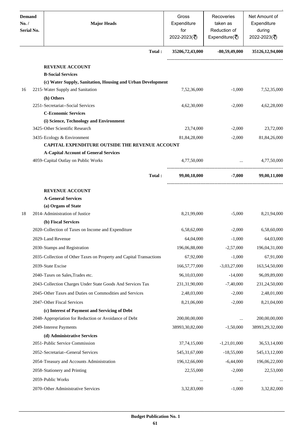| <b>Demand</b><br>No. /<br>Serial No. | <b>Major Heads</b>                                                                  | Gross<br>Expenditure<br>for<br>2022-2023(₹) | Recoveries<br>taken as<br>Reduction of<br>Expenditure( $\overline{\overline{\zeta}}$ ) | Net Amount of<br>Expenditure<br>during<br>2022-2023(₹) |
|--------------------------------------|-------------------------------------------------------------------------------------|---------------------------------------------|----------------------------------------------------------------------------------------|--------------------------------------------------------|
|                                      |                                                                                     | Total:<br>35206,72,43,000                   | $-80,59,49,000$                                                                        | 35126,12,94,000                                        |
|                                      | <b>REVENUE ACCOUNT</b>                                                              |                                             |                                                                                        |                                                        |
|                                      | <b>B-Social Services</b>                                                            |                                             |                                                                                        |                                                        |
|                                      | (c) Water Supply, Sanitation, Housing and Urban Development                         |                                             |                                                                                        |                                                        |
| 16                                   | 2215-Water Supply and Sanitation                                                    | 7,52,36,000                                 | $-1,000$                                                                               | 7,52,35,000                                            |
|                                      | (h) Others                                                                          |                                             |                                                                                        |                                                        |
|                                      | 2251-Secretariat--Social Services                                                   | 4,62,30,000                                 | $-2,000$                                                                               | 4,62,28,000                                            |
|                                      | <b>C-Economic Services</b>                                                          |                                             |                                                                                        |                                                        |
|                                      | (i) Science, Technology and Environment                                             |                                             |                                                                                        |                                                        |
|                                      | 3425-Other Scientific Research                                                      | 23,74,000                                   | $-2,000$                                                                               | 23,72,000                                              |
|                                      | 3435-Ecology & Environment                                                          | 81,84,28,000                                | $-2,000$                                                                               | 81,84,26,000                                           |
|                                      | CAPITAL EXPENDITURE OUTSIDE THE REVENUE ACCOUNT                                     |                                             |                                                                                        |                                                        |
|                                      | <b>A-Capital Account of General Services</b><br>4059-Capital Outlay on Public Works | 4,77,50,000                                 | $\ddotsc$                                                                              | 4,77,50,000                                            |
|                                      |                                                                                     |                                             |                                                                                        |                                                        |
|                                      |                                                                                     | Total:<br>99,00,18,000                      | $-7,000$                                                                               | 99,00,11,000                                           |
|                                      | <b>REVENUE ACCOUNT</b>                                                              |                                             |                                                                                        |                                                        |
|                                      | <b>A-General Services</b>                                                           |                                             |                                                                                        |                                                        |
|                                      | (a) Organs of State                                                                 |                                             |                                                                                        |                                                        |
| 18                                   | 2014-Administration of Justice                                                      | 8,21,99,000                                 | $-5,000$                                                                               | 8,21,94,000                                            |
|                                      | (b) Fiscal Services                                                                 |                                             |                                                                                        |                                                        |
|                                      | 2020-Collection of Taxes on Income and Expenditure                                  | 6,58,62,000                                 | $-2,000$                                                                               | 6,58,60,000                                            |
|                                      | 2029-Land Revenue                                                                   | 64,04,000                                   | $-1,000$                                                                               | 64,03,000                                              |
|                                      | 2030-Stamps and Registration                                                        | 196,06,88,000                               | $-2,57,000$                                                                            | 196,04,31,000                                          |
|                                      | 2035-Collection of Other Taxes on Property and Capital Transactions                 | 67,92,000                                   | $-1,000$                                                                               | 67,91,000                                              |
|                                      | 2039-State Excise                                                                   | 166,57,77,000                               | $-3,03,27,000$                                                                         | 163,54,50,000                                          |
|                                      | 2040-Taxes on Sales, Trades etc.                                                    | 96,10,03,000                                | $-14,000$                                                                              | 96,09,89,000                                           |
|                                      | 2043-Collection Charges Under State Goods And Services Tax                          | 231,31,90,000                               | $-7,40,000$                                                                            | 231,24,50,000                                          |
|                                      | 2045-Other Taxes and Duties on Commodities and Services                             | 2,48,03,000                                 | $-2,000$                                                                               | 2,48,01,000                                            |
|                                      | 2047-Other Fiscal Services                                                          | 8,21,06,000                                 | $-2,000$                                                                               | 8,21,04,000                                            |
|                                      | (c) Interest of Payment and Servicing of Debt                                       |                                             |                                                                                        |                                                        |
|                                      | 2048-Appropriation for Reduction or Avoidance of Debt                               | 200,00,00,000                               |                                                                                        | 200,00,00,000                                          |
|                                      | 2049-Interest Payments                                                              | 38993,30,82,000                             | $-1,50,000$                                                                            | 38993,29,32,000                                        |
|                                      | (d) Administrative Services                                                         |                                             |                                                                                        |                                                        |
|                                      | 2051-Public Service Commission                                                      | 37,74,15,000                                | $-1,21,01,000$                                                                         | 36,53,14,000                                           |
|                                      | 2052- Secretariat--General Services                                                 | 545, 31, 67, 000                            | $-18,55,000$                                                                           | 545, 13, 12, 000                                       |
|                                      | 2054-Treasury and Accounts Administration                                           | 196, 12, 66, 000                            | $-6,44,000$                                                                            | 196,06,22,000                                          |
|                                      | 2058-Stationery and Printing                                                        | 22,55,000                                   | $-2,000$                                                                               | 22,53,000                                              |
|                                      |                                                                                     |                                             |                                                                                        |                                                        |
|                                      | 2059-Public Works                                                                   |                                             | $\ddotsc$<br>                                                                          |                                                        |
|                                      | 2070-Other Administrative Services                                                  | 3,32,83,000                                 | $-1,000$                                                                               | 3,32,82,000                                            |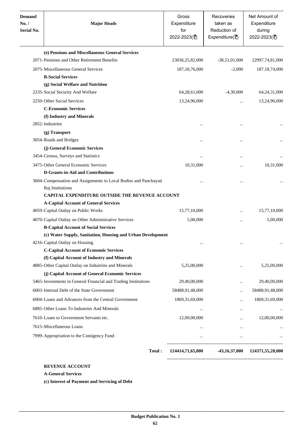| <b>Demand</b><br>No. /<br>Serial No. | <b>Major Heads</b>                                                                   | Gross<br>Expenditure<br>for<br>2022-2023(₹) | Recoveries<br>taken as<br>Reduction of<br>Expenditure( $\overline{\xi}$ ) | Net Amount of<br>Expenditure<br>during<br>2022-2023(₹) |
|--------------------------------------|--------------------------------------------------------------------------------------|---------------------------------------------|---------------------------------------------------------------------------|--------------------------------------------------------|
|                                      | (e) Pensions and Miscellaneous General Services                                      |                                             |                                                                           |                                                        |
|                                      | 2071-Pensions and Other Retirement Benefits                                          | 23036,25,82,000                             | $-38,51,01,000$                                                           | 22997,74,81,000                                        |
|                                      | 2075-Miscellaneous General Services                                                  | 187, 18, 76, 000                            | $-2,000$                                                                  | 187, 18, 74, 000                                       |
|                                      | <b>B-Social Services</b>                                                             |                                             |                                                                           |                                                        |
|                                      | (g) Social Welfare and Nutrition                                                     |                                             |                                                                           |                                                        |
|                                      | 2235-Social Security And Welfare                                                     | 64,28,61,000                                | $-4,30,000$                                                               | 64, 24, 31, 000                                        |
|                                      | 2250-Other Social Services                                                           | 13,24,96,000                                | $\cdots$                                                                  | 13,24,96,000                                           |
|                                      | <b>C-Economic Services</b>                                                           |                                             |                                                                           |                                                        |
|                                      | (f) Industry and Minerals                                                            |                                             |                                                                           |                                                        |
|                                      | 2852-Industries                                                                      |                                             | $\ddotsc$                                                                 |                                                        |
|                                      | (g) Transport                                                                        |                                             |                                                                           |                                                        |
|                                      | 3054-Roads and Bridges                                                               |                                             |                                                                           |                                                        |
|                                      | (j) General Economic Services                                                        |                                             |                                                                           |                                                        |
|                                      | 3454-Census, Surveys and Statistics                                                  |                                             |                                                                           |                                                        |
|                                      | 3475-Other General Economic Services                                                 | 10,31,000                                   | .                                                                         | 10,31,000                                              |
|                                      | <b>D-Grants-in-Aid and Contributions</b>                                             |                                             |                                                                           |                                                        |
|                                      | 3604-Compensation and Assignments to Local Bodies and Panchayati<br>Raj Institutions | $\cdots$                                    | $\ddotsc$                                                                 |                                                        |
|                                      | CAPITAL EXPENDITURE OUTSIDE THE REVENUE ACCOUNT                                      |                                             |                                                                           |                                                        |
|                                      | <b>A-Capital Account of General Services</b>                                         |                                             |                                                                           |                                                        |
|                                      | 4059-Capital Outlay on Public Works                                                  | 15,77,10,000                                | $\cdots$                                                                  | 15,77,10,000                                           |
|                                      | 4070-Capital Outlay on Other Administrative Services                                 | 5,00,000                                    | $\ddotsc$                                                                 | 5,00,000                                               |
|                                      | <b>B-Capital Account of Social Services</b>                                          |                                             |                                                                           |                                                        |
|                                      | (c) Water Supply, Sanitation, Housing and Urban Development                          |                                             |                                                                           |                                                        |
|                                      | 4216-Capital Outlay on Housing                                                       |                                             |                                                                           |                                                        |
|                                      | <b>C-Capital Account of Economic Services</b>                                        |                                             |                                                                           |                                                        |
|                                      | (f) Capital Account of Industry and Minerals                                         |                                             |                                                                           |                                                        |
|                                      | 4885-Other Capital Outlay on Industries and Minerals                                 | 5,25,00,000                                 |                                                                           | 5,25,00,000                                            |
|                                      | (j) Capital Account of General Economic Services                                     |                                             |                                                                           |                                                        |
|                                      | 5465-Investments in General Financial and Trading Institutions                       | 29,40,00,000                                |                                                                           | 29,40,00,000                                           |
|                                      | 6003-Internal Debt of the State Government                                           | 58488,91,48,000                             |                                                                           | 58488,91,48,000                                        |
|                                      | 6004-Loans and Advances from the Central Government                                  | 1869, 31, 69, 000                           |                                                                           | 1869, 31, 69, 000                                      |
|                                      | 6885-Other Loans To Industries And Minerals                                          | $\cdots$                                    |                                                                           |                                                        |
|                                      | 7610-Loans to Government Servants etc.                                               | 12,00,00,000                                | $\cdots$                                                                  | 12,00,00,000                                           |
|                                      | 7615-Miscellaneous Loans                                                             | $\cdots$                                    | $\cdots$                                                                  |                                                        |
|                                      | 7999-Appropriation to the Contigency Fund                                            | $\cdots$                                    | $\cdots$                                                                  |                                                        |
|                                      |                                                                                      |                                             |                                                                           |                                                        |
|                                      | Total:                                                                               | 124414,71,65,000                            |                                                                           | $-43,16,37,000$ $124371,55,28,000$                     |

**A-General Services**

**(c) Interest of Payment and Servicing of Debt**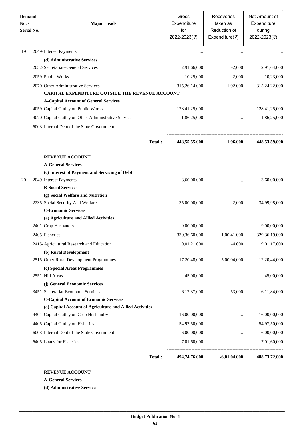| <b>Demand</b><br>No. /<br>Serial No. | <b>Major Heads</b>                                       |        | Gross<br>Expenditure<br>for<br>2022-2023(₹) | Recoveries<br>taken as<br>Reduction of<br>Expenditure( $\overline{\overline{\zeta}}$ ) | Net Amount of<br>Expenditure<br>during<br>2022-2023(₹) |
|--------------------------------------|----------------------------------------------------------|--------|---------------------------------------------|----------------------------------------------------------------------------------------|--------------------------------------------------------|
| 19                                   | 2049-Interest Payments                                   |        |                                             |                                                                                        |                                                        |
|                                      | (d) Administrative Services                              |        |                                             |                                                                                        |                                                        |
|                                      | 2052-Secretariat--General Services                       |        | 2,91,66,000                                 | $-2,000$                                                                               | 2,91,64,000                                            |
|                                      | 2059-Public Works                                        |        | 10,25,000                                   | $-2,000$                                                                               | 10,23,000                                              |
|                                      | 2070-Other Administrative Services                       |        | 315,26,14,000                               | $-1,92,000$                                                                            | 315,24,22,000                                          |
|                                      | <b>CAPITAL EXPENDITURE OUTSIDE THE REVENUE ACCOUNT</b>   |        |                                             |                                                                                        |                                                        |
|                                      | <b>A-Capital Account of General Services</b>             |        |                                             |                                                                                        |                                                        |
|                                      | 4059-Capital Outlay on Public Works                      |        | 128,41,25,000                               |                                                                                        | 128,41,25,000                                          |
|                                      | 4070-Capital Outlay on Other Administrative Services     |        | 1,86,25,000                                 |                                                                                        | 1,86,25,000                                            |
|                                      | 6003-Internal Debt of the State Government               |        |                                             | $\cdots$                                                                               |                                                        |
|                                      |                                                          | Total: | 448,55,55,000                               | $-1,96,000$                                                                            | 448,53,59,000                                          |
|                                      | <b>REVENUE ACCOUNT</b>                                   |        |                                             |                                                                                        |                                                        |
|                                      | <b>A-General Services</b>                                |        |                                             |                                                                                        |                                                        |
|                                      | (c) Interest of Payment and Servicing of Debt            |        |                                             |                                                                                        |                                                        |
| 20                                   | 2049-Interest Payments                                   |        | 3,60,00,000                                 |                                                                                        | 3,60,00,000                                            |
|                                      | <b>B-Social Services</b>                                 |        |                                             |                                                                                        |                                                        |
|                                      | (g) Social Welfare and Nutrition                         |        |                                             |                                                                                        |                                                        |
|                                      | 2235-Social Security And Welfare                         |        | 35,00,00,000                                | $-2,000$                                                                               | 34,99,98,000                                           |
|                                      | <b>C-Economic Services</b>                               |        |                                             |                                                                                        |                                                        |
|                                      | (a) Agriculture and Allied Activities                    |        |                                             |                                                                                        |                                                        |
|                                      | 2401-Crop Husbandry                                      |        | 9,00,00,000                                 |                                                                                        | 9,00,00,000                                            |
|                                      | 2405-Fisheries                                           |        | 330, 36, 60, 000                            | $-1,00,41,000$                                                                         | 329, 36, 19, 000                                       |
|                                      | 2415-Agricultural Research and Education                 |        | 9,01,21,000                                 | $-4,000$                                                                               | 9,01,17,000                                            |
|                                      | (b) Rural Development                                    |        |                                             |                                                                                        |                                                        |
|                                      | 2515-Other Rural Development Programmes                  |        | 17,20,48,000                                | $-5,00,04,000$                                                                         | 12,20,44,000                                           |
|                                      | (c) Special Areas Programmes                             |        |                                             |                                                                                        |                                                        |
|                                      | 2551-Hill Areas                                          |        | 45,00,000                                   | $\cdots$                                                                               | 45,00,000                                              |
|                                      | (j) General Economic Services                            |        |                                             |                                                                                        |                                                        |
|                                      | 3451-Secretariat-Economic Services                       |        | 6,12,37,000                                 | $-53,000$                                                                              | 6,11,84,000                                            |
|                                      | <b>C-Capital Account of Economic Services</b>            |        |                                             |                                                                                        |                                                        |
|                                      | (a) Capital Account of Agriculture and Allied Activities |        |                                             |                                                                                        |                                                        |
|                                      | 4401-Capital Outlay on Crop Husbandry                    |        | 16,00,00,000                                | $\cdots$                                                                               | 16,00,00,000                                           |
|                                      | 4405-Capital Outlay on Fisheries                         |        | 54,97,50,000                                |                                                                                        | 54,97,50,000                                           |
|                                      | 6003-Internal Debt of the State Government               |        | 6,00,00,000                                 | $\cdots$                                                                               | 6,00,00,000                                            |
|                                      | 6405-Loans for Fisheries                                 |        | 7,01,60,000                                 | $\cdots$                                                                               | 7,01,60,000                                            |
|                                      |                                                          | Total: |                                             | 494,74,76,000 -6,01,04,000                                                             | 488,73,72,000                                          |

**A-General Services**

**(d) Administrative Services**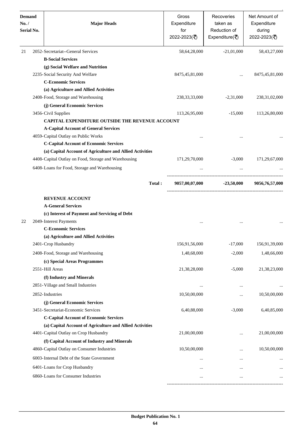| <b>Demand</b><br>No. /<br><b>Serial No.</b> | <b>Major Heads</b>                                       | Gross<br>Expenditure<br>for<br>2022-2023(₹) | Recoveries<br>taken as<br>Reduction of<br>Expenditure( $\bar{z}$ ) | Net Amount of<br>Expenditure<br>during<br>2022-2023(₹) |
|---------------------------------------------|----------------------------------------------------------|---------------------------------------------|--------------------------------------------------------------------|--------------------------------------------------------|
| 21                                          | 2052-Secretariat--General Services                       | 58,64,28,000                                | $-21,01,000$                                                       | 58, 43, 27, 000                                        |
|                                             | <b>B-Social Services</b>                                 |                                             |                                                                    |                                                        |
|                                             | (g) Social Welfare and Nutrition                         |                                             |                                                                    |                                                        |
|                                             | 2235-Social Security And Welfare                         | 8475, 45, 81, 000                           |                                                                    | 8475, 45, 81, 000                                      |
|                                             | <b>C-Economic Services</b>                               |                                             |                                                                    |                                                        |
|                                             | (a) Agriculture and Allied Activities                    |                                             |                                                                    |                                                        |
|                                             | 2408-Food, Storage and Warehousing                       | 238, 33, 33, 000                            | $-2,31,000$                                                        | 238, 31, 02, 000                                       |
|                                             | (j) General Economic Services                            |                                             |                                                                    |                                                        |
|                                             | 3456-Civil Supplies                                      | 113,26,95,000                               | $-15,000$                                                          | 113,26,80,000                                          |
|                                             | <b>CAPITAL EXPENDITURE OUTSIDE THE REVENUE ACCOUNT</b>   |                                             |                                                                    |                                                        |
|                                             | <b>A-Capital Account of General Services</b>             |                                             |                                                                    |                                                        |
|                                             | 4059-Capital Outlay on Public Works                      |                                             |                                                                    |                                                        |
|                                             | <b>C-Capital Account of Economic Services</b>            |                                             |                                                                    |                                                        |
|                                             | (a) Capital Account of Agriculture and Allied Activities |                                             |                                                                    |                                                        |
|                                             | 4408-Capital Outlay on Food, Storage and Warehousing     | 171,29,70,000                               | $-3,000$                                                           | 171,29,67,000                                          |
|                                             | 6408-Loans for Food, Storage and Warehousing             |                                             |                                                                    |                                                        |
|                                             | Total:                                                   | 9057,00,07,000                              | $-23,50,000$                                                       | 9056,76,57,000                                         |
|                                             | <b>REVENUE ACCOUNT</b>                                   |                                             |                                                                    |                                                        |
|                                             | <b>A-General Services</b>                                |                                             |                                                                    |                                                        |
|                                             | (c) Interest of Payment and Servicing of Debt            |                                             |                                                                    |                                                        |
| 22                                          | 2049-Interest Payments                                   |                                             | $\cdots$                                                           |                                                        |
|                                             | <b>C-Economic Services</b>                               |                                             |                                                                    |                                                        |
|                                             | (a) Agriculture and Allied Activities                    |                                             |                                                                    |                                                        |
|                                             | 2401-Crop Husbandry                                      | 156,91,56,000                               | $-17,000$                                                          | 156,91,39,000                                          |
|                                             | 2408-Food, Storage and Warehousing                       | 1,48,68,000                                 | $-2,000$                                                           | 1,48,66,000                                            |
|                                             | (c) Special Areas Programmes                             |                                             |                                                                    |                                                        |
|                                             | 2551-Hill Areas                                          | 21,38,28,000                                | $-5,000$                                                           | 21,38,23,000                                           |
|                                             | (f) Industry and Minerals                                |                                             |                                                                    |                                                        |
|                                             | 2851-Village and Small Industries                        |                                             |                                                                    |                                                        |
|                                             | 2852-Industries                                          | 10,50,00,000                                |                                                                    | 10,50,00,000                                           |
|                                             | (j) General Economic Services                            |                                             |                                                                    |                                                        |
|                                             | 3451-Secretariat-Economic Services                       | 6,40,88,000                                 | $-3,000$                                                           | 6,40,85,000                                            |
|                                             | <b>C-Capital Account of Economic Services</b>            |                                             |                                                                    |                                                        |
|                                             | (a) Capital Account of Agriculture and Allied Activities |                                             |                                                                    |                                                        |
|                                             | 4401-Capital Outlay on Crop Husbandry                    | 21,00,00,000                                |                                                                    | 21,00,00,000                                           |
|                                             | (f) Capital Account of Industry and Minerals             |                                             |                                                                    |                                                        |
|                                             | 4860-Capital Outlay on Consumer Industries               | 10,50,00,000                                | $\cdots$                                                           | 10,50,00,000                                           |
|                                             | 6003-Internal Debt of the State Government               |                                             | $\cdots$                                                           |                                                        |
|                                             | 6401-Loans for Crop Husbandry                            |                                             |                                                                    |                                                        |
|                                             | 6860-Loans for Consumer Industries                       |                                             |                                                                    |                                                        |
|                                             |                                                          |                                             |                                                                    |                                                        |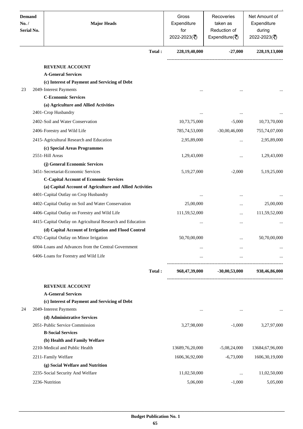| <b>Demand</b><br>No. /<br>Serial No. |  | <b>Major Heads</b>                                         |        | Gross<br>Expenditure<br>for<br>2022-2023(₹) | Recoveries<br>taken as<br>Reduction of<br>Expenditure( $\overline{\overline{\zeta}}$ ) | Net Amount of<br>Expenditure<br>during<br>2022-2023(₹) |
|--------------------------------------|--|------------------------------------------------------------|--------|---------------------------------------------|----------------------------------------------------------------------------------------|--------------------------------------------------------|
|                                      |  |                                                            | Total: | 228,19,40,000                               | $-27,000$                                                                              | 228, 19, 13, 000                                       |
|                                      |  | <b>REVENUE ACCOUNT</b>                                     |        |                                             |                                                                                        |                                                        |
|                                      |  | <b>A-General Services</b>                                  |        |                                             |                                                                                        |                                                        |
|                                      |  | (c) Interest of Payment and Servicing of Debt              |        |                                             |                                                                                        |                                                        |
| 23                                   |  | 2049-Interest Payments                                     |        |                                             | $\ddotsc$                                                                              |                                                        |
|                                      |  | <b>C-Economic Services</b>                                 |        |                                             |                                                                                        |                                                        |
|                                      |  | (a) Agriculture and Allied Activities                      |        |                                             |                                                                                        |                                                        |
|                                      |  | 2401-Crop Husbandry                                        |        | $\ddotsc$                                   | $\cdots$                                                                               |                                                        |
|                                      |  | 2402-Soil and Water Conservation                           |        | 10,73,75,000                                | $-5,000$                                                                               | 10,73,70,000                                           |
|                                      |  | 2406-Forestry and Wild Life                                |        | 785,74,53,000                               | $-30,00,46,000$                                                                        | 755,74,07,000                                          |
|                                      |  | 2415-Agricultural Research and Education                   |        | 2,95,89,000                                 |                                                                                        | 2,95,89,000                                            |
|                                      |  | (c) Special Areas Programmes                               |        |                                             |                                                                                        |                                                        |
|                                      |  | 2551-Hill Areas                                            |        | 1,29,43,000                                 |                                                                                        | 1,29,43,000                                            |
|                                      |  | (j) General Economic Services                              |        |                                             |                                                                                        |                                                        |
|                                      |  | 3451-Secretariat-Economic Services                         |        | 5,19,27,000                                 | $-2,000$                                                                               | 5,19,25,000                                            |
|                                      |  | <b>C-Capital Account of Economic Services</b>              |        |                                             |                                                                                        |                                                        |
|                                      |  | (a) Capital Account of Agriculture and Allied Activities   |        |                                             |                                                                                        |                                                        |
|                                      |  | 4401-Capital Outlay on Crop Husbandry                      |        |                                             | $\ddotsc$                                                                              |                                                        |
|                                      |  | 4402-Capital Outlay on Soil and Water Conservation         |        | 25,00,000                                   |                                                                                        | 25,00,000                                              |
|                                      |  | 4406-Capital Outlay on Forestry and Wild Life              |        | 111,59,52,000                               |                                                                                        | 111,59,52,000                                          |
|                                      |  | 4415-Capital Outlay on Agricultural Research and Education |        | $\ddotsc$                                   | $\ddotsc$                                                                              |                                                        |
|                                      |  | (d) Capital Account of Irrigation and Flood Control        |        |                                             |                                                                                        |                                                        |
|                                      |  | 4702-Capital Outlay on Minor Irrigation                    |        | 50,70,00,000                                | $\cdots$                                                                               | 50,70,00,000                                           |
|                                      |  | 6004-Loans and Advances from the Central Government        |        | $\cdots$                                    | $\cdots$                                                                               |                                                        |
|                                      |  | 6406-Loans for Forestry and Wild Life                      |        | $\cdots$                                    | $\cdots$                                                                               |                                                        |
|                                      |  |                                                            | Total: | 968,47,39,000                               | $-30,00,53,000$                                                                        | 938,46,86,000                                          |
|                                      |  | <b>REVENUE ACCOUNT</b>                                     |        |                                             |                                                                                        |                                                        |
|                                      |  | <b>A-General Services</b>                                  |        |                                             |                                                                                        |                                                        |
|                                      |  | (c) Interest of Payment and Servicing of Debt              |        |                                             |                                                                                        |                                                        |
| 24                                   |  | 2049-Interest Payments                                     |        | $\cdots$                                    | $\cdots$                                                                               |                                                        |
|                                      |  | (d) Administrative Services                                |        |                                             |                                                                                        |                                                        |
|                                      |  | 2051-Public Service Commission                             |        | 3,27,98,000                                 | $-1,000$                                                                               | 3,27,97,000                                            |
|                                      |  | <b>B-Social Services</b>                                   |        |                                             |                                                                                        |                                                        |
|                                      |  | (b) Health and Family Welfare                              |        |                                             |                                                                                        |                                                        |
|                                      |  | 2210-Medical and Public Health                             |        | 13689,76,20,000                             | $-5,08,24,000$                                                                         | 13684,67,96,000                                        |
|                                      |  | 2211-Family Welfare                                        |        | 1606, 36, 92, 000                           | $-6,73,000$                                                                            | 1606, 30, 19, 000                                      |
|                                      |  | (g) Social Welfare and Nutrition                           |        |                                             |                                                                                        |                                                        |
|                                      |  | 2235-Social Security And Welfare                           |        | 11,02,50,000                                | $\cdots$                                                                               | 11,02,50,000                                           |
|                                      |  | 2236-Nutrition                                             |        | 5,06,000                                    | $-1,000$                                                                               | 5,05,000                                               |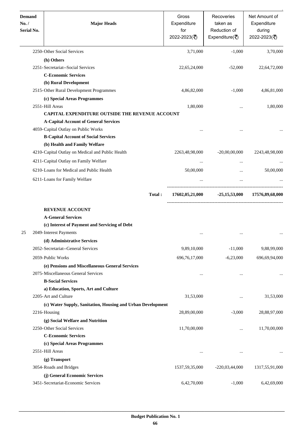| <b>Demand</b><br>No. /<br>Serial No. | <b>Major Heads</b>                                          | Gross<br>Expenditure<br>for<br>2022-2023(₹) | Recoveries<br>taken as<br>Reduction of<br>Expenditure( $\overline{\overline{\zeta}}$ ) | Net Amount of<br>Expenditure<br>during<br>2022-2023(₹) |
|--------------------------------------|-------------------------------------------------------------|---------------------------------------------|----------------------------------------------------------------------------------------|--------------------------------------------------------|
|                                      | 2250-Other Social Services                                  | 3,71,000                                    | $-1,000$                                                                               | 3,70,000                                               |
|                                      | (h) Others                                                  |                                             |                                                                                        |                                                        |
|                                      | 2251-Secretariat--Social Services                           | 22,65,24,000                                | $-52,000$                                                                              | 22,64,72,000                                           |
|                                      | <b>C-Economic Services</b>                                  |                                             |                                                                                        |                                                        |
|                                      | (b) Rural Development                                       |                                             |                                                                                        |                                                        |
|                                      | 2515-Other Rural Development Programmes                     | 4,86,82,000                                 | $-1,000$                                                                               | 4,86,81,000                                            |
|                                      | (c) Special Areas Programmes                                |                                             |                                                                                        |                                                        |
|                                      | 2551-Hill Areas                                             | 1,80,000                                    | $\cdots$                                                                               | 1,80,000                                               |
|                                      | CAPITAL EXPENDITURE OUTSIDE THE REVENUE ACCOUNT             |                                             |                                                                                        |                                                        |
|                                      | <b>A-Capital Account of General Services</b>                |                                             |                                                                                        |                                                        |
|                                      | 4059-Capital Outlay on Public Works                         |                                             | $\ddotsc$                                                                              |                                                        |
|                                      | <b>B-Capital Account of Social Services</b>                 |                                             |                                                                                        |                                                        |
|                                      | (b) Health and Family Welfare                               |                                             |                                                                                        |                                                        |
|                                      | 4210-Capital Outlay on Medical and Public Health            | 2263,48,98,000                              | $-20,00,00,000$                                                                        | 2243,48,98,000                                         |
|                                      | 4211-Capital Outlay on Family Welfare                       |                                             | <br>$\cdots$                                                                           |                                                        |
|                                      | 6210-Loans for Medical and Public Health                    | 50,00,000                                   |                                                                                        | 50,00,000                                              |
|                                      | 6211-Loans for Family Welfare                               |                                             |                                                                                        |                                                        |
|                                      |                                                             | Total:<br>17602,05,21,000                   | $-25,15,53,000$                                                                        | 17576,89,68,000                                        |
|                                      | <b>REVENUE ACCOUNT</b>                                      |                                             |                                                                                        |                                                        |
|                                      | <b>A-General Services</b>                                   |                                             |                                                                                        |                                                        |
|                                      | (c) Interest of Payment and Servicing of Debt               |                                             |                                                                                        |                                                        |
| 25                                   | 2049-Interest Payments                                      |                                             | $\cdots$<br>                                                                           |                                                        |
|                                      | (d) Administrative Services                                 |                                             |                                                                                        |                                                        |
|                                      | 2052-Secretariat--General Services                          | 9,89,10,000                                 | $-11,000$                                                                              | 9,88,99,000                                            |
|                                      | 2059-Public Works                                           | 696, 76, 17, 000                            | $-6,23,000$                                                                            | 696,69,94,000                                          |
|                                      | (e) Pensions and Miscellaneous General Services             |                                             |                                                                                        |                                                        |
|                                      | 2075-Miscellaneous General Services                         |                                             | $\cdots$<br>                                                                           |                                                        |
|                                      | <b>B-Social Services</b>                                    |                                             |                                                                                        |                                                        |
|                                      | a) Education, Sports, Art and Culture                       |                                             |                                                                                        |                                                        |
|                                      | 2205-Art and Culture                                        | 31,53,000                                   |                                                                                        | 31,53,000                                              |
|                                      | (c) Water Supply, Sanitation, Housing and Urban Development |                                             |                                                                                        |                                                        |
|                                      | 2216-Housing                                                | 28,89,00,000                                | $-3,000$                                                                               | 28,88,97,000                                           |
|                                      | (g) Social Welfare and Nutrition                            |                                             |                                                                                        |                                                        |
|                                      | 2250-Other Social Services                                  | 11,70,00,000                                |                                                                                        | 11,70,00,000                                           |
|                                      | <b>C-Economic Services</b>                                  |                                             |                                                                                        |                                                        |
|                                      | (c) Special Areas Programmes                                |                                             |                                                                                        |                                                        |
|                                      | 2551-Hill Areas                                             |                                             | $\cdots$<br>                                                                           |                                                        |
|                                      | (g) Transport                                               |                                             |                                                                                        |                                                        |
|                                      | 3054-Roads and Bridges                                      | 1537,59,35,000                              | $-220,03,44,000$                                                                       | 1317,55,91,000                                         |
|                                      | (j) General Economic Services                               |                                             |                                                                                        |                                                        |
|                                      | 3451-Secretariat-Economic Services                          | 6,42,70,000                                 | $-1,000$                                                                               | 6,42,69,000                                            |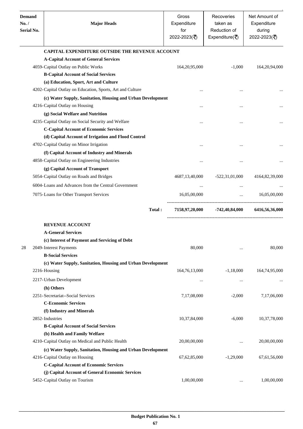| <b>Demand</b><br>No. /<br>Serial No. | <b>Major Heads</b>                                          | Gross<br>Expenditure<br>for<br>2022-2023(₹) | Recoveries<br>taken as<br>Reduction of<br>Expenditure( $\overline{\overline{\zeta}}$ ) | Net Amount of<br>Expenditure<br>during<br>2022-2023(₹) |
|--------------------------------------|-------------------------------------------------------------|---------------------------------------------|----------------------------------------------------------------------------------------|--------------------------------------------------------|
|                                      | <b>CAPITAL EXPENDITURE OUTSIDE THE REVENUE ACCOUNT</b>      |                                             |                                                                                        |                                                        |
|                                      | <b>A-Capital Account of General Services</b>                |                                             |                                                                                        |                                                        |
|                                      | 4059-Capital Outlay on Public Works                         | 164, 20, 95, 000                            | $-1,000$                                                                               | 164,20,94,000                                          |
|                                      | <b>B-Capital Account of Social Services</b>                 |                                             |                                                                                        |                                                        |
|                                      | (a) Education, Sport, Art and Culture                       |                                             |                                                                                        |                                                        |
|                                      | 4202-Capital Outlay on Education, Sports, Art and Culture   |                                             | $\cdots$                                                                               |                                                        |
|                                      | (c) Water Supply, Sanitation, Housing and Urban Development |                                             |                                                                                        |                                                        |
|                                      | 4216-Capital Outlay on Housing                              | $\ddotsc$                                   | $\cdots$                                                                               |                                                        |
|                                      | (g) Social Welfare and Nutrition                            |                                             |                                                                                        |                                                        |
|                                      | 4235-Capital Outlay on Social Security and Welfare          |                                             |                                                                                        |                                                        |
|                                      | <b>C-Capital Account of Economic Services</b>               |                                             |                                                                                        |                                                        |
|                                      | (d) Capital Account of Irrigation and Flood Control         |                                             |                                                                                        |                                                        |
|                                      | 4702-Capital Outlay on Minor Irrigation                     |                                             |                                                                                        |                                                        |
|                                      | (f) Capital Account of Industry and Minerals                |                                             |                                                                                        |                                                        |
|                                      | 4858-Capital Outlay on Engineering Industries               |                                             |                                                                                        |                                                        |
|                                      | (g) Capital Account of Transport                            |                                             |                                                                                        |                                                        |
|                                      | 5054-Capital Outlay on Roads and Bridges                    | 4687, 13, 40, 000                           | $-522,31,01,000$                                                                       | 4164,82,39,000                                         |
|                                      | 6004-Loans and Advances from the Central Government         |                                             |                                                                                        |                                                        |
|                                      | 7075-Loans for Other Transport Services                     | 16,05,00,000                                | $\ddotsc$                                                                              | 16,05,00,000                                           |
|                                      | Total:                                                      | 7158,97,20,000                              | -742,40,84,000                                                                         | 6416,56,36,000                                         |
|                                      |                                                             |                                             |                                                                                        |                                                        |
|                                      | <b>REVENUE ACCOUNT</b>                                      |                                             |                                                                                        |                                                        |
|                                      | <b>A-General Services</b>                                   |                                             |                                                                                        |                                                        |
|                                      | (c) Interest of Payment and Servicing of Debt               |                                             |                                                                                        |                                                        |
| 28                                   | 2049-Interest Payments                                      | 80,000                                      |                                                                                        | 80,000                                                 |
|                                      | <b>B-Social Services</b>                                    |                                             |                                                                                        |                                                        |
|                                      | (c) Water Supply, Sanitation, Housing and Urban Development |                                             |                                                                                        |                                                        |
|                                      | 2216-Housing                                                | 164, 76, 13, 000                            | $-1,18,000$                                                                            | 164,74,95,000                                          |
|                                      | 2217-Urban Development                                      | $\cdots$                                    | $\cdots$                                                                               |                                                        |
|                                      | (h) Others                                                  |                                             |                                                                                        |                                                        |
|                                      | 2251-Secretariat--Social Services                           | 7,17,08,000                                 | $-2,000$                                                                               | 7,17,06,000                                            |
|                                      | <b>C-Economic Services</b>                                  |                                             |                                                                                        |                                                        |
|                                      | (f) Industry and Minerals                                   |                                             |                                                                                        |                                                        |
|                                      | 2852-Industries                                             | 10,37,84,000                                | $-6,000$                                                                               | 10,37,78,000                                           |
|                                      | <b>B-Capital Account of Social Services</b>                 |                                             |                                                                                        |                                                        |
|                                      | (b) Health and Family Welfare                               |                                             |                                                                                        |                                                        |
|                                      | 4210-Capital Outlay on Medical and Public Health            | 20,00,00,000                                |                                                                                        | 20,00,00,000                                           |
|                                      | (c) Water Supply, Sanitation, Housing and Urban Development |                                             |                                                                                        |                                                        |
|                                      | 4216-Capital Outlay on Housing                              | 67, 62, 85, 000                             | $-1,29,000$                                                                            | 67, 61, 56, 000                                        |
|                                      | <b>C-Capital Account of Economic Services</b>               |                                             |                                                                                        |                                                        |
|                                      | (j) Capital Account of General Economic Services            |                                             |                                                                                        |                                                        |
|                                      | 5452-Capital Outlay on Tourism                              | 1,00,00,000                                 | $\cdots$                                                                               | 1,00,00,000                                            |
|                                      |                                                             |                                             |                                                                                        |                                                        |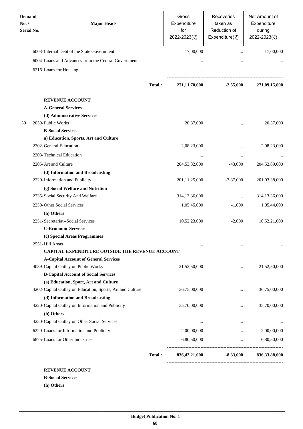| <b>Demand</b><br>No. /<br><b>Serial No.</b> | <b>Major Heads</b>                                        |        | Gross<br>Expenditure<br>for<br>2022-2023(₹) | Recoveries<br>taken as<br>Reduction of<br>Expenditure( $\overline{\xi}$ ) | Net Amount of<br>Expenditure<br>during<br>2022-2023(₹) |
|---------------------------------------------|-----------------------------------------------------------|--------|---------------------------------------------|---------------------------------------------------------------------------|--------------------------------------------------------|
|                                             | 6003-Internal Debt of the State Government                |        | 17,00,000                                   | $\ddotsc$                                                                 | 17,00,000                                              |
|                                             | 6004-Loans and Advances from the Central Government       |        |                                             | $\cdots$                                                                  |                                                        |
|                                             | 6216-Loans for Housing                                    |        | $\cdots$                                    |                                                                           |                                                        |
|                                             |                                                           | Total: | 271,11,70,000                               | $-2,55,000$                                                               | 271,09,15,000                                          |
|                                             | <b>REVENUE ACCOUNT</b>                                    |        |                                             |                                                                           |                                                        |
|                                             | <b>A-General Services</b>                                 |        |                                             |                                                                           |                                                        |
|                                             | (d) Administrative Services                               |        |                                             |                                                                           |                                                        |
| 30                                          | 2059-Public Works                                         |        | 20,37,000                                   |                                                                           | 20,37,000                                              |
|                                             | <b>B-Social Services</b>                                  |        |                                             | $\cdots$                                                                  |                                                        |
|                                             | a) Education, Sports, Art and Culture                     |        |                                             |                                                                           |                                                        |
|                                             | 2202-General Education                                    |        | 2,08,23,000                                 |                                                                           | 2,08,23,000                                            |
|                                             | 2203-Technical Education                                  |        | $\ddotsc$                                   | $\ddotsc$                                                                 |                                                        |
|                                             | 2205-Art and Culture                                      |        | 204, 53, 32, 000                            | $-43,000$                                                                 | 204,52,89,000                                          |
|                                             | (d) Information and Broadcasting                          |        |                                             |                                                                           |                                                        |
|                                             | 2220-Information and Publicity                            |        | 201, 11, 25, 000                            | $-7,87,000$                                                               | 201,03,38,000                                          |
|                                             | (g) Social Welfare and Nutrition                          |        |                                             |                                                                           |                                                        |
|                                             | 2235-Social Security And Welfare                          |        | 314,13,36,000                               | $\ddotsc$                                                                 | 314, 13, 36, 000                                       |
|                                             | 2250-Other Social Services                                |        | 1,05,45,000                                 | $-1.000$                                                                  | 1,05,44,000                                            |
|                                             | (h) Others                                                |        |                                             |                                                                           |                                                        |
|                                             | 2251-Secretariat--Social Services                         |        | 10,52,23,000                                | $-2,000$                                                                  | 10,52,21,000                                           |
|                                             | <b>C-Economic Services</b>                                |        |                                             |                                                                           |                                                        |
|                                             | (c) Special Areas Programmes                              |        |                                             |                                                                           |                                                        |
|                                             | 2551-Hill Areas                                           |        |                                             | $\ddotsc$                                                                 |                                                        |
|                                             | CAPITAL EXPENDITURE OUTSIDE THE REVENUE ACCOUNT           |        |                                             |                                                                           |                                                        |
|                                             | <b>A-Capital Account of General Services</b>              |        |                                             |                                                                           |                                                        |
|                                             | 4059-Capital Outlay on Public Works                       |        | 21,52,50,000                                | $\cdots$                                                                  | 21,52,50,000                                           |
|                                             | <b>B-Capital Account of Social Services</b>               |        |                                             |                                                                           |                                                        |
|                                             | (a) Education, Sport, Art and Culture                     |        |                                             |                                                                           |                                                        |
|                                             | 4202-Capital Outlay on Education, Sports, Art and Culture |        | 36,75,00,000                                |                                                                           | 36,75,00,000                                           |
|                                             | (d) Information and Broadcasting                          |        |                                             |                                                                           |                                                        |
|                                             | 4220-Capital Outlay on Information and Publicity          |        | 35,70,00,000                                | $\cdots$                                                                  | 35,70,00,000                                           |
|                                             | (h) Others                                                |        |                                             |                                                                           |                                                        |
|                                             | 4250-Capital Outlay on Other Social Services              |        | $\ddotsc$                                   | $\cdots$                                                                  |                                                        |
|                                             | 6220-Loans for Information and Publicity                  |        | 2,00,00,000                                 | $\cdots$                                                                  | 2,00,00,000                                            |
|                                             | 6875-Loans for Other Industries                           |        | 6,80,50,000                                 | $\cdots$                                                                  | 6,80,50,000                                            |
|                                             |                                                           | Total: | 836,42,21,000                               | $-8,33,000$                                                               | 836, 33, 88, 000                                       |

**B-Social Services**

**(h) Others**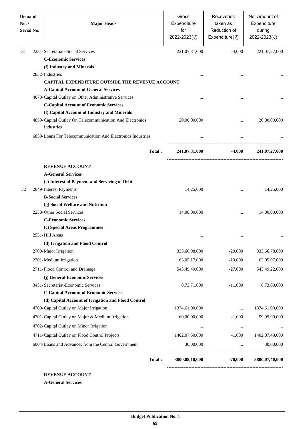| <b>Demand</b><br>No. /<br><b>Serial No.</b> | <b>Major Heads</b>                                                                                                     |        | Gross<br>Expenditure<br>for<br>2022-2023(₹) | Recoveries<br>taken as<br>Reduction of<br>Expenditure( $\overline{\overline{\zeta}}$ ) | Net Amount of<br>Expenditure<br>during<br>2022-2023(₹) |
|---------------------------------------------|------------------------------------------------------------------------------------------------------------------------|--------|---------------------------------------------|----------------------------------------------------------------------------------------|--------------------------------------------------------|
| 31                                          | 2251-Secretariat--Social Services                                                                                      |        | 221,07,31,000                               | $-4,000$                                                                               | 221,07,27,000                                          |
|                                             | <b>C-Economic Services</b>                                                                                             |        |                                             |                                                                                        |                                                        |
|                                             | (f) Industry and Minerals                                                                                              |        |                                             |                                                                                        |                                                        |
|                                             | 2852-Industries                                                                                                        |        |                                             |                                                                                        |                                                        |
|                                             | CAPITAL EXPENDITURE OUTSIDE THE REVENUE ACCOUNT                                                                        |        |                                             |                                                                                        |                                                        |
|                                             | <b>A-Capital Account of General Services</b>                                                                           |        |                                             |                                                                                        |                                                        |
|                                             | 4070-Capital Outlay on Other Administrative Services                                                                   |        |                                             |                                                                                        |                                                        |
|                                             | <b>C-Capital Account of Economic Services</b>                                                                          |        |                                             |                                                                                        |                                                        |
|                                             | (f) Capital Account of Industry and Minerals<br>4859-Capital Outlay On Telecommunication And Electronics<br>Industries |        | 20,00,00,000                                |                                                                                        | 20,00,00,000                                           |
|                                             | 6859-Loans For Telecommunication And Electronics Industries                                                            |        |                                             |                                                                                        |                                                        |
|                                             |                                                                                                                        | Total: | 241,07,31,000                               | $-4,000$                                                                               | 241,07,27,000                                          |
|                                             | <b>REVENUE ACCOUNT</b>                                                                                                 |        |                                             |                                                                                        |                                                        |
|                                             | <b>A-General Services</b>                                                                                              |        |                                             |                                                                                        |                                                        |
|                                             | (c) Interest of Payment and Servicing of Debt                                                                          |        |                                             |                                                                                        |                                                        |
| 32                                          | 2049-Interest Payments                                                                                                 |        | 14,25,000                                   |                                                                                        | 14,25,000                                              |
|                                             | <b>B-Social Services</b>                                                                                               |        |                                             |                                                                                        |                                                        |
|                                             | (g) Social Welfare and Nutrition                                                                                       |        |                                             |                                                                                        |                                                        |
|                                             | 2250-Other Social Services                                                                                             |        | 14,00,00,000                                |                                                                                        | 14,00,00,000                                           |
|                                             | <b>C-Economic Services</b>                                                                                             |        |                                             |                                                                                        |                                                        |
|                                             | (c) Special Areas Programmes                                                                                           |        |                                             |                                                                                        |                                                        |
|                                             | 2551-Hill Areas                                                                                                        |        |                                             |                                                                                        |                                                        |
|                                             | (d) Irrigation and Flood Control                                                                                       |        |                                             |                                                                                        |                                                        |
|                                             | 2700-Major Irrigation                                                                                                  |        | 333,66,98,000                               | $-20,000$                                                                              | 333,66,78,000                                          |
|                                             | 2701-Medium Irrigation                                                                                                 |        | 63,05,17,000                                | $-10,000$                                                                              | 63,05,07,000                                           |
|                                             | 2711-Flood Control and Drainage                                                                                        |        | 543,49,49,000                               | $-27,000$                                                                              | 543,49,22,000                                          |
|                                             | (j) General Economic Services                                                                                          |        |                                             |                                                                                        |                                                        |
|                                             | 3451- Secretariat-Economic Services                                                                                    |        | 8,73,71,000                                 | $-11,000$                                                                              | 8,73,60,000                                            |
|                                             | <b>C-Capital Account of Economic Services</b>                                                                          |        |                                             |                                                                                        |                                                        |
|                                             | (d) Capital Account of Irrigation and Flood Control                                                                    |        |                                             |                                                                                        |                                                        |
|                                             | 4700-Capital Outlay on Major Irrigation                                                                                |        | 1374,61,00,000                              | $\cdots$                                                                               | 1374,61,00,000                                         |
|                                             | 4701-Capital Outlay on Major & Medium Irrigation                                                                       |        | 60,00,00,000                                | $-1,000$                                                                               | 59,99,99,000                                           |
|                                             | 4702-Capital Outlay on Minor Irrigation                                                                                |        | $\ldots$                                    | $\ldots$                                                                               |                                                        |
|                                             | 4711-Capital Outlay on Flood Control Projects                                                                          |        | 1402,07,50,000                              | $-1,000$                                                                               | 1402,07,49,000                                         |
|                                             | 6004-Loans and Advances from the Central Government                                                                    |        | 30,00,000                                   | $\cdots$                                                                               | 30,00,000                                              |
|                                             |                                                                                                                        | Total: | 3800,08,10,000                              | $-70,000$                                                                              | 3800,07,40,000                                         |

**A-General Services**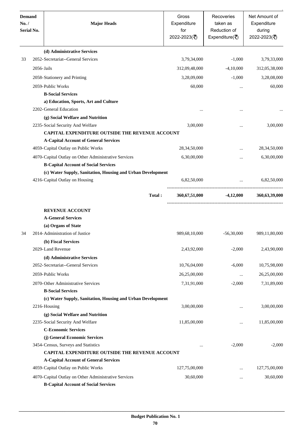| <b>Demand</b><br>No. /<br><b>Serial No.</b> |            | <b>Major Heads</b>                                          |        | Gross<br>Expenditure<br>for<br>2022-2023(₹) | Recoveries<br>taken as<br>Reduction of<br>Expenditure( $\overline{\xi}$ ) | Net Amount of<br>Expenditure<br>during<br>2022-2023(₹) |
|---------------------------------------------|------------|-------------------------------------------------------------|--------|---------------------------------------------|---------------------------------------------------------------------------|--------------------------------------------------------|
|                                             |            | (d) Administrative Services                                 |        |                                             |                                                                           |                                                        |
| 33                                          |            | 2052-Secretariat--General Services                          |        | 3,79,34,000                                 | $-1,000$                                                                  | 3,79,33,000                                            |
|                                             | 2056-Jails |                                                             |        | 312,09,48,000                               | $-4,10,000$                                                               | 312,05,38,000                                          |
|                                             |            | 2058-Stationery and Printing                                |        | 3,28,09,000                                 | $-1,000$                                                                  | 3,28,08,000                                            |
|                                             |            | 2059-Public Works                                           |        | 60,000                                      | $\cdots$                                                                  | 60,000                                                 |
|                                             |            | <b>B-Social Services</b>                                    |        |                                             |                                                                           |                                                        |
|                                             |            | a) Education, Sports, Art and Culture                       |        |                                             |                                                                           |                                                        |
|                                             |            | 2202-General Education                                      |        |                                             |                                                                           |                                                        |
|                                             |            | (g) Social Welfare and Nutrition                            |        |                                             |                                                                           |                                                        |
|                                             |            | 2235-Social Security And Welfare                            |        | 3,00,000                                    |                                                                           | 3,00,000                                               |
|                                             |            | <b>CAPITAL EXPENDITURE OUTSIDE THE REVENUE ACCOUNT</b>      |        |                                             |                                                                           |                                                        |
|                                             |            | <b>A-Capital Account of General Services</b>                |        |                                             |                                                                           |                                                        |
|                                             |            | 4059-Capital Outlay on Public Works                         |        | 28, 34, 50, 000                             | $\cdots$                                                                  | 28, 34, 50, 000                                        |
|                                             |            | 4070-Capital Outlay on Other Administrative Services        |        | 6,30,00,000                                 | $\cdots$                                                                  | 6,30,00,000                                            |
|                                             |            | <b>B-Capital Account of Social Services</b>                 |        |                                             |                                                                           |                                                        |
|                                             |            | (c) Water Supply, Sanitation, Housing and Urban Development |        |                                             |                                                                           |                                                        |
|                                             |            | 4216-Capital Outlay on Housing                              |        | 6,82,50,000                                 | <b>Contract</b>                                                           | 6,82,50,000                                            |
|                                             |            |                                                             | Total: | 360,67,51,000                               |                                                                           | $-4,12,000$ $360,63,39,000$                            |
|                                             |            | <b>REVENUE ACCOUNT</b>                                      |        |                                             |                                                                           |                                                        |
|                                             |            | <b>A-General Services</b>                                   |        |                                             |                                                                           |                                                        |
|                                             |            | (a) Organs of State                                         |        |                                             |                                                                           |                                                        |
| 34                                          |            | 2014-Administration of Justice                              |        | 989,68,10,000                               | $-56,30,000$                                                              | 989,11,80,000                                          |
|                                             |            | (b) Fiscal Services                                         |        |                                             |                                                                           |                                                        |
|                                             |            | 2029-Land Revenue                                           |        | 2,43,92,000                                 | $-2,000$                                                                  | 2,43,90,000                                            |
|                                             |            | (d) Administrative Services                                 |        |                                             |                                                                           |                                                        |
|                                             |            | 2052-Secretariat--General Services                          |        | 10,76,04,000                                | $-6,000$                                                                  | 10,75,98,000                                           |
|                                             |            | 2059-Public Works                                           |        | 26,25,00,000                                | $\cdots$                                                                  | 26,25,00,000                                           |
|                                             |            | 2070-Other Administrative Services                          |        | 7,31,91,000                                 | $-2,000$                                                                  | 7,31,89,000                                            |
|                                             |            | <b>B-Social Services</b>                                    |        |                                             |                                                                           |                                                        |
|                                             |            | (c) Water Supply, Sanitation, Housing and Urban Development |        |                                             |                                                                           |                                                        |
|                                             |            | 2216-Housing                                                |        | 3,00,00,000                                 | $\cdots$                                                                  | 3,00,00,000                                            |
|                                             |            | (g) Social Welfare and Nutrition                            |        |                                             |                                                                           |                                                        |
|                                             |            | 2235-Social Security And Welfare                            |        | 11,85,00,000                                | $\cdots$                                                                  | 11,85,00,000                                           |
|                                             |            | <b>C-Economic Services</b>                                  |        |                                             |                                                                           |                                                        |
|                                             |            | (j) General Economic Services                               |        |                                             |                                                                           |                                                        |
|                                             |            | 3454-Census, Surveys and Statistics                         |        | $\cdots$                                    | $-2,000$                                                                  | $-2,000$                                               |
|                                             |            | CAPITAL EXPENDITURE OUTSIDE THE REVENUE ACCOUNT             |        |                                             |                                                                           |                                                        |
|                                             |            | <b>A-Capital Account of General Services</b>                |        |                                             |                                                                           |                                                        |
|                                             |            | 4059-Capital Outlay on Public Works                         |        | 127,75,00,000                               | $\cdots$                                                                  | 127,75,00,000                                          |
|                                             |            | 4070-Capital Outlay on Other Administrative Services        |        | 30,60,000                                   |                                                                           | 30,60,000                                              |
|                                             |            | <b>B-Capital Account of Social Services</b>                 |        |                                             |                                                                           |                                                        |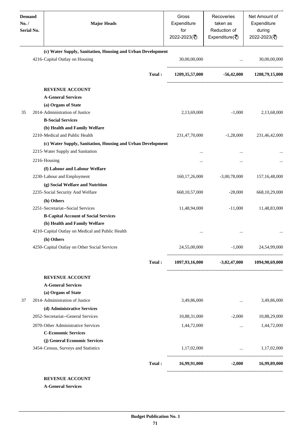| <b>Demand</b><br>No. / | <b>Serial No.</b> | <b>Major Heads</b>                                                                            |        | Gross<br>Expenditure<br>for<br>2022-2023(₹) | Recoveries<br>taken as<br>Reduction of<br>Expenditure( $\overline{\overline{\zeta}}$ ) | Net Amount of<br>Expenditure<br>during<br>2022-2023(₹) |
|------------------------|-------------------|-----------------------------------------------------------------------------------------------|--------|---------------------------------------------|----------------------------------------------------------------------------------------|--------------------------------------------------------|
|                        |                   | (c) Water Supply, Sanitation, Housing and Urban Development<br>4216-Capital Outlay on Housing |        | 30,00,00,000                                | $\ddotsc$                                                                              | 30,00,00,000                                           |
|                        |                   |                                                                                               |        |                                             |                                                                                        |                                                        |
|                        |                   |                                                                                               | Total: | 1209,35,57,000                              | $-56,42,000$                                                                           | 1208,79,15,000                                         |
|                        |                   | <b>REVENUE ACCOUNT</b>                                                                        |        |                                             |                                                                                        |                                                        |
|                        |                   | <b>A-General Services</b>                                                                     |        |                                             |                                                                                        |                                                        |
|                        |                   | (a) Organs of State                                                                           |        |                                             |                                                                                        |                                                        |
| 35                     |                   | 2014-Administration of Justice                                                                |        | 2,13,69,000                                 | $-1,000$                                                                               | 2,13,68,000                                            |
|                        |                   | <b>B-Social Services</b>                                                                      |        |                                             |                                                                                        |                                                        |
|                        |                   | (b) Health and Family Welfare                                                                 |        |                                             |                                                                                        |                                                        |
|                        |                   | 2210-Medical and Public Health                                                                |        | 231,47,70,000                               | $-1,28,000$                                                                            | 231,46,42,000                                          |
|                        |                   | (c) Water Supply, Sanitation, Housing and Urban Development                                   |        |                                             |                                                                                        |                                                        |
|                        |                   | 2215-Water Supply and Sanitation                                                              |        |                                             |                                                                                        |                                                        |
|                        |                   | 2216-Housing                                                                                  |        | $\ddotsc$                                   |                                                                                        |                                                        |
|                        |                   | (f) Labour and Labour Welfare                                                                 |        |                                             |                                                                                        |                                                        |
|                        |                   | 2230-Labour and Employment                                                                    |        | 160, 17, 26, 000                            | $-3,00,78,000$                                                                         | 157, 16, 48, 000                                       |
|                        |                   | (g) Social Welfare and Nutrition                                                              |        |                                             |                                                                                        |                                                        |
|                        |                   | 2235-Social Security And Welfare                                                              |        | 668, 10, 57, 000                            | $-28,000$                                                                              | 668, 10, 29, 000                                       |
|                        |                   | (h) Others                                                                                    |        |                                             |                                                                                        |                                                        |
|                        |                   | 2251-Secretariat--Social Services                                                             |        | 11,48,94,000                                | $-11,000$                                                                              | 11,48,83,000                                           |
|                        |                   | <b>B-Capital Account of Social Services</b>                                                   |        |                                             |                                                                                        |                                                        |
|                        |                   | (b) Health and Family Welfare                                                                 |        |                                             |                                                                                        |                                                        |
|                        |                   | 4210-Capital Outlay on Medical and Public Health                                              |        |                                             |                                                                                        |                                                        |
|                        |                   |                                                                                               |        | $\cdots$                                    | $\cdots$                                                                               |                                                        |
|                        |                   | (h) Others<br>4250-Capital Outlay on Other Social Services                                    |        |                                             | 24,55,00,000 -1,000 24,54,99,000                                                       |                                                        |
|                        |                   |                                                                                               | Total: |                                             | 1097,93,16,000 -3,02,47,000 1094,90,69,000                                             |                                                        |
|                        |                   | <b>REVENUE ACCOUNT</b>                                                                        |        |                                             |                                                                                        |                                                        |
|                        |                   | <b>A-General Services</b>                                                                     |        |                                             |                                                                                        |                                                        |
|                        |                   | (a) Organs of State                                                                           |        |                                             |                                                                                        |                                                        |
| 37                     |                   | 2014-Administration of Justice                                                                |        | 3,49,86,000                                 | $\cdots$                                                                               | 3,49,86,000                                            |
|                        |                   | (d) Administrative Services                                                                   |        |                                             |                                                                                        |                                                        |
|                        |                   | 2052-Secretariat--General Services                                                            |        | 10,88,31,000                                | $-2,000$                                                                               | 10,88,29,000                                           |
|                        |                   |                                                                                               |        |                                             |                                                                                        |                                                        |
|                        |                   | 2070-Other Administrative Services<br><b>C-Economic Services</b>                              |        | 1,44,72,000                                 | $\cdots$                                                                               | 1,44,72,000                                            |
|                        |                   |                                                                                               |        |                                             |                                                                                        |                                                        |
|                        |                   | (j) General Economic Services<br>3454-Census, Surveys and Statistics                          |        | 1,17,02,000                                 |                                                                                        | $\ldots$ 1,17,02,000                                   |
|                        |                   |                                                                                               |        |                                             |                                                                                        |                                                        |
|                        |                   |                                                                                               | Total: |                                             | 16,99,91,000 -2,000 16,99,89,000                                                       |                                                        |
|                        |                   | <b>REVENUE ACCOUNT</b>                                                                        |        |                                             |                                                                                        |                                                        |

**A-General Services**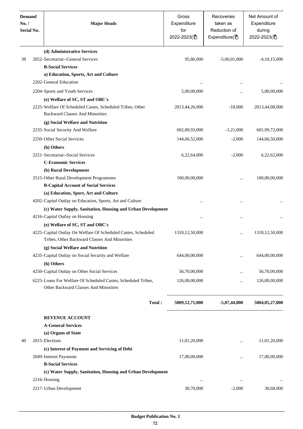| <b>Demand</b><br>No. /<br>Serial No. | <b>Major Heads</b>                                                                                             | Gross<br>Expenditure<br>for<br>2022-2023(₹) | Recoveries<br>taken as<br>Reduction of<br>Expenditure( $\overline{\xi}$ ) | Net Amount of<br>Expenditure<br>during<br>2022-2023(₹) |
|--------------------------------------|----------------------------------------------------------------------------------------------------------------|---------------------------------------------|---------------------------------------------------------------------------|--------------------------------------------------------|
|                                      | (d) Administrative Services                                                                                    |                                             |                                                                           |                                                        |
| 38                                   | 2052-Secretariat--General Services                                                                             | 95,86,000                                   | $-5,06,01,000$                                                            | $-4,10,15,000$                                         |
|                                      | <b>B-Social Services</b>                                                                                       |                                             |                                                                           |                                                        |
|                                      | a) Education, Sports, Art and Culture                                                                          |                                             |                                                                           |                                                        |
|                                      | 2202-General Education                                                                                         | $\ddotsc$                                   | $\cdots$                                                                  |                                                        |
|                                      | 2204-Sports and Youth Services                                                                                 | 5,00,00,000                                 |                                                                           | 5,00,00,000                                            |
|                                      | (e) Welfare of SC, ST and OBC's                                                                                |                                             |                                                                           |                                                        |
|                                      | 2225-Welfare Of Scheduled Castes, Scheduled Tribes, Other<br><b>Backward Classes And Minorities</b>            | 2013,44,26,000                              | $-18,000$                                                                 | 2013,44,08,000                                         |
|                                      | (g) Social Welfare and Nutrition                                                                               |                                             |                                                                           |                                                        |
|                                      | 2235-Social Security And Welfare                                                                               | 602,00,93,000                               | $-1,21,000$                                                               | 601,99,72,000                                          |
|                                      | 2250-Other Social Services                                                                                     | 144,66,52,000                               | $-2,000$                                                                  | 144,66,50,000                                          |
|                                      | (h) Others                                                                                                     |                                             |                                                                           |                                                        |
|                                      | 2251-Secretariat--Social Services                                                                              | 6,22,64,000                                 | $-2,000$                                                                  | 6,22,62,000                                            |
|                                      | <b>C-Economic Services</b>                                                                                     |                                             |                                                                           |                                                        |
|                                      | (b) Rural Development                                                                                          |                                             |                                                                           |                                                        |
|                                      | 2515-Other Rural Development Programmes                                                                        | 100,00,00,000                               |                                                                           | 100,00,00,000                                          |
|                                      | <b>B-Capital Account of Social Services</b>                                                                    |                                             |                                                                           |                                                        |
|                                      | (a) Education, Sport, Art and Culture                                                                          |                                             |                                                                           |                                                        |
|                                      | 4202-Capital Outlay on Education, Sports, Art and Culture                                                      | $\cdot \cdot$                               |                                                                           |                                                        |
|                                      | (c) Water Supply, Sanitation, Housing and Urban Development                                                    |                                             |                                                                           |                                                        |
|                                      | 4216-Capital Outlay on Housing                                                                                 |                                             | $\cdots$                                                                  |                                                        |
|                                      | (e) Welfare of SC, ST and OBC's                                                                                |                                             |                                                                           |                                                        |
|                                      | 4225-Capital Outlay On Welfare Of Scheduled Castes, Scheduled<br>Tribes, Other Backward Classes And Minorities | 1310, 12, 50, 000                           | $\cdots$                                                                  | 1310, 12, 50, 000                                      |
|                                      | (g) Social Welfare and Nutrition                                                                               |                                             |                                                                           |                                                        |
|                                      | 4235-Capital Outlay on Social Security and Welfare                                                             | 644,00,00,000                               |                                                                           | 644,00,00,000                                          |
|                                      | (h) Others                                                                                                     |                                             |                                                                           |                                                        |
|                                      | 4250-Capital Outlay on Other Social Services                                                                   | 56,70,00,000                                |                                                                           | 56,70,00,000                                           |
|                                      | 6225-Loans For Welfare Of Scheduled Castes, Scheduled Tribes,<br>Other Backward Classes And Minorities         | 126,00,00,000                               | $\cdots$                                                                  | 126,00,00,000                                          |
|                                      | Total:                                                                                                         | 5009,12,71,000                              | $-5,07,44,000$                                                            | 5004,05,27,000                                         |
|                                      | <b>REVENUE ACCOUNT</b>                                                                                         |                                             |                                                                           |                                                        |
|                                      | <b>A-General Services</b>                                                                                      |                                             |                                                                           |                                                        |
|                                      | (a) Organs of State                                                                                            |                                             |                                                                           |                                                        |
| 40                                   | 2015-Elections                                                                                                 | 11,01,20,000                                | $\ddotsc$                                                                 | 11,01,20,000                                           |
|                                      | (c) Interest of Payment and Servicing of Debt                                                                  |                                             |                                                                           |                                                        |
|                                      | 2049-Interest Payments                                                                                         | 17,00,00,000                                | $\cdots$                                                                  | 17,00,00,000                                           |
|                                      | <b>B-Social Services</b>                                                                                       |                                             |                                                                           |                                                        |
|                                      | (c) Water Supply, Sanitation, Housing and Urban Development                                                    |                                             |                                                                           |                                                        |
|                                      | 2216-Housing                                                                                                   | $\cdots$                                    | $\cdots$                                                                  |                                                        |
|                                      | 2217-Urban Development                                                                                         | 30,70,000                                   | $-2,000$                                                                  | 30,68,000                                              |
|                                      |                                                                                                                |                                             |                                                                           |                                                        |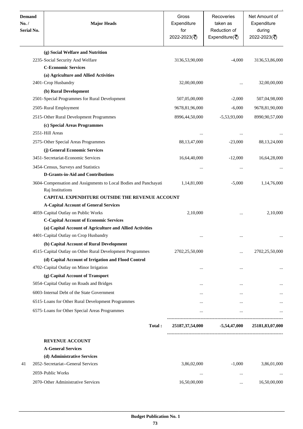| <b>Demand</b><br>No./<br>Serial No. | <b>Major Heads</b>                                                                                                                      | Gross<br>Expenditure<br>for<br>2022-2023(₹) | Recoveries<br>taken as<br>Reduction of<br>Expenditure( $\overline{\xi}$ ) | Net Amount of<br>Expenditure<br>during<br>2022-2023(₹) |
|-------------------------------------|-----------------------------------------------------------------------------------------------------------------------------------------|---------------------------------------------|---------------------------------------------------------------------------|--------------------------------------------------------|
|                                     | (g) Social Welfare and Nutrition                                                                                                        |                                             |                                                                           |                                                        |
|                                     | 2235-Social Security And Welfare                                                                                                        | 3136,53,90,000                              | $-4,000$                                                                  | 3136,53,86,000                                         |
|                                     | <b>C-Economic Services</b>                                                                                                              |                                             |                                                                           |                                                        |
|                                     | (a) Agriculture and Allied Activities                                                                                                   |                                             |                                                                           |                                                        |
|                                     | 2401-Crop Husbandry                                                                                                                     | 32,00,00,000                                |                                                                           | 32,00,00,000                                           |
|                                     | (b) Rural Development                                                                                                                   |                                             |                                                                           |                                                        |
|                                     | 2501-Special Programmes for Rural Development                                                                                           | 507,05,00,000                               | $-2,000$                                                                  | 507,04,98,000                                          |
|                                     | 2505-Rural Employment                                                                                                                   | 9678,81,96,000                              | $-6,000$                                                                  | 9678,81,90,000                                         |
|                                     | 2515-Other Rural Development Programmes                                                                                                 | 8996,44,50,000                              | $-5,53,93,000$                                                            | 8990,90,57,000                                         |
|                                     | (c) Special Areas Programmes                                                                                                            |                                             |                                                                           |                                                        |
|                                     | 2551-Hill Areas                                                                                                                         |                                             |                                                                           |                                                        |
|                                     | 2575-Other Special Areas Programmes                                                                                                     | 88, 13, 47, 000                             | $-23,000$                                                                 | 88,13,24,000                                           |
|                                     | (j) General Economic Services                                                                                                           |                                             |                                                                           |                                                        |
|                                     | 3451-Secretariat-Economic Services                                                                                                      | 16,64,40,000                                | $-12,000$                                                                 | 16,64,28,000                                           |
|                                     |                                                                                                                                         |                                             |                                                                           |                                                        |
|                                     | 3454-Census, Surveys and Statistics<br><b>D-Grants-in-Aid and Contributions</b>                                                         | $\cdots$                                    |                                                                           |                                                        |
|                                     |                                                                                                                                         |                                             |                                                                           |                                                        |
|                                     | 3604-Compensation and Assignments to Local Bodies and Panchayati<br>Raj Institutions<br>CAPITAL EXPENDITURE OUTSIDE THE REVENUE ACCOUNT | 1,14,81,000                                 | $-5,000$                                                                  | 1,14,76,000                                            |
|                                     | <b>A-Capital Account of General Services</b>                                                                                            |                                             |                                                                           |                                                        |
|                                     | 4059-Capital Outlay on Public Works                                                                                                     | 2,10,000                                    |                                                                           | 2,10,000                                               |
|                                     | <b>C-Capital Account of Economic Services</b>                                                                                           |                                             |                                                                           |                                                        |
|                                     | (a) Capital Account of Agriculture and Allied Activities                                                                                |                                             |                                                                           |                                                        |
|                                     | 4401-Capital Outlay on Crop Husbandry                                                                                                   |                                             |                                                                           |                                                        |
|                                     | (b) Capital Account of Rural Development                                                                                                |                                             |                                                                           |                                                        |
|                                     | 4515-Capital Outlay on Other Rural Development Programmes                                                                               | 2702,25,50,000                              |                                                                           | 2702,25,50,000                                         |
|                                     | (d) Capital Account of Irrigation and Flood Control                                                                                     |                                             |                                                                           |                                                        |
|                                     | 4702-Capital Outlay on Minor Irrigation                                                                                                 |                                             |                                                                           |                                                        |
|                                     | (g) Capital Account of Transport                                                                                                        |                                             |                                                                           |                                                        |
|                                     | 5054-Capital Outlay on Roads and Bridges                                                                                                | $\cdots$                                    |                                                                           |                                                        |
|                                     | 6003-Internal Debt of the State Government                                                                                              |                                             |                                                                           |                                                        |
|                                     |                                                                                                                                         | $\cdots$                                    | $\cdots$                                                                  |                                                        |
|                                     | 6515-Loans for Other Rural Development Programmes                                                                                       | $\cdots$                                    |                                                                           |                                                        |
|                                     | 6575-Loans for Other Special Areas Programmes                                                                                           | $\cdots$                                    |                                                                           |                                                        |
|                                     | Total:                                                                                                                                  |                                             | 25187,37,54,000 -5,54,47,000                                              | 25181,83,07,000                                        |
|                                     | <b>REVENUE ACCOUNT</b>                                                                                                                  |                                             |                                                                           |                                                        |
|                                     | <b>A-General Services</b>                                                                                                               |                                             |                                                                           |                                                        |
|                                     | (d) Administrative Services                                                                                                             |                                             |                                                                           |                                                        |
| 41                                  | 2052-Secretariat--General Services                                                                                                      | 3,86,02,000                                 | $-1,000$                                                                  | 3,86,01,000                                            |
|                                     | 2059-Public Works                                                                                                                       | $\cdots$                                    |                                                                           |                                                        |
|                                     | 2070-Other Administrative Services                                                                                                      | 16,50,00,000                                |                                                                           | 16,50,00,000                                           |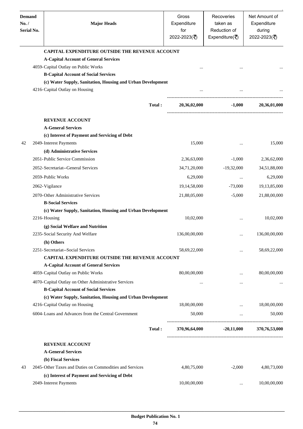| <b>Demand</b><br>No. /<br><b>Serial No.</b> | <b>Major Heads</b>                                          |        | Gross<br>Expenditure<br>for<br>2022-2023(₹) | Recoveries<br>taken as<br>Reduction of<br>Expenditure( $\overline{\xi}$ ) | Net Amount of<br>Expenditure<br>during<br>2022-2023(₹) |
|---------------------------------------------|-------------------------------------------------------------|--------|---------------------------------------------|---------------------------------------------------------------------------|--------------------------------------------------------|
|                                             | <b>CAPITAL EXPENDITURE OUTSIDE THE REVENUE ACCOUNT</b>      |        |                                             |                                                                           |                                                        |
|                                             | <b>A-Capital Account of General Services</b>                |        |                                             |                                                                           |                                                        |
|                                             | 4059-Capital Outlay on Public Works                         |        |                                             |                                                                           |                                                        |
|                                             | <b>B-Capital Account of Social Services</b>                 |        |                                             |                                                                           |                                                        |
|                                             | (c) Water Supply, Sanitation, Housing and Urban Development |        |                                             |                                                                           |                                                        |
|                                             | 4216-Capital Outlay on Housing                              |        |                                             |                                                                           |                                                        |
|                                             |                                                             | Total: | 20,36,02,000                                | ------------------<br>$-1,000$                                            | 20,36,01,000                                           |
|                                             |                                                             |        |                                             |                                                                           |                                                        |
|                                             | <b>REVENUE ACCOUNT</b>                                      |        |                                             |                                                                           |                                                        |
|                                             | <b>A-General Services</b>                                   |        |                                             |                                                                           |                                                        |
|                                             | (c) Interest of Payment and Servicing of Debt               |        |                                             |                                                                           |                                                        |
| 42                                          | 2049-Interest Payments                                      |        | 15,000                                      |                                                                           | 15,000                                                 |
|                                             | (d) Administrative Services                                 |        |                                             |                                                                           |                                                        |
|                                             | 2051-Public Service Commission                              |        | 2,36,63,000                                 | $-1,000$                                                                  | 2,36,62,000                                            |
|                                             | 2052-Secretariat--General Services                          |        | 34,71,20,000                                | $-19,32,000$                                                              | 34,51,88,000                                           |
|                                             | 2059-Public Works                                           |        | 6,29,000                                    | $\cdots$                                                                  | 6,29,000                                               |
|                                             | 2062-Vigilance                                              |        | 19, 14, 58, 000                             | $-73,000$                                                                 | 19, 13, 85, 000                                        |
|                                             | 2070-Other Administrative Services                          |        | 21,88,05,000                                | $-5,000$                                                                  | 21,88,00,000                                           |
|                                             | <b>B-Social Services</b>                                    |        |                                             |                                                                           |                                                        |
|                                             | (c) Water Supply, Sanitation, Housing and Urban Development |        |                                             |                                                                           |                                                        |
|                                             | 2216-Housing                                                |        | 10,02,000                                   |                                                                           | 10,02,000                                              |
|                                             | (g) Social Welfare and Nutrition                            |        |                                             |                                                                           |                                                        |
|                                             | 2235-Social Security And Welfare                            |        | 136,00,00,000                               | $\ldots$                                                                  | 136,00,00,000                                          |
|                                             | (h) Others                                                  |        |                                             |                                                                           |                                                        |
|                                             | 2251-Secretariat--Social Services                           |        | 58,69,22,000                                |                                                                           | 58,69,22,000                                           |
|                                             | <b>CAPITAL EXPENDITURE OUTSIDE THE REVENUE ACCOUNT</b>      |        |                                             |                                                                           |                                                        |
|                                             | <b>A-Capital Account of General Services</b>                |        |                                             |                                                                           |                                                        |
|                                             | 4059-Capital Outlay on Public Works                         |        | 80,00,00,000                                |                                                                           | 80,00,00,000                                           |
|                                             | 4070-Capital Outlay on Other Administrative Services        |        | $\cdots$                                    |                                                                           |                                                        |
|                                             | <b>B-Capital Account of Social Services</b>                 |        |                                             |                                                                           |                                                        |
|                                             | (c) Water Supply, Sanitation, Housing and Urban Development |        |                                             |                                                                           |                                                        |
|                                             | 4216-Capital Outlay on Housing                              |        | 18,00,00,000                                | $\cdots$                                                                  | 18,00,00,000                                           |
|                                             | 6004-Loans and Advances from the Central Government         |        | 50,000                                      | $\cdots$                                                                  | 50,000                                                 |
|                                             |                                                             | Total: | 370,96,64,000                               | $-20,11,000$                                                              | 370,76,53,000                                          |
|                                             | <b>REVENUE ACCOUNT</b>                                      |        |                                             |                                                                           |                                                        |
|                                             | <b>A-General Services</b>                                   |        |                                             |                                                                           |                                                        |
|                                             | (b) Fiscal Services                                         |        |                                             |                                                                           |                                                        |
| 43                                          | 2045-Other Taxes and Duties on Commodities and Services     |        | 4,80,75,000                                 | $-2,000$                                                                  | 4,80,73,000                                            |
|                                             | (c) Interest of Payment and Servicing of Debt               |        |                                             |                                                                           |                                                        |
|                                             | 2049-Interest Payments                                      |        | 10,00,00,000                                | $\cdots$                                                                  | 10,00,00,000                                           |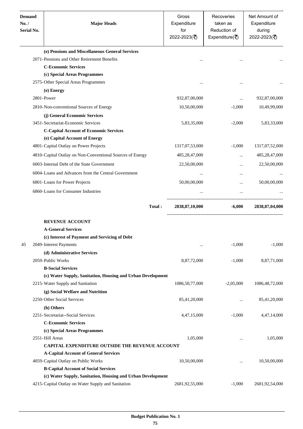| <b>Demand</b><br>No. /<br><b>Serial No.</b> | <b>Major Heads</b>                                          | Gross<br>Expenditure<br>for<br>2022-2023(₹) | Recoveries<br>taken as<br>Reduction of<br>Expenditure( $\overline{\xi}$ ) | Net Amount of<br>Expenditure<br>during<br>2022-2023(₹) |
|---------------------------------------------|-------------------------------------------------------------|---------------------------------------------|---------------------------------------------------------------------------|--------------------------------------------------------|
|                                             | (e) Pensions and Miscellaneous General Services             |                                             |                                                                           |                                                        |
|                                             | 2071-Pensions and Other Retirement Benefits                 |                                             | $\cdots$                                                                  |                                                        |
|                                             | <b>C-Economic Services</b>                                  |                                             |                                                                           |                                                        |
|                                             | (c) Special Areas Programmes                                |                                             |                                                                           |                                                        |
|                                             | 2575-Other Special Areas Programmes                         | $\ddotsc$                                   | $\ddotsc$                                                                 |                                                        |
|                                             | (e) Energy                                                  |                                             |                                                                           |                                                        |
|                                             | 2801-Power                                                  | 932,87,00,000                               |                                                                           | 932,87,00,000                                          |
|                                             | 2810-Non-conventional Sources of Energy                     | 10,50,00,000                                | $-1,000$                                                                  | 10,49,99,000                                           |
|                                             | (j) General Economic Services                               |                                             |                                                                           |                                                        |
|                                             | 3451-Secretariat-Economic Services                          | 5,83,35,000                                 | $-2,000$                                                                  | 5,83,33,000                                            |
|                                             | <b>C-Capital Account of Economic Services</b>               |                                             |                                                                           |                                                        |
|                                             | (e) Capital Account of Energy                               |                                             |                                                                           |                                                        |
|                                             | 4801-Capital Outlay on Power Projects                       | 1317,07,53,000                              | $-1,000$                                                                  | 1317,07,52,000                                         |
|                                             | 4810-Capital Outlay on Non-Conventional Sources of Energy   | 485,28,47,000                               | $\cdots$                                                                  | 485,28,47,000                                          |
|                                             | 6003-Internal Debt of the State Government                  | 22,50,00,000                                |                                                                           | 22,50,00,000                                           |
|                                             | 6004-Loans and Advances from the Central Government         | $\ddotsc$                                   | $\cdots$                                                                  |                                                        |
|                                             | 6801-Loans for Power Projects                               | 50,00,00,000                                |                                                                           | 50,00,00,000                                           |
|                                             |                                                             |                                             |                                                                           |                                                        |
|                                             | 6860-Loans for Consumer Industries                          |                                             | $\ddots$                                                                  |                                                        |
|                                             |                                                             | Total:<br>2838,87,10,000                    | $-6.000$                                                                  | 2838, 87, 04, 000                                      |
|                                             | <b>REVENUE ACCOUNT</b>                                      |                                             |                                                                           |                                                        |
|                                             | <b>A-General Services</b>                                   |                                             |                                                                           |                                                        |
|                                             | (c) Interest of Payment and Servicing of Debt               |                                             |                                                                           |                                                        |
| 45                                          | 2049-Interest Payments                                      | $\cdots$                                    | $-1,000$                                                                  | $-1,000$                                               |
|                                             | (d) Administrative Services                                 |                                             |                                                                           |                                                        |
|                                             | 2059-Public Works                                           | 8,87,72,000                                 | $-1,000$                                                                  | 8,87,71,000                                            |
|                                             | <b>B-Social Services</b>                                    |                                             |                                                                           |                                                        |
|                                             | (c) Water Supply, Sanitation, Housing and Urban Development |                                             |                                                                           |                                                        |
|                                             | 2215-Water Supply and Sanitation                            | 1086,50,77,000                              | $-2,05,000$                                                               | 1086, 48, 72, 000                                      |
|                                             | (g) Social Welfare and Nutrition                            |                                             |                                                                           |                                                        |
|                                             | 2250-Other Social Services                                  | 85,41,20,000                                | $\cdots$                                                                  | 85,41,20,000                                           |
|                                             | (h) Others                                                  |                                             |                                                                           |                                                        |
|                                             | 2251-Secretariat--Social Services                           | 4,47,15,000                                 | $-1,000$                                                                  | 4,47,14,000                                            |
|                                             | <b>C-Economic Services</b>                                  |                                             |                                                                           |                                                        |
|                                             | (c) Special Areas Programmes                                |                                             |                                                                           |                                                        |
|                                             | 2551-Hill Areas                                             | 1,05,000                                    |                                                                           | 1,05,000                                               |
|                                             | CAPITAL EXPENDITURE OUTSIDE THE REVENUE ACCOUNT             |                                             |                                                                           |                                                        |
|                                             | <b>A-Capital Account of General Services</b>                |                                             |                                                                           |                                                        |
|                                             | 4059-Capital Outlay on Public Works                         | 10,50,00,000                                | $\ddotsc$                                                                 | 10,50,00,000                                           |
|                                             | <b>B-Capital Account of Social Services</b>                 |                                             |                                                                           |                                                        |
|                                             | (c) Water Supply, Sanitation, Housing and Urban Development |                                             |                                                                           |                                                        |
|                                             | 4215-Capital Outlay on Water Supply and Sanitation          | 2681,92,55,000                              | $-1,000$                                                                  | 2681,92,54,000                                         |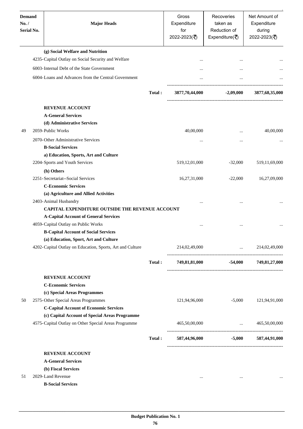| <b>Demand</b><br>No. /<br>Serial No. | <b>Major Heads</b>                                        |        | Gross<br>Expenditure<br>for<br>2022-2023(₹) | Recoveries<br>taken as<br>Reduction of<br>Expenditure( $\overline{\overline{\zeta}}$ ) | Net Amount of<br>Expenditure<br>during<br>2022-2023(₹) |
|--------------------------------------|-----------------------------------------------------------|--------|---------------------------------------------|----------------------------------------------------------------------------------------|--------------------------------------------------------|
|                                      | (g) Social Welfare and Nutrition                          |        |                                             |                                                                                        |                                                        |
|                                      | 4235-Capital Outlay on Social Security and Welfare        |        |                                             |                                                                                        |                                                        |
|                                      | 6003-Internal Debt of the State Government                |        | $\ddotsc$                                   |                                                                                        |                                                        |
|                                      | 6004-Loans and Advances from the Central Government       |        |                                             | $\ddotsc$                                                                              |                                                        |
|                                      |                                                           | Total: | 3877,70,44,000                              | $-2,09,000$                                                                            | 3877, 68, 35, 000                                      |
|                                      | <b>REVENUE ACCOUNT</b>                                    |        |                                             |                                                                                        |                                                        |
|                                      | <b>A-General Services</b>                                 |        |                                             |                                                                                        |                                                        |
|                                      | (d) Administrative Services                               |        |                                             |                                                                                        |                                                        |
| 49                                   | 2059-Public Works                                         |        | 40,00,000                                   | $\ddotsc$                                                                              | 40,00,000                                              |
|                                      | 2070-Other Administrative Services                        |        | $\cdots$                                    |                                                                                        |                                                        |
|                                      | <b>B-Social Services</b>                                  |        |                                             |                                                                                        |                                                        |
|                                      | a) Education, Sports, Art and Culture                     |        |                                             |                                                                                        |                                                        |
|                                      | 2204-Sports and Youth Services                            |        | 519,12,01,000                               | $-32,000$                                                                              | 519,11,69,000                                          |
|                                      | (h) Others                                                |        |                                             |                                                                                        |                                                        |
|                                      | 2251-Secretariat--Social Services                         |        | 16,27,31,000                                | $-22,000$                                                                              | 16,27,09,000                                           |
|                                      | <b>C-Economic Services</b>                                |        |                                             |                                                                                        |                                                        |
|                                      | (a) Agriculture and Allied Activities                     |        |                                             |                                                                                        |                                                        |
|                                      | 2403-Animal Husbandry                                     |        |                                             |                                                                                        |                                                        |
|                                      | CAPITAL EXPENDITURE OUTSIDE THE REVENUE ACCOUNT           |        |                                             |                                                                                        |                                                        |
|                                      | <b>A-Capital Account of General Services</b>              |        |                                             |                                                                                        |                                                        |
|                                      | 4059-Capital Outlay on Public Works                       |        | $\cdots$                                    | $\ddotsc$                                                                              |                                                        |
|                                      | <b>B-Capital Account of Social Services</b>               |        |                                             |                                                                                        |                                                        |
|                                      | (a) Education, Sport, Art and Culture                     |        |                                             |                                                                                        |                                                        |
|                                      | 4202-Capital Outlay on Education, Sports, Art and Culture |        | 214,02,49,000                               |                                                                                        | $\ldots$ 214,02,49,000                                 |
|                                      |                                                           | Total: |                                             | 749,81,81,000 -54,000 749,81,27,000                                                    |                                                        |
|                                      | <b>REVENUE ACCOUNT</b>                                    |        |                                             |                                                                                        |                                                        |
|                                      | <b>C-Economic Services</b>                                |        |                                             |                                                                                        |                                                        |
|                                      | (c) Special Areas Programmes                              |        |                                             |                                                                                        |                                                        |
| 50                                   | 2575-Other Special Areas Programmes                       |        | 121,94,96,000                               | $-5,000$                                                                               | 121,94,91,000                                          |
|                                      | <b>C-Capital Account of Economic Services</b>             |        |                                             |                                                                                        |                                                        |
|                                      | (c) Capital Account of Special Areas Programme            |        |                                             |                                                                                        |                                                        |
|                                      | 4575-Capital Outlay on Other Special Areas Programme      |        | 465,50,00,000                               | and the contract of the contract of the                                                | 465,50,00,000                                          |
|                                      |                                                           | Total: |                                             | 587,44,96,000 -5,000 587,44,91,000                                                     |                                                        |
|                                      | <b>REVENUE ACCOUNT</b>                                    |        |                                             |                                                                                        |                                                        |
|                                      | <b>A-General Services</b>                                 |        |                                             |                                                                                        |                                                        |
|                                      | (b) Fiscal Services                                       |        |                                             |                                                                                        |                                                        |
| 51                                   | 2029-Land Revenue                                         |        | $\cdots$                                    | $\cdots$                                                                               |                                                        |
|                                      | <b>B-Social Services</b>                                  |        |                                             |                                                                                        |                                                        |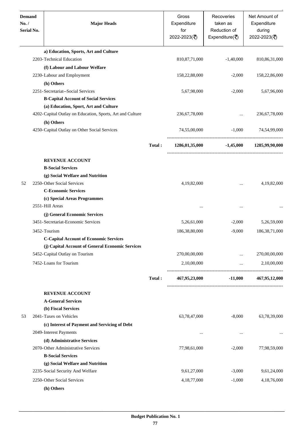| <b>Demand</b><br>No. /<br>Serial No. | <b>Major Heads</b>                                                                                |        | Gross<br>Expenditure<br>for<br>2022-2023(₹) | Recoveries<br>taken as<br>Reduction of<br>Expenditure( $\overline{\xi}$ ) | Net Amount of<br>Expenditure<br>during<br>2022-2023(₹) |
|--------------------------------------|---------------------------------------------------------------------------------------------------|--------|---------------------------------------------|---------------------------------------------------------------------------|--------------------------------------------------------|
|                                      | a) Education, Sports, Art and Culture                                                             |        |                                             |                                                                           |                                                        |
|                                      | 2203-Technical Education                                                                          |        | 810, 87, 71, 000                            | $-1,40,000$                                                               | 810, 86, 31, 000                                       |
|                                      | (f) Labour and Labour Welfare                                                                     |        |                                             |                                                                           |                                                        |
|                                      | 2230-Labour and Employment                                                                        |        | 158,22,88,000                               | $-2,000$                                                                  | 158,22,86,000                                          |
|                                      | (h) Others<br>2251-Secretariat--Social Services                                                   |        | 5,67,98,000                                 | $-2,000$                                                                  |                                                        |
|                                      | <b>B-Capital Account of Social Services</b>                                                       |        |                                             |                                                                           | 5,67,96,000                                            |
|                                      | (a) Education, Sport, Art and Culture                                                             |        |                                             |                                                                           |                                                        |
|                                      | 4202-Capital Outlay on Education, Sports, Art and Culture                                         |        | 236, 67, 78, 000                            |                                                                           | 236, 67, 78, 000                                       |
|                                      | (h) Others                                                                                        |        |                                             |                                                                           |                                                        |
|                                      | 4250-Capital Outlay on Other Social Services                                                      |        | 74,55,00,000                                | $-1,000$                                                                  | 74,54,99,000                                           |
|                                      |                                                                                                   | Total: | 1286,01,35,000                              | $-1,45,000$                                                               | 1285,99,90,000                                         |
|                                      | <b>REVENUE ACCOUNT</b>                                                                            |        |                                             |                                                                           |                                                        |
|                                      | <b>B-Social Services</b>                                                                          |        |                                             |                                                                           |                                                        |
|                                      | (g) Social Welfare and Nutrition                                                                  |        |                                             |                                                                           |                                                        |
| 52                                   | 2250-Other Social Services                                                                        |        | 4,19,82,000                                 | $\cdots$                                                                  | 4,19,82,000                                            |
|                                      | <b>C-Economic Services</b>                                                                        |        |                                             |                                                                           |                                                        |
|                                      | (c) Special Areas Programmes<br>2551-Hill Areas                                                   |        |                                             |                                                                           |                                                        |
|                                      |                                                                                                   |        |                                             | $\cdots$                                                                  |                                                        |
|                                      | (j) General Economic Services<br>3451-Secretariat-Economic Services                               |        | 5,26,61,000                                 | $-2,000$                                                                  | 5,26,59,000                                            |
|                                      |                                                                                                   |        |                                             |                                                                           |                                                        |
|                                      | 3452-Tourism                                                                                      |        | 186,38,80,000                               | $-9,000$                                                                  | 186, 38, 71, 000                                       |
|                                      | <b>C-Capital Account of Economic Services</b><br>(j) Capital Account of General Economic Services |        |                                             |                                                                           |                                                        |
|                                      | 5452-Capital Outlay on Tourism                                                                    |        | 270,00,00,000                               |                                                                           | 270,00,00,000                                          |
|                                      | 7452-Loans for Tourism                                                                            |        | 2,10,00,000                                 | $\cdots$                                                                  | 2,10,00,000                                            |
|                                      |                                                                                                   | Total: | 467,95,23,000                               | $-11,000$                                                                 | 467,95,12,000                                          |
|                                      | <b>REVENUE ACCOUNT</b>                                                                            |        |                                             |                                                                           |                                                        |
|                                      | <b>A-General Services</b>                                                                         |        |                                             |                                                                           |                                                        |
|                                      | (b) Fiscal Services                                                                               |        |                                             |                                                                           |                                                        |
| 53                                   | 2041-Taxes on Vehicles                                                                            |        | 63,78,47,000                                | $-8,000$                                                                  | 63,78,39,000                                           |
|                                      | (c) Interest of Payment and Servicing of Debt                                                     |        |                                             |                                                                           |                                                        |
|                                      | 2049-Interest Payments                                                                            |        | $\cdots$                                    | $\cdots$                                                                  |                                                        |
|                                      | (d) Administrative Services                                                                       |        |                                             |                                                                           |                                                        |
|                                      | 2070-Other Administrative Services                                                                |        | 77,98,61,000                                | $-2,000$                                                                  | 77,98,59,000                                           |
|                                      | <b>B-Social Services</b>                                                                          |        |                                             |                                                                           |                                                        |
|                                      | (g) Social Welfare and Nutrition                                                                  |        |                                             |                                                                           |                                                        |
|                                      | 2235-Social Security And Welfare                                                                  |        | 9,61,27,000                                 | $-3,000$                                                                  | 9,61,24,000                                            |
|                                      | 2250-Other Social Services                                                                        |        | 4,18,77,000                                 | $-1,000$                                                                  | 4,18,76,000                                            |
|                                      | (h) Others                                                                                        |        |                                             |                                                                           |                                                        |

.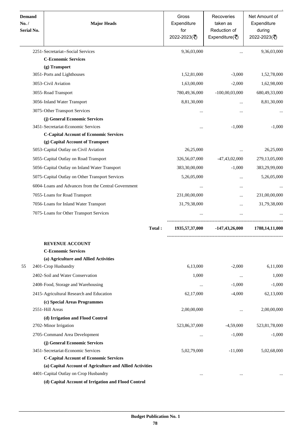| <b>Demand</b><br>No. /<br>Serial No. | <b>Major Heads</b>                                       | Gross<br>Expenditure<br>for<br>2022-2023(₹) | Recoveries<br>taken as<br>Reduction of<br>Expenditure( $\overline{\xi}$ ) | Net Amount of<br>Expenditure<br>during<br>2022-2023(₹) |
|--------------------------------------|----------------------------------------------------------|---------------------------------------------|---------------------------------------------------------------------------|--------------------------------------------------------|
|                                      | 2251-Secretariat--Social Services                        | 9,36,03,000                                 |                                                                           | 9,36,03,000                                            |
|                                      | <b>C-Economic Services</b>                               |                                             |                                                                           |                                                        |
|                                      | (g) Transport                                            |                                             |                                                                           |                                                        |
|                                      | 3051-Ports and Lighthouses                               | 1,52,81,000                                 | $-3,000$                                                                  | 1,52,78,000                                            |
|                                      | 3053-Civil Aviation                                      | 1,63,00,000                                 | $-2,000$                                                                  | 1,62,98,000                                            |
|                                      | 3055-Road Transport                                      | 780,49,36,000                               | $-100,00,03,000$                                                          | 680,49,33,000                                          |
|                                      | 3056-Inland Water Transport                              | 8,81,30,000                                 |                                                                           | 8,81,30,000                                            |
|                                      | 3075-Other Transport Services                            |                                             |                                                                           |                                                        |
|                                      | (j) General Economic Services                            |                                             |                                                                           |                                                        |
|                                      | 3451-Secretariat-Economic Services                       |                                             | $-1,000$                                                                  | $-1,000$                                               |
|                                      | <b>C-Capital Account of Economic Services</b>            |                                             |                                                                           |                                                        |
|                                      | (g) Capital Account of Transport                         |                                             |                                                                           |                                                        |
|                                      | 5053-Capital Outlay on Civil Aviation                    | 26,25,000                                   |                                                                           | 26,25,000                                              |
|                                      | 5055-Capital Outlay on Road Transport                    | 326,56,07,000                               | $-47,43,02,000$                                                           | 279,13,05,000                                          |
|                                      | 5056-Capital Outlay on Inland Water Transport            | 383,30,00,000                               | $-1,000$                                                                  | 383,29,99,000                                          |
|                                      | 5075-Capital Outlay on Other Transport Services          | 5,26,05,000                                 |                                                                           | 5,26,05,000                                            |
|                                      | 6004-Loans and Advances from the Central Government      |                                             | $\ddotsc$                                                                 |                                                        |
|                                      | 7055-Loans for Road Transport                            | 231,00,00,000                               |                                                                           | 231,00,00,000                                          |
|                                      | 7056-Loans for Inland Water Transport                    | 31,79,38,000                                | $\cdots$                                                                  | 31,79,38,000                                           |
|                                      | 7075-Loans for Other Transport Services                  |                                             |                                                                           |                                                        |
|                                      | Total:                                                   | 1935, 57, 37, 000                           | $-147,43,26,000$                                                          | 1788, 14, 11, 000                                      |
|                                      | <b>REVENUE ACCOUNT</b>                                   |                                             |                                                                           |                                                        |
|                                      | <b>C-Economic Services</b>                               |                                             |                                                                           |                                                        |
|                                      | (a) Agriculture and Allied Activities                    |                                             |                                                                           |                                                        |
| 55                                   | 2401-Crop Husbandry                                      | 6,13,000                                    | $-2,000$                                                                  | 6,11,000                                               |
|                                      | 2402-Soil and Water Conservation                         | 1,000                                       | $\ddotsc$                                                                 | 1,000                                                  |
|                                      | 2408-Food, Storage and Warehousing                       | $\cdots$                                    | $-1,000$                                                                  | $-1,000$                                               |
|                                      | 2415-Agricultural Research and Education                 | 62,17,000                                   | $-4,000$                                                                  | 62,13,000                                              |
|                                      | (c) Special Areas Programmes                             |                                             |                                                                           |                                                        |
|                                      | 2551-Hill Areas                                          | 2,00,00,000                                 | $\ddotsc$                                                                 | 2,00,00,000                                            |
|                                      | (d) Irrigation and Flood Control                         |                                             |                                                                           |                                                        |
|                                      | 2702-Minor Irrigation                                    | 523,86,37,000                               | $-4,59,000$                                                               | 523,81,78,000                                          |
|                                      | 2705-Command Area Development                            | $\ddotsc$                                   | $-1,000$                                                                  | $-1,000$                                               |
|                                      | (j) General Economic Services                            |                                             |                                                                           |                                                        |
|                                      | 3451-Secretariat-Economic Services                       | 5,02,79,000                                 | $-11,000$                                                                 | 5,02,68,000                                            |
|                                      | <b>C-Capital Account of Economic Services</b>            |                                             |                                                                           |                                                        |
|                                      | (a) Capital Account of Agriculture and Allied Activities |                                             |                                                                           |                                                        |
|                                      | 4401-Capital Outlay on Crop Husbandry                    | $\cdots$                                    |                                                                           |                                                        |
|                                      | (d) Capital Account of Irrigation and Flood Control      |                                             |                                                                           |                                                        |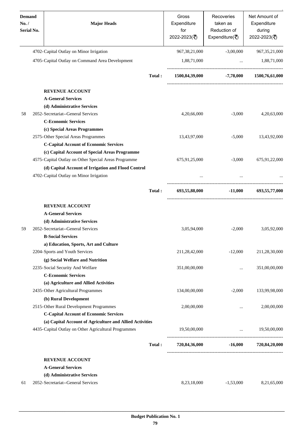| <b>Demand</b><br>No. /<br>Serial No. | <b>Major Heads</b>                                       |        | Gross<br>Expenditure<br>for<br>2022-2023(₹) | Recoveries<br>taken as<br>Reduction of<br>Expenditure( $\overline{\xi}$ ) | Net Amount of<br>Expenditure<br>during<br>2022-2023(₹) |
|--------------------------------------|----------------------------------------------------------|--------|---------------------------------------------|---------------------------------------------------------------------------|--------------------------------------------------------|
|                                      | 4702-Capital Outlay on Minor Irrigation                  |        | 967, 38, 21, 000                            | $-3,00,000$                                                               | 967, 35, 21, 000                                       |
|                                      | 4705-Capital Outlay on Command Area Development          |        | 1,88,71,000                                 | $\ddots$                                                                  | 1,88,71,000                                            |
|                                      |                                                          | Total: | 1500,84,39,000                              |                                                                           | $-7,78,000$ $1500,76,61,000$                           |
|                                      | <b>REVENUE ACCOUNT</b>                                   |        |                                             |                                                                           |                                                        |
|                                      | <b>A-General Services</b>                                |        |                                             |                                                                           |                                                        |
|                                      | (d) Administrative Services                              |        |                                             |                                                                           |                                                        |
| 58                                   | 2052- Secretariat--General Services                      |        | 4,20,66,000                                 | $-3,000$                                                                  | 4,20,63,000                                            |
|                                      | <b>C-Economic Services</b>                               |        |                                             |                                                                           |                                                        |
|                                      | (c) Special Areas Programmes                             |        |                                             |                                                                           |                                                        |
|                                      | 2575-Other Special Areas Programmes                      |        | 13,43,97,000                                | $-5,000$                                                                  | 13,43,92,000                                           |
|                                      | <b>C-Capital Account of Economic Services</b>            |        |                                             |                                                                           |                                                        |
|                                      | (c) Capital Account of Special Areas Programme           |        |                                             |                                                                           |                                                        |
|                                      | 4575-Capital Outlay on Other Special Areas Programme     |        | 675,91,25,000                               | $-3,000$                                                                  | 675,91,22,000                                          |
|                                      | (d) Capital Account of Irrigation and Flood Control      |        |                                             |                                                                           |                                                        |
|                                      | 4702-Capital Outlay on Minor Irrigation                  |        |                                             | $\cdots$                                                                  |                                                        |
|                                      |                                                          | Total: | 693,55,88,000                               | $-11,000$                                                                 | 693,55,77,000                                          |
|                                      | <b>REVENUE ACCOUNT</b>                                   |        |                                             |                                                                           |                                                        |
|                                      | <b>A-General Services</b>                                |        |                                             |                                                                           |                                                        |
|                                      | (d) Administrative Services                              |        |                                             |                                                                           |                                                        |
| 59                                   | 2052-Secretariat--General Services                       |        | 3,05,94,000                                 | $-2,000$                                                                  | 3,05,92,000                                            |
|                                      | <b>B-Social Services</b>                                 |        |                                             |                                                                           |                                                        |
|                                      | a) Education, Sports, Art and Culture                    |        |                                             |                                                                           |                                                        |
|                                      | 2204-Sports and Youth Services                           |        | 211,28,42,000                               | $-12,000$                                                                 | 211,28,30,000                                          |
|                                      | (g) Social Welfare and Nutrition                         |        |                                             |                                                                           |                                                        |
|                                      | 2235-Social Security And Welfare                         |        | 351,00,00,000                               | $\cdots$                                                                  | 351,00,00,000                                          |
|                                      | <b>C-Economic Services</b>                               |        |                                             |                                                                           |                                                        |
|                                      | (a) Agriculture and Allied Activities                    |        |                                             |                                                                           |                                                        |
|                                      | 2435-Other Agricultural Programmes                       |        | 134,00,00,000                               | $-2,000$                                                                  | 133,99,98,000                                          |
|                                      | (b) Rural Development                                    |        |                                             |                                                                           |                                                        |
|                                      | 2515-Other Rural Development Programmes                  |        | 2,00,00,000                                 |                                                                           | 2,00,00,000                                            |
|                                      | <b>C-Capital Account of Economic Services</b>            |        |                                             |                                                                           |                                                        |
|                                      | (a) Capital Account of Agriculture and Allied Activities |        |                                             |                                                                           |                                                        |
|                                      | 4435-Capital Outlay on Other Agricultural Programmes     |        | 19,50,00,000                                | the contract of the contract of the                                       | 19,50,00,000                                           |
|                                      |                                                          | Total: |                                             | 720,84,36,000 -16,000 720,84,20,000                                       |                                                        |
|                                      | <b>REVENUE ACCOUNT</b>                                   |        |                                             |                                                                           |                                                        |
|                                      | <b>A-General Services</b>                                |        |                                             |                                                                           |                                                        |
|                                      | (d) Administrative Services                              |        |                                             |                                                                           |                                                        |
| 61                                   | 2052-Secretariat--General Services                       |        | 8,23,18,000                                 | $-1,53,000$                                                               | 8,21,65,000                                            |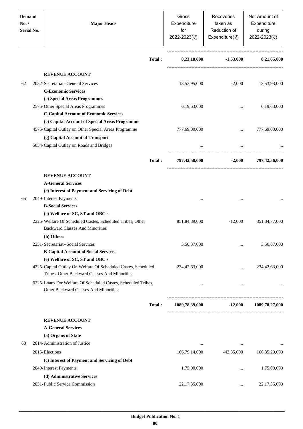| <b>Demand</b><br>No. /<br>Serial No. | <b>Major Heads</b>                                                                                             |        | Gross<br>Expenditure<br>for<br>2022-2023(₹) | Recoveries<br>taken as<br>Reduction of<br>Expenditure( $\overline{\xi}$ ) | Net Amount of<br>Expenditure<br>during<br>2022-2023(₹) |
|--------------------------------------|----------------------------------------------------------------------------------------------------------------|--------|---------------------------------------------|---------------------------------------------------------------------------|--------------------------------------------------------|
|                                      |                                                                                                                | Total: | 8,23,18,000                                 | $-1,53,000$                                                               | 8,21,65,000                                            |
|                                      | <b>REVENUE ACCOUNT</b>                                                                                         |        |                                             |                                                                           |                                                        |
| 62                                   | 2052-Secretariat--General Services                                                                             |        | 13,53,95,000                                | $-2,000$                                                                  | 13,53,93,000                                           |
|                                      | <b>C-Economic Services</b>                                                                                     |        |                                             |                                                                           |                                                        |
|                                      | (c) Special Areas Programmes                                                                                   |        |                                             |                                                                           |                                                        |
|                                      | 2575-Other Special Areas Programmes                                                                            |        | 6,19,63,000                                 |                                                                           | 6,19,63,000                                            |
|                                      | <b>C-Capital Account of Economic Services</b>                                                                  |        |                                             |                                                                           |                                                        |
|                                      | (c) Capital Account of Special Areas Programme                                                                 |        |                                             |                                                                           |                                                        |
|                                      | 4575-Capital Outlay on Other Special Areas Programme                                                           |        | 777,69,00,000                               |                                                                           | 777,69,00,000                                          |
|                                      | (g) Capital Account of Transport                                                                               |        |                                             |                                                                           |                                                        |
|                                      | 5054-Capital Outlay on Roads and Bridges                                                                       |        | $\cdots$                                    | $\ddots$                                                                  |                                                        |
|                                      |                                                                                                                | Total: | 797,42,58,000                               | $-2,000$                                                                  | 797,42,56,000                                          |
|                                      | <b>REVENUE ACCOUNT</b>                                                                                         |        |                                             |                                                                           |                                                        |
|                                      | <b>A-General Services</b>                                                                                      |        |                                             |                                                                           |                                                        |
|                                      | (c) Interest of Payment and Servicing of Debt                                                                  |        |                                             |                                                                           |                                                        |
| 65                                   | 2049-Interest Payments                                                                                         |        |                                             |                                                                           |                                                        |
|                                      | <b>B-Social Services</b>                                                                                       |        |                                             |                                                                           |                                                        |
|                                      | (e) Welfare of SC, ST and OBC's                                                                                |        |                                             |                                                                           |                                                        |
|                                      | 2225-Welfare Of Scheduled Castes, Scheduled Tribes, Other<br><b>Backward Classes And Minorities</b>            |        | 851,84,89,000                               | $-12,000$                                                                 | 851, 84, 77, 000                                       |
|                                      | (h) Others                                                                                                     |        |                                             |                                                                           |                                                        |
|                                      | 2251-Secretariat--Social Services                                                                              |        | 3,50,87,000                                 |                                                                           | 3,50,87,000                                            |
|                                      | <b>B-Capital Account of Social Services</b>                                                                    |        |                                             |                                                                           |                                                        |
|                                      | (e) Welfare of SC, ST and OBC's                                                                                |        |                                             |                                                                           |                                                        |
|                                      | 4225-Capital Outlay On Welfare Of Scheduled Castes, Scheduled<br>Tribes, Other Backward Classes And Minorities |        | 234,42,63,000                               | $\ddotsc$                                                                 | 234,42,63,000                                          |
|                                      | 6225-Loans For Welfare Of Scheduled Castes, Scheduled Tribes,<br>Other Backward Classes And Minorities         |        | $\cdots$                                    | $\ddotsc$                                                                 |                                                        |
|                                      |                                                                                                                | Total: | 1089,78,39,000                              | $-12,000$                                                                 | 1089,78,27,000                                         |
|                                      | <b>REVENUE ACCOUNT</b>                                                                                         |        |                                             |                                                                           |                                                        |
|                                      | <b>A-General Services</b>                                                                                      |        |                                             |                                                                           |                                                        |
|                                      | (a) Organs of State                                                                                            |        |                                             |                                                                           |                                                        |
| 68                                   | 2014-Administration of Justice                                                                                 |        | $\cdots$                                    | $\cdots$                                                                  |                                                        |
|                                      | 2015-Elections                                                                                                 |        | 166,79,14,000                               | $-43,85,000$                                                              | 166, 35, 29, 000                                       |
|                                      | (c) Interest of Payment and Servicing of Debt                                                                  |        |                                             |                                                                           |                                                        |
|                                      | 2049-Interest Payments                                                                                         |        | 1,75,00,000                                 |                                                                           | 1,75,00,000                                            |
|                                      | (d) Administrative Services                                                                                    |        |                                             |                                                                           |                                                        |
|                                      | 2051-Public Service Commission                                                                                 |        | 22,17,35,000                                | $\cdots$                                                                  | 22, 17, 35, 000                                        |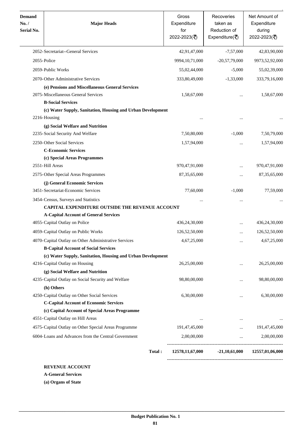| <b>Demand</b><br>No. /<br><b>Serial No.</b> | <b>Major Heads</b>                                                                              | Gross<br>Expenditure<br>for<br>2022-2023(₹) | Recoveries<br>taken as<br>Reduction of<br>Expenditure( $\overline{\xi}$ ) | Net Amount of<br>Expenditure<br>during<br>2022-2023(₹) |
|---------------------------------------------|-------------------------------------------------------------------------------------------------|---------------------------------------------|---------------------------------------------------------------------------|--------------------------------------------------------|
|                                             | 2052-Secretariat--General Services                                                              | 42,91,47,000                                | $-7,57,000$                                                               | 42,83,90,000                                           |
| 2055-Police                                 |                                                                                                 | 9994, 10, 71, 000                           | $-20,57,79,000$                                                           | 9973,52,92,000                                         |
|                                             | 2059-Public Works                                                                               | 55,02,44,000                                | $-5,000$                                                                  | 55,02,39,000                                           |
|                                             | 2070-Other Administrative Services                                                              | 333,80,49,000                               | $-1,33,000$                                                               | 333,79,16,000                                          |
|                                             | (e) Pensions and Miscellaneous General Services                                                 |                                             |                                                                           |                                                        |
|                                             | 2075-Miscellaneous General Services                                                             | 1,58,67,000                                 |                                                                           | 1,58,67,000                                            |
|                                             | <b>B-Social Services</b>                                                                        |                                             |                                                                           |                                                        |
|                                             | (c) Water Supply, Sanitation, Housing and Urban Development                                     |                                             |                                                                           |                                                        |
|                                             | 2216-Housing                                                                                    |                                             |                                                                           |                                                        |
|                                             | (g) Social Welfare and Nutrition                                                                |                                             |                                                                           |                                                        |
|                                             | 2235-Social Security And Welfare                                                                | 7,50,80,000                                 | $-1,000$                                                                  | 7,50,79,000                                            |
|                                             | 2250-Other Social Services                                                                      | 1,57,94,000                                 | $\cdots$                                                                  | 1,57,94,000                                            |
|                                             | <b>C-Economic Services</b>                                                                      |                                             |                                                                           |                                                        |
|                                             | (c) Special Areas Programmes                                                                    |                                             |                                                                           |                                                        |
|                                             | 2551-Hill Areas                                                                                 | 970,47,91,000                               | $\cdots$                                                                  | 970,47,91,000                                          |
|                                             | 2575-Other Special Areas Programmes                                                             | 87, 35, 65, 000                             | $\cdots$                                                                  | 87, 35, 65, 000                                        |
|                                             | (j) General Economic Services                                                                   |                                             |                                                                           |                                                        |
|                                             | 3451-Secretariat-Economic Services                                                              | 77,60,000                                   | $-1,000$                                                                  | 77,59,000                                              |
|                                             | 3454-Census, Surveys and Statistics<br>CAPITAL EXPENDITURE OUTSIDE THE REVENUE ACCOUNT          |                                             | $\cdots$                                                                  |                                                        |
|                                             | <b>A-Capital Account of General Services</b>                                                    |                                             |                                                                           |                                                        |
|                                             | 4055-Capital Outlay on Police                                                                   | 436,24,30,000                               | $\cdots$                                                                  | 436,24,30,000                                          |
|                                             | 4059-Capital Outlay on Public Works                                                             | 126,52,50,000                               |                                                                           | 126,52,50,000                                          |
|                                             | 4070-Capital Outlay on Other Administrative Services                                            | 4,67,25,000                                 |                                                                           | 4,67,25,000                                            |
|                                             | <b>B-Capital Account of Social Services</b>                                                     |                                             |                                                                           |                                                        |
|                                             | (c) Water Supply, Sanitation, Housing and Urban Development                                     |                                             |                                                                           |                                                        |
|                                             | 4216-Capital Outlay on Housing                                                                  | 26,25,00,000                                | $\cdots$                                                                  | 26,25,00,000                                           |
|                                             | (g) Social Welfare and Nutrition                                                                |                                             |                                                                           |                                                        |
|                                             | 4235-Capital Outlay on Social Security and Welfare                                              | 98,80,00,000                                | $\cdots$                                                                  | 98,80,00,000                                           |
|                                             | (h) Others                                                                                      |                                             |                                                                           |                                                        |
|                                             | 4250-Capital Outlay on Other Social Services                                                    | 6,30,00,000                                 | $\cdots$                                                                  | 6,30,00,000                                            |
|                                             | <b>C-Capital Account of Economic Services</b><br>(c) Capital Account of Special Areas Programme |                                             |                                                                           |                                                        |
|                                             | 4551-Capital Outlay on Hill Areas                                                               | $\cdots$                                    | $\cdots$                                                                  |                                                        |
|                                             | 4575-Capital Outlay on Other Special Areas Programme                                            | 191,47,45,000                               | $\cdots$                                                                  | 191,47,45,000                                          |
|                                             | 6004-Loans and Advances from the Central Government                                             | 2,00,00,000                                 | $\cdots$                                                                  | 2,00,00,000                                            |
|                                             |                                                                                                 |                                             |                                                                           |                                                        |
|                                             |                                                                                                 |                                             |                                                                           |                                                        |

**REVENUE ACCOUNT**

**A-General Services**

**(a) Organs of State**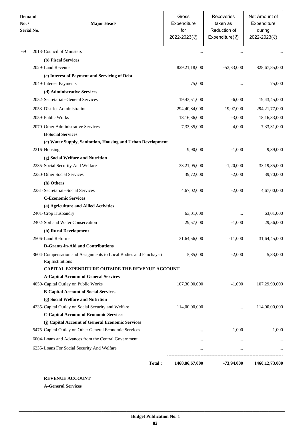| <b>Demand</b><br>No. /<br>Serial No. | <b>Major Heads</b>                                                                   |        | Gross<br>Expenditure<br>for<br>2022-2023(₹) | Recoveries<br>taken as<br>Reduction of<br>Expenditure( $\overline{\overline{\zeta}}$ ) | Net Amount of<br>Expenditure<br>during<br>2022-2023(₹) |  |  |  |  |  |
|--------------------------------------|--------------------------------------------------------------------------------------|--------|---------------------------------------------|----------------------------------------------------------------------------------------|--------------------------------------------------------|--|--|--|--|--|
| 69                                   | 2013-Council of Ministers                                                            |        |                                             |                                                                                        |                                                        |  |  |  |  |  |
|                                      | (b) Fiscal Services                                                                  |        |                                             |                                                                                        |                                                        |  |  |  |  |  |
|                                      | 2029-Land Revenue                                                                    |        | 829, 21, 18, 000                            | $-53,33,000$                                                                           | 828, 67, 85, 000                                       |  |  |  |  |  |
|                                      | (c) Interest of Payment and Servicing of Debt                                        |        |                                             |                                                                                        |                                                        |  |  |  |  |  |
|                                      | 2049-Interest Payments                                                               |        | 75,000                                      |                                                                                        | 75,000                                                 |  |  |  |  |  |
|                                      | (d) Administrative Services                                                          |        |                                             |                                                                                        |                                                        |  |  |  |  |  |
|                                      | 2052-Secretariat--General Services                                                   |        | 19,43,51,000                                | $-6,000$                                                                               | 19,43,45,000                                           |  |  |  |  |  |
|                                      | 2053-District Administration                                                         |        | 294,40,84,000                               | $-19,07,000$                                                                           | 294, 21, 77, 000                                       |  |  |  |  |  |
|                                      | 2059-Public Works                                                                    |        | 18,16,36,000                                | $-3,000$                                                                               | 18,16,33,000                                           |  |  |  |  |  |
|                                      | 2070-Other Administrative Services                                                   |        | 7,33,35,000                                 | $-4,000$                                                                               | 7,33,31,000                                            |  |  |  |  |  |
|                                      | <b>B-Social Services</b>                                                             |        |                                             |                                                                                        |                                                        |  |  |  |  |  |
|                                      | (c) Water Supply, Sanitation, Housing and Urban Development                          |        |                                             |                                                                                        |                                                        |  |  |  |  |  |
|                                      | 2216-Housing                                                                         |        | 9,90,000                                    | $-1,000$                                                                               | 9,89,000                                               |  |  |  |  |  |
|                                      | (g) Social Welfare and Nutrition                                                     |        |                                             |                                                                                        |                                                        |  |  |  |  |  |
|                                      | 2235-Social Security And Welfare                                                     |        | 33,21,05,000                                | $-1,20,000$                                                                            | 33,19,85,000                                           |  |  |  |  |  |
|                                      | 2250-Other Social Services                                                           |        | 39,72,000                                   | $-2,000$                                                                               | 39,70,000                                              |  |  |  |  |  |
|                                      | (h) Others                                                                           |        |                                             |                                                                                        |                                                        |  |  |  |  |  |
|                                      | 2251-Secretariat--Social Services                                                    |        | 4,67,02,000                                 | $-2,000$                                                                               | 4,67,00,000                                            |  |  |  |  |  |
|                                      | <b>C-Economic Services</b>                                                           |        |                                             |                                                                                        |                                                        |  |  |  |  |  |
|                                      | (a) Agriculture and Allied Activities                                                |        |                                             |                                                                                        |                                                        |  |  |  |  |  |
|                                      | 2401-Crop Husbandry                                                                  |        | 63,01,000                                   |                                                                                        | 63,01,000                                              |  |  |  |  |  |
|                                      | 2402-Soil and Water Conservation                                                     |        | 29,57,000                                   | $-1,000$                                                                               | 29,56,000                                              |  |  |  |  |  |
|                                      | (b) Rural Development                                                                |        |                                             |                                                                                        |                                                        |  |  |  |  |  |
|                                      | 2506-Land Reforms                                                                    |        | 31,64,56,000                                | $-11,000$                                                                              | 31,64,45,000                                           |  |  |  |  |  |
|                                      | <b>D-Grants-in-Aid and Contributions</b>                                             |        |                                             |                                                                                        |                                                        |  |  |  |  |  |
|                                      | 3604-Compensation and Assignments to Local Bodies and Panchayati<br>Raj Institutions |        | 5,85,000                                    | $-2,000$                                                                               | 5,83,000                                               |  |  |  |  |  |
|                                      | CAPITAL EXPENDITURE OUTSIDE THE REVENUE ACCOUNT                                      |        |                                             |                                                                                        |                                                        |  |  |  |  |  |
|                                      | <b>A-Capital Account of General Services</b>                                         |        |                                             |                                                                                        |                                                        |  |  |  |  |  |
|                                      | 4059-Capital Outlay on Public Works                                                  |        | 107,30,00,000                               | $-1,000$                                                                               | 107,29,99,000                                          |  |  |  |  |  |
|                                      | <b>B-Capital Account of Social Services</b>                                          |        |                                             |                                                                                        |                                                        |  |  |  |  |  |
|                                      | (g) Social Welfare and Nutrition                                                     |        |                                             |                                                                                        |                                                        |  |  |  |  |  |
|                                      | 4235-Capital Outlay on Social Security and Welfare                                   |        | 114,00,00,000                               | $\cdot \cdot$                                                                          | 114,00,00,000                                          |  |  |  |  |  |
|                                      | <b>C-Capital Account of Economic Services</b>                                        |        |                                             |                                                                                        |                                                        |  |  |  |  |  |
|                                      | (j) Capital Account of General Economic Services                                     |        |                                             |                                                                                        |                                                        |  |  |  |  |  |
|                                      | 5475-Capital Outlay on Other General Economic Services                               |        | $\cdots$                                    | $-1,000$                                                                               | $-1,000$                                               |  |  |  |  |  |
|                                      | 6004-Loans and Advances from the Central Government                                  |        | $\cdots$                                    |                                                                                        |                                                        |  |  |  |  |  |
|                                      | 6235-Loans For Social Security And Welfare                                           |        | $\cdots$                                    | $\cdots$                                                                               |                                                        |  |  |  |  |  |
|                                      |                                                                                      | Total: | 1460,86,67,000                              | -73,94,000                                                                             | 1460, 12, 73, 000                                      |  |  |  |  |  |

**REVENUE ACCOUNT**

**A-General Services**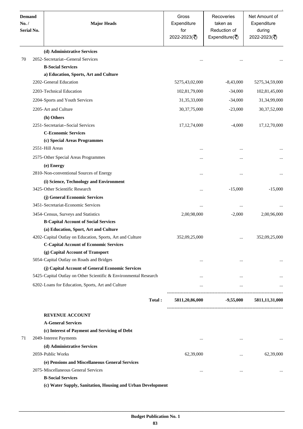| <b>Demand</b><br>No. /<br><b>Serial No.</b> | <b>Major Heads</b>                                               | Gross<br>Expenditure<br>for<br>2022-2023(₹) | Recoveries<br>taken as<br>Reduction of<br>Expenditure( $\overline{\xi}$ ) | Net Amount of<br>Expenditure<br>during<br>2022-2023(₹) |
|---------------------------------------------|------------------------------------------------------------------|---------------------------------------------|---------------------------------------------------------------------------|--------------------------------------------------------|
|                                             | (d) Administrative Services                                      |                                             |                                                                           |                                                        |
| 70                                          | 2052-Secretariat--General Services                               |                                             |                                                                           |                                                        |
|                                             | <b>B-Social Services</b>                                         |                                             |                                                                           |                                                        |
|                                             | a) Education, Sports, Art and Culture                            |                                             |                                                                           |                                                        |
|                                             | 2202-General Education                                           | 5275,43,02,000                              | $-8,43,000$                                                               | 5275,34,59,000                                         |
|                                             | 2203-Technical Education                                         | 102,81,79,000                               | $-34,000$                                                                 | 102,81,45,000                                          |
|                                             | 2204-Sports and Youth Services                                   | 31, 35, 33, 000                             | $-34,000$                                                                 | 31,34,99,000                                           |
|                                             | 2205-Art and Culture                                             | 30, 37, 75, 000                             | $-23,000$                                                                 | 30,37,52,000                                           |
|                                             | (h) Others                                                       |                                             |                                                                           |                                                        |
|                                             | 2251-Secretariat--Social Services                                | 17, 12, 74, 000                             | $-4,000$                                                                  | 17,12,70,000                                           |
|                                             | <b>C-Economic Services</b>                                       |                                             |                                                                           |                                                        |
|                                             | (c) Special Areas Programmes                                     |                                             |                                                                           |                                                        |
|                                             | 2551-Hill Areas                                                  |                                             |                                                                           |                                                        |
|                                             | 2575-Other Special Areas Programmes                              | $\cdots$                                    |                                                                           |                                                        |
|                                             | (e) Energy                                                       |                                             |                                                                           |                                                        |
|                                             | 2810-Non-conventional Sources of Energy                          |                                             | $\cdots$                                                                  |                                                        |
|                                             | (i) Science, Technology and Environment                          |                                             |                                                                           |                                                        |
|                                             | 3425-Other Scientific Research                                   | $\cdots$                                    | $-15,000$                                                                 | $-15,000$                                              |
|                                             | (j) General Economic Services                                    |                                             |                                                                           |                                                        |
|                                             | 3451-Secretariat-Economic Services                               | $\ddotsc$                                   |                                                                           |                                                        |
|                                             | 3454-Census, Surveys and Statistics                              | 2,00,98,000                                 | $-2,000$                                                                  | 2,00,96,000                                            |
|                                             | <b>B-Capital Account of Social Services</b>                      |                                             |                                                                           |                                                        |
|                                             | (a) Education, Sport, Art and Culture                            |                                             |                                                                           |                                                        |
|                                             | 4202-Capital Outlay on Education, Sports, Art and Culture        | 352,09,25,000                               |                                                                           | 352,09,25,000                                          |
|                                             | <b>C-Capital Account of Economic Services</b>                    |                                             |                                                                           |                                                        |
|                                             | (g) Capital Account of Transport                                 |                                             |                                                                           |                                                        |
|                                             | 5054-Capital Outlay on Roads and Bridges                         |                                             |                                                                           |                                                        |
|                                             | (j) Capital Account of General Economic Services                 |                                             |                                                                           |                                                        |
|                                             | 5425-Capital Outlay on Other Scientific & Environmental Research | $\cdots$                                    | $\cdots$                                                                  |                                                        |
|                                             | 6202-Loans for Education, Sports, Art and Culture                | $\cdots$                                    | $\cdots$                                                                  |                                                        |
|                                             | Total:                                                           | 5811,20,86,000                              |                                                                           | $-9,55,000$ $5811,11,31,000$                           |
|                                             | <b>REVENUE ACCOUNT</b>                                           |                                             |                                                                           |                                                        |
|                                             | <b>A-General Services</b>                                        |                                             |                                                                           |                                                        |
|                                             | (c) Interest of Payment and Servicing of Debt                    |                                             |                                                                           |                                                        |
| 71                                          | 2049-Interest Payments                                           | $\cdots$                                    | $\cdots$                                                                  | $\cdots$                                               |
|                                             | (d) Administrative Services                                      |                                             |                                                                           |                                                        |
|                                             | 2059-Public Works                                                | 62,39,000                                   | $\cdots$                                                                  | 62,39,000                                              |
|                                             | (e) Pensions and Miscellaneous General Services                  |                                             |                                                                           |                                                        |
|                                             | 2075-Miscellaneous General Services                              | $\cdots$                                    |                                                                           |                                                        |
|                                             | <b>B-Social Services</b>                                         |                                             |                                                                           |                                                        |

**(c) Water Supply, Sanitation, Housing and Urban Development**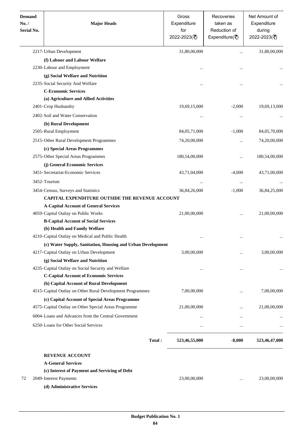| <b>Demand</b><br>No./<br><b>Serial No.</b> | <b>Major Heads</b>                                          | Gross<br>Expenditure<br>for<br>2022-2023(₹) | Recoveries<br>taken as<br>Reduction of<br>Expenditure( $\overline{\xi}$ ) | Net Amount of<br>Expenditure<br>during<br>2022-2023(₹) |
|--------------------------------------------|-------------------------------------------------------------|---------------------------------------------|---------------------------------------------------------------------------|--------------------------------------------------------|
|                                            | 2217-Urban Development                                      | 31,80,00,000                                |                                                                           | 31,80,00,000                                           |
|                                            | (f) Labour and Labour Welfare                               |                                             |                                                                           |                                                        |
|                                            | 2230-Labour and Employment                                  | $\cdots$                                    | $\ddotsc$                                                                 |                                                        |
|                                            | (g) Social Welfare and Nutrition                            |                                             |                                                                           |                                                        |
|                                            | 2235-Social Security And Welfare                            | $\cdots$                                    |                                                                           |                                                        |
|                                            | <b>C-Economic Services</b>                                  |                                             |                                                                           |                                                        |
|                                            | (a) Agriculture and Allied Activities                       |                                             |                                                                           |                                                        |
|                                            | 2401-Crop Husbandry                                         | 19,69,15,000                                | $-2,000$                                                                  | 19,69,13,000                                           |
|                                            | 2402-Soil and Water Conservation                            | $\cdots$                                    | $\cdots$                                                                  |                                                        |
|                                            | (b) Rural Development                                       |                                             |                                                                           |                                                        |
|                                            | 2505-Rural Employment                                       | 84,05,71,000                                | $-1,000$                                                                  | 84,05,70,000                                           |
|                                            | 2515-Other Rural Development Programmes                     | 74,20,00,000                                | $\cdots$                                                                  | 74,20,00,000                                           |
|                                            | (c) Special Areas Programmes                                |                                             |                                                                           |                                                        |
|                                            | 2575-Other Special Areas Programmes                         | 180,54,00,000                               | $\ddotsc$                                                                 | 180,54,00,000                                          |
|                                            | (j) General Economic Services                               |                                             |                                                                           |                                                        |
|                                            | 3451-Secretariat-Economic Services                          | 43,71,04,000                                | $-4,000$                                                                  | 43,71,00,000                                           |
|                                            |                                                             |                                             |                                                                           |                                                        |
|                                            | 3452-Tourism                                                | $\cdots$                                    | $\cdots$                                                                  |                                                        |
|                                            | 3454-Census, Surveys and Statistics                         | 36,84,26,000                                | $-1,000$                                                                  | 36,84,25,000                                           |
|                                            | <b>CAPITAL EXPENDITURE OUTSIDE THE REVENUE ACCOUNT</b>      |                                             |                                                                           |                                                        |
|                                            | <b>A-Capital Account of General Services</b>                |                                             |                                                                           |                                                        |
|                                            | 4059-Capital Outlay on Public Works                         | 21,00,00,000                                |                                                                           | 21,00,00,000                                           |
|                                            | <b>B-Capital Account of Social Services</b>                 |                                             |                                                                           |                                                        |
|                                            | (b) Health and Family Welfare                               |                                             |                                                                           |                                                        |
|                                            | 4210-Capital Outlay on Medical and Public Health            |                                             | $\cdots$                                                                  |                                                        |
|                                            | (c) Water Supply, Sanitation, Housing and Urban Development |                                             |                                                                           |                                                        |
|                                            | 4217-Capital Outlay on Urban Development                    | 3,00,00,000                                 |                                                                           | 3,00,00,000                                            |
|                                            | (g) Social Welfare and Nutrition                            |                                             |                                                                           |                                                        |
|                                            | 4235-Capital Outlay on Social Security and Welfare          | $\ddotsc$                                   |                                                                           |                                                        |
|                                            | <b>C-Capital Account of Economic Services</b>               |                                             |                                                                           |                                                        |
|                                            | (b) Capital Account of Rural Development                    |                                             |                                                                           |                                                        |
|                                            | 4515-Capital Outlay on Other Rural Development Programmes   | 7,00,00,000                                 | $\cdots$                                                                  | 7,00,00,000                                            |
|                                            | (c) Capital Account of Special Areas Programme              |                                             |                                                                           |                                                        |
|                                            | 4575-Capital Outlay on Other Special Areas Programme        | 21,00,00,000                                | $\cdots$                                                                  | 21,00,00,000                                           |
|                                            | 6004-Loans and Advances from the Central Government         | $\cdots$                                    | $\cdots$                                                                  |                                                        |
|                                            | 6250-Loans for Other Social Services                        | $\cdots$                                    | $\cdots$                                                                  |                                                        |
|                                            | Total:                                                      | 523,46,55,000                               | $-8,000$                                                                  | 523,46,47,000                                          |
|                                            | <b>REVENUE ACCOUNT</b>                                      |                                             |                                                                           |                                                        |
|                                            | <b>A-General Services</b>                                   |                                             |                                                                           |                                                        |
|                                            | (c) Interest of Payment and Servicing of Debt               |                                             |                                                                           |                                                        |
| 72                                         | 2049-Interest Payments                                      | 23,00,00,000                                |                                                                           | 23,00,00,000                                           |
|                                            | (d) Administrative Services                                 |                                             |                                                                           |                                                        |
|                                            |                                                             |                                             |                                                                           |                                                        |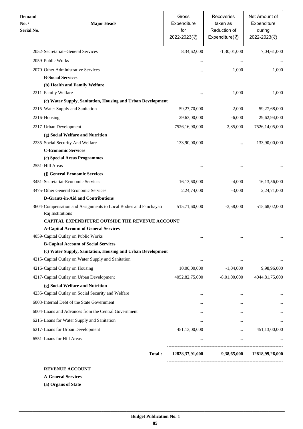| <b>Demand</b><br>No. /<br><b>Serial No.</b> | <b>Major Heads</b>                                                                                                | Gross<br>Expenditure<br>for<br>2022-2023(₹) | Recoveries<br>taken as<br>Reduction of<br>Expenditure( $\overline{\xi}$ ) | Net Amount of<br>Expenditure<br>during<br>2022-2023(₹) |
|---------------------------------------------|-------------------------------------------------------------------------------------------------------------------|---------------------------------------------|---------------------------------------------------------------------------|--------------------------------------------------------|
|                                             | 2052-Secretariat--General Services                                                                                | 8,34,62,000                                 | $-1,30,01,000$                                                            | 7,04,61,000                                            |
|                                             | 2059-Public Works                                                                                                 | $\cdots$                                    |                                                                           |                                                        |
|                                             | 2070-Other Administrative Services                                                                                | $\ddotsc$                                   | $-1,000$                                                                  | $-1,000$                                               |
|                                             | <b>B-Social Services</b>                                                                                          |                                             |                                                                           |                                                        |
|                                             | (b) Health and Family Welfare                                                                                     |                                             |                                                                           |                                                        |
|                                             | 2211-Family Welfare                                                                                               | $\ddotsc$                                   | $-1,000$                                                                  | $-1,000$                                               |
|                                             | (c) Water Supply, Sanitation, Housing and Urban Development                                                       |                                             |                                                                           |                                                        |
|                                             | 2215-Water Supply and Sanitation                                                                                  | 59,27,70,000                                | $-2,000$                                                                  | 59,27,68,000                                           |
|                                             | 2216-Housing                                                                                                      | 29,63,00,000                                | $-6,000$                                                                  | 29,62,94,000                                           |
|                                             | 2217-Urban Development                                                                                            | 7526,16,90,000                              | $-2,85,000$                                                               | 7526,14,05,000                                         |
|                                             | (g) Social Welfare and Nutrition                                                                                  |                                             |                                                                           |                                                        |
|                                             | 2235-Social Security And Welfare                                                                                  | 133,90,00,000                               | $\cdots$                                                                  | 133,90,00,000                                          |
|                                             | <b>C-Economic Services</b>                                                                                        |                                             |                                                                           |                                                        |
|                                             | (c) Special Areas Programmes                                                                                      |                                             |                                                                           |                                                        |
|                                             | 2551-Hill Areas                                                                                                   |                                             | $\cdots$                                                                  |                                                        |
|                                             | (j) General Economic Services                                                                                     |                                             |                                                                           |                                                        |
|                                             | 3451-Secretariat-Economic Services                                                                                | 16,13,60,000                                | $-4,000$                                                                  | 16,13,56,000                                           |
|                                             | 3475-Other General Economic Services                                                                              | 2,24,74,000                                 | $-3,000$                                                                  | 2,24,71,000                                            |
|                                             | <b>D-Grants-in-Aid and Contributions</b>                                                                          |                                             |                                                                           |                                                        |
|                                             | 3604-Compensation and Assignments to Local Bodies and Panchayati<br>Raj Institutions                              | 515,71,60,000                               | $-3,58,000$                                                               | 515,68,02,000                                          |
|                                             | <b>CAPITAL EXPENDITURE OUTSIDE THE REVENUE ACCOUNT</b>                                                            |                                             |                                                                           |                                                        |
|                                             | <b>A-Capital Account of General Services</b>                                                                      |                                             |                                                                           |                                                        |
|                                             | 4059-Capital Outlay on Public Works                                                                               |                                             |                                                                           |                                                        |
|                                             | <b>B-Capital Account of Social Services</b>                                                                       |                                             |                                                                           |                                                        |
|                                             | (c) Water Supply, Sanitation, Housing and Urban Development<br>4215-Capital Outlay on Water Supply and Sanitation |                                             |                                                                           |                                                        |
|                                             |                                                                                                                   | $\cdots$                                    |                                                                           |                                                        |
|                                             | 4216-Capital Outlay on Housing                                                                                    | 10,00,00,000                                | $-1,04,000$                                                               | 9,98,96,000                                            |
|                                             | 4217-Capital Outlay on Urban Development                                                                          | 4052,82,75,000                              | $-8,01,00,000$                                                            | 4044,81,75,000                                         |
|                                             | (g) Social Welfare and Nutrition                                                                                  |                                             |                                                                           |                                                        |
|                                             | 4235-Capital Outlay on Social Security and Welfare                                                                |                                             |                                                                           |                                                        |
|                                             | 6003-Internal Debt of the State Government                                                                        |                                             | $\cdots$                                                                  |                                                        |
|                                             | 6004-Loans and Advances from the Central Government                                                               |                                             | $\cdots$                                                                  |                                                        |
|                                             | 6215-Loans for Water Supply and Sanitation                                                                        | $\cdots$                                    | $\cdots$                                                                  |                                                        |
|                                             | 6217-Loans for Urban Development                                                                                  | 451,13,00,000                               |                                                                           | 451,13,00,000                                          |
|                                             | 6551-Loans for Hill Areas                                                                                         |                                             | $\cdots$                                                                  |                                                        |
|                                             | Total:                                                                                                            | 12828,37,91,000                             | $-9,38,65,000$                                                            | 12818,99,26,000                                        |

**REVENUE ACCOUNT**

**A-General Services**

**(a) Organs of State**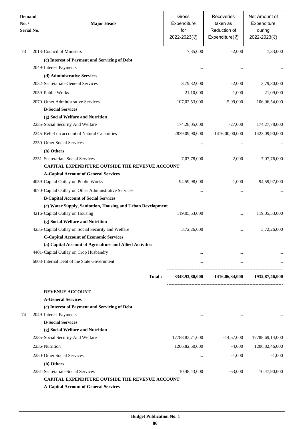| <b>Demand</b><br>No. /<br><b>Serial No.</b> | <b>Major Heads</b>                                                                                     |        | Gross<br>Expenditure<br>for<br>2022-2023(₹) | Recoveries<br>taken as<br>Reduction of<br>Expenditure( $\overline{\xi}$ ) | Net Amount of<br>Expenditure<br>during<br>2022-2023(₹) |
|---------------------------------------------|--------------------------------------------------------------------------------------------------------|--------|---------------------------------------------|---------------------------------------------------------------------------|--------------------------------------------------------|
| 73                                          | 2013-Council of Ministers                                                                              |        | 7,35,000                                    | $-2,000$                                                                  | 7,33,000                                               |
|                                             | (c) Interest of Payment and Servicing of Debt                                                          |        |                                             |                                                                           |                                                        |
|                                             | 2049-Interest Payments                                                                                 |        |                                             |                                                                           |                                                        |
|                                             | (d) Administrative Services                                                                            |        |                                             |                                                                           |                                                        |
|                                             | 2052-Secretariat--General Services                                                                     |        | 3,79,32,000                                 | $-2,000$                                                                  | 3,79,30,000                                            |
|                                             | 2059-Public Works                                                                                      |        | 21,10,000                                   | $-1,000$                                                                  | 21,09,000                                              |
|                                             | 2070-Other Administrative Services                                                                     |        | 107,02,53,000                               | $-5,99,000$                                                               | 106,96,54,000                                          |
|                                             | <b>B-Social Services</b>                                                                               |        |                                             |                                                                           |                                                        |
|                                             | (g) Social Welfare and Nutrition                                                                       |        |                                             |                                                                           |                                                        |
|                                             | 2235-Social Security And Welfare                                                                       |        | 174,28,05,000                               | $-27,000$                                                                 | 174,27,78,000                                          |
|                                             | 2245-Relief on account of Natural Calamities                                                           |        | 2839,09,90,000                              | $-1416,00,00,000$                                                         | 1423,09,90,000                                         |
|                                             | 2250-Other Social Services                                                                             |        |                                             |                                                                           |                                                        |
|                                             | (h) Others                                                                                             |        | $\ddotsc$                                   |                                                                           |                                                        |
|                                             | 2251-Secretariat--Social Services                                                                      |        | 7,07,78,000                                 | $-2,000$                                                                  | 7,07,76,000                                            |
|                                             | <b>CAPITAL EXPENDITURE OUTSIDE THE REVENUE ACCOUNT</b><br><b>A-Capital Account of General Services</b> |        |                                             |                                                                           |                                                        |
|                                             | 4059-Capital Outlay on Public Works                                                                    |        | 94,59,98,000                                | $-1,000$                                                                  | 94,59,97,000                                           |
|                                             | 4070-Capital Outlay on Other Administrative Services                                                   |        |                                             |                                                                           |                                                        |
|                                             | <b>B-Capital Account of Social Services</b>                                                            |        | $\ddotsc$                                   | $\cdots$                                                                  |                                                        |
|                                             | (c) Water Supply, Sanitation, Housing and Urban Development                                            |        |                                             |                                                                           |                                                        |
|                                             | 4216-Capital Outlay on Housing                                                                         |        | 119,05,53,000                               |                                                                           | 119,05,53,000                                          |
|                                             | (g) Social Welfare and Nutrition                                                                       |        |                                             |                                                                           |                                                        |
|                                             | 4235-Capital Outlay on Social Security and Welfare                                                     |        | 3,72,26,000                                 | $\ddotsc$                                                                 | 3,72,26,000                                            |
|                                             | <b>C-Capital Account of Economic Services</b>                                                          |        |                                             |                                                                           |                                                        |
|                                             | (a) Capital Account of Agriculture and Allied Activities                                               |        |                                             |                                                                           |                                                        |
|                                             | 4401-Capital Outlay on Crop Husbandry                                                                  |        | $\cdots$                                    | $\cdots$                                                                  |                                                        |
|                                             | 6003-Internal Debt of the State Government                                                             |        | $\cdots$                                    | $\cdots$                                                                  |                                                        |
|                                             |                                                                                                        |        |                                             |                                                                           |                                                        |
|                                             |                                                                                                        | Total: | 3348,93,80,000                              | -1416,06,34,000                                                           | 1932,87,46,000                                         |
|                                             | <b>REVENUE ACCOUNT</b>                                                                                 |        |                                             |                                                                           |                                                        |
|                                             | <b>A-General Services</b>                                                                              |        |                                             |                                                                           |                                                        |
|                                             | (c) Interest of Payment and Servicing of Debt                                                          |        |                                             |                                                                           |                                                        |
| 74                                          | 2049-Interest Payments                                                                                 |        | $\cdots$                                    | $\cdots$                                                                  |                                                        |
|                                             | <b>B-Social Services</b>                                                                               |        |                                             |                                                                           |                                                        |
|                                             | (g) Social Welfare and Nutrition                                                                       |        |                                             |                                                                           |                                                        |
|                                             | 2235-Social Security And Welfare                                                                       |        | 17788,83,71,000                             | $-14,57,000$                                                              | 17788,69,14,000                                        |
|                                             | 2236-Nutrition                                                                                         |        | 1206,82,50,000                              | $-4,000$                                                                  | 1206, 82, 46, 000                                      |
|                                             | 2250-Other Social Services                                                                             |        | $\cdots$                                    | $-1,000$                                                                  | $-1,000$                                               |
|                                             | (h) Others                                                                                             |        |                                             |                                                                           |                                                        |
|                                             | 2251-Secretariat--Social Services                                                                      |        | 10,48,43,000                                | $-53,000$                                                                 | 10,47,90,000                                           |
|                                             | CAPITAL EXPENDITURE OUTSIDE THE REVENUE ACCOUNT                                                        |        |                                             |                                                                           |                                                        |
|                                             | <b>A-Capital Account of General Services</b>                                                           |        |                                             |                                                                           |                                                        |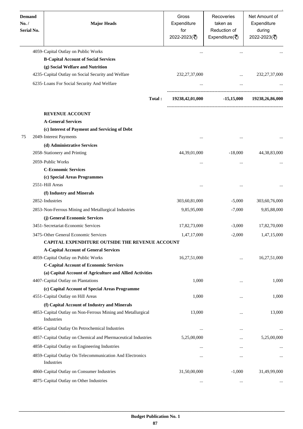| <b>Demand</b><br>No. /<br>Serial No. | <b>Major Heads</b>                                                                                                        | Gross<br>Expenditure<br>for<br>2022-2023(₹) | Recoveries<br>taken as<br>Reduction of<br>Expenditure( $\overline{\overline{\zeta}}$ ) | Net Amount of<br>Expenditure<br>during<br>2022-2023(₹) |
|--------------------------------------|---------------------------------------------------------------------------------------------------------------------------|---------------------------------------------|----------------------------------------------------------------------------------------|--------------------------------------------------------|
|                                      | 4059-Capital Outlay on Public Works                                                                                       |                                             |                                                                                        |                                                        |
|                                      | <b>B-Capital Account of Social Services</b>                                                                               |                                             |                                                                                        |                                                        |
|                                      | (g) Social Welfare and Nutrition                                                                                          |                                             |                                                                                        |                                                        |
|                                      | 4235-Capital Outlay on Social Security and Welfare                                                                        | 232, 27, 37, 000                            | $\cdots$                                                                               | 232, 27, 37, 000                                       |
|                                      | 6235-Loans For Social Security And Welfare                                                                                |                                             |                                                                                        |                                                        |
|                                      | Total:                                                                                                                    | 19238,42,01,000                             | $-15,15,000$                                                                           | 19238,26,86,000                                        |
|                                      | <b>REVENUE ACCOUNT</b>                                                                                                    |                                             |                                                                                        |                                                        |
|                                      | <b>A-General Services</b>                                                                                                 |                                             |                                                                                        |                                                        |
|                                      | (c) Interest of Payment and Servicing of Debt                                                                             |                                             |                                                                                        |                                                        |
| 75                                   | 2049-Interest Payments                                                                                                    | $\ddotsc$                                   |                                                                                        |                                                        |
|                                      | (d) Administrative Services                                                                                               |                                             |                                                                                        |                                                        |
|                                      | 2058-Stationery and Printing                                                                                              | 44,39,01,000                                | $-18,000$                                                                              | 44, 38, 83, 000                                        |
|                                      | 2059-Public Works                                                                                                         | $\cdots$                                    | $\cdots$                                                                               |                                                        |
|                                      | <b>C-Economic Services</b>                                                                                                |                                             |                                                                                        |                                                        |
|                                      | (c) Special Areas Programmes                                                                                              |                                             |                                                                                        |                                                        |
|                                      | 2551-Hill Areas                                                                                                           |                                             |                                                                                        |                                                        |
|                                      | (f) Industry and Minerals                                                                                                 |                                             |                                                                                        |                                                        |
|                                      | 2852-Industries                                                                                                           | 303,60,81,000                               | $-5,000$                                                                               | 303,60,76,000                                          |
|                                      | 2853-Non-Ferrous Mining and Metallurgical Industries                                                                      | 9,85,95,000                                 | $-7,000$                                                                               | 9,85,88,000                                            |
|                                      | (j) General Economic Services                                                                                             |                                             |                                                                                        |                                                        |
|                                      | 3451-Secretariat-Economic Services                                                                                        | 17,82,73,000                                | $-3,000$                                                                               | 17,82,70,000                                           |
|                                      | 3475-Other General Economic Services                                                                                      | 1,47,17,000                                 | $-2,000$                                                                               | 1,47,15,000                                            |
|                                      | <b>CAPITAL EXPENDITURE OUTSIDE THE REVENUE ACCOUNT</b>                                                                    |                                             |                                                                                        |                                                        |
|                                      | <b>A-Capital Account of General Services</b>                                                                              |                                             |                                                                                        |                                                        |
|                                      | 4059-Capital Outlay on Public Works                                                                                       | 16,27,51,000                                | $\ddotsc$                                                                              | 16,27,51,000                                           |
|                                      | <b>C-Capital Account of Economic Services</b>                                                                             |                                             |                                                                                        |                                                        |
|                                      | (a) Capital Account of Agriculture and Allied Activities                                                                  |                                             |                                                                                        |                                                        |
|                                      | 4407-Capital Outlay on Plantations                                                                                        | 1,000                                       |                                                                                        | 1,000                                                  |
|                                      | (c) Capital Account of Special Areas Programme<br>4551-Capital Outlay on Hill Areas                                       | 1,000                                       |                                                                                        | 1,000                                                  |
|                                      |                                                                                                                           |                                             |                                                                                        |                                                        |
|                                      | (f) Capital Account of Industry and Minerals<br>4853-Capital Outlay on Non-Ferrous Mining and Metallurgical<br>Industries | 13,000                                      |                                                                                        | 13,000                                                 |
|                                      | 4856-Capital Outlay On Petrochemical Industries                                                                           | $\ddotsc$                                   |                                                                                        |                                                        |
|                                      | 4857-Capital Outlay on Chemical and Phermaceutical Industries                                                             | 5,25,00,000                                 |                                                                                        | 5,25,00,000                                            |
|                                      | 4858-Capital Outlay on Engineering Industries                                                                             |                                             |                                                                                        |                                                        |
|                                      | 4859-Capital Outlay On Telecommunication And Electronics<br>Industries                                                    |                                             | $\cdots$                                                                               | $\ddotsc$                                              |
|                                      | 4860-Capital Outlay on Consumer Industries                                                                                | 31,50,00,000                                | $-1,000$                                                                               | 31,49,99,000                                           |
|                                      | 4875-Capital Outlay on Other Industries                                                                                   | $\cdots$                                    | $\ldots$                                                                               | $\cdots$                                               |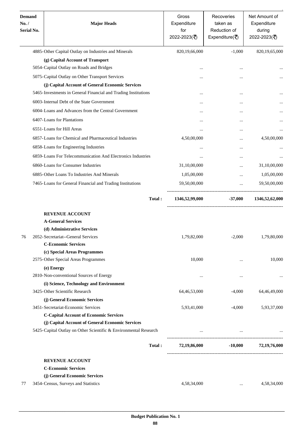| <b>Demand</b><br>No. /<br><b>Serial No.</b> | <b>Major Heads</b>                                               | Gross<br>Expenditure<br>for<br>2022-2023(₹) | Recoveries<br>taken as<br>Reduction of<br>Expenditure( $\overline{\xi}$ ) | Net Amount of<br>Expenditure<br>during<br>2022-2023(₹) |
|---------------------------------------------|------------------------------------------------------------------|---------------------------------------------|---------------------------------------------------------------------------|--------------------------------------------------------|
|                                             | 4885-Other Capital Outlay on Industries and Minerals             | 820,19,66,000                               | $-1,000$                                                                  | 820,19,65,000                                          |
|                                             | (g) Capital Account of Transport                                 |                                             |                                                                           |                                                        |
|                                             | 5054-Capital Outlay on Roads and Bridges                         |                                             |                                                                           |                                                        |
|                                             | 5075-Capital Outlay on Other Transport Services                  | $\ddotsc$                                   |                                                                           |                                                        |
|                                             | (j) Capital Account of General Economic Services                 |                                             |                                                                           |                                                        |
|                                             | 5465-Investments in General Financial and Trading Institutions   | $\ddotsc$                                   |                                                                           |                                                        |
|                                             | 6003-Internal Debt of the State Government                       |                                             |                                                                           |                                                        |
|                                             | 6004-Loans and Advances from the Central Government              |                                             |                                                                           |                                                        |
|                                             | 6407-Loans for Plantations                                       |                                             |                                                                           |                                                        |
|                                             | 6551-Loans for Hill Areas                                        |                                             |                                                                           |                                                        |
|                                             | 6857-Loans for Chemical and Pharmaceutical Industries            |                                             |                                                                           |                                                        |
|                                             |                                                                  | 4,50,00,000                                 |                                                                           | 4,50,00,000                                            |
|                                             | 6858-Loans for Engineering Industries                            |                                             | $\cdots$                                                                  |                                                        |
|                                             | 6859-Loans For Telecommunication And Electronics Industries      | $\ddotsc$                                   |                                                                           |                                                        |
|                                             | 6860-Loans for Consumer Industries                               | 31,10,00,000                                |                                                                           | 31,10,00,000                                           |
|                                             | 6885-Other Loans To Industries And Minerals                      | 1,05,00,000                                 |                                                                           | 1,05,00,000                                            |
|                                             | 7465-Loans for General Financial and Trading Institutions        | 59,50,00,000                                | $\cdots$                                                                  | 59,50,00,000                                           |
|                                             | Total:                                                           | 1346,52,99,000                              | $-37,000$                                                                 | 1346,52,62,000                                         |
|                                             | <b>REVENUE ACCOUNT</b>                                           |                                             |                                                                           |                                                        |
|                                             | <b>A-General Services</b>                                        |                                             |                                                                           |                                                        |
|                                             | (d) Administrative Services                                      |                                             |                                                                           |                                                        |
| 76                                          | 2052- Secretariat--General Services                              | 1,79,82,000                                 | $-2,000$                                                                  | 1,79,80,000                                            |
|                                             | <b>C-Economic Services</b>                                       |                                             |                                                                           |                                                        |
|                                             | (c) Special Areas Programmes                                     |                                             |                                                                           |                                                        |
|                                             | 2575-Other Special Areas Programmes                              | 10,000                                      |                                                                           | 10,000                                                 |
|                                             | (e) Energy                                                       |                                             |                                                                           |                                                        |
|                                             | 2810-Non-conventional Sources of Energy                          | $\cdots$                                    | $\cdots$                                                                  |                                                        |
|                                             | (i) Science, Technology and Environment                          |                                             |                                                                           |                                                        |
|                                             | 3425-Other Scientific Research                                   | 64,46,53,000                                | $-4,000$                                                                  | 64,46,49,000                                           |
|                                             | (j) General Economic Services                                    |                                             |                                                                           |                                                        |
|                                             | 3451-Secretariat-Economic Services                               | 5,93,41,000                                 | $-4,000$                                                                  | 5,93,37,000                                            |
|                                             | <b>C-Capital Account of Economic Services</b>                    |                                             |                                                                           |                                                        |
|                                             | (j) Capital Account of General Economic Services                 |                                             |                                                                           |                                                        |
|                                             | 5425-Capital Outlay on Other Scientific & Environmental Research |                                             |                                                                           |                                                        |
|                                             | Total:                                                           | 72,19,86,000                                | $-10,000$                                                                 | 72,19,76,000                                           |
|                                             | <b>REVENUE ACCOUNT</b>                                           |                                             |                                                                           |                                                        |
|                                             | <b>C-Economic Services</b>                                       |                                             |                                                                           |                                                        |
|                                             | (j) General Economic Services                                    |                                             |                                                                           |                                                        |
| 77                                          | 3454-Census, Surveys and Statistics                              | 4,58,34,000                                 |                                                                           | 4,58,34,000                                            |